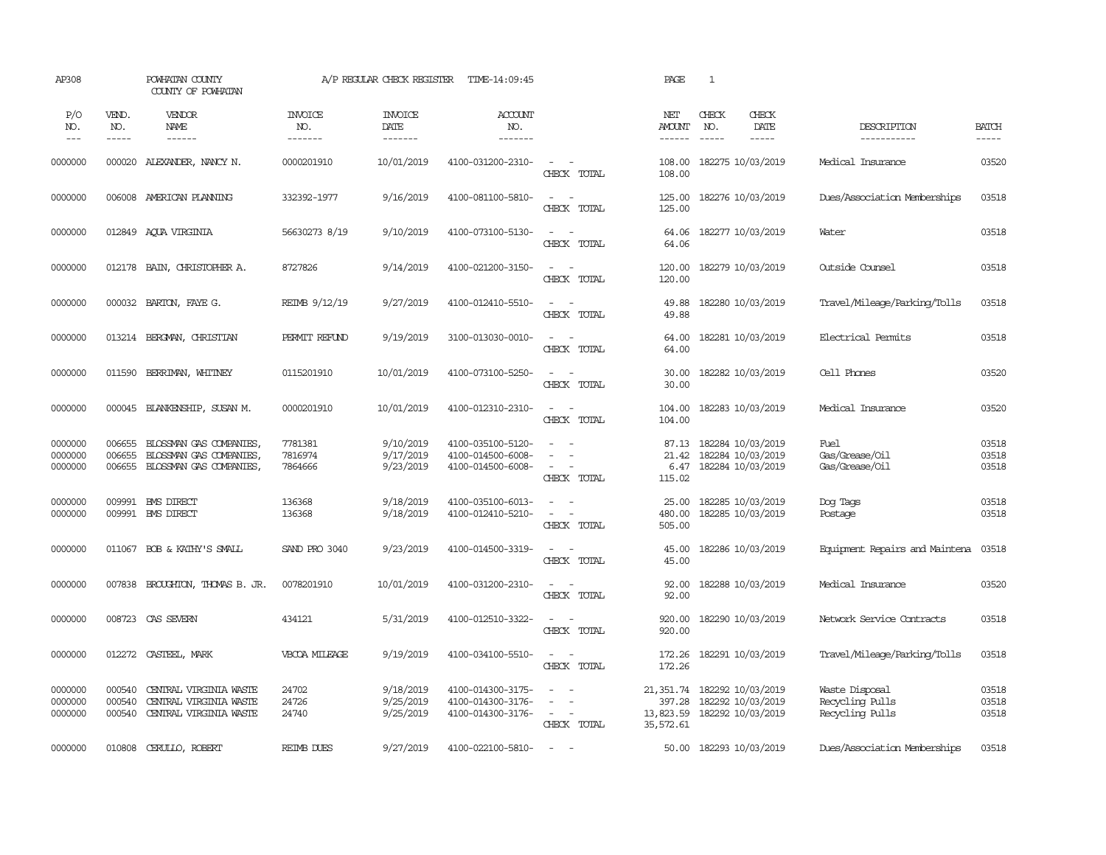| AP308                         |                            | POWHATAN COUNTY<br>COUNTY OF POWHATAN                                                |                                  | A/P REGULAR CHECK REGISTER          | TIME-14:09:45                                               |                                                                                         | PAGE                                          | 1                                                           |                                                      |                         |
|-------------------------------|----------------------------|--------------------------------------------------------------------------------------|----------------------------------|-------------------------------------|-------------------------------------------------------------|-----------------------------------------------------------------------------------------|-----------------------------------------------|-------------------------------------------------------------|------------------------------------------------------|-------------------------|
| P/O<br>NO.<br>---             | VEND.<br>NO.<br>-----      | VENDOR<br>NAME                                                                       | <b>INVOICE</b><br>NO.<br>------- | <b>INVOICE</b><br>DATE<br>-------   | ACCOUNT<br>NO.<br>-------                                   |                                                                                         | NET<br>AMOUNT<br>$- - - - - -$                | CHECK<br>CHECK<br>NO.<br>DATE<br>$\cdots$<br>-----          | DESCRIPTION<br>-----------                           | <b>BATCH</b><br>-----   |
| 0000000                       |                            | 000020 ALEXANDER, NANCY N.                                                           | 0000201910                       | 10/01/2019                          | 4100-031200-2310-                                           | $\sim$<br>$\sim$<br>CHECK TOTAL                                                         | 108.00<br>108.00                              | 182275 10/03/2019                                           | Medical Insurance                                    | 03520                   |
| 0000000                       |                            | 006008 AMERICAN PLANNING                                                             | 332392-1977                      | 9/16/2019                           | 4100-081100-5810-                                           | $\sim$<br>$\sim$<br>CHECK TOTAL                                                         | 125.00<br>125.00                              | 182276 10/03/2019                                           | Dues/Association Memberships                         | 03518                   |
| 0000000                       |                            | 012849 AQUA VIRGINIA                                                                 | 56630273 8/19                    | 9/10/2019                           | 4100-073100-5130-                                           | $\sim$<br>$\sim$ $-$<br>CHECK TOTAL                                                     | 64.06<br>64.06                                | 182277 10/03/2019                                           | Water                                                | 03518                   |
| 0000000                       |                            | 012178 BAIN, CHRISTOPHER A.                                                          | 8727826                          | 9/14/2019                           | 4100-021200-3150-                                           | $\sim$ $ -$<br>CHECK TOTAL                                                              | 120.00<br>120.00                              | 182279 10/03/2019                                           | Outside Counsel                                      | 03518                   |
| 0000000                       |                            | 000032 BARTON, FAYE G.                                                               | REIMB 9/12/19                    | 9/27/2019                           | 4100-012410-5510-                                           | $\sim$<br>$\sim$<br>CHECK TOTAL                                                         | 49.88<br>49.88                                | 182280 10/03/2019                                           | Travel/Mileage/Parking/Tolls                         | 03518                   |
| 0000000                       |                            | 013214 BERGMAN, CHRISTIAN                                                            | PERMIT REFUND                    | 9/19/2019                           | 3100-013030-0010-                                           | $\sim$<br>$\sim$<br>CHECK TOTAL                                                         | 64.00<br>64.00                                | 182281 10/03/2019                                           | Electrical Permits                                   | 03518                   |
| 0000000                       | 011590                     | BERRIMAN, WHITNEY                                                                    | 0115201910                       | 10/01/2019                          | 4100-073100-5250-                                           | $\overline{\phantom{a}}$<br>$\sim$<br>CHECK TOTAL                                       | 30.00<br>30.00                                | 182282 10/03/2019                                           | Cell Phones                                          | 03520                   |
| 0000000                       | 000045                     | BLANKENSHIP, SUSAN M.                                                                | 0000201910                       | 10/01/2019                          | 4100-012310-2310-                                           | $\sim$ $ -$<br>CHECK TOTAL                                                              | 104.00<br>104.00                              | 182283 10/03/2019                                           | Medical Insurance                                    | 03520                   |
| 0000000<br>0000000<br>0000000 | 006655<br>006655           | BLOSSMAN GAS COMPANIES.<br>BLOSSMAN GAS COMPANIES,<br>006655 BLOSSMAN GAS COMPANIES, | 7781381<br>7816974<br>7864666    | 9/10/2019<br>9/17/2019<br>9/23/2019 | 4100-035100-5120-<br>4100-014500-6008-<br>4100-014500-6008- | $\sim$<br>$\sim$<br>$\equiv$<br>$\sim$ $ \sim$<br>CHECK TOTAL                           | 87.13<br>21.42<br>6.47<br>115.02              | 182284 10/03/2019<br>182284 10/03/2019<br>182284 10/03/2019 | Fuel<br>Gas/Grease/Oil<br>Gas/Grease/Oil             | 03518<br>03518<br>03518 |
| 0000000<br>0000000            |                            | 009991 BMS DIRECT<br>009991 BMS DIRECT                                               | 136368<br>136368                 | 9/18/2019<br>9/18/2019              | 4100-035100-6013-<br>4100-012410-5210-                      | $\sim$<br>$\sim$<br>$\overline{\phantom{a}}$<br>$\overline{\phantom{a}}$<br>CHECK TOTAL | 25.00<br>480.00<br>505.00                     | 182285 10/03/2019<br>182285 10/03/2019                      | Dog Tags<br>Postage                                  | 03518<br>03518          |
| 0000000                       |                            | 011067 BOB & KATHY'S SMALL                                                           | SAND PRO 3040                    | 9/23/2019                           | 4100-014500-3319-                                           | $\sim$ $ \sim$<br>CHECK TOTAL                                                           | 45.00<br>45.00                                | 182286 10/03/2019                                           | Equipment Repairs and Maintena                       | 03518                   |
| 0000000                       | 007838                     | BROUGHTON, THOMAS B. JR.                                                             | 0078201910                       | 10/01/2019                          | 4100-031200-2310-                                           | $\sim$<br>$\sim$<br>CHECK TOTAL                                                         | 92.00<br>92.00                                | 182288 10/03/2019                                           | Medical Insurance                                    | 03520                   |
| 0000000                       | 008723                     | CAS SEVERN                                                                           | 434121                           | 5/31/2019                           | 4100-012510-3322-                                           | $\overline{\phantom{a}}$<br>$\sim$<br>CHECK TOTAL                                       | 920.00<br>920.00                              | 182290 10/03/2019                                           | Network Service Contracts                            | 03518                   |
| 0000000                       | 012272                     | CASTEEL, MARK                                                                        | VBCOA MILEAGE                    | 9/19/2019                           | 4100-034100-5510-                                           | $\overline{\phantom{a}}$<br>CHECK TOTAL                                                 | 172.26<br>172.26                              | 182291 10/03/2019                                           | Travel/Mileage/Parking/Tolls                         | 03518                   |
| 0000000<br>0000000<br>0000000 | 000540<br>000540<br>000540 | CENTRAL VIRGINIA WASTE<br>CENTRAL VIRGINIA WASTE<br>CENTRAL VIRGINIA WASTE           | 24702<br>24726<br>24740          | 9/18/2019<br>9/25/2019<br>9/25/2019 | 4100-014300-3175-<br>4100-014300-3176-<br>4100-014300-3176- | $\sim$<br>$\equiv$<br>$\sim$<br>$\overline{\phantom{a}}$<br>CHECK TOTAL                 | 21,351.74<br>397.28<br>13,823.59<br>35,572.61 | 182292 10/03/2019<br>182292 10/03/2019<br>182292 10/03/2019 | Waste Disposal<br>Recycling Pulls<br>Recycling Pulls | 03518<br>03518<br>03518 |
| 0000000                       | 010808                     | CERULLO, ROBERT                                                                      | RETMB DUES                       | 9/27/2019                           | 4100-022100-5810-                                           | $\sim$                                                                                  |                                               | 50.00 182293 10/03/2019                                     | Dues/Association Memberships                         | 03518                   |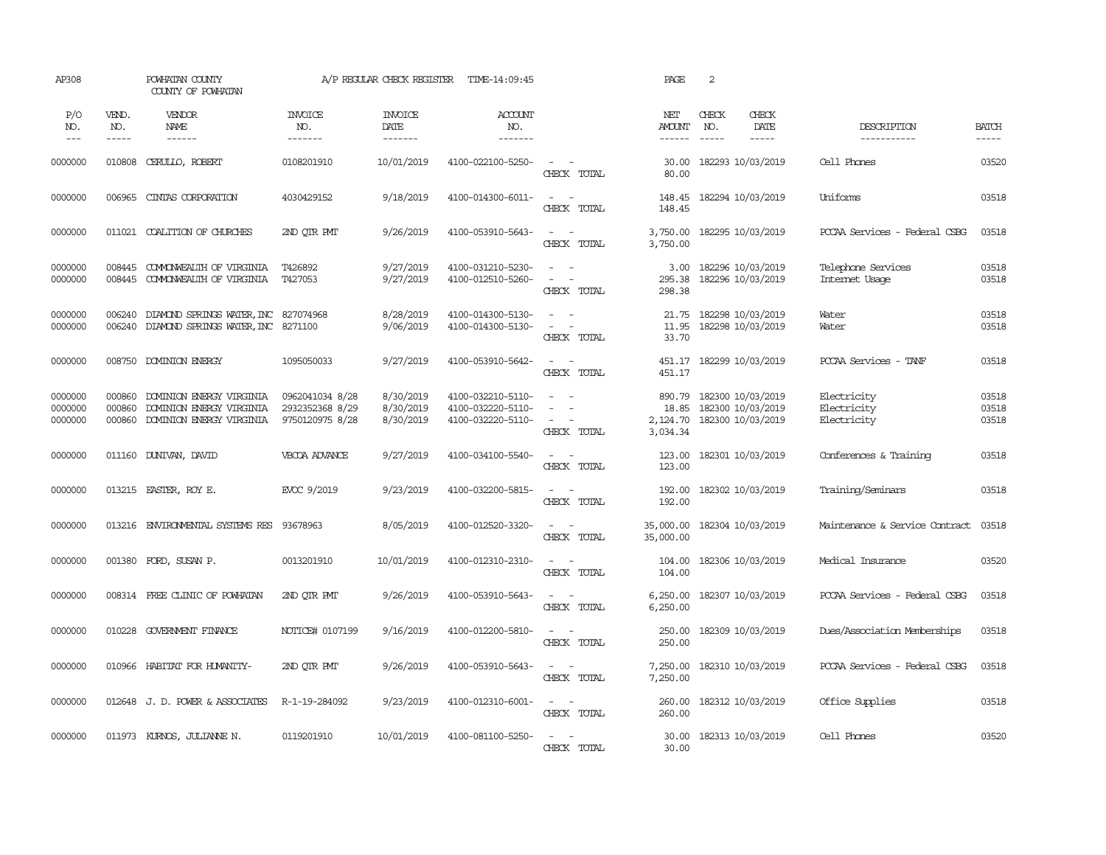| AP308                         |                            | POWHATAN COUNTY<br>COUNTY OF POWHATAN                                            |                                                       | A/P REGULAR CHECK REGISTER          | TIME-14:09:45                                               |                                                                                                                                            | PAGE                                    | 2                           |                                                             |                                           |                         |
|-------------------------------|----------------------------|----------------------------------------------------------------------------------|-------------------------------------------------------|-------------------------------------|-------------------------------------------------------------|--------------------------------------------------------------------------------------------------------------------------------------------|-----------------------------------------|-----------------------------|-------------------------------------------------------------|-------------------------------------------|-------------------------|
| P/O<br>NO.<br>$- - -$         | VEND.<br>NO.<br>-----      | VENDOR<br>NAME<br>------                                                         | <b>INVOICE</b><br>NO.<br>-------                      | <b>INVOICE</b><br>DATE<br>--------  | ACCOUNT<br>NO.<br>-------                                   |                                                                                                                                            | NET<br><b>AMOUNT</b><br>$- - - - - -$   | CHECK<br>NO.<br>$- - - - -$ | CHECK<br>DATE<br>$- - - - -$                                | DESCRIPTION<br>-----------                | <b>BATCH</b><br>-----   |
| 0000000                       | 010808                     | CERULLO, ROBERT                                                                  | 0108201910                                            | 10/01/2019                          | 4100-022100-5250-                                           | $\sim$ $ \sim$<br>CHECK TOTAL                                                                                                              | 30.00<br>80.00                          |                             | 182293 10/03/2019                                           | Cell Phones                               | 03520                   |
| 0000000                       | 006965                     | CINTAS CORPORATION                                                               | 4030429152                                            | 9/18/2019                           | 4100-014300-6011-                                           | $\omega_{\rm{max}}$ and $\omega_{\rm{max}}$<br>CHECK TOTAL                                                                                 | 148.45<br>148.45                        |                             | 182294 10/03/2019                                           | Uniforms                                  | 03518                   |
| 0000000                       |                            | 011021 COALITION OF CHURCHES                                                     | 2ND OTR PMT                                           | 9/26/2019                           | 4100-053910-5643-                                           | $\sim$ $ -$<br>CHECK TOTAL                                                                                                                 | 3,750.00<br>3,750.00                    |                             | 182295 10/03/2019                                           | PCCAA Services - Federal CSBG             | 03518                   |
| 0000000<br>0000000            | 008445<br>008445           | COMONWEALTH OF VIRGINIA<br>COMONWEALTH OF VIRGINIA                               | T426892<br>T427053                                    | 9/27/2019<br>9/27/2019              | 4100-031210-5230-<br>4100-012510-5260-                      | $\sim$<br>$\sim$<br>$\sim$<br>$\sim$<br>CHECK TOTAL                                                                                        | 3.00<br>295.38<br>298.38                |                             | 182296 10/03/2019<br>182296 10/03/2019                      | Telephone Services<br>Internet Usage      | 03518<br>03518          |
| 0000000<br>0000000            | 006240<br>006240           | DIAMOND SPRINGS WATER, INC<br>DIAMOND SPRINGS WATER, INC 8271100                 | 827074968                                             | 8/28/2019<br>9/06/2019              | 4100-014300-5130-<br>4100-014300-5130-                      | $\frac{1}{2} \left( \frac{1}{2} \right) \left( \frac{1}{2} \right) = \frac{1}{2} \left( \frac{1}{2} \right)$<br>$\sim$ $ -$<br>CHECK TOTAL | 21.75<br>11.95<br>33.70                 |                             | 182298 10/03/2019<br>182298 10/03/2019                      | Water<br>Water                            | 03518<br>03518          |
| 0000000                       |                            | 008750 DOMINION ENERGY                                                           | 1095050033                                            | 9/27/2019                           | 4100-053910-5642-                                           | $\omega_{\rm{max}}$ and $\omega_{\rm{max}}$<br>CHECK TOTAL                                                                                 | 451.17                                  |                             | 451.17 182299 10/03/2019                                    | PCCAA Services - TANF                     | 03518                   |
| 0000000<br>0000000<br>0000000 | 000860<br>000860<br>000860 | DOMINION ENERGY VIRGINIA<br>DOMINION ENERGY VIRGINIA<br>DOMINION ENERGY VIRGINIA | 0962041034 8/28<br>2932352368 8/29<br>9750120975 8/28 | 8/30/2019<br>8/30/2019<br>8/30/2019 | 4100-032210-5110-<br>4100-032220-5110-<br>4100-032220-5110- | $\sim$ $\sim$<br>$\sim$<br>$\sim$<br>$\sim$<br>$\sim$<br>CHECK TOTAL                                                                       | 890.79<br>18.85<br>2,124.70<br>3,034.34 |                             | 182300 10/03/2019<br>182300 10/03/2019<br>182300 10/03/2019 | Electricity<br>Electricity<br>Electricity | 03518<br>03518<br>03518 |
| 0000000                       |                            | 011160 DUNIVAN, DAVID                                                            | VBCOA ADVANCE                                         | 9/27/2019                           | 4100-034100-5540-                                           | $\sim$<br>$\sim$<br>CHECK TOTAL                                                                                                            | 123.00<br>123.00                        |                             | 182301 10/03/2019                                           | Conferences & Training                    | 03518                   |
| 0000000                       |                            | 013215 EASTER, ROY E.                                                            | EVCC 9/2019                                           | 9/23/2019                           | 4100-032200-5815-                                           | $\sim$ $  -$<br>CHECK TOTAL                                                                                                                | 192.00<br>192.00                        |                             | 182302 10/03/2019                                           | Training/Seminars                         | 03518                   |
| 0000000                       |                            | 013216 ENVIRONMENTAL SYSTEMS RES                                                 | 93678963                                              | 8/05/2019                           | 4100-012520-3320-                                           | $\sim$<br>$\sim$ $-$<br>CHECK TOTAL                                                                                                        | 35,000.00<br>35,000.00                  |                             | 182304 10/03/2019                                           | Maintenance & Service Contract            | 03518                   |
| 0000000                       |                            | 001380 FORD, SUSAN P.                                                            | 0013201910                                            | 10/01/2019                          | 4100-012310-2310-                                           | $\sim$ $ \sim$<br>CHECK TOTAL                                                                                                              | 104.00<br>104.00                        |                             | 182306 10/03/2019                                           | Medical Insurance                         | 03520                   |
| 0000000                       |                            | 008314 FREE CLINIC OF POWHATAN                                                   | 2ND OTR PMT                                           | 9/26/2019                           | 4100-053910-5643-                                           | $\sim$ $ \sim$<br>CHECK TOTAL                                                                                                              | 6,250.00<br>6,250.00                    |                             | 182307 10/03/2019                                           | PCCAA Services - Federal CSBG             | 03518                   |
| 0000000                       |                            | 010228 GOVERNMENT FINANCE                                                        | NOTICE# 0107199                                       | 9/16/2019                           | 4100-012200-5810-                                           | $\sim$<br>$\sim$<br>CHECK TOTAL                                                                                                            | 250.00<br>250.00                        |                             | 182309 10/03/2019                                           | Dues/Association Memberships              | 03518                   |
| 0000000                       | 010966                     | HABITAT FOR HUMANITY-                                                            | 2ND QTR PMT                                           | 9/26/2019                           | 4100-053910-5643-                                           | $\sim$ $\sim$<br>CHECK TOTAL                                                                                                               | 7,250.00<br>7,250.00                    |                             | 182310 10/03/2019                                           | PCCAA Services - Federal CSBG             | 03518                   |
| 0000000                       |                            | 012648 J.D. POWER & ASSOCIATES                                                   | R-1-19-284092                                         | 9/23/2019                           | 4100-012310-6001-                                           | $\sim$ $ -$<br>CHECK TOTAL                                                                                                                 | 260.00<br>260.00                        |                             | 182312 10/03/2019                                           | Office Supplies                           | 03518                   |
| 0000000                       |                            | 011973 KURNOS, JULIANNE N.                                                       | 0119201910                                            | 10/01/2019                          | 4100-081100-5250-                                           | $\sim$<br>$\sim$<br>CHECK TOTAL                                                                                                            | 30.00<br>30.00                          |                             | 182313 10/03/2019                                           | Cell Phones                               | 03520                   |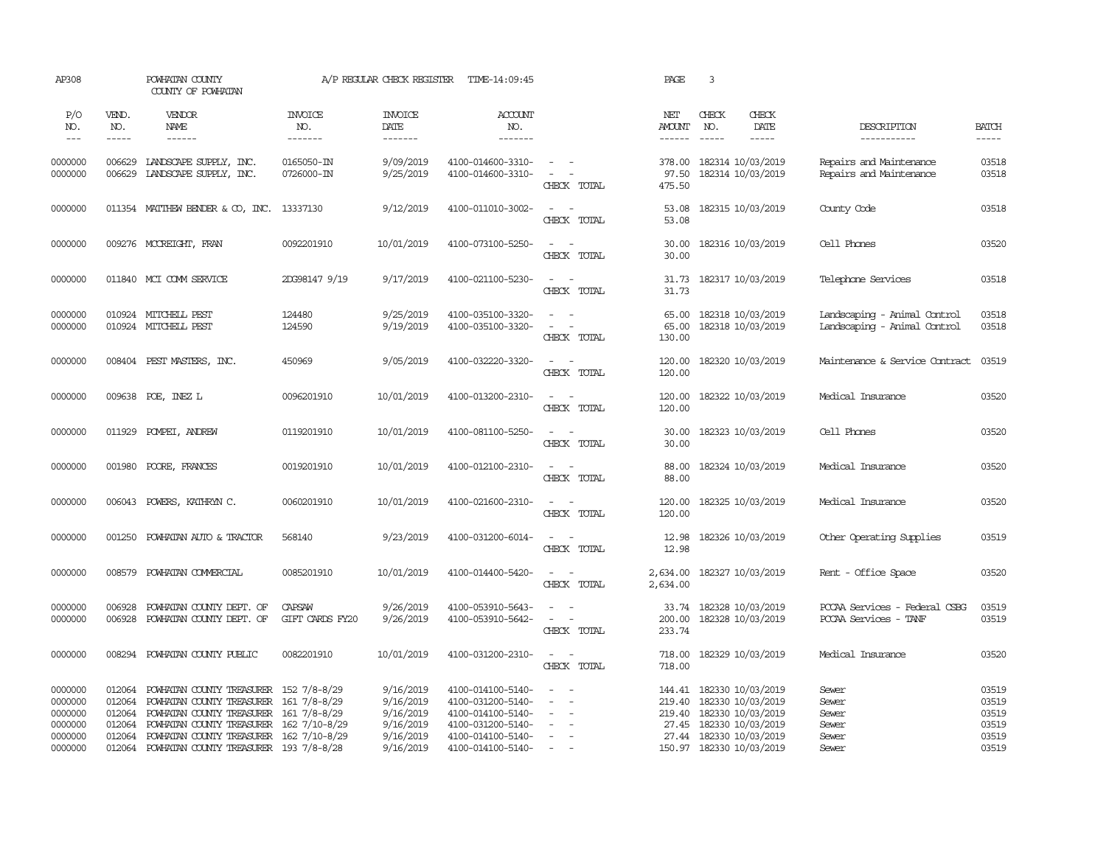| AP308                                                          |                                                | POWHATAN COUNTY<br>COUNTY OF POWHATAN                                                                                                                                                                                                                             |                                  | A/P REGULAR CHECK REGISTER                                                 | TIME-14:09:45                                                                                                              |                                                                                                                              | PAGE                           | 3                                                                                                                                                           |                                                              |                                                    |
|----------------------------------------------------------------|------------------------------------------------|-------------------------------------------------------------------------------------------------------------------------------------------------------------------------------------------------------------------------------------------------------------------|----------------------------------|----------------------------------------------------------------------------|----------------------------------------------------------------------------------------------------------------------------|------------------------------------------------------------------------------------------------------------------------------|--------------------------------|-------------------------------------------------------------------------------------------------------------------------------------------------------------|--------------------------------------------------------------|----------------------------------------------------|
| P/O<br>NO.<br>$\frac{1}{2}$                                    | VEND.<br>NO.<br>$- - - - -$                    | <b>VENDOR</b><br>NAME<br>$- - - - - -$                                                                                                                                                                                                                            | <b>INVOICE</b><br>NO.<br>------- | <b>INVOICE</b><br>DATE<br>--------                                         | ACCOUNT<br>NO.<br>--------                                                                                                 |                                                                                                                              | NET<br>AMOUNT<br>$- - - - - -$ | CHECK<br>CHECK<br>NO.<br>DATE<br>$\frac{1}{2}$<br>$- - - - -$                                                                                               | DESCRIPTION<br>-----------                                   | <b>BATCH</b><br>$- - - - -$                        |
| 0000000<br>0000000                                             |                                                | 006629 LANDSCAPE SUPPLY, INC.<br>006629 LANDSCAPE SUPPLY, INC.                                                                                                                                                                                                    | 0165050-IN<br>0726000-IN         | 9/09/2019<br>9/25/2019                                                     | 4100-014600-3310-<br>4100-014600-3310-                                                                                     | $\sim$ $ \sim$<br>$\sim$ $ \sim$<br>CHECK TOTAL                                                                              | 97.50<br>475.50                | 378.00 182314 10/03/2019<br>182314 10/03/2019                                                                                                               | Repairs and Maintenance<br>Repairs and Maintenance           | 03518<br>03518                                     |
| 0000000                                                        |                                                | 011354 MATTHEW BENDER & CO, INC. 13337130                                                                                                                                                                                                                         |                                  | 9/12/2019                                                                  | 4100-011010-3002-                                                                                                          | $\sim$ $\sim$<br>CHECK TOTAL                                                                                                 | 53.08<br>53.08                 | 182315 10/03/2019                                                                                                                                           | County Code                                                  | 03518                                              |
| 0000000                                                        |                                                | 009276 MCCREIGHT, FRAN                                                                                                                                                                                                                                            | 0092201910                       | 10/01/2019                                                                 | 4100-073100-5250-                                                                                                          | $\sim$<br>$\sim$<br>CHECK TOTAL                                                                                              | 30.00<br>30.00                 | 182316 10/03/2019                                                                                                                                           | Cell Phones                                                  | 03520                                              |
| 0000000                                                        |                                                | 011840 MCI COMM SERVICE                                                                                                                                                                                                                                           | 2DG98147 9/19                    | 9/17/2019                                                                  | 4100-021100-5230-                                                                                                          | $\sim$ $ \sim$<br>CHECK TOTAL                                                                                                | 31.73                          | 31.73 182317 10/03/2019                                                                                                                                     | Telephone Services                                           | 03518                                              |
| 0000000<br>0000000                                             |                                                | 010924 MITCHELL PEST<br>010924 MITCHELL PEST                                                                                                                                                                                                                      | 124480<br>124590                 | 9/25/2019<br>9/19/2019                                                     | 4100-035100-3320-<br>4100-035100-3320-                                                                                     | $\sim$<br>$\sim$<br>$\sim$<br>$\sim$ $-$<br>CHECK TOTAL                                                                      | 65.00<br>65.00<br>130.00       | 182318 10/03/2019<br>182318 10/03/2019                                                                                                                      | Landscaping - Animal Control<br>Landscaping - Animal Control | 03518<br>03518                                     |
| 0000000                                                        |                                                | 008404 PEST MASTERS, INC.                                                                                                                                                                                                                                         | 450969                           | 9/05/2019                                                                  | 4100-032220-3320-                                                                                                          | $\sim$ $ -$<br>CHECK TOTAL                                                                                                   | 120.00                         | 120.00 182320 10/03/2019                                                                                                                                    | Maintenance & Service Contract                               | 03519                                              |
| 0000000                                                        |                                                | 009638 POE, INEZ L                                                                                                                                                                                                                                                | 0096201910                       | 10/01/2019                                                                 | 4100-013200-2310-                                                                                                          | $\sim$ $-$<br>$\sim$<br>CHECK TOTAL                                                                                          | 120.00                         | 120.00 182322 10/03/2019                                                                                                                                    | Medical Insurance                                            | 03520                                              |
| 0000000                                                        |                                                | 011929 POMPEI, ANDREW                                                                                                                                                                                                                                             | 0119201910                       | 10/01/2019                                                                 | 4100-081100-5250-                                                                                                          | $\sim$ $ \sim$<br>CHECK TOTAL                                                                                                | 30.00<br>30.00                 | 182323 10/03/2019                                                                                                                                           | Cell Phones                                                  | 03520                                              |
| 0000000                                                        | 001980                                         | POORE, FRANCES                                                                                                                                                                                                                                                    | 0019201910                       | 10/01/2019                                                                 | 4100-012100-2310-                                                                                                          | $\omega_{\rm{max}}$ and $\omega_{\rm{max}}$<br>CHECK TOTAL                                                                   | 88.00<br>88.00                 | 182324 10/03/2019                                                                                                                                           | Medical Insurance                                            | 03520                                              |
| 0000000                                                        |                                                | 006043 POWERS, KATHRYN C.                                                                                                                                                                                                                                         | 0060201910                       | 10/01/2019                                                                 | 4100-021600-2310-                                                                                                          | $\sim$ $ \sim$<br>CHECK TOTAL                                                                                                | 120.00<br>120.00               | 182325 10/03/2019                                                                                                                                           | Medical Insurance                                            | 03520                                              |
| 0000000                                                        | 001250                                         | POWHATAN AUTO & TRACTOR                                                                                                                                                                                                                                           | 568140                           | 9/23/2019                                                                  | 4100-031200-6014-                                                                                                          | $\overline{\phantom{a}}$<br>$\sim$<br>CHECK TOTAL                                                                            | 12.98<br>12.98                 | 182326 10/03/2019                                                                                                                                           | Other Operating Supplies                                     | 03519                                              |
| 0000000                                                        |                                                | 008579 POWHATAN COMMERCIAL                                                                                                                                                                                                                                        | 0085201910                       | 10/01/2019                                                                 | 4100-014400-5420-                                                                                                          | $\sim$ $ \sim$<br>CHECK TOTAL                                                                                                | 2,634.00<br>2,634.00           | 182327 10/03/2019                                                                                                                                           | Rent - Office Space                                          | 03520                                              |
| 0000000<br>0000000                                             | 006928<br>006928                               | POWHATAN COUNTY DEPT. OF<br>POWHATAN COUNTY DEPT. OF                                                                                                                                                                                                              | <b>CAPSAW</b><br>GIFT CARDS FY20 | 9/26/2019<br>9/26/2019                                                     | 4100-053910-5643-<br>4100-053910-5642-                                                                                     | $\sim$<br>$\overline{\phantom{a}}$<br>$\sim$<br>$\sim$<br>CHECK TOTAL                                                        | 33.74<br>200.00<br>233.74      | 182328 10/03/2019<br>182328 10/03/2019                                                                                                                      | PCCAA Services - Federal CSBG<br>PCCAA Services - TANF       | 03519<br>03519                                     |
| 0000000                                                        |                                                | 008294 POWHATAN COUNTY PUBLIC                                                                                                                                                                                                                                     | 0082201910                       | 10/01/2019                                                                 | 4100-031200-2310-                                                                                                          | $\sim$ $ \sim$<br>CHECK TOTAL                                                                                                | 718.00<br>718.00               | 182329 10/03/2019                                                                                                                                           | Medical Insurance                                            | 03520                                              |
| 0000000<br>0000000<br>0000000<br>0000000<br>0000000<br>0000000 | 012064<br>012064<br>012064<br>012064<br>012064 | 012064 POWHATAN COUNTY TREASURER 152 7/8-8/29<br>POWHATAN COUNTY TREASURER 161 7/8-8/29<br>POWHATAN COUNTY TREASURER 161 7/8-8/29<br>POWHATAN COUNTY TREASURER 162 7/10-8/29<br>POWHATAN COUNTY TREASURER 162 7/10-8/29<br>POWHATAN COUNTY TREASURER 193 7/8-8/28 |                                  | 9/16/2019<br>9/16/2019<br>9/16/2019<br>9/16/2019<br>9/16/2019<br>9/16/2019 | 4100-014100-5140-<br>4100-031200-5140-<br>4100-014100-5140-<br>4100-031200-5140-<br>4100-014100-5140-<br>4100-014100-5140- | $\overline{\phantom{a}}$<br>$\sim$<br>$\equiv$<br>$\sim$<br>$\sim$<br>$\overline{\phantom{a}}$<br>$\sim$<br>$\sim$<br>$\sim$ | 219.40                         | 144.41 182330 10/03/2019<br>182330 10/03/2019<br>219.40 182330 10/03/2019<br>27.45 182330 10/03/2019<br>27.44 182330 10/03/2019<br>150.97 182330 10/03/2019 | Sewer<br>Sewer<br>Sewer<br>Sewer<br>Sewer<br>Sewer           | 03519<br>03519<br>03519<br>03519<br>03519<br>03519 |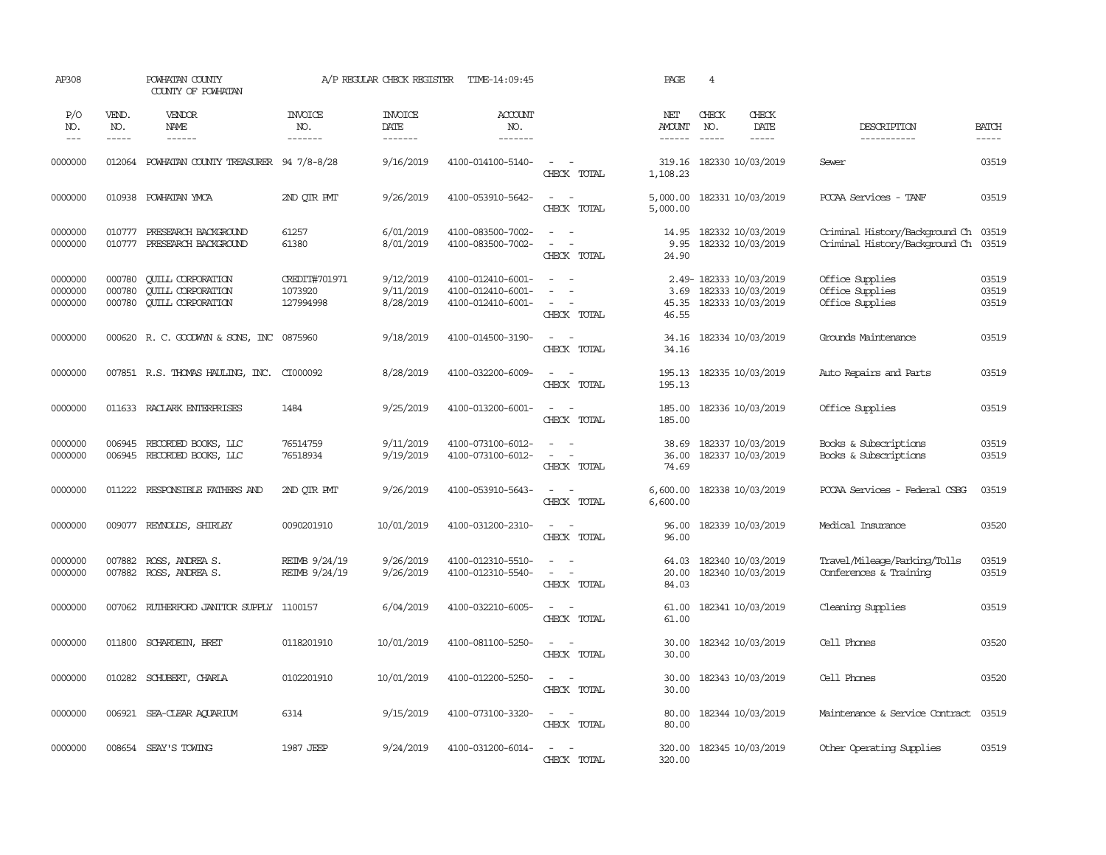| AP308                         |                             | POWHATAN COUNTY<br>COUNTY OF POWHATAN                                            |                                       | A/P REGULAR CHECK REGISTER          | TIME-14:09:45                                               |                                                                 | PAGE                    | $\overline{4}$                |                                                                  |                                                                  |                         |
|-------------------------------|-----------------------------|----------------------------------------------------------------------------------|---------------------------------------|-------------------------------------|-------------------------------------------------------------|-----------------------------------------------------------------|-------------------------|-------------------------------|------------------------------------------------------------------|------------------------------------------------------------------|-------------------------|
| P/O<br>NO.<br>$---$           | VEND.<br>NO.<br>$- - - - -$ | VENDOR<br>NAME<br>$- - - - - -$                                                  | <b>INVOICE</b><br>NO.<br>-------      | <b>INVOICE</b><br>DATE<br>-------   | <b>ACCOUNT</b><br>NO.<br>--------                           |                                                                 | NET<br><b>AMOUNT</b>    | CHECK<br>NO.<br>$\frac{1}{2}$ | CHECK<br>DATE<br>$- - - - -$                                     | DESCRIPTION<br>-----------                                       | <b>BATCH</b><br>-----   |
| 0000000                       | 012064                      | POWHATAN COUNTY TREASURER 94 7/8-8/28                                            |                                       | 9/16/2019                           | 4100-014100-5140-                                           | $\sim$<br>$\sim$ $-$<br>CHECK TOTAL                             | 319.16<br>1,108.23      |                               | 182330 10/03/2019                                                | Sewer                                                            | 03519                   |
| 0000000                       | 010938                      | POWHATAN YMCA                                                                    | 2ND QTR PMT                           | 9/26/2019                           | 4100-053910-5642-                                           | $\sim$<br>$\sim$<br>CHECK TOTAL                                 | 5,000.00<br>5,000.00    |                               | 182331 10/03/2019                                                | PCCAA Services - TANF                                            | 03519                   |
| 0000000<br>0000000            | 010777<br>010777            | PRESEARCH BACKGROUND<br>PRESEARCH BACKGROUND                                     | 61257<br>61380                        | 6/01/2019<br>8/01/2019              | 4100-083500-7002-<br>4100-083500-7002-                      | $\sim$<br>$\sim$<br>$\sim$<br>$\sim$<br>CHECK TOTAL             | 14.95<br>9.95<br>24.90  |                               | 182332 10/03/2019<br>182332 10/03/2019                           | Criminal History/Background Ch<br>Criminal History/Background Ch | 03519<br>03519          |
| 0000000<br>0000000<br>0000000 | 000780<br>000780<br>000780  | <b>QUILL CORPORATION</b><br><b>QUILL CORPORATION</b><br><b>CUILL CORPORATION</b> | CREDIT#701971<br>1073920<br>127994998 | 9/12/2019<br>9/11/2019<br>8/28/2019 | 4100-012410-6001-<br>4100-012410-6001-<br>4100-012410-6001- | $\sim$<br>$\equiv$<br>$\sim$<br>$\sim$<br>$\sim$<br>CHECK TOTAL | 3.69<br>45.35<br>46.55  |                               | 2.49-182333 10/03/2019<br>182333 10/03/2019<br>182333 10/03/2019 | Office Supplies<br>Office Supplies<br>Office Supplies            | 03519<br>03519<br>03519 |
| 0000000                       |                             | 000620 R. C. GOODWYN & SONS, INC 0875960                                         |                                       | 9/18/2019                           | 4100-014500-3190-                                           | $\overline{\phantom{a}}$<br>$\sim$<br>CHECK TOTAL               | 34.16<br>34.16          |                               | 182334 10/03/2019                                                | Grounds Maintenance                                              | 03519                   |
| 0000000                       |                             | 007851 R.S. THOMAS HAULING, INC. CI000092                                        |                                       | 8/28/2019                           | 4100-032200-6009-                                           | $\sim$<br>$\sim$<br>CHECK TOTAL                                 | 195.13<br>195.13        |                               | 182335 10/03/2019                                                | Auto Repairs and Parts                                           | 03519                   |
| 0000000                       |                             | 011633 RACLARK ENTERPRISES                                                       | 1484                                  | 9/25/2019                           | 4100-013200-6001-                                           | $\omega_{\rm{max}}$<br>CHECK TOTAL                              | 185.00<br>185.00        |                               | 182336 10/03/2019                                                | Office Supplies                                                  | 03519                   |
| 0000000<br>0000000            | 006945<br>006945            | RECORDED BOOKS, LLC<br>RECORDED BOOKS, LLC                                       | 76514759<br>76518934                  | 9/11/2019<br>9/19/2019              | 4100-073100-6012-<br>4100-073100-6012-                      | $\sim$<br>$\sim$<br>$\sim$ $ \sim$<br>CHECK TOTAL               | 38.69<br>36.00<br>74.69 |                               | 182337 10/03/2019<br>182337 10/03/2019                           | Books & Subscriptions<br>Books & Subscriptions                   | 03519<br>03519          |
| 0000000                       | 011222                      | RESPONSIBLE FAIHERS AND                                                          | 2ND QTR PMT                           | 9/26/2019                           | 4100-053910-5643-                                           | $\sim$<br>$\sim$<br>CHECK TOTAL                                 | 6,600.00<br>6,600.00    |                               | 182338 10/03/2019                                                | PCCAA Services - Federal CSBG                                    | 03519                   |
| 0000000                       |                             | 009077 REYNOLDS, SHIRLEY                                                         | 0090201910                            | 10/01/2019                          | 4100-031200-2310-                                           | $\overline{\phantom{a}}$<br>CHECK TOTAL                         | 96.00<br>96.00          |                               | 182339 10/03/2019                                                | Medical Insurance                                                | 03520                   |
| 0000000<br>0000000            | 007882<br>007882            | ROSS, ANDREA S.<br>ROSS, ANDREA S.                                               | REIMB 9/24/19<br>REIMB 9/24/19        | 9/26/2019<br>9/26/2019              | 4100-012310-5510-<br>4100-012310-5540-                      | $\sim$<br>$\sim$<br>$\sim$<br>CHECK TOTAL                       | 64.03<br>20.00<br>84.03 |                               | 182340 10/03/2019<br>182340 10/03/2019                           | Travel/Mileage/Parking/Tolls<br>Conferences & Training           | 03519<br>03519          |
| 0000000                       | 007062                      | RUTHERFORD JANITOR SUPPLY                                                        | 1100157                               | 6/04/2019                           | 4100-032210-6005-                                           | $\overline{\phantom{a}}$<br>CHECK TOTAL                         | 61.00<br>61.00          |                               | 182341 10/03/2019                                                | Cleaning Supplies                                                | 03519                   |
| 0000000                       | 011800                      | SCHARDEIN, BRET                                                                  | 0118201910                            | 10/01/2019                          | 4100-081100-5250-                                           | $\sim$<br>$\sim$<br>CHECK TOTAL                                 | 30.00<br>30.00          |                               | 182342 10/03/2019                                                | Cell Phones                                                      | 03520                   |
| 0000000                       | 010282                      | SCHUBERT, CHARLA                                                                 | 0102201910                            | 10/01/2019                          | 4100-012200-5250-                                           | $\sim$<br>$\sim$<br>CHECK TOTAL                                 | 30.00<br>30.00          |                               | 182343 10/03/2019                                                | Cell Phones                                                      | 03520                   |
| 0000000                       |                             | 006921 SEA-CLEAR AQUARIUM                                                        | 6314                                  | 9/15/2019                           | 4100-073100-3320-                                           | $\sim$ $ \sim$<br>CHECK TOTAL                                   | 80.00<br>80.00          |                               | 182344 10/03/2019                                                | Maintenance & Service Contract                                   | 03519                   |
| 0000000                       |                             | 008654 SEAY'S TOWING                                                             | 1987 JEEP                             | 9/24/2019                           | 4100-031200-6014-                                           | $\sim$<br>$\sim$<br>CHECK TOTAL                                 | 320.00<br>320.00        |                               | 182345 10/03/2019                                                | Other Operating Supplies                                         | 03519                   |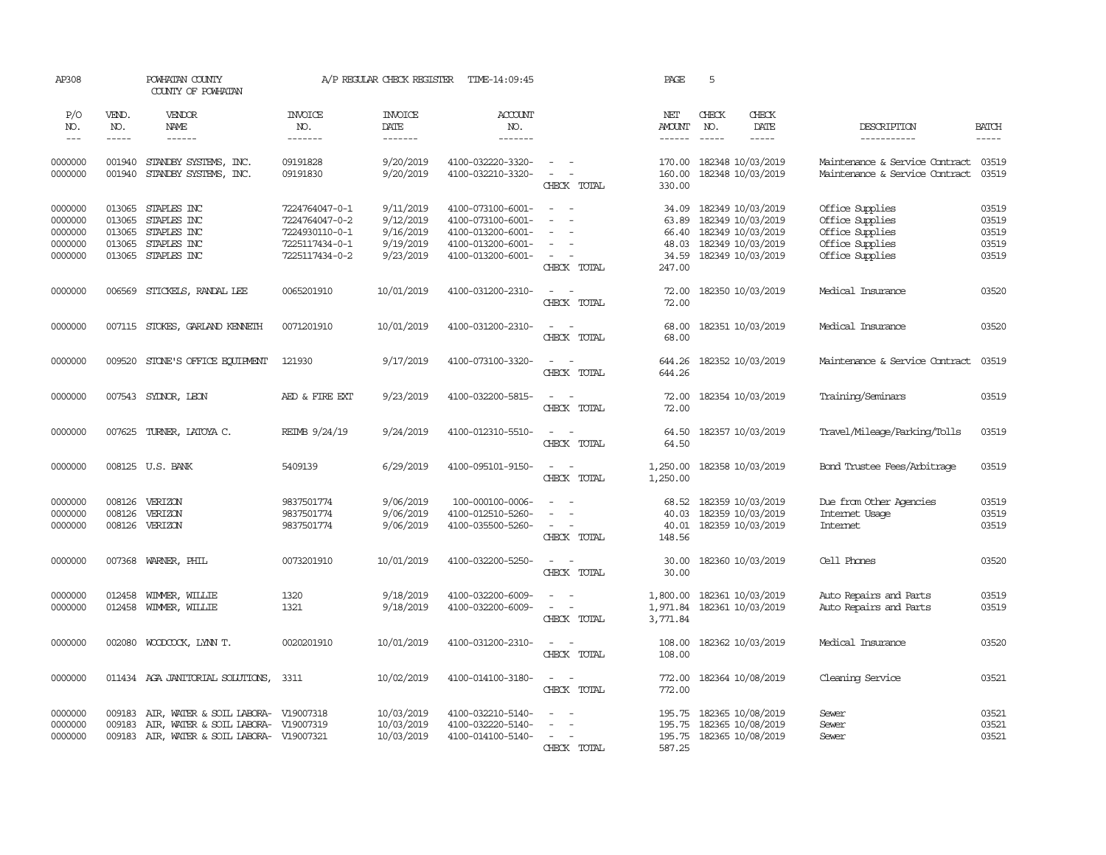| AP308                                               |                                                | POWHATAN COUNTY<br>COUNTY OF POWHATAN                                                                             |                                                                                        | A/P REGULAR CHECK REGISTER                                    | TIME-14:09:45                                                                                         |                                                                               | PAGE                                                | 5                                                                                                                                                                                                                                                                                                                                                                                                                                                                                          |                              |                                                                                             |                                           |
|-----------------------------------------------------|------------------------------------------------|-------------------------------------------------------------------------------------------------------------------|----------------------------------------------------------------------------------------|---------------------------------------------------------------|-------------------------------------------------------------------------------------------------------|-------------------------------------------------------------------------------|-----------------------------------------------------|--------------------------------------------------------------------------------------------------------------------------------------------------------------------------------------------------------------------------------------------------------------------------------------------------------------------------------------------------------------------------------------------------------------------------------------------------------------------------------------------|------------------------------|---------------------------------------------------------------------------------------------|-------------------------------------------|
| P/O<br>NO.<br>$---$                                 | VEND.<br>NO.<br>$- - - - -$                    | VENDOR<br>NAME<br>$- - - - - -$                                                                                   | <b>INVOICE</b><br>NO.<br>-------                                                       | <b>INVOICE</b><br>DATE<br>-------                             | <b>ACCOUNT</b><br>NO.<br>-------                                                                      |                                                                               | NET<br><b>AMOUNT</b><br>$- - - - - -$               | CHECK<br>NO.<br>$\frac{1}{2} \left( \frac{1}{2} \right) \left( \frac{1}{2} \right) \left( \frac{1}{2} \right) \left( \frac{1}{2} \right) \left( \frac{1}{2} \right) \left( \frac{1}{2} \right) \left( \frac{1}{2} \right) \left( \frac{1}{2} \right) \left( \frac{1}{2} \right) \left( \frac{1}{2} \right) \left( \frac{1}{2} \right) \left( \frac{1}{2} \right) \left( \frac{1}{2} \right) \left( \frac{1}{2} \right) \left( \frac{1}{2} \right) \left( \frac{1}{2} \right) \left( \frac$ | CHECK<br>DATE<br>$- - - - -$ | DESCRIPTION<br>-----------                                                                  | <b>BATCH</b><br>-----                     |
| 0000000<br>0000000                                  | 001940<br>001940                               | STANDBY SYSTEMS, INC.<br>STANDBY SYSTEMS, INC.                                                                    | 09191828<br>09191830                                                                   | 9/20/2019<br>9/20/2019                                        | 4100-032220-3320-<br>4100-032210-3320-                                                                | $\sim$ $ \sim$<br>$\overline{\phantom{a}}$<br>CHECK TOTAL                     | 170.00<br>160.00<br>330.00                          | 182348 10/03/2019<br>182348 10/03/2019                                                                                                                                                                                                                                                                                                                                                                                                                                                     |                              | Maintenance & Service Contract<br>Maintenance & Service Contract                            | 03519<br>03519                            |
| 0000000<br>0000000<br>0000000<br>0000000<br>0000000 | 013065<br>013065<br>013065<br>013065<br>013065 | STAPLES INC<br>STAPLES INC<br>STAPLES INC<br>STAPLES INC<br>STAPLES INC                                           | 7224764047-0-1<br>7224764047-0-2<br>7224930110-0-1<br>7225117434-0-1<br>7225117434-0-2 | 9/11/2019<br>9/12/2019<br>9/16/2019<br>9/19/2019<br>9/23/2019 | 4100-073100-6001-<br>4100-073100-6001-<br>4100-013200-6001-<br>4100-013200-6001-<br>4100-013200-6001- | $\sim$<br>$\equiv$<br>$\equiv$<br>$\equiv$<br>$\sim$<br>$\sim$<br>CHECK TOTAL | 34.09<br>63.89<br>66.40<br>48.03<br>34.59<br>247.00 | 182349 10/03/2019<br>182349 10/03/2019<br>182349 10/03/2019<br>182349 10/03/2019<br>182349 10/03/2019                                                                                                                                                                                                                                                                                                                                                                                      |                              | Office Supplies<br>Office Supplies<br>Office Supplies<br>Office Supplies<br>Office Supplies | 03519<br>03519<br>03519<br>03519<br>03519 |
| 0000000                                             | 006569                                         | STICKELS, RANDAL LEE                                                                                              | 0065201910                                                                             | 10/01/2019                                                    | 4100-031200-2310-                                                                                     | $\sim$<br>$\sim$<br>CHECK TOTAL                                               | 72.00<br>72.00                                      | 182350 10/03/2019                                                                                                                                                                                                                                                                                                                                                                                                                                                                          |                              | Medical Insurance                                                                           | 03520                                     |
| 0000000                                             | 007115                                         | STOKES, GARLAND KENNETH                                                                                           | 0071201910                                                                             | 10/01/2019                                                    | 4100-031200-2310-                                                                                     | $\sim$<br>$\sim$<br>CHECK TOTAL                                               | 68.00<br>68.00                                      | 182351 10/03/2019                                                                                                                                                                                                                                                                                                                                                                                                                                                                          |                              | Medical Insurance                                                                           | 03520                                     |
| 0000000                                             | 009520                                         | STONE'S OFFICE EQUIPMENT                                                                                          | 121930                                                                                 | 9/17/2019                                                     | 4100-073100-3320-                                                                                     | $\overline{\phantom{a}}$<br>CHECK TOTAL                                       | 644.26<br>644.26                                    | 182352 10/03/2019                                                                                                                                                                                                                                                                                                                                                                                                                                                                          |                              | Maintenance & Service Contract                                                              | 03519                                     |
| 0000000                                             |                                                | 007543 SYDNOR, LEON                                                                                               | AED & FIRE EXT                                                                         | 9/23/2019                                                     | 4100-032200-5815-                                                                                     | $\sim$<br>$\sim$<br>CHECK TOTAL                                               | 72.00<br>72.00                                      | 182354 10/03/2019                                                                                                                                                                                                                                                                                                                                                                                                                                                                          |                              | Training/Seminars                                                                           | 03519                                     |
| 0000000                                             |                                                | 007625 TURNER, LATOYA C.                                                                                          | REIMB 9/24/19                                                                          | 9/24/2019                                                     | 4100-012310-5510-                                                                                     | $\sim$ $-$<br>$\sim$<br>CHECK TOTAL                                           | 64.50<br>64.50                                      | 182357 10/03/2019                                                                                                                                                                                                                                                                                                                                                                                                                                                                          |                              | Travel/Mileage/Parking/Tolls                                                                | 03519                                     |
| 0000000                                             |                                                | 008125 U.S. BANK                                                                                                  | 5409139                                                                                | 6/29/2019                                                     | 4100-095101-9150-                                                                                     | $\sim$ $  -$<br>CHECK TOTAL                                                   | 1,250.00<br>1,250.00                                | 182358 10/03/2019                                                                                                                                                                                                                                                                                                                                                                                                                                                                          |                              | Bond Trustee Fees/Arbitrage                                                                 | 03519                                     |
| 0000000<br>0000000<br>0000000                       | 008126<br>008126<br>008126                     | VERIZON<br>VERIZON<br>VERIZON                                                                                     | 9837501774<br>9837501774<br>9837501774                                                 | 9/06/2019<br>9/06/2019<br>9/06/2019                           | 100-000100-0006-<br>4100-012510-5260-<br>4100-035500-5260-                                            | $\equiv$<br>$\sim$<br>$\sim$<br>CHECK TOTAL                                   | 68.52<br>40.03<br>40.01<br>148.56                   | 182359 10/03/2019<br>182359 10/03/2019<br>182359 10/03/2019                                                                                                                                                                                                                                                                                                                                                                                                                                |                              | Due from Other Agencies<br>Internet Usage<br>Internet                                       | 03519<br>03519<br>03519                   |
| 0000000                                             | 007368                                         | WARNER, PHIL                                                                                                      | 0073201910                                                                             | 10/01/2019                                                    | 4100-032200-5250-                                                                                     | $\sim$<br>$\sim$<br>CHECK TOTAL                                               | 30.00<br>30.00                                      | 182360 10/03/2019                                                                                                                                                                                                                                                                                                                                                                                                                                                                          |                              | Cell Phones                                                                                 | 03520                                     |
| 0000000<br>0000000                                  | 012458<br>012458                               | WIMMER, WILLIE<br>WIMMER, WILLIE                                                                                  | 1320<br>1321                                                                           | 9/18/2019<br>9/18/2019                                        | 4100-032200-6009-<br>4100-032200-6009-                                                                | $\sim$<br>$\sim$<br>$\sim$<br>$\sim$<br>CHECK TOTAL                           | 1,800.00<br>1,971.84<br>3,771.84                    | 182361 10/03/2019<br>182361 10/03/2019                                                                                                                                                                                                                                                                                                                                                                                                                                                     |                              | Auto Repairs and Parts<br>Auto Repairs and Parts                                            | 03519<br>03519                            |
| 0000000                                             | 002080                                         | WOODCOCK, LYNN T.                                                                                                 | 0020201910                                                                             | 10/01/2019                                                    | 4100-031200-2310-                                                                                     | $\sim$ $ \sim$<br>CHECK TOTAL                                                 | 108.00<br>108.00                                    | 182362 10/03/2019                                                                                                                                                                                                                                                                                                                                                                                                                                                                          |                              | Medical Insurance                                                                           | 03520                                     |
| 0000000                                             |                                                | 011434 AGA JANITORIAL SOLUTIONS,                                                                                  | 3311                                                                                   | 10/02/2019                                                    | 4100-014100-3180-                                                                                     | $\sim$ $ -$<br>CHECK TOTAL                                                    | 772.00<br>772.00                                    | 182364 10/08/2019                                                                                                                                                                                                                                                                                                                                                                                                                                                                          |                              | Cleaning Service                                                                            | 03521                                     |
| 0000000<br>0000000<br>0000000                       | 009183<br>009183<br>009183                     | AIR, WATER & SOIL LABORA- V19007318<br>AIR, WATER & SOIL LABORA- V19007319<br>AIR, WATER & SOIL LABORA- V19007321 |                                                                                        | 10/03/2019<br>10/03/2019<br>10/03/2019                        | 4100-032210-5140-<br>4100-032220-5140-<br>4100-014100-5140-                                           | $\sim$<br>$\sim$ $\sim$<br>$\sim$<br>$\sim$<br>$\sim$<br>CHECK TOTAL          | 195.75<br>195.75<br>195.75<br>587.25                | 182365 10/08/2019<br>182365 10/08/2019<br>182365 10/08/2019                                                                                                                                                                                                                                                                                                                                                                                                                                |                              | Sewer<br>Sewer<br>Sewer                                                                     | 03521<br>03521<br>03521                   |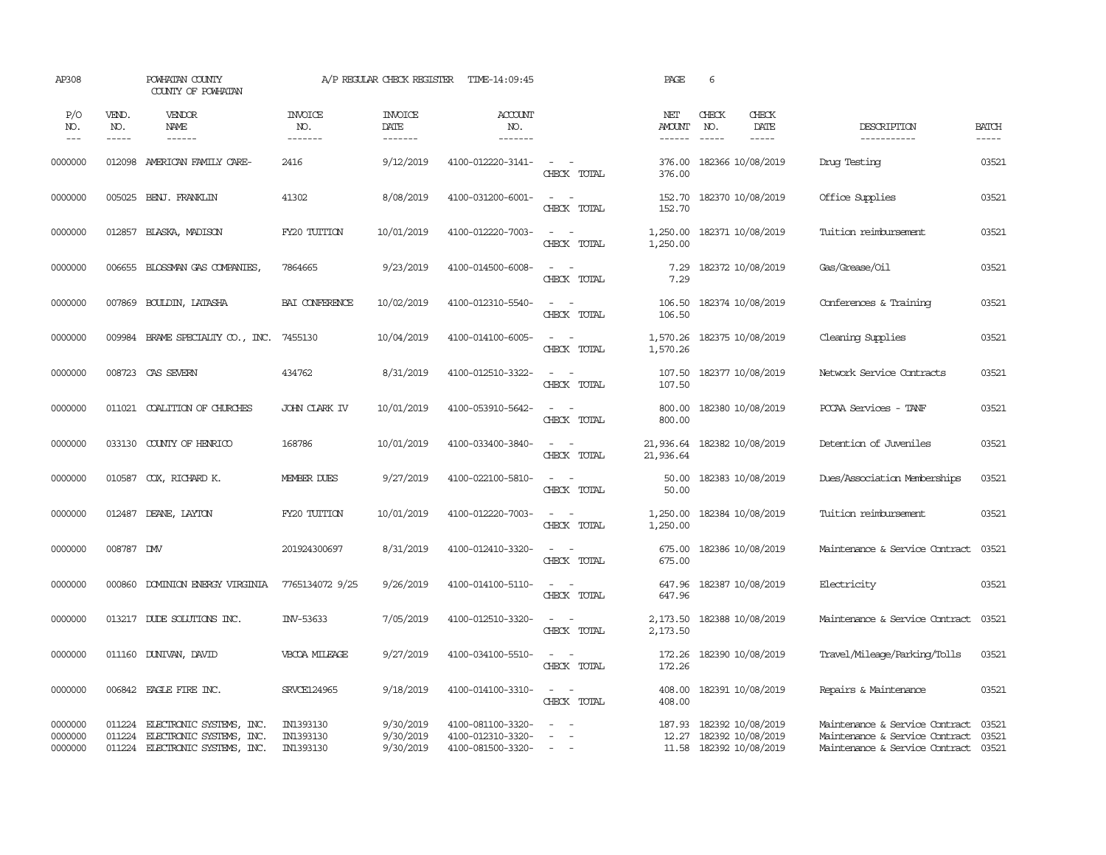| AP308                         |                       | POWHATAN COUNTY<br>COUNTY OF POWHATAN                                                   |                                     | A/P REGULAR CHECK REGISTER          | TIME-14:09:45                                               |                                                            | PAGE                                  | 6                                                                       |                              |                                                                                                          |                       |
|-------------------------------|-----------------------|-----------------------------------------------------------------------------------------|-------------------------------------|-------------------------------------|-------------------------------------------------------------|------------------------------------------------------------|---------------------------------------|-------------------------------------------------------------------------|------------------------------|----------------------------------------------------------------------------------------------------------|-----------------------|
| P/O<br>NO.<br>$---$           | VEND.<br>NO.<br>----- | VENDOR<br>NAME<br>$- - - - - -$                                                         | <b>INVOICE</b><br>NO.<br>-------    | <b>INVOICE</b><br>DATE<br>-------   | <b>ACCOUNT</b><br>NO.<br>-------                            |                                                            | NET<br><b>AMOUNT</b><br>$- - - - - -$ | CHECK<br>NO.<br>$\frac{1}{2}$                                           | CHECK<br>DATE<br>$- - - - -$ | DESCRIPTION<br>-----------                                                                               | <b>BATCH</b><br>----- |
| 0000000                       | 012098                | AMERICAN FAMILY CARE-                                                                   | 2416                                | 9/12/2019                           | 4100-012220-3141-                                           | $\sim$<br>$\sim$<br>CHECK TOTAL                            | 376.00<br>376.00                      | 182366 10/08/2019                                                       |                              | Drug Testing                                                                                             | 03521                 |
| 0000000                       | 005025                | BENJ. FRANKLIN                                                                          | 41302                               | 8/08/2019                           | 4100-031200-6001-                                           | $\omega_{\rm{max}}$ and $\omega_{\rm{max}}$<br>CHECK TOTAL | 152.70<br>152.70                      | 182370 10/08/2019                                                       |                              | Office Supplies                                                                                          | 03521                 |
| 0000000                       | 012857                | BLASKA, MADISON                                                                         | FY20 TUITION                        | 10/01/2019                          | 4100-012220-7003-                                           | $\sim$<br>$\sim$<br>CHECK TOTAL                            | 1,250.00<br>1,250.00                  | 182371 10/08/2019                                                       |                              | Tuition reimbursement                                                                                    | 03521                 |
| 0000000                       | 006655                | BLOSSMAN GAS COMPANIES,                                                                 | 7864665                             | 9/23/2019                           | 4100-014500-6008-                                           | $\sim$ $\sim$<br>CHECK TOTAL                               | 7.29<br>7.29                          | 182372 10/08/2019                                                       |                              | Gas/Grease/Oil                                                                                           | 03521                 |
| 0000000                       | 007869                | <b>BOULDIN, LATASHA</b>                                                                 | BAI CONFERENCE                      | 10/02/2019                          | 4100-012310-5540-                                           | $\sim$<br>$\sim$<br>CHECK TOTAL                            | 106.50<br>106.50                      | 182374 10/08/2019                                                       |                              | Conferences & Training                                                                                   | 03521                 |
| 0000000                       | 009984                | BRAME SPECIALITY CO., INC.                                                              | 7455130                             | 10/04/2019                          | 4100-014100-6005-                                           | $\sim$ $ \sim$<br>CHECK TOTAL                              | 1,570.26<br>1,570.26                  | 182375 10/08/2019                                                       |                              | Cleaning Supplies                                                                                        | 03521                 |
| 0000000                       | 008723                | CAS SEVERN                                                                              | 434762                              | 8/31/2019                           | 4100-012510-3322-                                           | $\sim$<br>$\sim$<br>CHECK TOTAL                            | 107.50<br>107.50                      | 182377 10/08/2019                                                       |                              | Network Service Contracts                                                                                | 03521                 |
| 0000000                       | 011021                | COALITION OF CHURCHES                                                                   | <b>JOHN CLARK IV</b>                | 10/01/2019                          | 4100-053910-5642-                                           | $\sim$<br>$\sim$<br>CHECK TOTAL                            | 800.00<br>800.00                      | 182380 10/08/2019                                                       |                              | PCCAA Services - TANF                                                                                    | 03521                 |
| 0000000                       | 033130                | COUNTY OF HENRICO                                                                       | 168786                              | 10/01/2019                          | 4100-033400-3840-                                           | $\sim$ $ -$<br>CHECK TOTAL                                 | 21,936.64<br>21,936.64                | 182382 10/08/2019                                                       |                              | Detention of Juveniles                                                                                   | 03521                 |
| 0000000                       | 010587                | COX, RICHARD K.                                                                         | <b>MEMBER DUES</b>                  | 9/27/2019                           | 4100-022100-5810-                                           | $\sim$<br>$\sim$<br>CHECK TOTAL                            | 50.00<br>50.00                        | 182383 10/08/2019                                                       |                              | Dues/Association Memberships                                                                             | 03521                 |
| 0000000                       | 012487                | DEANE, LAYTON                                                                           | FY20 TUITION                        | 10/01/2019                          | 4100-012220-7003-                                           | $\sim$ $ \sim$<br>CHECK TOTAL                              | 1,250.00<br>1,250.00                  | 182384 10/08/2019                                                       |                              | Tuition reimbursement                                                                                    | 03521                 |
| 0000000                       | 008787 DW             |                                                                                         | 201924300697                        | 8/31/2019                           | 4100-012410-3320-                                           | $\sim$<br>$\sim$<br>CHECK TOTAL                            | 675.00<br>675.00                      | 182386 10/08/2019                                                       |                              | Maintenance & Service Contract                                                                           | 03521                 |
| 0000000                       | 000860                | DOMINION ENERGY VIRGINIA                                                                | 7765134072 9/25                     | 9/26/2019                           | 4100-014100-5110-                                           | $\sim$<br>$\sim$<br>CHECK TOTAL                            | 647.96<br>647.96                      | 182387 10/08/2019                                                       |                              | Electricity                                                                                              | 03521                 |
| 0000000                       | 013217                | DUDE SOLUTIONS INC.                                                                     | INV-53633                           | 7/05/2019                           | 4100-012510-3320-                                           | $\overline{\phantom{a}}$<br>$\sim$<br>CHECK TOTAL          | 2,173.50<br>2,173.50                  | 182388 10/08/2019                                                       |                              | Maintenance & Service Contract                                                                           | 03521                 |
| 0000000                       | 011160                | DUNIVAN, DAVID                                                                          | VBCOA MILEAGE                       | 9/27/2019                           | 4100-034100-5510-                                           | $\sim$<br>CHECK TOTAL                                      | 172.26<br>172.26                      | 182390 10/08/2019                                                       |                              | Travel/Mileage/Parking/Tolls                                                                             | 03521                 |
| 0000000                       | 006842                | EAGLE FIRE INC.                                                                         | SRVCE124965                         | 9/18/2019                           | 4100-014100-3310-                                           | $\sim$<br>$\sim$<br>CHECK TOTAL                            | 408.00<br>408.00                      | 182391 10/08/2019                                                       |                              | Repairs & Maintenance                                                                                    | 03521                 |
| 0000000<br>0000000<br>0000000 | 011224<br>011224      | ELECTRONIC SYSTEMS, INC.<br>ELECTRONIC SYSTEMS, INC.<br>011224 ELECTRONIC SYSTEMS, INC. | IN1393130<br>IN1393130<br>IN1393130 | 9/30/2019<br>9/30/2019<br>9/30/2019 | 4100-081100-3320-<br>4100-012310-3320-<br>4100-081500-3320- | $\sim$<br>$\sim$ $  -$                                     | 187.93                                | 182392 10/08/2019<br>12.27 182392 10/08/2019<br>11.58 182392 10/08/2019 |                              | Maintenance & Service Contract<br>Maintenance & Service Contract<br>Maintenance & Service Contract 03521 | 03521<br>03521        |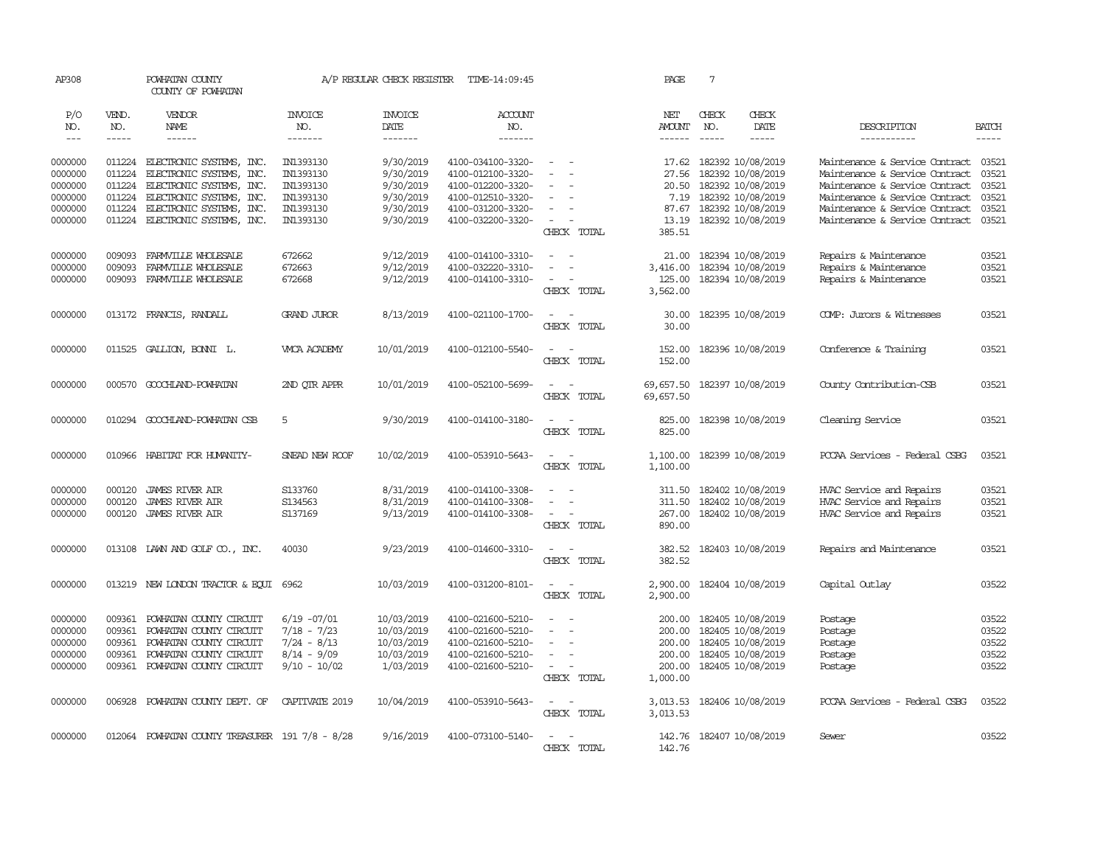| AP308              |                  | POWHATAN COUNTY<br>COUNTY OF POWHATAN                |                        | A/P REGULAR CHECK REGISTER | TIME-14:09:45                          |                                                            | PAGE                   | $7\phantom{.0}$ |                                        |                                                                  |                |
|--------------------|------------------|------------------------------------------------------|------------------------|----------------------------|----------------------------------------|------------------------------------------------------------|------------------------|-----------------|----------------------------------------|------------------------------------------------------------------|----------------|
| P/O<br>NO.         | VEND.<br>NO.     | VENDOR<br><b>NAME</b>                                | <b>INVOICE</b><br>NO.  | <b>INVOICE</b><br>DATE     | ACCOUNT<br>NO.                         |                                                            | NET<br><b>AMOUNT</b>   | CHECK<br>NO.    | CHECK<br>DATE                          | DESCRIPTION                                                      | <b>BATCH</b>   |
| $\frac{1}{2}$      | -----            | ------                                               | -------                | -------                    | -------                                |                                                            | ------                 |                 | $- - - - -$                            | -----------                                                      | $- - - - -$    |
| 0000000<br>0000000 | 011224<br>011224 | ELECTRONIC SYSTEMS, INC.<br>ELECTRONIC SYSTEMS, INC. | IN1393130<br>IN1393130 | 9/30/2019<br>9/30/2019     | 4100-034100-3320-<br>4100-012100-3320- | $\sim$<br>$\sim$<br>$\equiv$                               | 17.62<br>27.56         |                 | 182392 10/08/2019<br>182392 10/08/2019 | Maintenance & Service Contract<br>Maintenance & Service Contract | 03521<br>03521 |
| 0000000            | 011224           | ELECTRONIC SYSTEMS, INC.                             | IN1393130              | 9/30/2019                  | 4100-012200-3320-                      |                                                            | 20.50                  |                 | 182392 10/08/2019                      | Maintenance & Service Contract                                   | 03521          |
| 0000000            | 011224           | ELECTRONIC SYSTEMS, INC.                             | IN1393130              | 9/30/2019                  | 4100-012510-3320-                      | $\equiv$                                                   | 7.19                   |                 | 182392 10/08/2019                      | Maintenance & Service Contract                                   | 03521          |
| 0000000            | 011224           | ELECTRONIC SYSTEMS, INC.                             | IN1393130              | 9/30/2019                  | 4100-031200-3320-                      | $\sim$                                                     | 87.67                  |                 | 182392 10/08/2019                      | Maintenance & Service Contract                                   | 03521          |
| 0000000            | 011224           | ELECTRONIC SYSTEMS, INC.                             | IN1393130              | 9/30/2019                  | 4100-032200-3320-                      | $\sim$<br>$\sim$<br>CHECK TOTAL                            | 13.19<br>385.51        |                 | 182392 10/08/2019                      | Maintenance & Service Contract                                   | 03521          |
| 0000000            | 009093           | FARMVILLE WHOLFSALE                                  | 672662                 | 9/12/2019                  | 4100-014100-3310-                      | $\sim$                                                     | 21.00                  |                 | 182394 10/08/2019                      | Repairs & Maintenance                                            | 03521          |
| 0000000            | 009093           | FARMVILLE WHOLESALE                                  | 672663                 | 9/12/2019                  | 4100-032220-3310-                      |                                                            | 3,416.00               |                 | 182394 10/08/2019                      | Repairs & Maintenance                                            | 03521          |
| 0000000            | 009093           | FARMVILLE WHOLESALE                                  | 672668                 | 9/12/2019                  | 4100-014100-3310-                      | $\sim$<br>CHECK TOTAL                                      | 125.00<br>3,562.00     |                 | 182394 10/08/2019                      | Repairs & Maintenance                                            | 03521          |
| 0000000            |                  | 013172 FRANCIS, RANDALL                              | <b>GRAND JUROR</b>     | 8/13/2019                  | 4100-021100-1700-                      | $\overline{a}$<br>- -<br>CHECK TOTAL                       | 30.00<br>30.00         |                 | 182395 10/08/2019                      | COMP: Jurors & Witnesses                                         | 03521          |
| 0000000            |                  | 011525 GALLION, BONNI L.                             | WICA ACADEMY           | 10/01/2019                 | 4100-012100-5540-                      | $\sim$<br>$\sim$<br>CHECK TOTAL                            | 152.00<br>152.00       |                 | 182396 10/08/2019                      | Conference & Training                                            | 03521          |
| 0000000            |                  | 000570 GOOCHLAND-POWHATAN                            | 2ND QTR APPR           | 10/01/2019                 | 4100-052100-5699-                      | $\sim$<br>CHECK TOTAL                                      | 69,657.50<br>69,657.50 |                 | 182397 10/08/2019                      | County Contribution-CSB                                          | 03521          |
| 0000000            |                  | 010294 GOOCHLAND-POWHATTAN CSB                       | 5                      | 9/30/2019                  | 4100-014100-3180-                      | $\sim$<br>- 11<br>CHECK TOTAL                              | 825.00<br>825.00       |                 | 182398 10/08/2019                      | Cleaning Service                                                 | 03521          |
| 0000000            | 010966           | HABITAT FOR HUMANITY-                                | SNEAD NEW ROOF         | 10/02/2019                 | 4100-053910-5643-                      | $\sim$<br>$\sim$<br>CHECK TOTAL                            | 1,100.00<br>1,100.00   |                 | 182399 10/08/2019                      | PCCAA Services - Federal CSBG                                    | 03521          |
| 0000000            | 000120           | JAMES RIVER AIR                                      | S133760                | 8/31/2019                  | 4100-014100-3308-                      |                                                            | 311.50                 |                 | 182402 10/08/2019                      | HVAC Service and Repairs                                         | 03521          |
| 0000000            | 000120           | <b>JAMES RIVER AIR</b>                               | S134563                | 8/31/2019                  | 4100-014100-3308-                      | $\overline{\phantom{a}}$                                   | 311.50                 |                 | 182402 10/08/2019                      | HVAC Service and Repairs                                         | 03521          |
| 0000000            | 000120           | <b>JAMES RIVER AIR</b>                               | S137169                | 9/13/2019                  | 4100-014100-3308-                      | $\sim$<br>CHECK TOTAL                                      | 267.00<br>890.00       |                 | 182402 10/08/2019                      | HVAC Service and Repairs                                         | 03521          |
| 0000000            |                  | 013108 LAWN AND GOLF CO., INC.                       | 40030                  | 9/23/2019                  | 4100-014600-3310-                      | $\sim$ $-$<br>$\sim$<br>CHECK TOTAL                        | 382.52<br>382.52       |                 | 182403 10/08/2019                      | Repairs and Maintenance                                          | 03521          |
| 0000000            |                  | 013219 NEW LONDON TRACTOR & EQUI 6962                |                        | 10/03/2019                 | 4100-031200-8101-                      | $\omega_{\rm{max}}$ and $\omega_{\rm{max}}$<br>CHECK TOTAL | 2,900.00<br>2,900.00   |                 | 182404 10/08/2019                      | Capital Outlay                                                   | 03522          |
| 0000000            | 009361           | POWHATAN COUNTY CIRCUIT                              | $6/19 -07/01$          | 10/03/2019                 | 4100-021600-5210-                      | $\overline{\phantom{a}}$<br>$\sim$                         | 200.00                 |                 | 182405 10/08/2019                      | Postage                                                          | 03522          |
| 0000000            | 009361           | POWHATAN COUNTY CIRCUIT                              | $7/18 - 7/23$          | 10/03/2019                 | 4100-021600-5210-                      | $\equiv$                                                   | 200.00                 |                 | 182405 10/08/2019                      | Postage                                                          | 03522          |
| 0000000            | 009361           | POWHATAN COUNTY CIRCUIT                              | $7/24 - 8/13$          | 10/03/2019                 | 4100-021600-5210-                      | $\sim$                                                     | 200.00                 |                 | 182405 10/08/2019                      | Postage                                                          | 03522          |
| 0000000            | 009361           | POWHATAN COUNTY CIRCUIT                              | $8/14 - 9/09$          | 10/03/2019                 | 4100-021600-5210-                      | $\equiv$                                                   | 200.00                 |                 | 182405 10/08/2019                      | Postage                                                          | 03522          |
| 0000000            | 009361           | POWHATAN COUNTY CIRCUIT                              | $9/10 - 10/02$         | 1/03/2019                  | 4100-021600-5210-                      | $\sim$<br>CHECK TOTAL                                      | 200.00<br>1,000.00     |                 | 182405 10/08/2019                      | Postage                                                          | 03522          |
| 0000000            | 006928           | POWHATAN COUNTY DEPT. OF                             | CAPTIVATE 2019         | 10/04/2019                 | 4100-053910-5643-                      | $\sim$<br>$\sim$<br>CHECK TOTAL                            | 3,013.53<br>3,013.53   |                 | 182406 10/08/2019                      | PCCAA Services - Federal CSBG                                    | 03522          |
| 0000000            | 012064           | POWHATAN COUNTY TREASURER 191 7/8 - 8/28             |                        | 9/16/2019                  | 4100-073100-5140-                      | CHECK TOTAL                                                | 142.76<br>142.76       |                 | 182407 10/08/2019                      | Sewer                                                            | 03522          |
|                    |                  |                                                      |                        |                            |                                        |                                                            |                        |                 |                                        |                                                                  |                |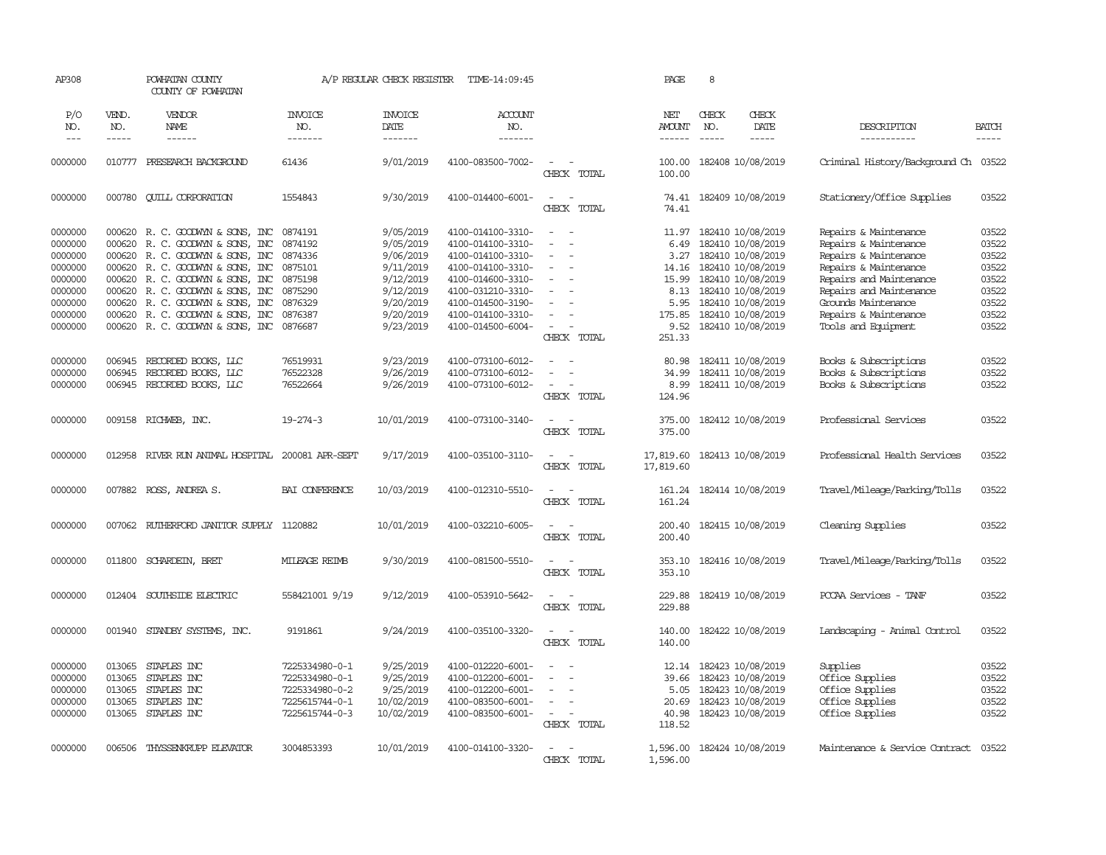| AP308                                                                                           |                                                                    | POWHATAN COUNTY<br>COUNTY OF POWHATAN                                                                                                                                                                                                                                                           |                                                                                        | A/P REGULAR CHECK REGISTER                                                                                        | TIME-14:09:45                                                                                                                                                                             |                                                                                                                                                       | <b>PAGE</b>                                                        | 8                                                                                                                                                                                                    |                                                                                                                                                                                                                               |                                                                               |
|-------------------------------------------------------------------------------------------------|--------------------------------------------------------------------|-------------------------------------------------------------------------------------------------------------------------------------------------------------------------------------------------------------------------------------------------------------------------------------------------|----------------------------------------------------------------------------------------|-------------------------------------------------------------------------------------------------------------------|-------------------------------------------------------------------------------------------------------------------------------------------------------------------------------------------|-------------------------------------------------------------------------------------------------------------------------------------------------------|--------------------------------------------------------------------|------------------------------------------------------------------------------------------------------------------------------------------------------------------------------------------------------|-------------------------------------------------------------------------------------------------------------------------------------------------------------------------------------------------------------------------------|-------------------------------------------------------------------------------|
| P/O<br>NO.<br>$---$                                                                             | VEND.<br>NO.<br>-----                                              | VENDOR<br>NAME<br>$- - - - - -$                                                                                                                                                                                                                                                                 | <b>INVOICE</b><br>NO.<br>-------                                                       | <b>INVOICE</b><br>DATE<br>-------                                                                                 | <b>ACCOUNT</b><br>NO.<br>-------                                                                                                                                                          |                                                                                                                                                       | NET<br><b>AMOUNT</b>                                               | CHECK<br>CHECK<br>NO.<br>DATE<br>$\frac{1}{2}$<br>-----                                                                                                                                              | DESCRIPTION<br>-----------                                                                                                                                                                                                    | <b>BATCH</b><br>$- - - - -$                                                   |
| 0000000                                                                                         | 010777                                                             | PRESEARCH BACKGROUND                                                                                                                                                                                                                                                                            | 61436                                                                                  | 9/01/2019                                                                                                         | 4100-083500-7002-                                                                                                                                                                         | $\overline{\phantom{a}}$<br>CHECK TOTAL                                                                                                               | 100.00<br>100.00                                                   | 182408 10/08/2019                                                                                                                                                                                    | Criminal History/Background Ch 03522                                                                                                                                                                                          |                                                                               |
| 0000000                                                                                         | 000780                                                             | <b>CUILL CORPORATION</b>                                                                                                                                                                                                                                                                        | 1554843                                                                                | 9/30/2019                                                                                                         | 4100-014400-6001-                                                                                                                                                                         | $\overline{\phantom{a}}$<br>$\sim$<br>CHECK TOTAL                                                                                                     | 74.41                                                              | 74.41 182409 10/08/2019                                                                                                                                                                              | Stationery/Office Supplies                                                                                                                                                                                                    | 03522                                                                         |
| 0000000<br>0000000<br>0000000<br>0000000<br>0000000<br>0000000<br>0000000<br>0000000<br>0000000 | 000620<br>000620<br>000620<br>000620<br>000620<br>000620<br>000620 | 000620 R. C. GOODWIN & SONS, INC<br>R. C. GOODWIN & SONS, INC<br>R. C. GOODWYN & SONS, INC<br>R. C. GOODWYN & SONS, INC<br>R. C. GOODWIN & SONS, INC<br>R. C. GOODWIN & SONS, INC 0875290<br>R. C. GOODWYN & SONS, INC<br>R. C. GOODWYN & SONS, INC<br>000620 R. C. GOODWIN & SONS, INC 0876687 | 0874191<br>0874192<br>0874336<br>0875101<br>0875198<br>0876329<br>0876387              | 9/05/2019<br>9/05/2019<br>9/06/2019<br>9/11/2019<br>9/12/2019<br>9/12/2019<br>9/20/2019<br>9/20/2019<br>9/23/2019 | 4100-014100-3310-<br>4100-014100-3310-<br>4100-014100-3310-<br>4100-014100-3310-<br>4100-014600-3310-<br>4100-031210-3310-<br>4100-014500-3190-<br>4100-014100-3310-<br>4100-014500-6004- | $\sim$<br>$\overline{\phantom{a}}$<br>$\equiv$<br>$\overline{\phantom{a}}$<br>$\equiv$<br>$\sim$<br>$\sim$<br>$\overline{\phantom{a}}$<br>CHECK TOTAL | 11.97<br>6.49<br>3.27<br>14.16<br>5.95<br>175.85<br>9.52<br>251.33 | 182410 10/08/2019<br>182410 10/08/2019<br>182410 10/08/2019<br>182410 10/08/2019<br>15.99 182410 10/08/2019<br>8.13 182410 10/08/2019<br>182410 10/08/2019<br>182410 10/08/2019<br>182410 10/08/2019 | Repairs & Maintenance<br>Repairs & Maintenance<br>Repairs & Maintenance<br>Repairs & Maintenance<br>Repairs and Maintenance<br>Repairs and Maintenance<br>Grounds Maintenance<br>Repairs & Maintenance<br>Tools and Equipment | 03522<br>03522<br>03522<br>03522<br>03522<br>03522<br>03522<br>03522<br>03522 |
| 0000000<br>0000000<br>0000000                                                                   | 006945<br>006945<br>006945                                         | RECORDED BOOKS, LLC<br>RECORDED BOOKS, LLC<br>RECORDED BOOKS, LLC                                                                                                                                                                                                                               | 76519931<br>76522328<br>76522664                                                       | 9/23/2019<br>9/26/2019<br>9/26/2019                                                                               | 4100-073100-6012-<br>4100-073100-6012-<br>4100-073100-6012-                                                                                                                               | $\overline{\phantom{a}}$<br>CHECK TOTAL                                                                                                               | 80.98<br>34.99<br>8.99<br>124.96                                   | 182411 10/08/2019<br>182411 10/08/2019<br>182411 10/08/2019                                                                                                                                          | Books & Subscriptions<br>Books & Subscriptions<br>Books & Subscriptions                                                                                                                                                       | 03522<br>03522<br>03522                                                       |
| 0000000                                                                                         |                                                                    | 009158 RICHWEB, INC.                                                                                                                                                                                                                                                                            | $19 - 274 - 3$                                                                         | 10/01/2019                                                                                                        | 4100-073100-3140-                                                                                                                                                                         | $\sim$<br>$\sim$<br>CHECK TOTAL                                                                                                                       | 375.00                                                             | 375.00 182412 10/08/2019                                                                                                                                                                             | Professional Services                                                                                                                                                                                                         | 03522                                                                         |
| 0000000                                                                                         | 012958                                                             | RIVER RUN ANIMAL HOSPITAL                                                                                                                                                                                                                                                                       | 200081 APR-SEPT                                                                        | 9/17/2019                                                                                                         | 4100-035100-3110-                                                                                                                                                                         | $\sim$<br>$\overline{a}$<br>CHECK TOTAL                                                                                                               | 17,819.60                                                          | 17,819.60 182413 10/08/2019                                                                                                                                                                          | Professional Health Services                                                                                                                                                                                                  | 03522                                                                         |
| 0000000                                                                                         |                                                                    | 007882 ROSS, ANDREA S.                                                                                                                                                                                                                                                                          | BAI CONFERENCE                                                                         | 10/03/2019                                                                                                        | 4100-012310-5510-                                                                                                                                                                         | $\sim$<br>$\sim$<br>CHECK TOTAL                                                                                                                       | 161.24<br>161.24                                                   | 182414 10/08/2019                                                                                                                                                                                    | Travel/Mileage/Parking/Tolls                                                                                                                                                                                                  | 03522                                                                         |
| 0000000                                                                                         | 007062                                                             | RUIHERFORD JANITOR SUPPLY 1120882                                                                                                                                                                                                                                                               |                                                                                        | 10/01/2019                                                                                                        | 4100-032210-6005-                                                                                                                                                                         | $\equiv$<br>CHECK TOTAL                                                                                                                               | 200.40<br>200.40                                                   | 182415 10/08/2019                                                                                                                                                                                    | Cleaning Supplies                                                                                                                                                                                                             | 03522                                                                         |
| 0000000                                                                                         | 011800                                                             | SCHARDEIN, BRET                                                                                                                                                                                                                                                                                 | <b>MILEAGE REIMB</b>                                                                   | 9/30/2019                                                                                                         | 4100-081500-5510-                                                                                                                                                                         | $\sim$<br>CHECK TOTAL                                                                                                                                 | 353.10<br>353.10                                                   | 182416 10/08/2019                                                                                                                                                                                    | Travel/Mileage/Parking/Tolls                                                                                                                                                                                                  | 03522                                                                         |
| 0000000                                                                                         |                                                                    | 012404 SOUTHSIDE ELECTRIC                                                                                                                                                                                                                                                                       | 558421001 9/19                                                                         | 9/12/2019                                                                                                         | 4100-053910-5642-                                                                                                                                                                         | $\sim$<br>$\overline{\phantom{a}}$<br>CHECK TOTAL                                                                                                     | 229.88<br>229.88                                                   | 182419 10/08/2019                                                                                                                                                                                    | PCCAA Services - TANF                                                                                                                                                                                                         | 03522                                                                         |
| 0000000                                                                                         | 001940                                                             | STANDBY SYSTEMS, INC.                                                                                                                                                                                                                                                                           | 9191861                                                                                | 9/24/2019                                                                                                         | 4100-035100-3320-                                                                                                                                                                         | $\overline{\phantom{a}}$<br>$\sim$<br>CHECK TOTAL                                                                                                     | 140.00<br>140.00                                                   | 182422 10/08/2019                                                                                                                                                                                    | Landscaping - Animal Control                                                                                                                                                                                                  | 03522                                                                         |
| 0000000<br>0000000<br>0000000<br>0000000<br>0000000                                             | 013065<br>013065<br>013065<br>013065<br>013065                     | STAPLES INC<br>STAPLES INC<br>STAPLES INC<br>STAPLES INC<br>STAPLES INC                                                                                                                                                                                                                         | 7225334980-0-1<br>7225334980-0-1<br>7225334980-0-2<br>7225615744-0-1<br>7225615744-0-3 | 9/25/2019<br>9/25/2019<br>9/25/2019<br>10/02/2019<br>10/02/2019                                                   | 4100-012220-6001-<br>4100-012200-6001-<br>4100-012200-6001-<br>4100-083500-6001-<br>4100-083500-6001-                                                                                     | $\sim$<br>$\equiv$<br>$\overline{\phantom{a}}$<br>$\sim$ 100 $\mu$<br>CHECK TOTAL                                                                     | 12.14<br>39.66<br>5.05<br>20.69<br>40.98<br>118.52                 | 182423 10/08/2019<br>182423 10/08/2019<br>182423 10/08/2019<br>182423 10/08/2019<br>182423 10/08/2019                                                                                                | Supplies<br>Office Supplies<br>Office Supplies<br>Office Supplies<br>Office Supplies                                                                                                                                          | 03522<br>03522<br>03522<br>03522<br>03522                                     |
| 0000000                                                                                         | 006506                                                             | THYSSENKRUPP ELEVATOR                                                                                                                                                                                                                                                                           | 3004853393                                                                             | 10/01/2019                                                                                                        | 4100-014100-3320-                                                                                                                                                                         | $\overline{\phantom{a}}$<br>CHECK TOTAL                                                                                                               | 1,596.00<br>1,596.00                                               | 182424 10/08/2019                                                                                                                                                                                    | Maintenance & Service Contract                                                                                                                                                                                                | 03522                                                                         |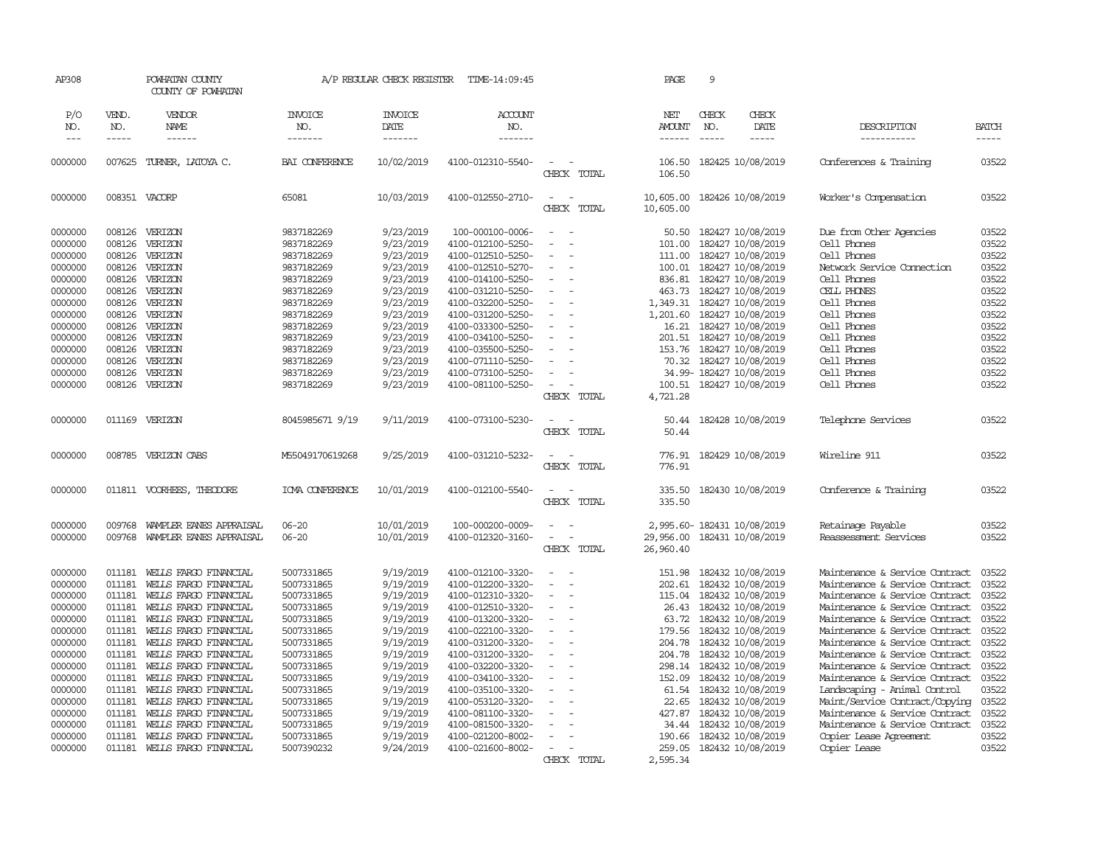| POWHATAN COUNTY<br>COUNTY OF POWHATAN                                                                                                                                                                                                                                                                                                                                                                        |                                                                                                                                                                                                                                                                                                                                                                                                                                           |                                                                                                                                                                                                              | TIME-14:09:45                                                                                                                                                                                                                                                                                                                                |                                                                                                                                                                 | PAGE                                                                                                                                           | 9                           |                        |                                                                                                                                                                                                                                                                                                                                                                                                                                                                                                                                                                                                                                                                                                                                                                                                                                                       |                                                                                                                                              |
|--------------------------------------------------------------------------------------------------------------------------------------------------------------------------------------------------------------------------------------------------------------------------------------------------------------------------------------------------------------------------------------------------------------|-------------------------------------------------------------------------------------------------------------------------------------------------------------------------------------------------------------------------------------------------------------------------------------------------------------------------------------------------------------------------------------------------------------------------------------------|--------------------------------------------------------------------------------------------------------------------------------------------------------------------------------------------------------------|----------------------------------------------------------------------------------------------------------------------------------------------------------------------------------------------------------------------------------------------------------------------------------------------------------------------------------------------|-----------------------------------------------------------------------------------------------------------------------------------------------------------------|------------------------------------------------------------------------------------------------------------------------------------------------|-----------------------------|------------------------|-------------------------------------------------------------------------------------------------------------------------------------------------------------------------------------------------------------------------------------------------------------------------------------------------------------------------------------------------------------------------------------------------------------------------------------------------------------------------------------------------------------------------------------------------------------------------------------------------------------------------------------------------------------------------------------------------------------------------------------------------------------------------------------------------------------------------------------------------------|----------------------------------------------------------------------------------------------------------------------------------------------|
| VENDOR<br>NAME                                                                                                                                                                                                                                                                                                                                                                                               | <b>INVOICE</b><br>NO.<br>-------                                                                                                                                                                                                                                                                                                                                                                                                          | <b>INVOICE</b><br>DATE<br>-------                                                                                                                                                                            | ACCOUNT<br>NO.<br>-------                                                                                                                                                                                                                                                                                                                    |                                                                                                                                                                 | NET<br>AMOUNT                                                                                                                                  | CHECK<br>NO.                | CHECK<br>DATE<br>----- | DESCRIPTION<br>-----------                                                                                                                                                                                                                                                                                                                                                                                                                                                                                                                                                                                                                                                                                                                                                                                                                            | <b>BATCH</b><br>-----                                                                                                                        |
| TURNER, LATOYA C.                                                                                                                                                                                                                                                                                                                                                                                            | BAI CONFERENCE                                                                                                                                                                                                                                                                                                                                                                                                                            | 10/02/2019                                                                                                                                                                                                   | 4100-012310-5540-                                                                                                                                                                                                                                                                                                                            | $\equiv$<br>CHECK TOTAL                                                                                                                                         | 106.50<br>106.50                                                                                                                               |                             |                        | Conferences & Training                                                                                                                                                                                                                                                                                                                                                                                                                                                                                                                                                                                                                                                                                                                                                                                                                                | 03522                                                                                                                                        |
|                                                                                                                                                                                                                                                                                                                                                                                                              | 65081                                                                                                                                                                                                                                                                                                                                                                                                                                     | 10/03/2019                                                                                                                                                                                                   | 4100-012550-2710-                                                                                                                                                                                                                                                                                                                            | $\sim$<br>$\sim$<br>CHECK TOTAL                                                                                                                                 | 10,605.00<br>10,605.00                                                                                                                         |                             |                        | Worker's Compensation                                                                                                                                                                                                                                                                                                                                                                                                                                                                                                                                                                                                                                                                                                                                                                                                                                 | 03522                                                                                                                                        |
| VERIZON<br>VERIZON<br>VERIZON<br>VERIZON<br>VERIZON<br>VERIZON<br>VERIZON<br>VERIZON<br>VERIZON<br>VERIZON<br>VERIZON<br>VERIZON<br>VERIZON<br>VERIZON                                                                                                                                                                                                                                                       | 9837182269<br>9837182269<br>9837182269<br>9837182269<br>9837182269<br>9837182269<br>9837182269<br>9837182269<br>9837182269<br>9837182269<br>9837182269<br>9837182269<br>9837182269<br>9837182269                                                                                                                                                                                                                                          | 9/23/2019<br>9/23/2019<br>9/23/2019<br>9/23/2019<br>9/23/2019<br>9/23/2019<br>9/23/2019<br>9/23/2019<br>9/23/2019<br>9/23/2019<br>9/23/2019<br>9/23/2019<br>9/23/2019<br>9/23/2019                           | 100-000100-0006-<br>4100-012100-5250-<br>4100-012510-5250-<br>4100-012510-5270-<br>4100-014100-5250-<br>4100-031210-5250-<br>4100-032200-5250-<br>4100-031200-5250-<br>4100-033300-5250-<br>4100-034100-5250-<br>4100-035500-5250-<br>4100-071110-5250-<br>4100-073100-5250-<br>4100-081100-5250-                                            | $\sim$<br>$\overline{a}$<br>$\overline{a}$<br>$\equiv$<br>$\equiv$<br>$\sim$<br>$\equiv$<br>$\equiv$<br>$\sim$<br>$\equiv$<br>$\equiv$<br>$\sim$<br>CHECK TOTAL | 50.50<br>101.00<br>111.00<br>463.73<br>1,349.31<br>1,201.60<br>153.76<br>70.32<br>100.51<br>4,721.28                                           |                             |                        | Due from Other Agencies<br>Cell Phones<br>Cell Phones<br>Network Service Connection<br>Cell Phones<br>CELL PHONES<br>Cell Phones<br>Cell Phones<br>Cell Phones<br>Cell Phones<br>Cell Phones<br>Cell Phones<br>Cell Phones<br>Cell Phones                                                                                                                                                                                                                                                                                                                                                                                                                                                                                                                                                                                                             | 03522<br>03522<br>03522<br>03522<br>03522<br>03522<br>03522<br>03522<br>03522<br>03522<br>03522<br>03522<br>03522<br>03522                   |
| VERIZON CABS                                                                                                                                                                                                                                                                                                                                                                                                 | M55049170619268                                                                                                                                                                                                                                                                                                                                                                                                                           | 9/25/2019                                                                                                                                                                                                    | 4100-031210-5232-                                                                                                                                                                                                                                                                                                                            | CHECK TOTAL<br>$\sim$<br>$\sim$                                                                                                                                 | 50.44<br>776.91                                                                                                                                |                             |                        | Wireline 911                                                                                                                                                                                                                                                                                                                                                                                                                                                                                                                                                                                                                                                                                                                                                                                                                                          | 03522<br>03522                                                                                                                               |
|                                                                                                                                                                                                                                                                                                                                                                                                              | IOVA CONFERENCE                                                                                                                                                                                                                                                                                                                                                                                                                           | 10/01/2019                                                                                                                                                                                                   | 4100-012100-5540-                                                                                                                                                                                                                                                                                                                            | $\sim$<br>$\sim$<br>CHECK TOTAL                                                                                                                                 | 335.50<br>335.50                                                                                                                               |                             |                        | Conference & Training                                                                                                                                                                                                                                                                                                                                                                                                                                                                                                                                                                                                                                                                                                                                                                                                                                 | 03522                                                                                                                                        |
|                                                                                                                                                                                                                                                                                                                                                                                                              | $06 - 20$<br>$06 - 20$                                                                                                                                                                                                                                                                                                                                                                                                                    | 10/01/2019<br>10/01/2019                                                                                                                                                                                     | 100-000200-0009-<br>4100-012320-3160-                                                                                                                                                                                                                                                                                                        | $\sim$<br>CHECK TOTAL                                                                                                                                           | 29,956.00<br>26,960.40                                                                                                                         |                             |                        | Retainage Payable<br>Reassessment Services                                                                                                                                                                                                                                                                                                                                                                                                                                                                                                                                                                                                                                                                                                                                                                                                            | 03522<br>03522                                                                                                                               |
| WELLS FARGO FINANCIAL<br>WELLS FARGO FINANCIAL<br>WEILS FARGO FINANCIAL<br>WELLS FARGO FINANCIAL<br>WELLS FARGO FINANCIAL<br>WELLS FARGO FINANCIAL<br>WELLS FARGO FINANCIAL<br>WELLS FARGO FINANCIAL<br>WELLS FARGO FINANCIAL<br>WELLS FARGO FINANCIAL<br>WELLS FARGO FINANCIAL<br>WELLS FARGO FINANCIAL<br>WELLS FARGO FINANCIAL<br>WELLS FARGO FINANCIAL<br>WELLS FARGO FINANCIAL<br>WEILS FARGO FINANCIAL | 5007331865<br>5007331865<br>5007331865<br>5007331865<br>5007331865<br>5007331865<br>5007331865<br>5007331865<br>5007331865<br>5007331865<br>5007331865<br>5007331865<br>5007331865<br>5007331865<br>5007331865<br>5007390232                                                                                                                                                                                                              | 9/19/2019<br>9/19/2019<br>9/19/2019<br>9/19/2019<br>9/19/2019<br>9/19/2019<br>9/19/2019<br>9/19/2019<br>9/19/2019<br>9/19/2019<br>9/19/2019<br>9/19/2019<br>9/19/2019<br>9/19/2019<br>9/19/2019<br>9/24/2019 | 4100-012100-3320-<br>4100-012200-3320-<br>4100-012310-3320-<br>4100-012510-3320-<br>4100-013200-3320-<br>4100-022100-3320-<br>4100-031200-3320-<br>4100-031200-3320-<br>4100-032200-3320-<br>4100-034100-3320-<br>4100-035100-3320-<br>4100-053120-3320-<br>4100-081100-3320-<br>4100-081500-3320-<br>4100-021200-8002-<br>4100-021600-8002- | $\sim$<br>$\sim$<br>$\equiv$<br>$\equiv$<br>$\overline{\phantom{a}}$<br>$\sim$<br>$\sim$<br>$\equiv$<br>$\equiv$<br>$\sim$<br>$\sim$                            | 151.98<br>202.61<br>115.04<br>26.43<br>63.72<br>179.56<br>204.78<br>204.78<br>298.14<br>152.09<br>22.65<br>427.87<br>34.44<br>190.66<br>259.05 |                             |                        | Maintenance & Service Contract<br>Maintenance & Service Contract<br>Maintenance & Service Contract<br>Maintenance & Service Contract<br>Maintenance & Service Contract<br>Maintenance & Service Contract<br>Maintenance & Service Contract<br>Maintenance & Service Contract<br>Maintenance & Service Contract<br>Maintenance & Service Contract<br>Landscaping - Animal Control<br>Maint/Service Contract/Copying<br>Maintenance & Service Contract<br>Maintenance & Service Contract<br>Copier Lease Agreement<br>Copier Lease                                                                                                                                                                                                                                                                                                                      | 03522<br>03522<br>03522<br>03522<br>03522<br>03522<br>03522<br>03522<br>03522<br>03522<br>03522<br>03522<br>03522<br>03522<br>03522<br>03522 |
|                                                                                                                                                                                                                                                                                                                                                                                                              | VEND.<br>NO.<br>-----<br>007625<br>008351 VACORP<br>008126<br>008126<br>008126<br>008126<br>008126<br>008126<br>008126<br>008126<br>008126<br>008126<br>008126<br>008126<br>008126<br>008126<br>011169 VERIZON<br>008785<br>011811 VOORHEES, THEODORE<br>009768<br>009768<br>011181<br>011181<br>011181<br>011181<br>011181<br>011181<br>011181<br>011181<br>011181<br>011181<br>011181<br>011181<br>011181<br>011181<br>011181<br>011181 | 8045985671 9/19<br>WAMPLER EANES APPRAISAL<br>WAMPLER EANES APPRAISAL                                                                                                                                        | 9/11/2019                                                                                                                                                                                                                                                                                                                                    | A/P REGULAR CHECK REGISTER<br>4100-073100-5230-                                                                                                                 | $\sim$<br>$\sim$<br>CHECK TOTAL<br>CHECK TOTAL                                                                                                 | 50.44<br>776.91<br>2,595.34 |                        | 182425 10/08/2019<br>182426 10/08/2019<br>182427 10/08/2019<br>182427 10/08/2019<br>182427 10/08/2019<br>100.01 182427 10/08/2019<br>836.81 182427 10/08/2019<br>182427 10/08/2019<br>182427 10/08/2019<br>182427 10/08/2019<br>16.21 182427 10/08/2019<br>201.51 182427 10/08/2019<br>182427 10/08/2019<br>182427 10/08/2019<br>34.99-182427 10/08/2019<br>182427 10/08/2019<br>182428 10/08/2019<br>182429 10/08/2019<br>182430 10/08/2019<br>2,995.60-182431 10/08/2019<br>182431 10/08/2019<br>182432 10/08/2019<br>182432 10/08/2019<br>182432 10/08/2019<br>182432 10/08/2019<br>182432 10/08/2019<br>182432 10/08/2019<br>182432 10/08/2019<br>182432 10/08/2019<br>182432 10/08/2019<br>182432 10/08/2019<br>61.54 182432 10/08/2019<br>182432 10/08/2019<br>182432 10/08/2019<br>182432 10/08/2019<br>182432 10/08/2019<br>182432 10/08/2019 | Telephone Services                                                                                                                           |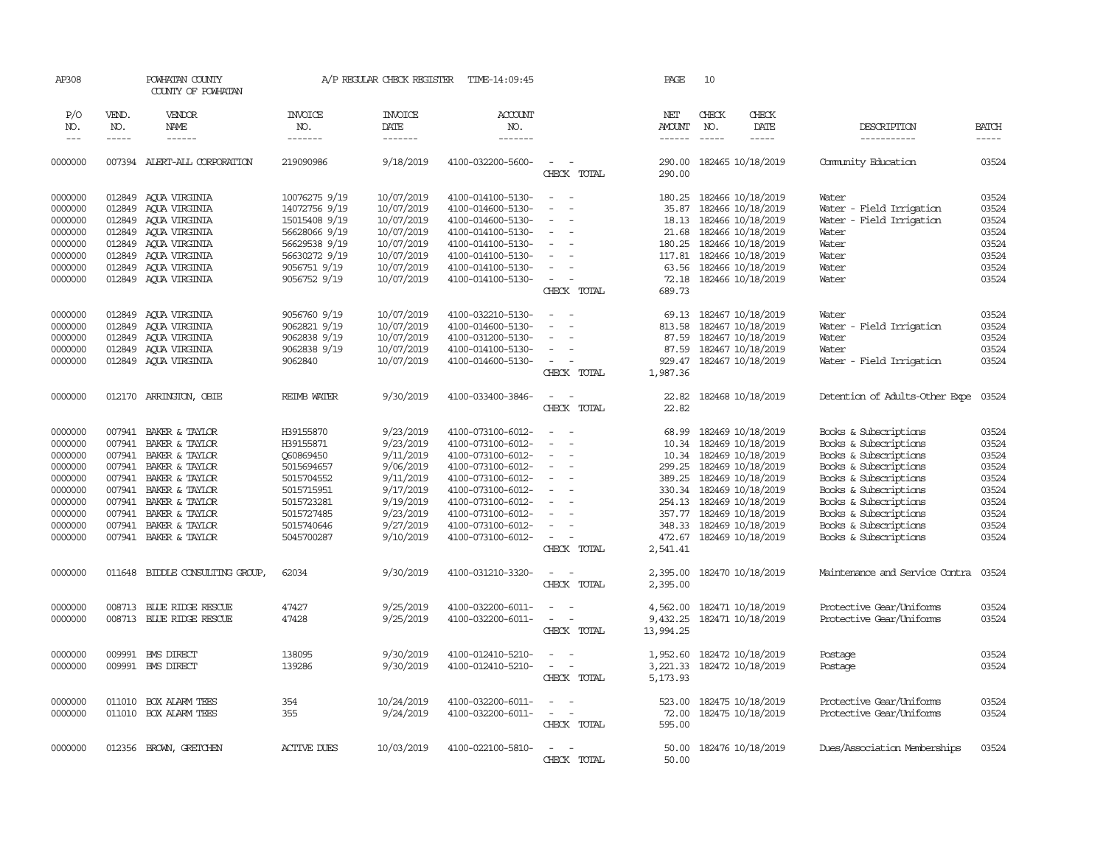| AP308              |                  | POWHATAN COUNTY<br>COUNTY OF POWHATAN |                                | A/P REGULAR CHECK REGISTER | TIME-14:09:45                          |                                                                                                                             | PAGE                 | 10            |                                        |                                                      |                |
|--------------------|------------------|---------------------------------------|--------------------------------|----------------------------|----------------------------------------|-----------------------------------------------------------------------------------------------------------------------------|----------------------|---------------|----------------------------------------|------------------------------------------------------|----------------|
| P/O<br>NO.         | VEND.<br>NO.     | VENDOR<br>NAME                        | <b>INVOICE</b><br>NO.          | <b>INVOICE</b><br>DATE     | ACCOUNT<br>NO.                         |                                                                                                                             | NET<br><b>AMOUNT</b> | CHECK<br>NO.  | CHECK<br>DATE                          | DESCRIPTION                                          | <b>BATCH</b>   |
| $\frac{1}{2}$      | -----            | ------                                | -------                        | -------                    | $- - - - - - -$                        |                                                                                                                             | $- - - - - -$        | $\frac{1}{2}$ | -----                                  | -----------                                          | $- - - - -$    |
| 0000000            |                  | 007394 ALERT-ALL CORPORATION          | 219090986                      | 9/18/2019                  | 4100-032200-5600-                      | $\sim$<br>$\overline{\phantom{a}}$<br>CHECK TOTAL                                                                           | 290.00               |               | 290.00 182465 10/18/2019               | Comunity Education                                   | 03524          |
|                    |                  |                                       |                                |                            |                                        |                                                                                                                             |                      |               |                                        |                                                      |                |
| 0000000            | 012849           | AQUA VIRGINIA                         | 10076275 9/19                  | 10/07/2019                 | 4100-014100-5130-                      | $\overline{\phantom{a}}$<br>$\sim$                                                                                          | 180.25               |               | 182466 10/18/2019                      | Water                                                | 03524          |
| 0000000            | 012849<br>012849 | AQUA VIRGINIA                         | 14072756 9/19<br>15015408 9/19 | 10/07/2019<br>10/07/2019   | 4100-014600-5130-                      | $\blacksquare$<br>$\sim$<br>$\overline{\phantom{a}}$                                                                        | 35.87<br>18.13       |               | 182466 10/18/2019<br>182466 10/18/2019 | Water - Field Irrigation<br>Water - Field Irrigation | 03524<br>03524 |
| 0000000<br>0000000 | 012849           | AOUA VIRGINIA<br>AQUA VIRGINIA        | 56628066 9/19                  | 10/07/2019                 | 4100-014600-5130-<br>4100-014100-5130- |                                                                                                                             | 21.68                |               | 182466 10/18/2019                      | Water                                                | 03524          |
| 0000000            | 012849           | AOUA VIRGINIA                         | 56629538 9/19                  | 10/07/2019                 | 4100-014100-5130-                      | $\overline{\phantom{a}}$                                                                                                    | 180.25               |               | 182466 10/18/2019                      | Water                                                | 03524          |
| 0000000            | 012849           | AQUA VIRGINIA                         | 56630272 9/19                  | 10/07/2019                 | 4100-014100-5130-                      | $\equiv$                                                                                                                    | 117.81               |               | 182466 10/18/2019                      | Water                                                | 03524          |
| 0000000            | 012849           | AQUA VIRGINIA                         | 9056751 9/19                   | 10/07/2019                 | 4100-014100-5130-                      | $\overline{\phantom{a}}$                                                                                                    | 63.56                |               | 182466 10/18/2019                      | Water                                                | 03524          |
| 0000000            |                  | 012849 ACUA VIRGINIA                  | 9056752 9/19                   | 10/07/2019                 | 4100-014100-5130-                      | $\sim$                                                                                                                      |                      |               | 72.18 182466 10/18/2019                | Water                                                | 03524          |
|                    |                  |                                       |                                |                            |                                        | CHECK TOTAL                                                                                                                 | 689.73               |               |                                        |                                                      |                |
|                    |                  |                                       |                                |                            |                                        |                                                                                                                             |                      |               |                                        |                                                      |                |
| 0000000            | 012849           | AOUA VIRGINIA                         | 9056760 9/19                   | 10/07/2019                 | 4100-032210-5130-                      | $\sim$<br>$\sim$                                                                                                            | 69.13                |               | 182467 10/18/2019                      | Water                                                | 03524          |
| 0000000            | 012849           | AOUA VIRGINIA                         | 9062821 9/19                   | 10/07/2019                 | 4100-014600-5130-                      | $\sim$                                                                                                                      | 813.58               |               | 182467 10/18/2019                      | Water - Field Irrigation                             | 03524          |
| 0000000            | 012849           | ACUA VIRGINIA                         | 9062838 9/19                   | 10/07/2019                 | 4100-031200-5130-                      | $\sim$                                                                                                                      | 87.59                |               | 182467 10/18/2019                      | Water                                                | 03524          |
| 0000000            | 012849           | AQUA VIRGINIA                         | 9062838 9/19                   | 10/07/2019                 | 4100-014100-5130-                      | $\blacksquare$                                                                                                              | 87.59                |               | 182467 10/18/2019                      | Water                                                | 03524          |
| 0000000            |                  | 012849 AQUA VIRGINIA                  | 9062840                        | 10/07/2019                 | 4100-014600-5130-                      | $\sim$                                                                                                                      | 929.47               |               | 182467 10/18/2019                      | Water - Field Irrigation                             | 03524          |
|                    |                  |                                       |                                |                            |                                        | CHECK TOTAL                                                                                                                 | 1,987.36             |               |                                        |                                                      |                |
| 0000000            |                  | 012170 ARRINGTON, OBIE                | <b>REIMB WATER</b>             | 9/30/2019                  | 4100-033400-3846-                      | $\sim$<br>$\sim$                                                                                                            | 22.82                |               | 182468 10/18/2019                      | Detention of Adults-Other Expe                       | 03524          |
|                    |                  |                                       |                                |                            |                                        | CHECK TOTAL                                                                                                                 | 22.82                |               |                                        |                                                      |                |
| 0000000            | 007941           | BAKER & TAYLOR                        | H39155870                      | 9/23/2019                  | 4100-073100-6012-                      | $\equiv$                                                                                                                    | 68.99                |               | 182469 10/18/2019                      | Books & Subscriptions                                | 03524          |
| 0000000            | 007941           | BAKER & TAYLOR                        | H39155871                      | 9/23/2019                  | 4100-073100-6012-                      | $\sim$                                                                                                                      | 10.34                |               | 182469 10/18/2019                      | Books & Subscriptions                                | 03524          |
| 0000000            | 007941           | BAKER & TAYLOR                        | Q60869450                      | 9/11/2019                  | 4100-073100-6012-                      | $\sim$                                                                                                                      | 10.34                |               | 182469 10/18/2019                      | Books & Subscriptions                                | 03524          |
| 0000000            | 007941           | BAKER & TAYLOR                        | 5015694657                     | 9/06/2019                  | 4100-073100-6012-                      | $\overline{\phantom{a}}$                                                                                                    | 299.25               |               | 182469 10/18/2019                      | Books & Subscriptions                                | 03524          |
| 0000000            | 007941           | BAKER & TAYLOR                        | 5015704552                     | 9/11/2019                  | 4100-073100-6012-                      | $\blacksquare$                                                                                                              | 389.25               |               | 182469 10/18/2019                      | Books & Subscriptions                                | 03524          |
| 0000000            | 007941           | BAKER & TAYLOR                        | 5015715951                     | 9/17/2019                  | 4100-073100-6012-                      |                                                                                                                             | 330.34               |               | 182469 10/18/2019                      | Books & Subscriptions                                | 03524          |
| 0000000            | 007941           | BAKER & TAYLOR                        | 5015723281                     | 9/19/2019                  | 4100-073100-6012-                      |                                                                                                                             |                      |               | 254.13 182469 10/18/2019               | Books & Subscriptions                                | 03524          |
| 0000000            | 007941           | BAKER & TAYLOR                        | 5015727485                     | 9/23/2019                  | 4100-073100-6012-                      | $\sim$                                                                                                                      |                      |               | 357.77 182469 10/18/2019               | Books & Subscriptions                                | 03524          |
| 0000000            | 007941           | BAKER & TAYLOR                        | 5015740646                     | 9/27/2019                  | 4100-073100-6012-                      | $\equiv$                                                                                                                    | 348.33               |               | 182469 10/18/2019                      | Books & Subscriptions                                | 03524          |
| 0000000            |                  | 007941 BAKER & TAYLOR                 | 5045700287                     | 9/10/2019                  | 4100-073100-6012-                      |                                                                                                                             | 472.67               |               | 182469 10/18/2019                      | Books & Subscriptions                                | 03524          |
|                    |                  |                                       |                                |                            |                                        | CHECK TOTAL                                                                                                                 | 2,541.41             |               |                                        |                                                      |                |
| 0000000            | 011648           | BIDDLE CONSULTING GROUP,              | 62034                          | 9/30/2019                  | 4100-031210-3320-                      | $\sim$<br>$\sim$                                                                                                            | 2,395.00             |               | 182470 10/18/2019                      | Maintenance and Service Contra                       | 03524          |
|                    |                  |                                       |                                |                            |                                        | CHECK TOTAL                                                                                                                 | 2,395.00             |               |                                        |                                                      |                |
|                    |                  |                                       |                                |                            |                                        |                                                                                                                             |                      |               |                                        |                                                      |                |
| 0000000            | 008713           | BLUE RIDGE RESCUE                     | 47427                          | 9/25/2019                  | 4100-032200-6011-                      | $\overline{\phantom{a}}$                                                                                                    | 4,562.00             |               | 182471 10/18/2019                      | Protective Gear/Uniforms                             | 03524          |
| 0000000            |                  | 008713 BLUE RIDGE RESCUE              | 47428                          | 9/25/2019                  | 4100-032200-6011-                      | $\overline{\phantom{a}}$<br>$\sim$                                                                                          | 9,432.25             |               | 182471 10/18/2019                      | Protective Gear/Uniforms                             | 03524          |
|                    |                  |                                       |                                |                            |                                        | CHECK TOTAL                                                                                                                 | 13,994.25            |               |                                        |                                                      |                |
| 0000000            |                  | 009991 BMS DIRECT                     | 138095                         | 9/30/2019                  | 4100-012410-5210-                      | $\sim$                                                                                                                      |                      |               | 1,952.60 182472 10/18/2019             | Postage                                              | 03524          |
| 0000000            |                  | 009991 BMS DIRECT                     | 139286                         | 9/30/2019                  | 4100-012410-5210-                      | $\overline{\phantom{a}}$<br>$\overline{\phantom{a}}$                                                                        | 3,221.33             |               | 182472 10/18/2019                      | Postage                                              | 03524          |
|                    |                  |                                       |                                |                            |                                        | CHECK TOTAL                                                                                                                 | 5,173.93             |               |                                        |                                                      |                |
| 0000000            |                  | 011010 BOX ALARM TEES                 |                                | 10/24/2019                 | 4100-032200-6011-                      | $\overline{\phantom{a}}$                                                                                                    |                      |               | 182475 10/18/2019                      | Protective Gear/Uniforms                             | 03524          |
|                    |                  |                                       | 354<br>355                     | 9/24/2019                  |                                        |                                                                                                                             | 523.00               |               |                                        |                                                      |                |
| 0000000            |                  | 011010 BOX ALARM TEES                 |                                |                            | 4100-032200-6011-                      | $\frac{1}{2} \left( \frac{1}{2} \right) \left( \frac{1}{2} \right) = \frac{1}{2} \left( \frac{1}{2} \right)$<br>CHECK TOTAL | 595.00               |               | 72.00 182475 10/18/2019                | Protective Gear/Uniforms                             | 03524          |
|                    |                  |                                       |                                |                            |                                        |                                                                                                                             |                      |               |                                        |                                                      |                |
| 0000000            |                  | 012356 BROWN, GRETCHEN                | <b>ACTIVE DUES</b>             | 10/03/2019                 | 4100-022100-5810-                      | $\sim$<br>$\sim$                                                                                                            | 50.00                |               | 182476 10/18/2019                      | Dues/Association Memberships                         | 03524          |
|                    |                  |                                       |                                |                            |                                        | CHECK TOTAL                                                                                                                 | 50.00                |               |                                        |                                                      |                |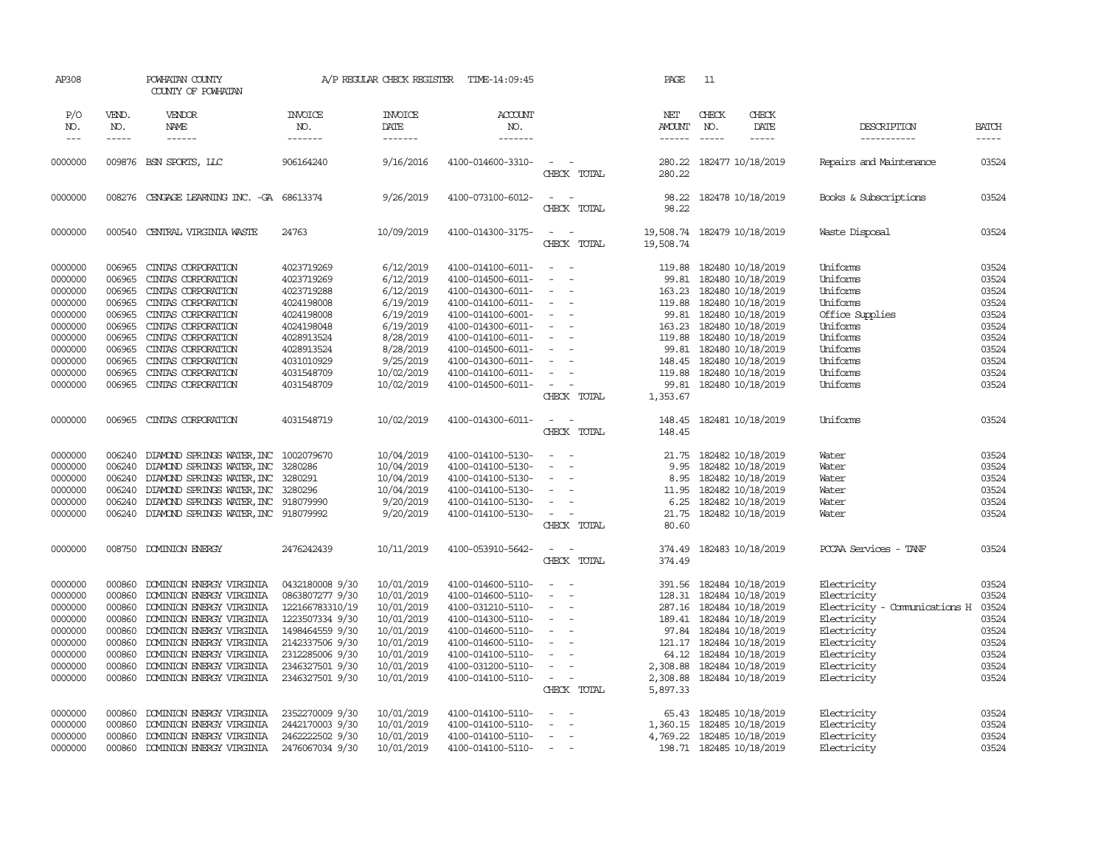| AP308                       |                             | POWHATAN COUNTY<br>COUNTY OF POWHATAN     |                                  |                                   | A/P REGULAR CHECK REGISTER TIME-14:09:45 |                                                                                                              | PAGE                                     | 11                            |                              |                               |                       |
|-----------------------------|-----------------------------|-------------------------------------------|----------------------------------|-----------------------------------|------------------------------------------|--------------------------------------------------------------------------------------------------------------|------------------------------------------|-------------------------------|------------------------------|-------------------------------|-----------------------|
| P/O<br>NO.<br>$\frac{1}{2}$ | VEND.<br>NO.<br>$- - - - -$ | VENDOR<br>NAME<br>------                  | <b>INVOICE</b><br>NO.<br>------- | <b>INVOICE</b><br>DATE<br>------- | <b>ACCOUNT</b><br>NO.<br>--------        |                                                                                                              | NET<br><b>AMOUNT</b><br>$- - - - - -$    | CHECK<br>NO.<br>$\frac{1}{2}$ | CHECK<br>DATE<br>$- - - - -$ | DESCRIPTION<br>-----------    | <b>BATCH</b><br>----- |
| 0000000                     |                             | 009876 BSN SPORTS, LLC                    | 906164240                        | 9/16/2016                         | 4100-014600-3310-                        | $\overline{\phantom{a}}$<br>$\sim$<br>CHECK TOTAL                                                            | 280.22<br>280.22                         |                               | 182477 10/18/2019            | Repairs and Maintenance       | 03524                 |
| 0000000                     |                             | 008276 CENGAGE LEARNING INC. -GA 68613374 |                                  | 9/26/2019                         | 4100-073100-6012-                        | $\overline{\phantom{a}}$<br>$\sim$<br>CHECK TOTAL                                                            | 98.22                                    |                               | 98.22 182478 10/18/2019      | Books & Subscriptions         | 03524                 |
| 0000000                     |                             | 000540 CENTRAL VIRGINIA WASTE             | 24763                            | 10/09/2019                        | 4100-014300-3175-                        | $\sim$ $ -$<br>CHECK TOTAL                                                                                   | 19,508.74 182479 10/18/2019<br>19,508.74 |                               |                              | Waste Disposal                | 03524                 |
| 0000000                     | 006965                      | CINTAS CORPORATION                        | 4023719269                       | 6/12/2019                         | 4100-014100-6011-                        | $\sim$ $-$<br>$\sim$                                                                                         | 119.88                                   |                               | 182480 10/18/2019            | Uniforms                      | 03524                 |
| 0000000                     | 006965                      | CINTAS CORPORATION                        | 4023719269                       | 6/12/2019                         | 4100-014500-6011-                        | $\sim$<br>$\sim$                                                                                             | 99.81                                    |                               | 182480 10/18/2019            | Uniforms                      | 03524                 |
| 0000000                     | 006965                      | CINIAS CORPORATION                        | 4023719288                       | 6/12/2019                         | 4100-014300-6011-                        | $\sim$<br>$\sim$                                                                                             | 163.23                                   |                               | 182480 10/18/2019            | Uniforms                      | 03524                 |
| 0000000                     | 006965                      | CINIAS CORPORATION                        | 4024198008                       | 6/19/2019                         | 4100-014100-6011-                        | $\sim$<br>$\sim$                                                                                             | 119.88                                   |                               | 182480 10/18/2019            | Uniforms                      | 03524                 |
| 0000000                     | 006965                      | CINIAS CORPORATION                        | 4024198008                       | 6/19/2019                         | 4100-014100-6001-                        | $\sim$<br>$\sim$                                                                                             |                                          |                               | 99.81 182480 10/18/2019      | Office Supplies               | 03524                 |
| 0000000                     | 006965                      | CINIAS CORPORATION                        | 4024198048                       | 6/19/2019                         | 4100-014300-6011-                        | $\overline{\phantom{a}}$                                                                                     |                                          |                               | 163.23 182480 10/18/2019     | Uniforms                      | 03524                 |
| 0000000                     | 006965                      | CINIAS CORPORATION                        | 4028913524                       | 8/28/2019                         | 4100-014100-6011-                        | $\sim$                                                                                                       | 119.88                                   |                               | 182480 10/18/2019            | Uniforms                      | 03524                 |
| 0000000                     | 006965                      | CINIAS CORPORATION                        | 4028913524                       | 8/28/2019                         | 4100-014500-6011-                        | $\sim$                                                                                                       | 99.81                                    |                               | 182480 10/18/2019            | Uniforms                      | 03524                 |
| 0000000                     | 006965                      | CINIAS CORPORATION                        | 4031010929                       | 9/25/2019                         | 4100-014300-6011-                        | $\overline{\phantom{a}}$                                                                                     | 148.45                                   |                               | 182480 10/18/2019            | Uniforms                      | 03524                 |
| 0000000                     | 006965                      | CINIAS CORPORATION                        | 4031548709                       | 10/02/2019                        | 4100-014100-6011-                        | $\sim$                                                                                                       | 119.88                                   |                               | 182480 10/18/2019            | Uniforms                      | 03524                 |
| 0000000                     | 006965                      | CINIAS CORPORATION                        | 4031548709                       | 10/02/2019                        | 4100-014500-6011-                        | $\sim$ $ -$                                                                                                  |                                          |                               | 99.81 182480 10/18/2019      | Uniforms                      | 03524                 |
|                             |                             |                                           |                                  |                                   |                                          | CHECK TOTAL                                                                                                  | 1,353.67                                 |                               |                              |                               |                       |
| 0000000                     | 006965                      | CINTAS CORPORATION                        | 4031548719                       | 10/02/2019                        | 4100-014300-6011-                        | $\sim$<br>$\sim$                                                                                             | 148.45                                   |                               | 182481 10/18/2019            | Uniforms                      | 03524                 |
|                             |                             |                                           |                                  |                                   |                                          | CHECK TOTAL                                                                                                  | 148.45                                   |                               |                              |                               |                       |
| 0000000                     | 006240                      | DIAMOND SPRINGS WATER, INC 1002079670     |                                  | 10/04/2019                        | 4100-014100-5130-                        | $\sim$<br>$\sim$                                                                                             | 21.75                                    |                               | 182482 10/18/2019            | Water                         | 03524                 |
| 0000000                     | 006240                      | DIAMOND SPRINGS WATER, INC                | 3280286                          | 10/04/2019                        | 4100-014100-5130-                        | $\equiv$<br>$\sim$                                                                                           | 9.95                                     |                               | 182482 10/18/2019            | Water                         | 03524                 |
| 0000000                     | 006240                      | DIAMOND SPRINGS WATER, INC 3280291        |                                  | 10/04/2019                        | 4100-014100-5130-                        | $\overline{\phantom{a}}$<br>$\overline{\phantom{a}}$                                                         | 8.95                                     |                               | 182482 10/18/2019            | Water                         | 03524                 |
| 0000000                     | 006240                      | DIAMOND SPRINGS WATER, INC                | 3280296                          | 10/04/2019                        | 4100-014100-5130-                        | $\overline{\phantom{a}}$                                                                                     | 11.95                                    |                               | 182482 10/18/2019            | Water                         | 03524                 |
| 0000000                     | 006240                      | DIAMOND SPRINGS WATER, INC 918079990      |                                  | 9/20/2019                         |                                          | $\sim$                                                                                                       |                                          |                               | 6.25 182482 10/18/2019       | Water                         | 03524                 |
| 0000000                     | 006240                      | DIAMOND SPRINGS WATER, INC 918079992      |                                  |                                   | 4100-014100-5130-<br>4100-014100-5130-   | $\sim$<br>$\sim$                                                                                             | 21.75                                    |                               | 182482 10/18/2019            | Water                         | 03524                 |
|                             |                             |                                           |                                  | 9/20/2019                         |                                          | CHECK TOTAL                                                                                                  | 80.60                                    |                               |                              |                               |                       |
| 0000000                     | 008750                      | <b>DOMINION ENERGY</b>                    | 2476242439                       | 10/11/2019                        | 4100-053910-5642-                        | $\frac{1}{2} \left( \frac{1}{2} \right) \left( \frac{1}{2} \right) = \frac{1}{2} \left( \frac{1}{2} \right)$ | 374.49                                   |                               | 182483 10/18/2019            | PCCAA Services - TANF         | 03524                 |
|                             |                             |                                           |                                  |                                   |                                          | CHECK TOTAL                                                                                                  | 374.49                                   |                               |                              |                               |                       |
| 0000000                     | 000860                      | DOMINION ENERGY VIRGINIA                  | 0432180008 9/30                  | 10/01/2019                        | 4100-014600-5110-                        |                                                                                                              |                                          |                               | 391.56 182484 10/18/2019     | Electricity                   | 03524                 |
| 0000000                     | 000860                      | DOMINION ENERGY VIRGINIA                  | 0863807277 9/30                  | 10/01/2019                        | 4100-014600-5110-                        | $\sim$<br>$\sim$                                                                                             |                                          |                               | 128.31 182484 10/18/2019     | Electricity                   | 03524                 |
| 0000000                     | 000860                      | DOMINION ENERGY VIRGINIA                  | 122166783310/19                  | 10/01/2019                        | 4100-031210-5110-                        | $\sim$                                                                                                       |                                          |                               | 287.16 182484 10/18/2019     | Electricity - Comunications H | 03524                 |
| 0000000                     | 000860                      | DOMINION ENERGY VIRGINIA                  | 1223507334 9/30                  | 10/01/2019                        | 4100-014300-5110-                        | $\sim$<br>$\sim$                                                                                             |                                          |                               | 189.41 182484 10/18/2019     | Electricity                   | 03524                 |
| 0000000                     | 000860                      | DOMINION ENERGY VIRGINIA                  | 1498464559 9/30                  | 10/01/2019                        | 4100-014600-5110-                        | $\sim$                                                                                                       |                                          |                               | 97.84 182484 10/18/2019      | Electricity                   | 03524                 |
| 0000000                     | 000860                      | DOMINION ENERGY VIRGINIA                  | 2142337506 9/30                  | 10/01/2019                        | 4100-014600-5110-                        | $\overline{\phantom{a}}$                                                                                     |                                          |                               | 121.17 182484 10/18/2019     | Electricity                   | 03524                 |
| 0000000                     | 000860                      | DOMINION ENERGY VIRGINIA                  | 2312285006 9/30                  | 10/01/2019                        | 4100-014100-5110-                        |                                                                                                              | 64.12                                    |                               | 182484 10/18/2019            | Electricity                   | 03524                 |
| 0000000                     | 000860                      | DOMINION ENERGY VIRGINIA                  | 2346327501 9/30                  | 10/01/2019                        | 4100-031200-5110-                        |                                                                                                              | 2,308.88                                 |                               | 182484 10/18/2019            | Electricity                   | 03524                 |
| 0000000                     | 000860                      | DOMINION ENERGY VIRGINIA                  | 2346327501 9/30                  | 10/01/2019                        | 4100-014100-5110-                        | $\sim$<br>$\overline{\phantom{a}}$                                                                           |                                          |                               | 2,308.88 182484 10/18/2019   | Electricity                   | 03524                 |
|                             |                             |                                           |                                  |                                   |                                          | CHECK TOTAL                                                                                                  | 5,897.33                                 |                               |                              |                               |                       |
|                             |                             |                                           |                                  |                                   |                                          |                                                                                                              |                                          |                               |                              |                               |                       |
| 0000000                     | 000860                      | DOMINION ENERGY VIRGINIA                  | 2352270009 9/30                  | 10/01/2019                        | 4100-014100-5110-                        | $\equiv$<br>$\sim$<br>$\sim$                                                                                 | 65.43                                    |                               | 182485 10/18/2019            | Electricity                   | 03524                 |
| 0000000                     | 000860                      | DOMINION ENERGY VIRGINIA                  | 2442170003 9/30                  | 10/01/2019                        | 4100-014100-5110-                        |                                                                                                              | 1,360.15                                 |                               | 182485 10/18/2019            | Electricity                   | 03524                 |
| 0000000                     | 000860                      | DOMINION ENERGY VIRGINIA                  | 2462222502 9/30                  | 10/01/2019                        | 4100-014100-5110-                        | $\sim$                                                                                                       |                                          |                               | 4,769.22 182485 10/18/2019   | Electricity                   | 03524                 |
| 0000000                     | 000860                      | DOMINION ENERGY VIRGINIA                  | 2476067034 9/30                  | 10/01/2019                        | 4100-014100-5110-                        | $\sim$                                                                                                       |                                          |                               | 198.71 182485 10/18/2019     | Electricity                   | 03524                 |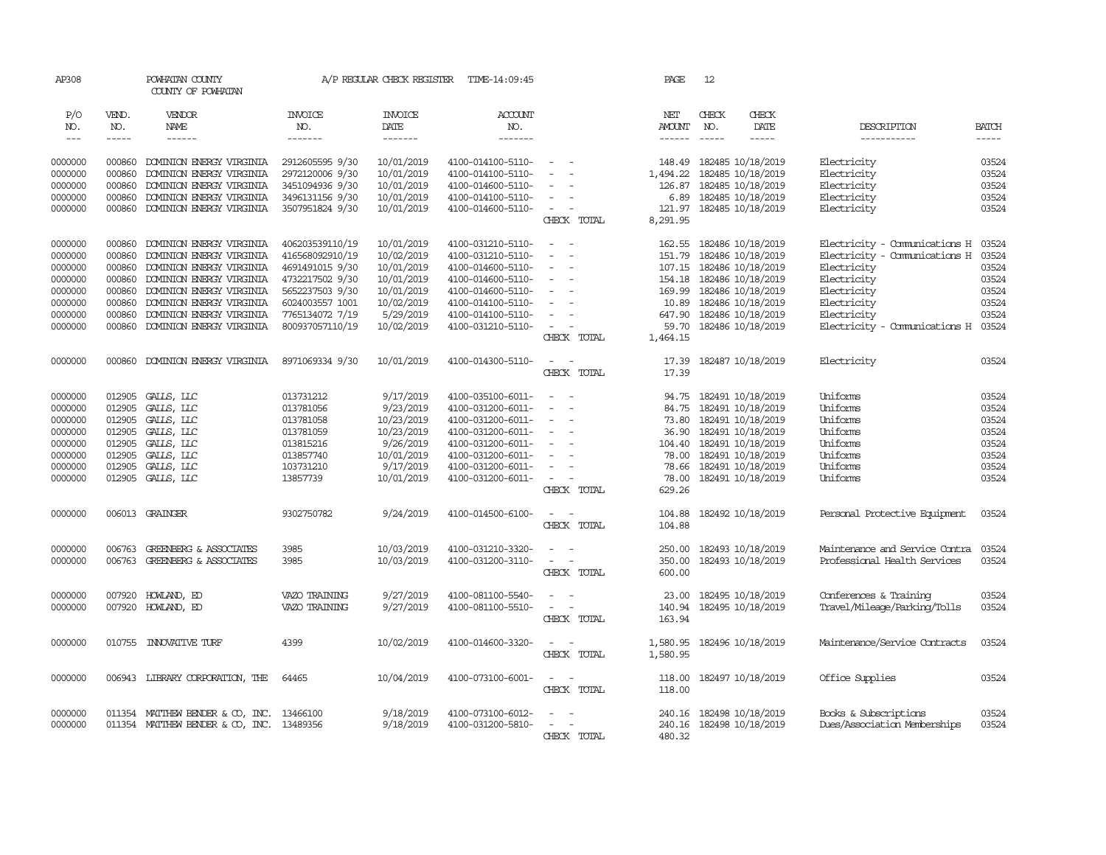| AP308         |              | POWHATAN COUNTY<br>COUNTY OF POWHATAN     |                       | A/P REGULAR CHECK REGISTER | TIME-14:09:45         |                                    | PAGE                 | 12                         |                   |                                |              |
|---------------|--------------|-------------------------------------------|-----------------------|----------------------------|-----------------------|------------------------------------|----------------------|----------------------------|-------------------|--------------------------------|--------------|
| P/O<br>NO.    | VEND.<br>NO. | VENDOR<br>NAME                            | <b>INVOICE</b><br>NO. | <b>INVOICE</b><br>DATE     | <b>ACCOUNT</b><br>NO. |                                    | NET<br><b>AMOUNT</b> | CHECK<br>NO.               | CHECK<br>DATE     | DESCRIPTION                    | <b>BATCH</b> |
| $\frac{1}{2}$ | -----        | $- - - - - -$                             | -------               | -------                    | -------               |                                    | $- - - - - -$        | $\frac{1}{2}$              | -----             | ------------                   | $- - - - -$  |
|               |              |                                           |                       |                            |                       |                                    |                      |                            |                   |                                |              |
| 0000000       | 000860       | DOMINION ENERGY VIRGINIA                  | 2912605595 9/30       | 10/01/2019                 | 4100-014100-5110-     | $\sim$                             | 148.49               | 182485 10/18/2019          |                   | Electricity                    | 03524        |
| 0000000       | 000860       | DOMINION ENERGY VIRGINIA                  | 2972120006 9/30       | 10/01/2019                 | 4100-014100-5110-     | $\equiv$                           | 1,494.22             | 182485 10/18/2019          |                   | Electricity                    | 03524        |
| 0000000       | 000860       | DOMINION ENERGY VIRGINIA                  | 3451094936 9/30       | 10/01/2019                 | 4100-014600-5110-     | $\sim$                             | 126.87               | 182485 10/18/2019          |                   | Electricity                    | 03524        |
| 0000000       | 000860       | DOMINION ENERGY VIRGINIA                  | 3496131156 9/30       | 10/01/2019                 | 4100-014100-5110-     | $\overline{\phantom{a}}$           | 6.89                 | 182485 10/18/2019          |                   | Electricity                    | 03524        |
| 0000000       | 000860       | DOMINION ENERGY VIRGINIA                  | 3507951824 9/30       | 10/01/2019                 | 4100-014600-5110-     | $\sim$<br>$\overline{\phantom{a}}$ | 121.97               | 182485 10/18/2019          |                   | Electricity                    | 03524        |
|               |              |                                           |                       |                            |                       | CHECK TOTAL                        | 8,291.95             |                            |                   |                                |              |
| 0000000       | 000860       | DOMINION ENERGY VIRGINIA                  | 406203539110/19       | 10/01/2019                 | 4100-031210-5110-     | $\overline{\phantom{a}}$           | 162.55               | 182486 10/18/2019          |                   | Electricity - Comunications H  | 03524        |
|               | 000860       |                                           | 416568092910/19       | 10/02/2019                 | 4100-031210-5110-     |                                    | 151.79               |                            | 182486 10/18/2019 | Electricity - Comunications H  | 03524        |
| 0000000       |              | DOMINION ENERGY VIRGINIA                  |                       |                            |                       |                                    |                      |                            |                   |                                |              |
| 0000000       | 000860       | DOMINION ENERGY VIRGINIA                  | 4691491015 9/30       | 10/01/2019                 | 4100-014600-5110-     | $\equiv$                           | 107.15               | 182486 10/18/2019          |                   | Electricity                    | 03524        |
| 0000000       | 000860       | DOMINION ENERGY VIRGINIA                  | 4732217502 9/30       | 10/01/2019                 | 4100-014600-5110-     | $\sim$                             | 154.18               | 182486 10/18/2019          |                   | Electricity                    | 03524        |
| 0000000       | 000860       | DOMINION ENERGY VIRGINIA                  | 5652237503 9/30       | 10/01/2019                 | 4100-014600-5110-     | $\equiv$                           | 169.99               |                            | 182486 10/18/2019 | Electricity                    | 03524        |
| 0000000       | 000860       | DOMINION ENERGY VIRGINIA                  | 6024003557 1001       | 10/02/2019                 | 4100-014100-5110-     | $\equiv$                           | 10.89                | 182486 10/18/2019          |                   | Electricity                    | 03524        |
| 0000000       | 000860       | DOMINION ENERGY VIRGINIA                  | 7765134072 7/19       | 5/29/2019                  | 4100-014100-5110-     | $\sim$                             | 647.90               | 182486 10/18/2019          |                   | Electricity                    | 03524        |
| 0000000       | 000860       | DOMINION ENERGY VIRGINIA                  | 800937057110/19       | 10/02/2019                 | 4100-031210-5110-     | $\sim$                             | 59.70                | 182486 10/18/2019          |                   | Electricity - Comunications H  | 03524        |
|               |              |                                           |                       |                            |                       | CHECK TOTAL                        | 1,464.15             |                            |                   |                                |              |
| 0000000       | 000860       | DOMINION ENERGY VIRGINIA                  | 8971069334 9/30       | 10/01/2019                 | 4100-014300-5110-     | $\sim$<br>$\sim$                   | 17.39                |                            | 182487 10/18/2019 | Electricity                    | 03524        |
|               |              |                                           |                       |                            |                       | CHECK TOTAL                        |                      |                            |                   |                                |              |
|               |              |                                           |                       |                            |                       |                                    | 17.39                |                            |                   |                                |              |
| 0000000       |              | 012905 GALLS, LLC                         | 013731212             | 9/17/2019                  | 4100-035100-6011-     | $\sim$                             | 94.75                |                            | 182491 10/18/2019 | Uniforms                       | 03524        |
| 0000000       | 012905       | GALLS, LLC                                | 013781056             | 9/23/2019                  | 4100-031200-6011-     |                                    | 84.75                | 182491 10/18/2019          |                   | Uniforms                       | 03524        |
| 0000000       | 012905       | GALLS, LLC                                | 013781058             | 10/23/2019                 | 4100-031200-6011-     | $\overline{\phantom{a}}$           | 73.80                |                            | 182491 10/18/2019 | Uniforms                       | 03524        |
| 0000000       | 012905       | GALLS, LLC                                | 013781059             | 10/23/2019                 | 4100-031200-6011-     | $\equiv$                           | 36.90                | 182491 10/18/2019          |                   | Uniforms                       | 03524        |
| 0000000       | 012905       | GALLS, LLC                                | 013815216             | 9/26/2019                  | 4100-031200-6011-     | $\equiv$                           | 104.40               | 182491 10/18/2019          |                   | Uniforms                       | 03524        |
| 0000000       | 012905       | GALLS, LLC                                | 013857740             | 10/01/2019                 | 4100-031200-6011-     |                                    | 78.00                | 182491 10/18/2019          |                   | Uniforms                       | 03524        |
| 0000000       | 012905       | GALLS, LLC                                | 103731210             | 9/17/2019                  | 4100-031200-6011-     | $\equiv$                           | 78.66                | 182491 10/18/2019          |                   | Uniforms                       | 03524        |
| 0000000       |              | 012905 GALLS, LLC                         | 13857739              | 10/01/2019                 | 4100-031200-6011-     | $\sim$<br>$\sim$                   | 78.00                | 182491 10/18/2019          |                   | Uniforms                       | 03524        |
|               |              |                                           |                       |                            |                       |                                    |                      |                            |                   |                                |              |
|               |              |                                           |                       |                            |                       | CHECK TOTAL                        | 629.26               |                            |                   |                                |              |
| 0000000       |              | 006013 GRAINGER                           | 9302750782            | 9/24/2019                  | 4100-014500-6100-     | $\overline{\phantom{a}}$           | 104.88               |                            | 182492 10/18/2019 | Personal Protective Equipment  | 03524        |
|               |              |                                           |                       |                            |                       | CHECK TOTAL                        | 104.88               |                            |                   |                                |              |
| 0000000       | 006763       | GREENBERG & ASSOCIATES                    | 3985                  | 10/03/2019                 | 4100-031210-3320-     | $\sim$                             | 250.00               |                            | 182493 10/18/2019 | Maintenance and Service Contra | 03524        |
| 0000000       | 006763       | GREENBERG & ASSOCIATES                    | 3985                  | 10/03/2019                 | 4100-031200-3110-     | $\equiv$<br>$\sim$                 | 350.00               |                            | 182493 10/18/2019 | Professional Health Services   | 03524        |
|               |              |                                           |                       |                            |                       |                                    |                      |                            |                   |                                |              |
|               |              |                                           |                       |                            |                       | CHECK TOTAL                        | 600.00               |                            |                   |                                |              |
| 0000000       | 007920       | HOWLAND, ED                               | VAZO TRAINING         | 9/27/2019                  | 4100-081100-5540-     | $\equiv$                           | 23.00                |                            | 182495 10/18/2019 | Conferences & Training         | 03524        |
| 0000000       | 007920       | HOWLAND, ED                               | VAZO TRAINING         | 9/27/2019                  | 4100-081100-5510-     | $\sim$<br>$\sim$                   | 140.94               | 182495 10/18/2019          |                   | Travel/Mileage/Parking/Tolls   | 03524        |
|               |              |                                           |                       |                            |                       | CHECK TOTAL                        | 163.94               |                            |                   |                                |              |
|               |              |                                           |                       |                            |                       |                                    |                      |                            |                   |                                |              |
| 0000000       |              | 010755 INNOVATIVE TURF                    | 4399                  | 10/02/2019                 | 4100-014600-3320-     | $\sim$ 100 $\sim$                  |                      | 1,580.95 182496 10/18/2019 |                   | Maintenance/Service Contracts  | 03524        |
|               |              |                                           |                       |                            |                       | CHECK TOTAL                        | 1,580.95             |                            |                   |                                |              |
| 0000000       |              | 006943 LIBRARY CORPORATION, THE           | 64465                 | 10/04/2019                 | 4100-073100-6001-     | $\sim$ $-$<br>$\sim$               | 118.00               | 182497 10/18/2019          |                   | Office Supplies                | 03524        |
|               |              |                                           |                       |                            |                       | CHECK TOTAL                        | 118.00               |                            |                   |                                |              |
|               |              |                                           |                       |                            |                       |                                    |                      |                            |                   |                                |              |
| 0000000       |              | 011354 MATTHEW BENDER & CO, INC.          | 13466100              | 9/18/2019                  | 4100-073100-6012-     |                                    | 240.16               | 182498 10/18/2019          |                   | Books & Subscriptions          | 03524        |
| 0000000       |              | 011354 MATTHEW BENDER & CO, INC. 13489356 |                       | 9/18/2019                  | 4100-031200-5810-     |                                    | 240.16               | 182498 10/18/2019          |                   | Dues/Association Memberships   | 03524        |
|               |              |                                           |                       |                            |                       | CHECK TOTAL                        | 480.32               |                            |                   |                                |              |
|               |              |                                           |                       |                            |                       |                                    |                      |                            |                   |                                |              |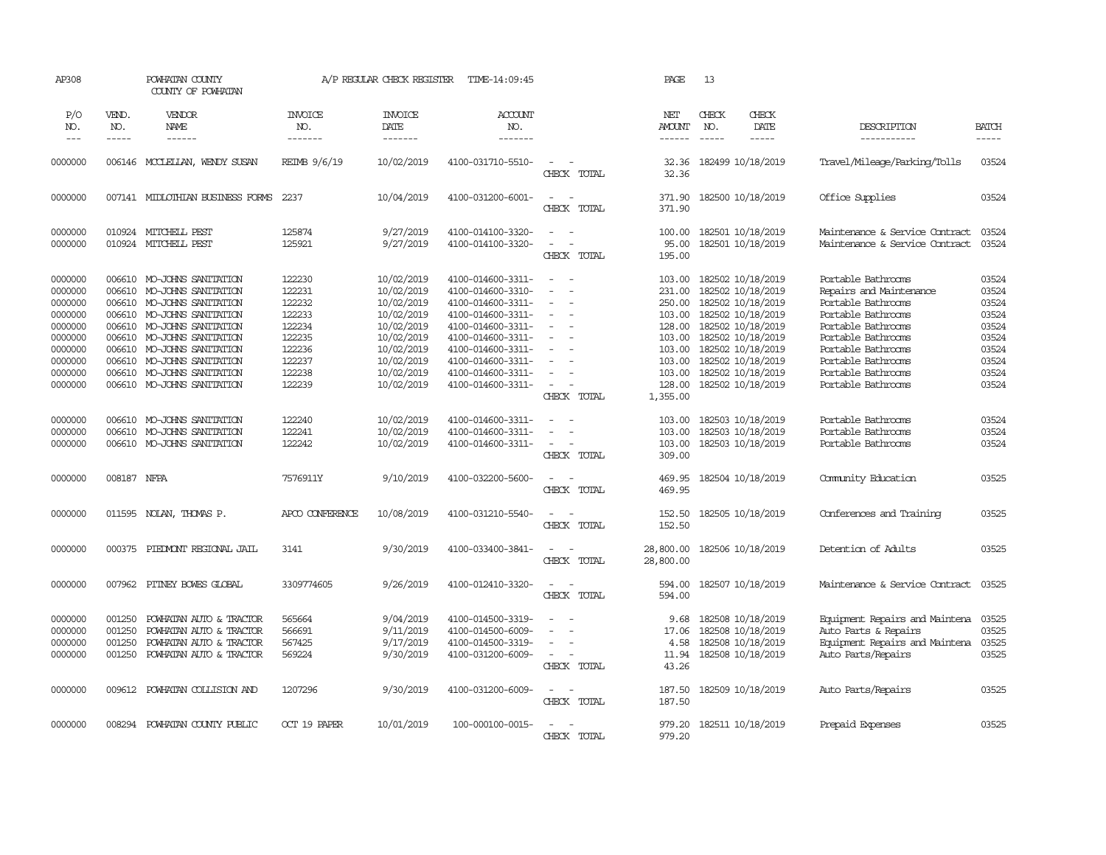| AP308                                                                                                      |                                                                                        | POWHATAN COUNTY<br>COUNTY OF POWHATAN                                                                                                                                                                                                                                                                                                                                                                                                                                                               |                                                                                                  | A/P REGULAR CHECK REGISTER                                                                                                               | TIME-14:09:45                                                                                                                                                                                                  |                                                                                                                     | PAGE                                                                                                         | 13                            |                                                                                                                                                                                                                |                                                                                                                                                                                                                               |                                                                                        |
|------------------------------------------------------------------------------------------------------------|----------------------------------------------------------------------------------------|-----------------------------------------------------------------------------------------------------------------------------------------------------------------------------------------------------------------------------------------------------------------------------------------------------------------------------------------------------------------------------------------------------------------------------------------------------------------------------------------------------|--------------------------------------------------------------------------------------------------|------------------------------------------------------------------------------------------------------------------------------------------|----------------------------------------------------------------------------------------------------------------------------------------------------------------------------------------------------------------|---------------------------------------------------------------------------------------------------------------------|--------------------------------------------------------------------------------------------------------------|-------------------------------|----------------------------------------------------------------------------------------------------------------------------------------------------------------------------------------------------------------|-------------------------------------------------------------------------------------------------------------------------------------------------------------------------------------------------------------------------------|----------------------------------------------------------------------------------------|
| P/O<br>NO.<br>$---$                                                                                        | VEND.<br>NO.<br>$\frac{1}{2}$                                                          | VENDOR<br><b>NAME</b><br>$\frac{1}{2} \left( \frac{1}{2} \right) \left( \frac{1}{2} \right) \left( \frac{1}{2} \right) \left( \frac{1}{2} \right) \left( \frac{1}{2} \right) \left( \frac{1}{2} \right) \left( \frac{1}{2} \right) \left( \frac{1}{2} \right) \left( \frac{1}{2} \right) \left( \frac{1}{2} \right) \left( \frac{1}{2} \right) \left( \frac{1}{2} \right) \left( \frac{1}{2} \right) \left( \frac{1}{2} \right) \left( \frac{1}{2} \right) \left( \frac{1}{2} \right) \left( \frac$ | <b>INVOICE</b><br>NO.<br>-------                                                                 | <b>INVOICE</b><br>DATE<br>--------                                                                                                       | ACCOUNT<br>NO.<br>--------                                                                                                                                                                                     |                                                                                                                     | NET<br><b>AMOUNT</b><br>$- - - - - -$                                                                        | CHECK<br>NO.<br>$\frac{1}{2}$ | CHECK<br>DATE<br>$\frac{1}{2}$                                                                                                                                                                                 | DESCRIPTION<br>-----------                                                                                                                                                                                                    | <b>BATCH</b><br>-----                                                                  |
| 0000000                                                                                                    |                                                                                        | 006146 MCCLELLAN, WENDY SUSAN                                                                                                                                                                                                                                                                                                                                                                                                                                                                       | REIMB 9/6/19                                                                                     | 10/02/2019                                                                                                                               | 4100-031710-5510-                                                                                                                                                                                              | CHECK TOTAL                                                                                                         | 32.36<br>32.36                                                                                               |                               | 182499 10/18/2019                                                                                                                                                                                              | Travel/Mileage/Parking/Tolls                                                                                                                                                                                                  | 03524                                                                                  |
| 0000000                                                                                                    |                                                                                        | 007141 MIDLOTHIAN BUSINESS FORMS                                                                                                                                                                                                                                                                                                                                                                                                                                                                    | 2237                                                                                             | 10/04/2019                                                                                                                               | 4100-031200-6001-                                                                                                                                                                                              | $\sim$<br>$\sim$<br>CHECK TOTAL                                                                                     | 371.90<br>371.90                                                                                             |                               | 182500 10/18/2019                                                                                                                                                                                              | Office Supplies                                                                                                                                                                                                               | 03524                                                                                  |
| 0000000<br>0000000                                                                                         |                                                                                        | 010924 MITCHELL PEST<br>010924 MITCHELL PEST                                                                                                                                                                                                                                                                                                                                                                                                                                                        | 125874<br>125921                                                                                 | 9/27/2019<br>9/27/2019                                                                                                                   | 4100-014100-3320-<br>4100-014100-3320-                                                                                                                                                                         | $\sim$<br>$\sim$<br>$\sim$<br>$\sim$<br>CHECK TOTAL                                                                 | 100.00<br>95.00<br>195.00                                                                                    |                               | 182501 10/18/2019<br>182501 10/18/2019                                                                                                                                                                         | Maintenance & Service Contract<br>Maintenance & Service Contract                                                                                                                                                              | 03524<br>03524                                                                         |
| 0000000<br>0000000<br>0000000<br>0000000<br>0000000<br>0000000<br>0000000<br>0000000<br>0000000<br>0000000 | 006610<br>006610<br>006610<br>006610<br>006610<br>006610<br>006610<br>006610<br>006610 | MO-JOHNS SANITATION<br>MO-JOHNS SANITATION<br>MO-JOHNS SANITATION<br>MO-JOHNS SANITATION<br>MO-JOHNS SANITATION<br>MO-JOHNS SANITATION<br>MO-JOHNS SANITATION<br>MO-JOHNS SANITATION<br>MO-JOHNS SANITATION<br>006610 MO-JOHNS SANITATION                                                                                                                                                                                                                                                           | 122230<br>122231<br>122232<br>122233<br>122234<br>122235<br>122236<br>122237<br>122238<br>122239 | 10/02/2019<br>10/02/2019<br>10/02/2019<br>10/02/2019<br>10/02/2019<br>10/02/2019<br>10/02/2019<br>10/02/2019<br>10/02/2019<br>10/02/2019 | 4100-014600-3311-<br>4100-014600-3310-<br>4100-014600-3311-<br>4100-014600-3311-<br>4100-014600-3311-<br>4100-014600-3311-<br>4100-014600-3311-<br>4100-014600-3311-<br>4100-014600-3311-<br>4100-014600-3311- | $\equiv$<br>$\sim$<br>$\overline{a}$<br>$\sim$<br>$\equiv$<br>$\overline{a}$<br>$\equiv$<br>$\equiv$<br>CHECK TOTAL | 103.00<br>231.00<br>250.00<br>103.00<br>128.00<br>103.00<br>103.00<br>103.00<br>103.00<br>128.00<br>1,355.00 |                               | 182502 10/18/2019<br>182502 10/18/2019<br>182502 10/18/2019<br>182502 10/18/2019<br>182502 10/18/2019<br>182502 10/18/2019<br>182502 10/18/2019<br>182502 10/18/2019<br>182502 10/18/2019<br>182502 10/18/2019 | Portable Bathrooms<br>Repairs and Maintenance<br>Portable Bathrooms<br>Portable Bathrooms<br>Portable Bathrooms<br>Portable Bathrooms<br>Portable Bathrooms<br>Portable Bathrooms<br>Portable Bathrooms<br>Portable Bathrooms | 03524<br>03524<br>03524<br>03524<br>03524<br>03524<br>03524<br>03524<br>03524<br>03524 |
| 0000000<br>0000000<br>0000000                                                                              | 006610                                                                                 | 006610 MO-JOHNS SANITATION<br>MO-JOHNS SANITATION<br>006610 MO-JOHNS SANITATION                                                                                                                                                                                                                                                                                                                                                                                                                     | 122240<br>122241<br>122242                                                                       | 10/02/2019<br>10/02/2019<br>10/02/2019                                                                                                   | 4100-014600-3311-<br>4100-014600-3311-<br>4100-014600-3311-                                                                                                                                                    | $\sim$<br>$\overline{\phantom{a}}$<br>$\sim$<br>$\sim$<br>$\sim$<br>CHECK TOTAL                                     | 103.00<br>103.00<br>103.00<br>309.00                                                                         |                               | 182503 10/18/2019<br>182503 10/18/2019<br>182503 10/18/2019                                                                                                                                                    | Portable Bathrooms<br>Portable Bathrooms<br>Portable Bathrooms                                                                                                                                                                | 03524<br>03524<br>03524                                                                |
| 0000000                                                                                                    | 008187 NFPA                                                                            |                                                                                                                                                                                                                                                                                                                                                                                                                                                                                                     | 7576911Y                                                                                         | 9/10/2019                                                                                                                                | 4100-032200-5600-                                                                                                                                                                                              | $\sim$<br>$\sim$<br>CHECK TOTAL                                                                                     | 469.95<br>469.95                                                                                             |                               | 182504 10/18/2019                                                                                                                                                                                              | Comunity Education                                                                                                                                                                                                            | 03525                                                                                  |
| 0000000                                                                                                    |                                                                                        | 011595 NOLAN, THOMAS P.                                                                                                                                                                                                                                                                                                                                                                                                                                                                             | APCO CONFERENCE                                                                                  | 10/08/2019                                                                                                                               | 4100-031210-5540-                                                                                                                                                                                              | $\sim$ $\sim$<br>CHECK TOTAL                                                                                        | 152.50<br>152.50                                                                                             |                               | 182505 10/18/2019                                                                                                                                                                                              | Conferences and Training                                                                                                                                                                                                      | 03525                                                                                  |
| 0000000                                                                                                    | 000375                                                                                 | PIEDMONT REGIONAL JAIL                                                                                                                                                                                                                                                                                                                                                                                                                                                                              | 3141                                                                                             | 9/30/2019                                                                                                                                | 4100-033400-3841-                                                                                                                                                                                              | $\sim$<br>$\sim$ $-$<br>CHECK TOTAL                                                                                 | 28,800.00<br>28,800.00                                                                                       |                               | 182506 10/18/2019                                                                                                                                                                                              | Detention of Adults                                                                                                                                                                                                           | 03525                                                                                  |
| 0000000                                                                                                    | 007962                                                                                 | PITNEY BOWES GLOBAL                                                                                                                                                                                                                                                                                                                                                                                                                                                                                 | 3309774605                                                                                       | 9/26/2019                                                                                                                                | 4100-012410-3320-                                                                                                                                                                                              | $\sim$<br>$\sim$<br>CHECK TOTAL                                                                                     | 594.00<br>594.00                                                                                             |                               | 182507 10/18/2019                                                                                                                                                                                              | Maintenance & Service Contract                                                                                                                                                                                                | 03525                                                                                  |
| 0000000<br>0000000<br>0000000<br>0000000                                                                   | 001250<br>001250<br>001250<br>001250                                                   | POWHATAN AUTO & TRACTOR<br>POWHATAN AUTO & TRACTOR<br>POWHATAN AUTO & TRACTOR<br>POWHATAN AUTO & TRACTOR                                                                                                                                                                                                                                                                                                                                                                                            | 565664<br>566691<br>567425<br>569224                                                             | 9/04/2019<br>9/11/2019<br>9/17/2019<br>9/30/2019                                                                                         | 4100-014500-3319-<br>4100-014500-6009-<br>4100-014500-3319-<br>4100-031200-6009-                                                                                                                               | $\sim$<br>$\sim$<br>$\sim$<br>$\overline{a}$<br>$\sim$<br>$\sim$<br>CHECK TOTAL                                     | 9.68<br>17.06<br>4.58<br>11.94<br>43.26                                                                      |                               | 182508 10/18/2019<br>182508 10/18/2019<br>182508 10/18/2019<br>182508 10/18/2019                                                                                                                               | Equipment Repairs and Maintena<br>Auto Parts & Repairs<br>Equipment Repairs and Maintena<br>Auto Parts/Repairs                                                                                                                | 03525<br>03525<br>03525<br>03525                                                       |
| 0000000                                                                                                    | 009612                                                                                 | POWHATAN COLLISION AND                                                                                                                                                                                                                                                                                                                                                                                                                                                                              | 1207296                                                                                          | 9/30/2019                                                                                                                                | 4100-031200-6009-                                                                                                                                                                                              | $\sim$<br>$\sim$<br>CHECK TOTAL                                                                                     | 187.50<br>187.50                                                                                             |                               | 182509 10/18/2019                                                                                                                                                                                              | Auto Parts/Repairs                                                                                                                                                                                                            | 03525                                                                                  |
| 0000000                                                                                                    |                                                                                        | 008294 POWHATAN COUNTY PUBLIC                                                                                                                                                                                                                                                                                                                                                                                                                                                                       | OCT 19 PAPER                                                                                     | 10/01/2019                                                                                                                               | 100-000100-0015-                                                                                                                                                                                               | $\sim$ $ \sim$<br>CHECK TOTAL                                                                                       | 979.20<br>979.20                                                                                             |                               | 182511 10/18/2019                                                                                                                                                                                              | Prepaid Expenses                                                                                                                                                                                                              | 03525                                                                                  |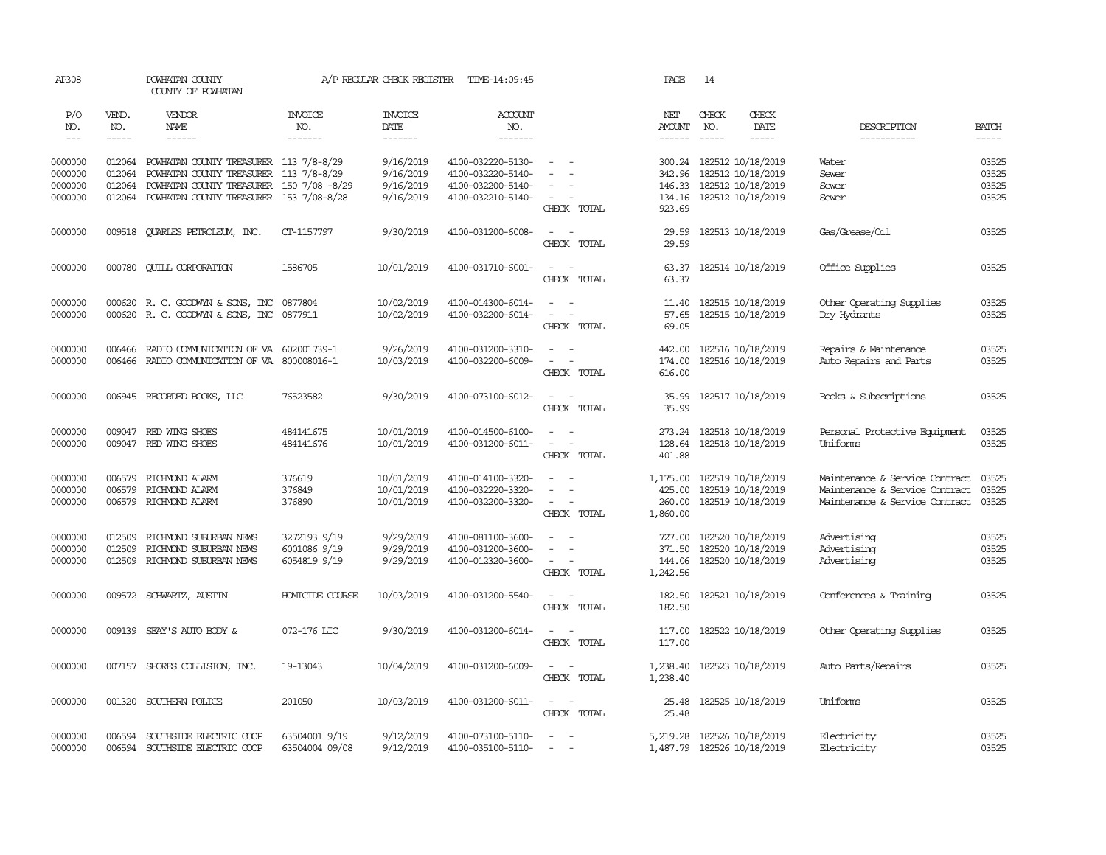| AP308                         |                               | POWHATAN COUNTY<br>COUNTY OF POWHATAN                                                                                        |                                              | A/P REGULAR CHECK REGISTER             | TIME-14:09:45                                               |                                                                                                               | PAGE                                   | 14                                                                 |                                                                                                    |                               |
|-------------------------------|-------------------------------|------------------------------------------------------------------------------------------------------------------------------|----------------------------------------------|----------------------------------------|-------------------------------------------------------------|---------------------------------------------------------------------------------------------------------------|----------------------------------------|--------------------------------------------------------------------|----------------------------------------------------------------------------------------------------|-------------------------------|
| P/O<br>NO.<br>$\frac{1}{2}$   | VEND.<br>NO.<br>$\frac{1}{2}$ | <b>VENDOR</b><br>NAME<br>------                                                                                              | <b>INVOICE</b><br>NO.<br>-------             | <b>INVOICE</b><br>DATE<br>-------      | <b>ACCOUNT</b><br>NO.<br>-------                            |                                                                                                               | NET<br><b>AMOUNT</b><br>$- - - - - -$  | CHECK<br>CHECK<br>NO.<br>DATE<br>$\frac{1}{2}$<br>$- - - - -$      | DESCRIPTION<br>-----------                                                                         | <b>BATCH</b><br>$\frac{1}{2}$ |
| 0000000<br>0000000<br>0000000 | 012064<br>012064<br>012064    | POWHATAN COUNTY TREASURER 113 7/8-8/29<br>POWHATAN COUNTY TREASURER 113 7/8-8/29<br>POWHATAN COUNTY TREASURER 150 7/08 -8/29 |                                              | 9/16/2019<br>9/16/2019<br>9/16/2019    | 4100-032220-5130-<br>4100-032220-5140-<br>4100-032200-5140- | $\sim$<br>$\equiv$                                                                                            | 300.24<br>342.96<br>146.33             | 182512 10/18/2019<br>182512 10/18/2019<br>182512 10/18/2019        | Water<br>Sewer<br>Sewer                                                                            | 03525<br>03525<br>03525       |
| 0000000                       | 012064                        | POWHATAN COUNTY TREASURER 153 7/08-8/28                                                                                      |                                              | 9/16/2019                              | 4100-032210-5140-                                           | CHECK TOTAL                                                                                                   | 923.69                                 | 134.16 182512 10/18/2019                                           | Sewer                                                                                              | 03525                         |
| 0000000                       | 009518                        | <b>OUARLES PETROLEUM, INC.</b>                                                                                               | CT-1157797                                   | 9/30/2019                              | 4100-031200-6008-                                           | $\sim$<br>$\sim$<br>CHECK TOTAL                                                                               | 29.59<br>29.59                         | 182513 10/18/2019                                                  | Gas/Grease/Oil                                                                                     | 03525                         |
| 0000000                       | 000780                        | <b>CUILL CORPORATION</b>                                                                                                     | 1586705                                      | 10/01/2019                             | 4100-031710-6001-                                           | $\overline{\phantom{a}}$<br>$\sim$<br>CHECK TOTAL                                                             | 63.37<br>63.37                         | 182514 10/18/2019                                                  | Office Supplies                                                                                    | 03525                         |
| 0000000<br>0000000            |                               | 000620 R. C. GOODWIN & SONS, INC<br>000620 R.C. GOODWYN & SONS, INC                                                          | 0877804<br>0877911                           | 10/02/2019<br>10/02/2019               | 4100-014300-6014-<br>4100-032200-6014-                      | $\sim$<br>$\sim$<br>$\equiv$<br>CHECK TOTAL                                                                   | 11.40<br>57.65<br>69.05                | 182515 10/18/2019<br>182515 10/18/2019                             | Other Operating Supplies<br>Dry Hydrants                                                           | 03525<br>03525                |
| 0000000<br>0000000            | 006466<br>006466              | RADIO COMMUNICATION OF VA<br>RADIO COMUNICATION OF VA 800008016-1                                                            | 602001739-1                                  | 9/26/2019<br>10/03/2019                | 4100-031200-3310-<br>4100-032200-6009-                      | $\sim$<br>$\sim$<br>$\sim$<br>$\sim$<br>CHECK TOTAL                                                           | 442.00<br>174.00<br>616.00             | 182516 10/18/2019<br>182516 10/18/2019                             | Repairs & Maintenance<br>Auto Repairs and Parts                                                    | 03525<br>03525                |
| 0000000                       |                               | 006945 RECORDED BOOKS, LLC                                                                                                   | 76523582                                     | 9/30/2019                              | 4100-073100-6012-                                           | $\sim$<br>$\sim$<br>CHECK TOTAL                                                                               | 35.99<br>35.99                         | 182517 10/18/2019                                                  | Books & Subscriptions                                                                              | 03525                         |
| 0000000<br>0000000            | 009047                        | RED WING SHOES<br>009047 RED WING SHOES                                                                                      | 484141675<br>484141676                       | 10/01/2019<br>10/01/2019               | 4100-014500-6100-<br>4100-031200-6011-                      | $\sim$<br>$\equiv$<br>$\sim$<br>CHECK TOTAL                                                                   | 273.24<br>128.64<br>401.88             | 182518 10/18/2019<br>182518 10/18/2019                             | Personal Protective Equipment<br>Uniforms                                                          | 03525<br>03525                |
| 0000000<br>0000000<br>0000000 | 006579<br>006579              | RICHMOND ALARM<br>RICHMOND ALARM<br>006579 RICHMOND ALARM                                                                    | 376619<br>376849<br>376890                   | 10/01/2019<br>10/01/2019<br>10/01/2019 | 4100-014100-3320-<br>4100-032220-3320-<br>4100-032200-3320- | $\sim$<br>CHECK TOTAL                                                                                         | 1,175.00<br>425.00<br>1,860.00         | 182519 10/18/2019<br>182519 10/18/2019<br>260.00 182519 10/18/2019 | Maintenance & Service Contract<br>Maintenance & Service Contract<br>Maintenance & Service Contract | 03525<br>03525<br>03525       |
| 0000000<br>0000000<br>0000000 | 012509<br>012509<br>012509    | RICHMOND SUBURBAN NEWS<br>RICHMOND SUBURBAN NEWS<br>RICHMOND SUBURBAN NEWS                                                   | 3272193 9/19<br>6001086 9/19<br>6054819 9/19 | 9/29/2019<br>9/29/2019<br>9/29/2019    | 4100-081100-3600-<br>4100-031200-3600-<br>4100-012320-3600- | $\sim$<br>- 11<br>$\sim$<br>CHECK TOTAL                                                                       | 727.00<br>371.50<br>144.06<br>1,242.56 | 182520 10/18/2019<br>182520 10/18/2019<br>182520 10/18/2019        | Advertising<br>Advertising<br>Advertising                                                          | 03525<br>03525<br>03525       |
| 0000000                       |                               | 009572 SCHWARTZ, AUSTIN                                                                                                      | <b>HOMICIDE COURSE</b>                       | 10/03/2019                             | 4100-031200-5540-                                           | $\sim$<br>$\sim$<br>CHECK TOTAL                                                                               | 182.50<br>182.50                       | 182521 10/18/2019                                                  | Conferences & Training                                                                             | 03525                         |
| 0000000                       |                               | 009139 SEAY'S AUTO BODY &                                                                                                    | 072-176 LIC                                  | 9/30/2019                              | 4100-031200-6014-                                           | $\frac{1}{2} \left( \frac{1}{2} \right) \left( \frac{1}{2} \right) \left( \frac{1}{2} \right)$<br>CHECK TOTAL | 117.00<br>117.00                       | 182522 10/18/2019                                                  | Other Operating Supplies                                                                           | 03525                         |
| 0000000                       | 007157                        | SHORES COLLISION, INC.                                                                                                       | 19-13043                                     | 10/04/2019                             | 4100-031200-6009-                                           | $\sim$ $ \sim$<br>CHECK TOTAL                                                                                 | 1,238.40<br>1,238.40                   | 182523 10/18/2019                                                  | Auto Parts/Repairs                                                                                 | 03525                         |
| 0000000                       | 001320                        | SOUTHERN POLICE                                                                                                              | 201050                                       | 10/03/2019                             | 4100-031200-6011-                                           | $\sim$<br>$\sim$<br>CHECK TOTAL                                                                               | 25.48<br>25.48                         | 182525 10/18/2019                                                  | Uniforms                                                                                           | 03525                         |
| 0000000<br>0000000            | 006594<br>006594              | SOUTHSIDE ELECTRIC COOP<br>SOUTHSIDE ELECTRIC COOP                                                                           | 63504001 9/19<br>63504004 09/08              | 9/12/2019<br>9/12/2019                 | 4100-073100-5110-<br>4100-035100-5110-                      | $\frac{1}{2} \left( \frac{1}{2} \right) \left( \frac{1}{2} \right) = \frac{1}{2} \left( \frac{1}{2} \right)$  | 5,219.28                               | 182526 10/18/2019<br>1,487.79 182526 10/18/2019                    | Electricity<br>Electricity                                                                         | 03525<br>03525                |
|                               |                               |                                                                                                                              |                                              |                                        |                                                             |                                                                                                               |                                        |                                                                    |                                                                                                    |                               |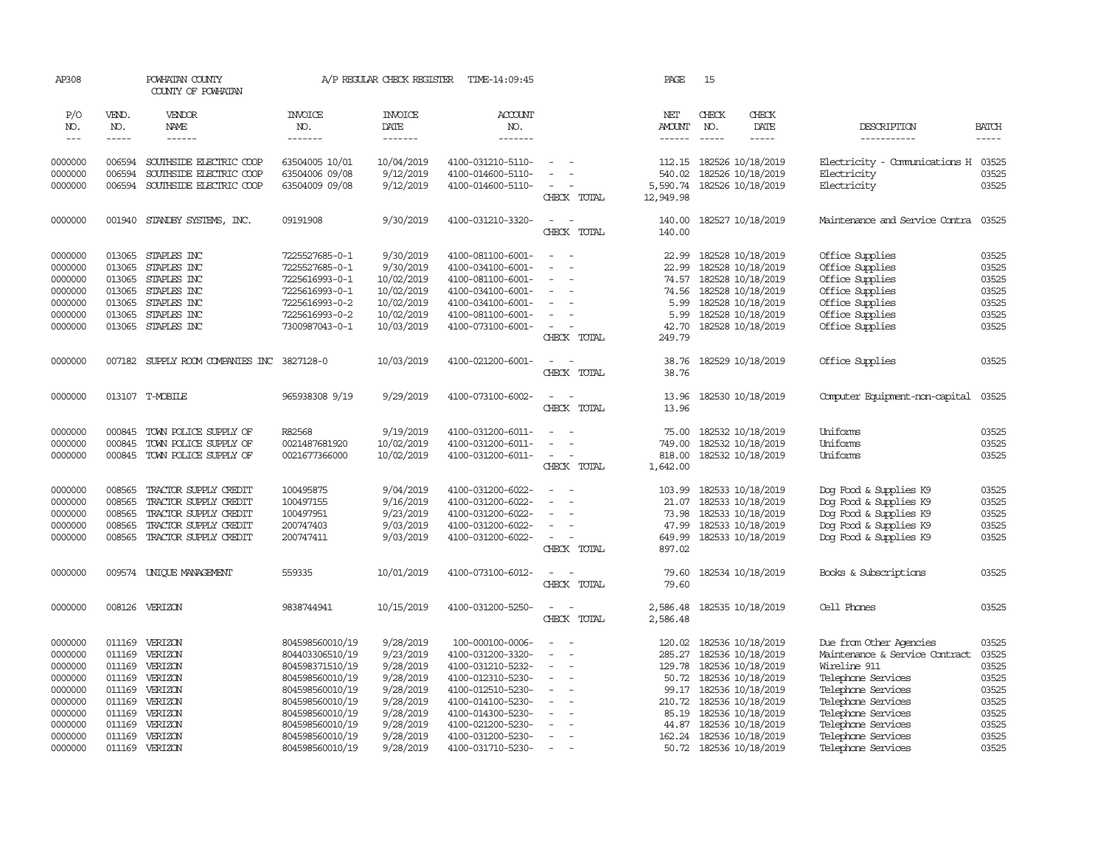| AP308              |                  | POWHATAN COUNTY<br>COUNTY OF POWHATAN              |                                    | A/P REGULAR CHECK REGISTER | TIME-14:09:45                          |                                                      | PAGE                  | 15           |                                        |                                                    |                |
|--------------------|------------------|----------------------------------------------------|------------------------------------|----------------------------|----------------------------------------|------------------------------------------------------|-----------------------|--------------|----------------------------------------|----------------------------------------------------|----------------|
| P/O<br>NO.         | VEND.<br>NO.     | VENDOR<br>NAME                                     | <b>INVOICE</b><br>NO.              | <b>INVOICE</b><br>DATE     | ACCOUNT<br>NO.                         |                                                      | NET<br>AMOUNT         | CHECK<br>NO. | CHECK<br>DATE                          | DESCRIPTION                                        | <b>BATCH</b>   |
| $---$              | -----            | $- - - - - -$                                      | -------                            | -------                    | -------                                |                                                      | $- - - - - -$         |              | -----                                  | -----------                                        | $- - - - -$    |
| 0000000<br>0000000 | 006594<br>006594 | SOUTHSIDE ELECTRIC COOP<br>SOUTHSIDE ELECTRIC COOP | 63504005 10/01<br>63504006 09/08   | 10/04/2019<br>9/12/2019    | 4100-031210-5110-<br>4100-014600-5110- | $\equiv$                                             | 112.15<br>540.02      |              | 182526 10/18/2019<br>182526 10/18/2019 | Electricity - Comunications H 03525<br>Electricity | 03525          |
| 0000000            | 006594           | SOUTHSIDE ELECTRIC COOP                            | 63504009 09/08                     | 9/12/2019                  | 4100-014600-5110-                      | CHECK TOTAL                                          | 5,590.74<br>12,949.98 |              | 182526 10/18/2019                      | Electricity                                        | 03525          |
| 0000000            | 001940           | STANDBY SYSTEMS, INC.                              | 09191908                           | 9/30/2019                  | 4100-031210-3320-                      | $\sim$<br>$\overline{\phantom{a}}$<br>CHECK TOTAL    | 140.00<br>140.00      |              | 182527 10/18/2019                      | Maintenance and Service Contra                     | 03525          |
| 0000000            | 013065           | STAPLES INC                                        | 7225527685-0-1                     | 9/30/2019                  | 4100-081100-6001-                      | $\sim$<br>$\sim$                                     | 22.99                 |              | 182528 10/18/2019                      | Office Supplies                                    | 03525          |
| 0000000            | 013065           | STAPLES INC                                        | 7225527685-0-1                     | 9/30/2019                  | 4100-034100-6001-                      | $\blacksquare$                                       | 22.99                 |              | 182528 10/18/2019                      | Office Supplies                                    | 03525          |
| 0000000            | 013065           | STAPLES INC                                        | 7225616993-0-1                     | 10/02/2019                 | 4100-081100-6001-                      | $\equiv$                                             | 74.57                 |              | 182528 10/18/2019                      | Office Supplies                                    | 03525          |
| 0000000            | 013065           | STAPLES INC                                        | 7225616993-0-1                     | 10/02/2019                 | 4100-034100-6001-                      | $\sim$                                               | 74.56                 |              | 182528 10/18/2019                      | Office Supplies                                    | 03525          |
| 0000000            | 013065           | STAPLES INC                                        | 7225616993-0-2                     | 10/02/2019                 | 4100-034100-6001-                      | $\overline{\phantom{a}}$                             | 5.99                  |              | 182528 10/18/2019                      | Office Supplies                                    | 03525          |
| 0000000            | 013065           | STAPLES INC                                        | 7225616993-0-2                     | 10/02/2019                 | 4100-081100-6001-                      |                                                      | 5.99                  |              | 182528 10/18/2019                      | Office Supplies                                    | 03525          |
| 0000000            |                  | 013065 STAPLES INC                                 | 7300987043-0-1                     | 10/03/2019                 | 4100-073100-6001-                      | $\overline{\phantom{a}}$<br>CHECK TOTAL              | 42.70<br>249.79       |              | 182528 10/18/2019                      | Office Supplies                                    | 03525          |
| 0000000            |                  | 007182 SUPPLY ROOM COMPANIES INC 3827128-0         |                                    | 10/03/2019                 | 4100-021200-6001-                      | $\sim$ $\sim$<br>CHECK TOTAL                         | 38.76<br>38.76        |              | 182529 10/18/2019                      | Office Supplies                                    | 03525          |
| 0000000            |                  | 013107 T-MOBILE                                    | 965938308 9/19                     | 9/29/2019                  | 4100-073100-6002-                      | $\sim$<br>$\sim$<br>CHECK TOTAL                      | 13.96<br>13.96        |              | 182530 10/18/2019                      | Computer Equipment-non-capital                     | 03525          |
| 0000000            | 000845           | TOWN POLICE SUPPLY OF                              | R82568                             | 9/19/2019                  | 4100-031200-6011-                      |                                                      | 75.00                 |              | 182532 10/18/2019                      | Uniforms                                           | 03525          |
| 0000000            | 000845           | TOWN POLICE SUPPLY OF                              | 0021487681920                      | 10/02/2019                 | 4100-031200-6011-                      |                                                      | 749.00                |              | 182532 10/18/2019                      | Uniforms                                           | 03525          |
| 0000000            |                  | 000845 TOWN POLICE SUPPLY OF                       | 0021677366000                      | 10/02/2019                 | 4100-031200-6011-                      | $\sim$<br>$\overline{\phantom{a}}$<br>CHECK TOTAL    | 818.00<br>1,642.00    |              | 182532 10/18/2019                      | Uniforms                                           | 03525          |
| 0000000            | 008565           | TRACTOR SUPPLY CREDIT                              | 100495875                          | 9/04/2019                  | 4100-031200-6022-                      | ÷<br>- -                                             | 103.99                |              | 182533 10/18/2019                      | Dog Food & Supplies K9                             | 03525          |
| 0000000            | 008565           | TRACTOR SUPPLY CREDIT                              | 100497155                          | 9/16/2019                  | 4100-031200-6022-                      | $\equiv$<br>$\sim$                                   | 21.07                 |              | 182533 10/18/2019                      | Dog Food & Supplies K9                             | 03525          |
| 0000000            | 008565           | TRACTOR SUPPLY CREDIT                              | 100497951                          | 9/23/2019                  | 4100-031200-6022-                      | ÷.                                                   | 73.98                 |              | 182533 10/18/2019                      | Dog Food & Supplies K9                             | 03525          |
| 0000000            | 008565           | TRACTOR SUPPLY CREDIT                              | 200747403                          | 9/03/2019                  | 4100-031200-6022-                      |                                                      | 47.99                 |              | 182533 10/18/2019                      | Dog Food & Supplies K9                             | 03525          |
| 0000000            | 008565           | TRACTOR SUPPLY CREDIT                              | 200747411                          | 9/03/2019                  | 4100-031200-6022-                      | $\sim$<br>CHECK TOTAL                                | 649.99<br>897.02      |              | 182533 10/18/2019                      | Dog Food & Supplies K9                             | 03525          |
| 0000000            |                  | 009574 UNIQUE MANAGEMENT                           | 559335                             | 10/01/2019                 | 4100-073100-6012-                      | $\sim$<br>$\sim$<br>CHECK TOTAL                      | 79.60<br>79.60        |              | 182534 10/18/2019                      | Books & Subscriptions                              | 03525          |
| 0000000            |                  | 008126 VERIZON                                     | 9838744941                         | 10/15/2019                 | 4100-031200-5250-                      | $\sim$<br>$\overline{\phantom{a}}$<br>CHECK TOTAL    | 2,586.48<br>2,586.48  |              | 182535 10/18/2019                      | Cell Phones                                        | 03525          |
| 0000000            | 011169           | VERIZON                                            | 804598560010/19                    | 9/28/2019                  | 100-000100-0006-                       |                                                      | 120.02                |              | 182536 10/18/2019                      | Due from Other Agencies                            | 03525          |
| 0000000            | 011169           | VERIZON                                            | 804403306510/19                    | 9/23/2019                  | 4100-031200-3320-                      |                                                      | 285.27                |              | 182536 10/18/2019                      | Maintenance & Service Contract                     | 03525          |
| 0000000            | 011169           | VERIZON                                            | 804598371510/19                    | 9/28/2019                  | 4100-031210-5232-                      | $\sim$<br>$\sim$                                     | 129.78                |              | 182536 10/18/2019                      | Wireline 911                                       | 03525          |
| 0000000            | 011169           | VERIZON                                            | 804598560010/19                    | 9/28/2019                  | 4100-012310-5230-                      | $\sim$                                               | 50.72                 |              | 182536 10/18/2019                      | Telephone Services                                 | 03525          |
| 0000000            | 011169           | VERIZON                                            | 804598560010/19                    | 9/28/2019                  | 4100-012510-5230-                      | $\equiv$                                             |                       |              | 99.17 182536 10/18/2019                | Telephone Services                                 | 03525          |
| 0000000            | 011169           | VERIZON                                            | 804598560010/19                    | 9/28/2019                  | 4100-014100-5230-                      | ÷.                                                   | 210.72                |              | 182536 10/18/2019                      | Telephone Services                                 | 03525          |
| 0000000<br>0000000 | 011169<br>011169 | VERIZON<br>VERIZON                                 | 804598560010/19<br>804598560010/19 | 9/28/2019<br>9/28/2019     | 4100-014300-5230-<br>4100-021200-5230- | $\overline{\phantom{a}}$<br>$\overline{\phantom{a}}$ | 85.19<br>44.87        |              | 182536 10/18/2019<br>182536 10/18/2019 | Telephone Services<br>Telephone Services           | 03525<br>03525 |
| 0000000            | 011169           | VERIZON                                            | 804598560010/19                    | 9/28/2019                  | 4100-031200-5230-                      | $\sim$                                               | 162.24                |              | 182536 10/18/2019                      | Telephone Services                                 | 03525          |
| 0000000            |                  | 011169 VERIZON                                     | 804598560010/19                    | 9/28/2019                  | 4100-031710-5230-                      | $\overline{\phantom{a}}$                             |                       |              | 50.72 182536 10/18/2019                | Telephone Services                                 | 03525          |
|                    |                  |                                                    |                                    |                            |                                        |                                                      |                       |              |                                        |                                                    |                |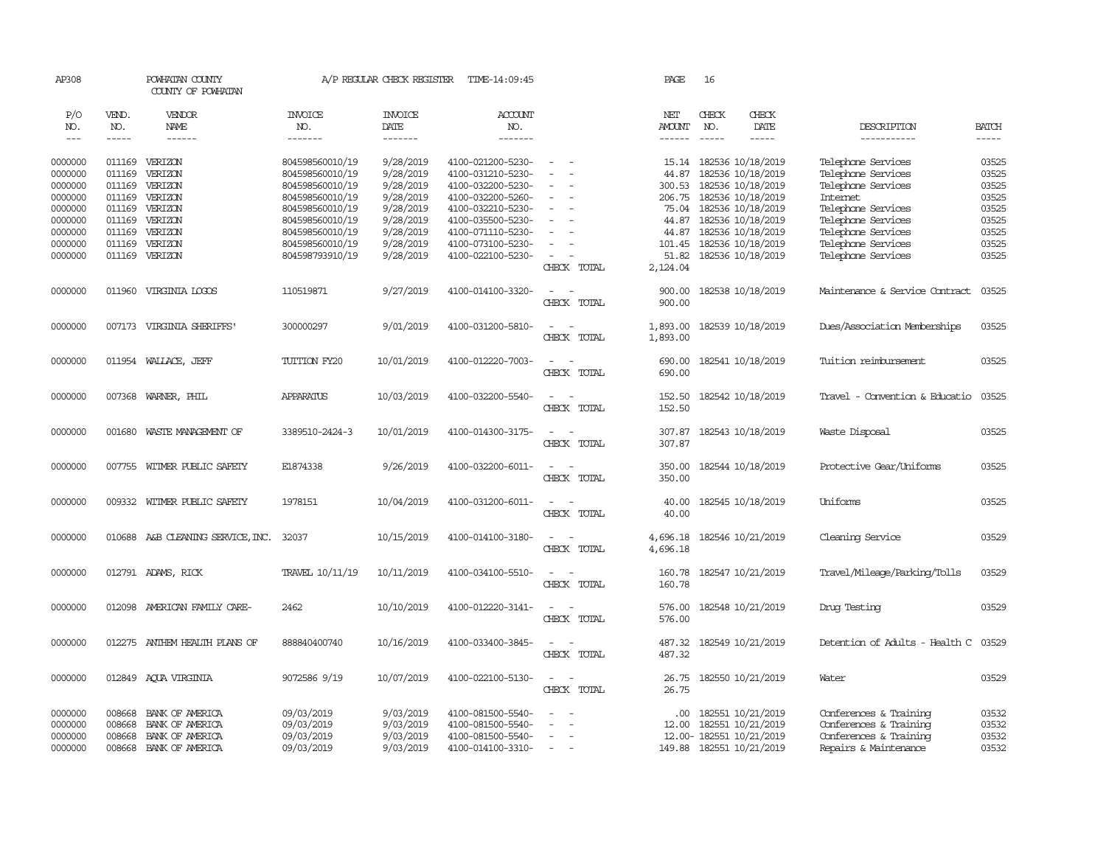| AP308   |        | POWHATAN COUNTY<br>COUNTY OF POWHATAN                                                                                                                                                                                                                                                                                                                                                                                                                                                  |                  | A/P REGULAR CHECK REGISTER | TIME-14:09:45     |                                      | PAGE          | 16            |                          |                                      |              |
|---------|--------|----------------------------------------------------------------------------------------------------------------------------------------------------------------------------------------------------------------------------------------------------------------------------------------------------------------------------------------------------------------------------------------------------------------------------------------------------------------------------------------|------------------|----------------------------|-------------------|--------------------------------------|---------------|---------------|--------------------------|--------------------------------------|--------------|
| P/O     | VEND.  | VENDOR                                                                                                                                                                                                                                                                                                                                                                                                                                                                                 | <b>INVOICE</b>   | <b>INVOICE</b>             | <b>ACCOUNT</b>    |                                      | NET           | CHECK         | CHECK                    |                                      |              |
| NO.     | NO.    | NAME                                                                                                                                                                                                                                                                                                                                                                                                                                                                                   | NO.              | DATE                       | NO.               |                                      | <b>AMOUNT</b> | NO.           | DATE                     | DESCRIPTION                          | <b>BATCH</b> |
| $---$   | -----  | $\begin{array}{cccccccccc} \multicolumn{2}{c}{} & \multicolumn{2}{c}{} & \multicolumn{2}{c}{} & \multicolumn{2}{c}{} & \multicolumn{2}{c}{} & \multicolumn{2}{c}{} & \multicolumn{2}{c}{} & \multicolumn{2}{c}{} & \multicolumn{2}{c}{} & \multicolumn{2}{c}{} & \multicolumn{2}{c}{} & \multicolumn{2}{c}{} & \multicolumn{2}{c}{} & \multicolumn{2}{c}{} & \multicolumn{2}{c}{} & \multicolumn{2}{c}{} & \multicolumn{2}{c}{} & \multicolumn{2}{c}{} & \multicolumn{2}{c}{} & \mult$ | -------          | -------                    | -------           |                                      | $- - - - - -$ | $\frac{1}{2}$ | $\frac{1}{2}$            | -----------                          | $\cdots$     |
| 0000000 |        | 011169 VERIZON                                                                                                                                                                                                                                                                                                                                                                                                                                                                         | 804598560010/19  | 9/28/2019                  | 4100-021200-5230- | $\sim$<br>$\sim$                     |               |               | 15.14 182536 10/18/2019  | Telephone Services                   | 03525        |
| 0000000 | 011169 | VERIZON                                                                                                                                                                                                                                                                                                                                                                                                                                                                                | 804598560010/19  | 9/28/2019                  | 4100-031210-5230- | $\equiv$                             | 44.87         |               | 182536 10/18/2019        | Telephone Services                   | 03525        |
| 0000000 | 011169 | VERIZON                                                                                                                                                                                                                                                                                                                                                                                                                                                                                | 804598560010/19  | 9/28/2019                  | 4100-032200-5230- |                                      | 300.53        |               | 182536 10/18/2019        | Telephone Services                   | 03525        |
| 0000000 | 011169 | VERIZON                                                                                                                                                                                                                                                                                                                                                                                                                                                                                | 804598560010/19  | 9/28/2019                  | 4100-032200-5260- | $\equiv$                             | 206.75        |               | 182536 10/18/2019        | <b>Internet</b>                      | 03525        |
| 0000000 | 011169 | VERIZON                                                                                                                                                                                                                                                                                                                                                                                                                                                                                | 804598560010/19  | 9/28/2019                  | 4100-032210-5230- | $\equiv$                             | 75.04         |               | 182536 10/18/2019        | Telephone Services                   | 03525        |
| 0000000 | 011169 | VERIZON                                                                                                                                                                                                                                                                                                                                                                                                                                                                                | 804598560010/19  | 9/28/2019                  | 4100-035500-5230- |                                      | 44.87         |               | 182536 10/18/2019        | Telephone Services                   | 03525        |
| 0000000 | 011169 | VERIZON                                                                                                                                                                                                                                                                                                                                                                                                                                                                                | 804598560010/19  | 9/28/2019                  | 4100-071110-5230- |                                      | 44.87         |               | 182536 10/18/2019        | Telephone Services                   | 03525        |
|         | 011169 | VERIZON                                                                                                                                                                                                                                                                                                                                                                                                                                                                                |                  | 9/28/2019                  | 4100-073100-5230- | $\equiv$                             | 101.45        |               |                          |                                      | 03525        |
| 0000000 | 011169 |                                                                                                                                                                                                                                                                                                                                                                                                                                                                                        | 804598560010/19  |                            |                   | $\overline{\phantom{a}}$             |               |               | 182536 10/18/2019        | Telephone Services                   | 03525        |
| 0000000 |        | VERIZON                                                                                                                                                                                                                                                                                                                                                                                                                                                                                | 804598793910/19  | 9/28/2019                  | 4100-022100-5230- |                                      | 51.82         |               | 182536 10/18/2019        | Telephone Services                   |              |
|         |        |                                                                                                                                                                                                                                                                                                                                                                                                                                                                                        |                  |                            |                   | CHECK TOTAL                          | 2,124.04      |               |                          |                                      |              |
| 0000000 | 011960 | VIRGINIA LOGOS                                                                                                                                                                                                                                                                                                                                                                                                                                                                         | 110519871        | 9/27/2019                  | 4100-014100-3320- | $\sim$<br>$\sim$                     | 900.00        |               | 182538 10/18/2019        | Maintenance & Service Contract       | 03525        |
|         |        |                                                                                                                                                                                                                                                                                                                                                                                                                                                                                        |                  |                            |                   | CHECK TOTAL                          | 900.00        |               |                          |                                      |              |
|         |        |                                                                                                                                                                                                                                                                                                                                                                                                                                                                                        |                  |                            |                   |                                      |               |               |                          |                                      |              |
| 0000000 |        | 007173 VIRGINIA SHERIFFS                                                                                                                                                                                                                                                                                                                                                                                                                                                               | 300000297        | 9/01/2019                  | 4100-031200-5810- | $\sim$<br>$\sim$                     | 1,893.00      |               | 182539 10/18/2019        | Dues/Association Memberships         | 03525        |
|         |        |                                                                                                                                                                                                                                                                                                                                                                                                                                                                                        |                  |                            |                   | CHECK TOTAL                          | 1,893.00      |               |                          |                                      |              |
| 0000000 |        | 011954 WALLACE, JEFF                                                                                                                                                                                                                                                                                                                                                                                                                                                                   | TUITION FY20     | 10/01/2019                 | 4100-012220-7003- | $\sim$<br>$\sim$                     |               |               | 690.00 182541 10/18/2019 | Tuition reimbursement                | 03525        |
|         |        |                                                                                                                                                                                                                                                                                                                                                                                                                                                                                        |                  |                            |                   | CHECK TOTAL                          | 690.00        |               |                          |                                      |              |
|         |        |                                                                                                                                                                                                                                                                                                                                                                                                                                                                                        |                  |                            |                   |                                      |               |               |                          |                                      |              |
| 0000000 | 007368 | WARNER, PHIL                                                                                                                                                                                                                                                                                                                                                                                                                                                                           | <b>APPARATUS</b> | 10/03/2019                 | 4100-032200-5540- | $\sim$<br>$\sim$                     | 152.50        |               | 182542 10/18/2019        | Travel - Convention & Educatio       | 03525        |
|         |        |                                                                                                                                                                                                                                                                                                                                                                                                                                                                                        |                  |                            |                   | CHECK TOTAL                          | 152.50        |               |                          |                                      |              |
| 0000000 | 001680 | WASTE MANAGEMENT OF                                                                                                                                                                                                                                                                                                                                                                                                                                                                    | 3389510-2424-3   | 10/01/2019                 | 4100-014300-3175- | $\sim$ 100 $\sim$                    | 307.87        |               | 182543 10/18/2019        | Waste Disposal                       | 03525        |
|         |        |                                                                                                                                                                                                                                                                                                                                                                                                                                                                                        |                  |                            |                   | CHECK TOTAL                          | 307.87        |               |                          |                                      |              |
|         |        |                                                                                                                                                                                                                                                                                                                                                                                                                                                                                        |                  |                            |                   |                                      |               |               |                          |                                      |              |
| 0000000 |        | 007755 WITMER PUBLIC SAFETY                                                                                                                                                                                                                                                                                                                                                                                                                                                            | E1874338         | 9/26/2019                  | 4100-032200-6011- | $\sim$ $ \sim$                       | 350.00        |               | 182544 10/18/2019        | Protective Gear/Uniforms             | 03525        |
|         |        |                                                                                                                                                                                                                                                                                                                                                                                                                                                                                        |                  |                            |                   | CHECK TOTAL                          | 350.00        |               |                          |                                      |              |
|         |        |                                                                                                                                                                                                                                                                                                                                                                                                                                                                                        |                  |                            |                   |                                      |               |               |                          |                                      |              |
| 0000000 |        | 009332 WITMER PUBLIC SAFETY                                                                                                                                                                                                                                                                                                                                                                                                                                                            | 1978151          | 10/04/2019                 | 4100-031200-6011- | $\sim$                               | 40.00         |               | 182545 10/18/2019        | Uniforms                             | 03525        |
|         |        |                                                                                                                                                                                                                                                                                                                                                                                                                                                                                        |                  |                            |                   | CHECK TOTAL                          | 40.00         |               |                          |                                      |              |
| 0000000 | 010688 | A&B CLEANING SERVICE, INC.                                                                                                                                                                                                                                                                                                                                                                                                                                                             | 32037            | 10/15/2019                 | 4100-014100-3180- | $\sim$<br>$\sim$                     | 4,696.18      |               | 182546 10/21/2019        | Cleaning Service                     | 03529        |
|         |        |                                                                                                                                                                                                                                                                                                                                                                                                                                                                                        |                  |                            |                   | CHECK TOTAL                          | 4,696.18      |               |                          |                                      |              |
|         |        |                                                                                                                                                                                                                                                                                                                                                                                                                                                                                        |                  |                            |                   |                                      |               |               |                          |                                      |              |
| 0000000 |        | 012791 ADAMS, RICK                                                                                                                                                                                                                                                                                                                                                                                                                                                                     | TRAVEL 10/11/19  | 10/11/2019                 | 4100-034100-5510- | $\sim$<br>$\sim$                     | 160.78        |               | 182547 10/21/2019        | Travel/Mileage/Parking/Tolls         | 03529        |
|         |        |                                                                                                                                                                                                                                                                                                                                                                                                                                                                                        |                  |                            |                   | CHECK TOTAL                          | 160.78        |               |                          |                                      |              |
|         |        |                                                                                                                                                                                                                                                                                                                                                                                                                                                                                        |                  |                            |                   |                                      |               |               |                          |                                      |              |
| 0000000 |        | 012098 AMERICAN FAMILY CARE-                                                                                                                                                                                                                                                                                                                                                                                                                                                           | 2462             | 10/10/2019                 | 4100-012220-3141- | $\sim$<br>$\sim$                     | 576.00        |               | 182548 10/21/2019        | Drug Testing                         | 03529        |
|         |        |                                                                                                                                                                                                                                                                                                                                                                                                                                                                                        |                  |                            |                   | CHECK TOTAL                          | 576.00        |               |                          |                                      |              |
| 0000000 |        | 012275 ANTHEM HEALTH PLANS OF                                                                                                                                                                                                                                                                                                                                                                                                                                                          | 888840400740     | 10/16/2019                 | 4100-033400-3845- | $\sim$                               | 487.32        |               | 182549 10/21/2019        | Detention of Adults - Health C 03529 |              |
|         |        |                                                                                                                                                                                                                                                                                                                                                                                                                                                                                        |                  |                            |                   | CHECK TOTAL                          | 487.32        |               |                          |                                      |              |
|         |        |                                                                                                                                                                                                                                                                                                                                                                                                                                                                                        |                  |                            |                   |                                      |               |               |                          |                                      |              |
| 0000000 |        | 012849 AQUA VIRGINIA                                                                                                                                                                                                                                                                                                                                                                                                                                                                   | 9072586 9/19     | 10/07/2019                 | 4100-022100-5130- | $\sim$ $\sim$                        | 26.75         |               | 182550 10/21/2019        | Water                                | 03529        |
|         |        |                                                                                                                                                                                                                                                                                                                                                                                                                                                                                        |                  |                            |                   | CHECK TOTAL                          | 26.75         |               |                          |                                      |              |
|         |        |                                                                                                                                                                                                                                                                                                                                                                                                                                                                                        |                  |                            |                   |                                      |               |               |                          |                                      |              |
| 0000000 | 008668 | BANK OF AMERICA                                                                                                                                                                                                                                                                                                                                                                                                                                                                        | 09/03/2019       | 9/03/2019                  | 4100-081500-5540- | $\equiv$<br>$\overline{\phantom{a}}$ | .00.          |               | 182551 10/21/2019        | Conferences & Training               | 03532        |
| 0000000 | 008668 | BANK OF AMERICA                                                                                                                                                                                                                                                                                                                                                                                                                                                                        | 09/03/2019       | 9/03/2019                  | 4100-081500-5540- | $\sim$                               | 12.00         |               | 182551 10/21/2019        | Conferences & Training               | 03532        |
| 0000000 | 008668 | BANK OF AMERICA                                                                                                                                                                                                                                                                                                                                                                                                                                                                        | 09/03/2019       | 9/03/2019                  | 4100-081500-5540- |                                      |               |               | 12.00- 182551 10/21/2019 | Conferences & Training               | 03532        |
| 0000000 |        | 008668 BANK OF AMERICA                                                                                                                                                                                                                                                                                                                                                                                                                                                                 | 09/03/2019       | 9/03/2019                  | 4100-014100-3310- | $\sim$                               |               |               | 149.88 182551 10/21/2019 | Repairs & Maintenance                | 03532        |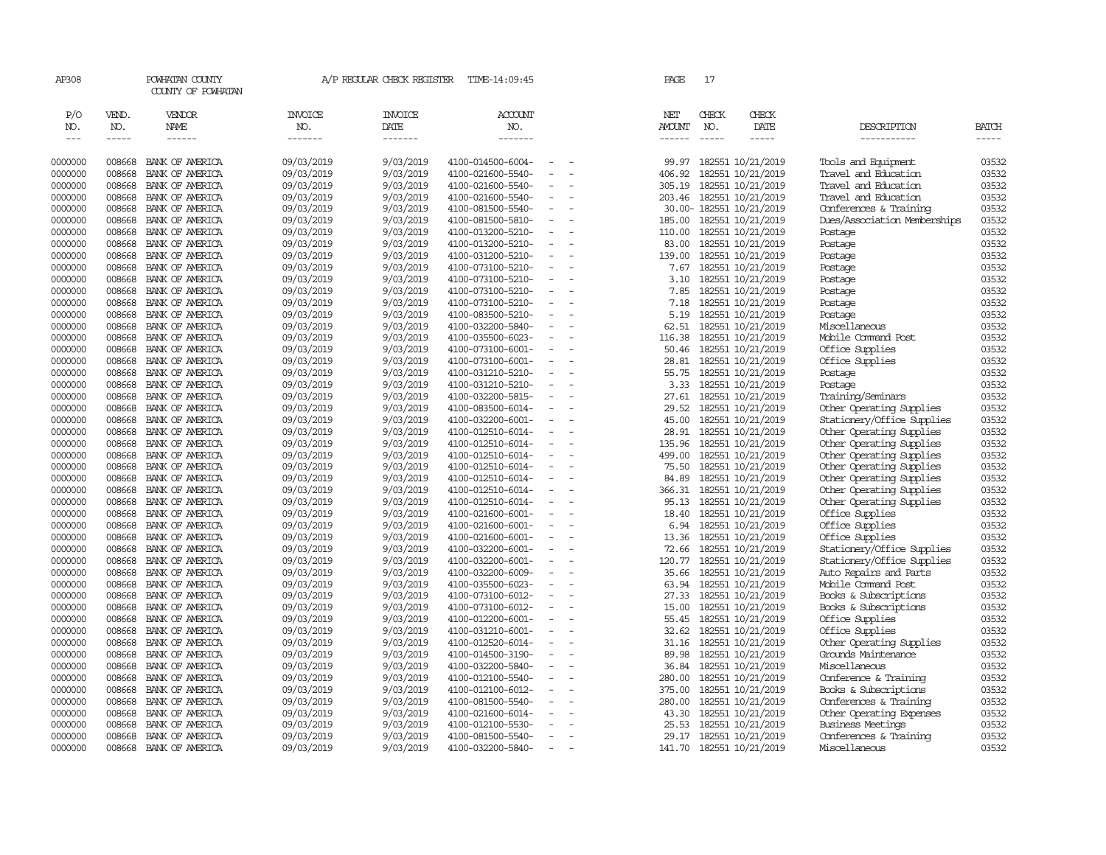| AP308                       |                             | POWHATAN COUNTY<br>COUNTY OF POWHATAN |                                  | A/P REGULAR CHECK REGISTER        | TIME-14:09:45             |                          |                          | PAGE                                  | 17                                                                                                                                                                                                                                                                                                                                                                                                                                                                                         |                              |                              |                |
|-----------------------------|-----------------------------|---------------------------------------|----------------------------------|-----------------------------------|---------------------------|--------------------------|--------------------------|---------------------------------------|--------------------------------------------------------------------------------------------------------------------------------------------------------------------------------------------------------------------------------------------------------------------------------------------------------------------------------------------------------------------------------------------------------------------------------------------------------------------------------------------|------------------------------|------------------------------|----------------|
| P/O<br>NO.<br>$\frac{1}{2}$ | VEND.<br>NO.<br>$- - - - -$ | VENDOR<br>NAME<br>$- - - - - -$       | <b>INVOICE</b><br>NO.<br>------- | <b>INVOICE</b><br>DATE<br>------- | ACCOUNT<br>NO.<br>------- |                          |                          | NET<br><b>AMOUNT</b><br>$- - - - - -$ | CHECK<br>NO.<br>$\frac{1}{2} \left( \frac{1}{2} \right) \left( \frac{1}{2} \right) \left( \frac{1}{2} \right) \left( \frac{1}{2} \right) \left( \frac{1}{2} \right) \left( \frac{1}{2} \right) \left( \frac{1}{2} \right) \left( \frac{1}{2} \right) \left( \frac{1}{2} \right) \left( \frac{1}{2} \right) \left( \frac{1}{2} \right) \left( \frac{1}{2} \right) \left( \frac{1}{2} \right) \left( \frac{1}{2} \right) \left( \frac{1}{2} \right) \left( \frac{1}{2} \right) \left( \frac$ | CHECK<br>DATE<br>$- - - - -$ | DESCRIPTION<br>-----------   | BATCH<br>----- |
| 0000000                     | 008668                      | BANK OF AMERICA                       | 09/03/2019                       | 9/03/2019                         | 4100-014500-6004-         |                          |                          | 99.97                                 |                                                                                                                                                                                                                                                                                                                                                                                                                                                                                            | 182551 10/21/2019            | Tools and Equipment          | 03532          |
| 0000000                     | 008668                      | BANK OF AMERICA                       | 09/03/2019                       | 9/03/2019                         | 4100-021600-5540-         | $\equiv$                 |                          | 406.92                                |                                                                                                                                                                                                                                                                                                                                                                                                                                                                                            | 182551 10/21/2019            | Travel and Education         | 03532          |
| 0000000                     | 008668                      | BANK OF AMERICA                       | 09/03/2019                       | 9/03/2019                         | 4100-021600-5540-         |                          |                          | 305.19                                |                                                                                                                                                                                                                                                                                                                                                                                                                                                                                            | 182551 10/21/2019            | Travel and Education         | 03532          |
| 0000000                     | 008668                      | BANK OF AMERICA                       | 09/03/2019                       | 9/03/2019                         | 4100-021600-5540-         | $\equiv$                 |                          | 203.46                                |                                                                                                                                                                                                                                                                                                                                                                                                                                                                                            | 182551 10/21/2019            | Travel and Education         | 03532          |
| 0000000                     | 008668                      | BANK OF AMERICA                       | 09/03/2019                       | 9/03/2019                         | 4100-081500-5540-         |                          |                          |                                       |                                                                                                                                                                                                                                                                                                                                                                                                                                                                                            | 30.00- 182551 10/21/2019     | Conferences & Training       | 03532          |
| 0000000                     | 008668                      | BANK OF AMERICA                       | 09/03/2019                       | 9/03/2019                         | 4100-081500-5810-         | $\sim$                   | $\sim$                   | 185.00                                |                                                                                                                                                                                                                                                                                                                                                                                                                                                                                            | 182551 10/21/2019            | Dues/Association Memberships | 03532          |
| 0000000                     | 008668                      | BANK OF AMERICA                       | 09/03/2019                       | 9/03/2019                         | 4100-013200-5210-         | $\sim$                   |                          | 110.00                                |                                                                                                                                                                                                                                                                                                                                                                                                                                                                                            | 182551 10/21/2019            | Postage                      | 03532          |
| 0000000                     | 008668                      | BANK OF AMERICA                       | 09/03/2019                       | 9/03/2019                         | 4100-013200-5210-         | $\sim$                   |                          | 83.00                                 |                                                                                                                                                                                                                                                                                                                                                                                                                                                                                            | 182551 10/21/2019            | Postage                      | 03532          |
| 0000000                     | 008668                      | BANK OF AMERICA                       | 09/03/2019                       | 9/03/2019                         | 4100-031200-5210-         | $\sim$                   |                          | 139.00                                |                                                                                                                                                                                                                                                                                                                                                                                                                                                                                            | 182551 10/21/2019            | Postage                      | 03532          |
| 0000000                     | 008668                      | BANK OF AMERICA                       | 09/03/2019                       | 9/03/2019                         | 4100-073100-5210-         | $\overline{\phantom{a}}$ |                          | 7.67                                  |                                                                                                                                                                                                                                                                                                                                                                                                                                                                                            | 182551 10/21/2019            | Postage                      | 03532          |
| 0000000                     | 008668                      | BANK OF AMERICA                       | 09/03/2019                       | 9/03/2019                         | 4100-073100-5210-         | $\equiv$                 |                          | 3.10                                  |                                                                                                                                                                                                                                                                                                                                                                                                                                                                                            | 182551 10/21/2019            | Postage                      | 03532          |
| 0000000                     | 008668                      | BANK OF AMERICA                       | 09/03/2019                       | 9/03/2019                         | 4100-073100-5210-         |                          |                          | 7.85                                  |                                                                                                                                                                                                                                                                                                                                                                                                                                                                                            | 182551 10/21/2019            | Postage                      | 03532          |
| 0000000                     | 008668                      | BANK OF AMERICA                       | 09/03/2019                       | 9/03/2019                         | 4100-073100-5210-         | $\sim$                   | $\overline{\phantom{a}}$ | 7.18                                  |                                                                                                                                                                                                                                                                                                                                                                                                                                                                                            | 182551 10/21/2019            | Postage                      | 03532          |
| 0000000                     | 008668                      | BANK OF AMERICA                       | 09/03/2019                       | 9/03/2019                         | 4100-083500-5210-         | $\sim$                   |                          | 5.19                                  |                                                                                                                                                                                                                                                                                                                                                                                                                                                                                            | 182551 10/21/2019            | Postage                      | 03532          |
| 0000000                     | 008668                      | BANK OF AMERICA                       | 09/03/2019                       | 9/03/2019                         | 4100-032200-5840-         | $\equiv$                 |                          | 62.51                                 |                                                                                                                                                                                                                                                                                                                                                                                                                                                                                            | 182551 10/21/2019            | Miscellaneous                | 03532          |
| 0000000                     | 008668                      | BANK OF AMERICA                       | 09/03/2019                       | 9/03/2019                         | 4100-035500-6023-         | $\sim$                   |                          | 116.38                                |                                                                                                                                                                                                                                                                                                                                                                                                                                                                                            | 182551 10/21/2019            | Mobile Command Post          | 03532          |
| 0000000                     | 008668                      | BANK OF AMERICA                       | 09/03/2019                       | 9/03/2019                         | 4100-073100-6001-         | $\equiv$                 |                          | 50.46                                 |                                                                                                                                                                                                                                                                                                                                                                                                                                                                                            | 182551 10/21/2019            | Office Supplies              | 03532          |
| 0000000                     | 008668                      | BANK OF AMERICA                       | 09/03/2019                       | 9/03/2019                         | 4100-073100-6001-         | $\equiv$                 |                          | 28.81                                 |                                                                                                                                                                                                                                                                                                                                                                                                                                                                                            | 182551 10/21/2019            | Office Supplies              | 03532          |
| 0000000                     | 008668                      | BANK OF AMERICA                       | 09/03/2019                       | 9/03/2019                         | 4100-031210-5210-         |                          |                          | 55.75                                 |                                                                                                                                                                                                                                                                                                                                                                                                                                                                                            | 182551 10/21/2019            | Postage                      | 03532          |
| 0000000                     | 008668                      | BANK OF AMERICA                       | 09/03/2019                       | 9/03/2019                         | 4100-031210-5210-         | $\equiv$                 |                          | 3.33                                  |                                                                                                                                                                                                                                                                                                                                                                                                                                                                                            | 182551 10/21/2019            | Postage                      | 03532          |
| 0000000                     | 008668                      | BANK OF AMERICA                       | 09/03/2019                       | 9/03/2019                         | 4100-032200-5815-         | $\sim$                   |                          | 27.61                                 |                                                                                                                                                                                                                                                                                                                                                                                                                                                                                            | 182551 10/21/2019            | Training/Seminars            | 03532          |
| 0000000                     | 008668                      | BANK OF AMERICA                       | 09/03/2019                       | 9/03/2019                         | 4100-083500-6014-         | $\equiv$                 |                          | 29.52                                 |                                                                                                                                                                                                                                                                                                                                                                                                                                                                                            | 182551 10/21/2019            | Other Operating Supplies     | 03532          |
| 0000000                     | 008668                      | BANK OF AMERICA                       | 09/03/2019                       | 9/03/2019                         | 4100-032200-6001-         |                          |                          | 45.00                                 |                                                                                                                                                                                                                                                                                                                                                                                                                                                                                            | 182551 10/21/2019            | Stationery/Office Supplies   | 03532          |
| 0000000                     | 008668                      | BANK OF AMERICA                       | 09/03/2019                       | 9/03/2019                         | 4100-012510-6014-         | $\overline{\phantom{a}}$ |                          | 28.91                                 |                                                                                                                                                                                                                                                                                                                                                                                                                                                                                            | 182551 10/21/2019            | Other Operating Supplies     | 03532          |
| 0000000                     | 008668                      | BANK OF AMERICA                       | 09/03/2019                       | 9/03/2019                         | 4100-012510-6014-         | $\equiv$                 |                          | 135.96                                |                                                                                                                                                                                                                                                                                                                                                                                                                                                                                            | 182551 10/21/2019            | Other Operating Supplies     | 03532          |
| 0000000                     | 008668                      | BANK OF AMERICA                       | 09/03/2019                       | 9/03/2019                         | 4100-012510-6014-         |                          |                          | 499.00                                |                                                                                                                                                                                                                                                                                                                                                                                                                                                                                            | 182551 10/21/2019            | Other Operating Supplies     | 03532          |
| 0000000                     | 008668                      | BANK OF AMERICA                       | 09/03/2019                       | 9/03/2019                         | 4100-012510-6014-         | $\overline{\phantom{a}}$ |                          | 75.50                                 |                                                                                                                                                                                                                                                                                                                                                                                                                                                                                            | 182551 10/21/2019            | Other Operating Supplies     | 03532          |
| 0000000                     | 008668                      | BANK OF AMERICA                       | 09/03/2019                       | 9/03/2019                         | 4100-012510-6014-         | $\equiv$                 |                          | 84.89                                 |                                                                                                                                                                                                                                                                                                                                                                                                                                                                                            | 182551 10/21/2019            | Other Operating Supplies     | 03532          |
| 0000000                     | 008668                      | BANK OF AMERICA                       | 09/03/2019                       | 9/03/2019                         | 4100-012510-6014-         | $\equiv$                 |                          | 366.31                                |                                                                                                                                                                                                                                                                                                                                                                                                                                                                                            | 182551 10/21/2019            | Other Operating Supplies     | 03532          |
| 0000000                     | 008668                      | BANK OF AMERICA                       | 09/03/2019                       | 9/03/2019                         | 4100-012510-6014-         | $\overline{\phantom{a}}$ |                          | 95.13                                 |                                                                                                                                                                                                                                                                                                                                                                                                                                                                                            | 182551 10/21/2019            | Other Operating Supplies     | 03532          |
| 0000000                     | 008668                      | BANK OF AMERICA                       | 09/03/2019                       | 9/03/2019                         | 4100-021600-6001-         | $\overline{\phantom{a}}$ |                          | 18.40                                 |                                                                                                                                                                                                                                                                                                                                                                                                                                                                                            | 182551 10/21/2019            | Office Supplies              | 03532          |
| 0000000                     | 008668                      | BANK OF AMERICA                       | 09/03/2019                       | 9/03/2019                         | 4100-021600-6001-         | $\equiv$                 |                          | 6.94                                  |                                                                                                                                                                                                                                                                                                                                                                                                                                                                                            | 182551 10/21/2019            | Office Supplies              | 03532          |
| 0000000                     | 008668                      | BANK OF AMERICA                       | 09/03/2019                       | 9/03/2019                         | 4100-021600-6001-         |                          |                          | 13.36                                 |                                                                                                                                                                                                                                                                                                                                                                                                                                                                                            | 182551 10/21/2019            | Office Supplies              | 03532          |
| 0000000                     | 008668                      | BANK OF AMERICA                       | 09/03/2019                       | 9/03/2019                         | 4100-032200-6001-         | $\equiv$                 |                          | 72.66                                 |                                                                                                                                                                                                                                                                                                                                                                                                                                                                                            | 182551 10/21/2019            | Stationery/Office Supplies   | 03532          |
| 0000000                     | 008668                      | BANK OF AMERICA                       | 09/03/2019                       | 9/03/2019                         | 4100-032200-6001-         |                          |                          | 120.77                                |                                                                                                                                                                                                                                                                                                                                                                                                                                                                                            | 182551 10/21/2019            | Stationery/Office Supplies   | 03532          |
| 0000000                     | 008668                      | BANK OF AMERICA                       | 09/03/2019                       | 9/03/2019                         | 4100-032200-6009-         | $\equiv$                 |                          | 35.66                                 |                                                                                                                                                                                                                                                                                                                                                                                                                                                                                            | 182551 10/21/2019            | Auto Repairs and Parts       | 03532          |
| 0000000                     | 008668                      | BANK OF AMERICA                       | 09/03/2019                       | 9/03/2019                         | 4100-035500-6023-         | $\equiv$                 |                          | 63.94                                 |                                                                                                                                                                                                                                                                                                                                                                                                                                                                                            | 182551 10/21/2019            | Mobile Command Post          | 03532          |
| 0000000                     | 008668                      | BANK OF AMERICA                       | 09/03/2019                       | 9/03/2019                         | 4100-073100-6012-         | $\equiv$                 |                          | 27.33                                 |                                                                                                                                                                                                                                                                                                                                                                                                                                                                                            | 182551 10/21/2019            | Books & Subscriptions        | 03532          |
| 0000000                     | 008668                      | BANK OF AMERICA                       | 09/03/2019                       | 9/03/2019                         | 4100-073100-6012-         | $\sim$                   |                          | 15.00                                 |                                                                                                                                                                                                                                                                                                                                                                                                                                                                                            | 182551 10/21/2019            | Books & Subscriptions        | 03532          |
| 0000000                     | 008668                      | BANK OF AMERICA                       | 09/03/2019                       | 9/03/2019                         | 4100-012200-6001-         | $\equiv$                 |                          | 55.45                                 |                                                                                                                                                                                                                                                                                                                                                                                                                                                                                            | 182551 10/21/2019            | Office Supplies              | 03532          |
| 0000000                     | 008668                      | BANK OF AMERICA                       | 09/03/2019                       | 9/03/2019                         | 4100-031210-6001-         | $\equiv$                 |                          | 32.62                                 |                                                                                                                                                                                                                                                                                                                                                                                                                                                                                            | 182551 10/21/2019            | Office Supplies              | 03532          |
| 0000000                     | 008668                      | BANK OF AMERICA                       | 09/03/2019                       | 9/03/2019                         | 4100-012520-6014-         |                          |                          | 31.16                                 |                                                                                                                                                                                                                                                                                                                                                                                                                                                                                            | 182551 10/21/2019            | Other Operating Supplies     | 03532          |
| 0000000                     | 008668                      | BANK OF AMERICA                       | 09/03/2019                       | 9/03/2019                         | 4100-014500-3190-         | $\equiv$                 |                          | 89.98                                 |                                                                                                                                                                                                                                                                                                                                                                                                                                                                                            | 182551 10/21/2019            | Grounds Maintenance          | 03532          |
| 0000000                     | 008668                      | BANK OF AMERICA                       | 09/03/2019                       | 9/03/2019                         | 4100-032200-5840-         |                          |                          | 36.84                                 |                                                                                                                                                                                                                                                                                                                                                                                                                                                                                            | 182551 10/21/2019            | Miscellaneous                | 03532          |
| 0000000                     | 008668                      | BANK OF AMERICA                       | 09/03/2019                       | 9/03/2019                         | 4100-012100-5540-         | $\equiv$                 |                          | 280.00                                |                                                                                                                                                                                                                                                                                                                                                                                                                                                                                            | 182551 10/21/2019            | Conference & Training        | 03532          |
| 0000000                     | 008668                      | BANK OF AMERICA                       | 09/03/2019                       | 9/03/2019                         | 4100-012100-6012-         | $\equiv$                 |                          | 375.00                                |                                                                                                                                                                                                                                                                                                                                                                                                                                                                                            | 182551 10/21/2019            | Books & Subscriptions        | 03532          |
| 0000000                     | 008668                      | BANK OF AMERICA                       | 09/03/2019                       | 9/03/2019                         | 4100-081500-5540-         |                          |                          | 280.00                                |                                                                                                                                                                                                                                                                                                                                                                                                                                                                                            | 182551 10/21/2019            | Conferences & Training       | 03532          |
| 0000000                     | 008668                      | BANK OF AMERICA                       | 09/03/2019                       | 9/03/2019                         | 4100-021600-6014-         |                          |                          | 43.30                                 |                                                                                                                                                                                                                                                                                                                                                                                                                                                                                            | 182551 10/21/2019            | Other Operating Expenses     | 03532          |
| 0000000                     | 008668                      | BANK OF AMERICA                       | 09/03/2019                       | 9/03/2019                         | 4100-012100-5530-         |                          |                          | 25.53                                 |                                                                                                                                                                                                                                                                                                                                                                                                                                                                                            | 182551 10/21/2019            | Business Meetings            | 03532          |
| 0000000                     | 008668                      | BANK OF AMERICA                       | 09/03/2019                       | 9/03/2019                         | 4100-081500-5540-         | $\overline{\phantom{a}}$ |                          | 29.17                                 |                                                                                                                                                                                                                                                                                                                                                                                                                                                                                            | 182551 10/21/2019            | Conferences & Training       | 03532          |
| 0000000                     | 008668                      | BANK OF AMERICA                       | 09/03/2019                       | 9/03/2019                         | 4100-032200-5840-         | $\sim$                   |                          |                                       |                                                                                                                                                                                                                                                                                                                                                                                                                                                                                            | 141.70 182551 10/21/2019     | Miscellaneous                | 03532          |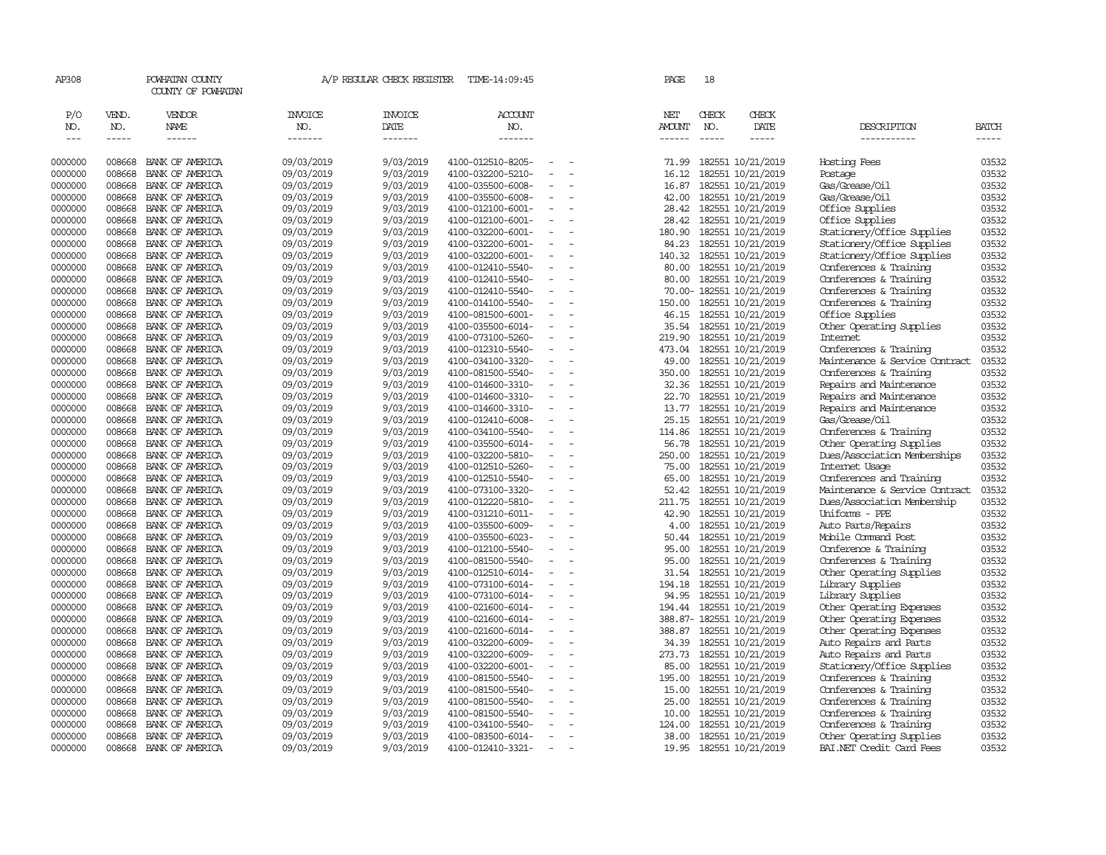| AP308                       |                             | POWHATAN COUNTY<br>COUNTY OF POWHATAN  |                                  | A/P REGULAR CHECK REGISTER        | TIME-14:09:45                          |                          | PAGE                           | 18                            |                                        |                                                |                             |
|-----------------------------|-----------------------------|----------------------------------------|----------------------------------|-----------------------------------|----------------------------------------|--------------------------|--------------------------------|-------------------------------|----------------------------------------|------------------------------------------------|-----------------------------|
| P/O<br>NO.<br>$\frac{1}{2}$ | VEND.<br>NO.<br>$- - - - -$ | <b>VENDOR</b><br>NAME<br>$- - - - - -$ | <b>INVOICE</b><br>NO.<br>------- | <b>INVOICE</b><br>DATE<br>------- | ACCOUNT<br>NO.<br>$- - - - - - -$      |                          | NET<br><b>AMOUNT</b><br>------ | CHECK<br>NO.<br>$\frac{1}{2}$ | CHECK<br>DATE<br>-----                 | DESCRIPTION<br>-----------                     | <b>BATCH</b><br>$- - - - -$ |
| 0000000                     | 008668                      | BANK OF AMERICA                        | 09/03/2019                       | 9/03/2019                         | 4100-012510-8205-                      |                          | 71.99                          |                               | 182551 10/21/2019                      | Hosting Fees                                   | 03532                       |
| 0000000                     | 008668                      | BANK OF AMERICA                        | 09/03/2019                       | 9/03/2019                         | 4100-032200-5210-                      |                          | 16.12                          |                               | 182551 10/21/2019                      | Postage                                        | 03532                       |
| 0000000                     | 008668                      | BANK OF AMERICA                        | 09/03/2019                       | 9/03/2019                         | 4100-035500-6008-                      |                          | 16.87                          |                               | 182551 10/21/2019                      | Gas/Grease/Oil                                 | 03532                       |
| 0000000                     | 008668                      | BANK OF AMERICA                        | 09/03/2019                       | 9/03/2019                         | 4100-035500-6008-                      | $\overline{\phantom{a}}$ | 42.00                          |                               | 182551 10/21/2019                      | Gas/Grease/Oil                                 | 03532                       |
| 0000000                     | 008668                      | BANK OF AMERICA                        | 09/03/2019                       | 9/03/2019                         | 4100-012100-6001-                      |                          | 28.42                          |                               | 182551 10/21/2019                      | Office Supplies                                | 03532                       |
| 0000000                     | 008668                      | BANK OF AMERICA                        | 09/03/2019                       | 9/03/2019                         | 4100-012100-6001-                      | $\equiv$                 | 28.42                          |                               | 182551 10/21/2019                      | Office Supplies                                | 03532                       |
| 0000000                     | 008668                      | BANK OF AMERICA                        | 09/03/2019                       | 9/03/2019                         | 4100-032200-6001-                      |                          | 180.90                         |                               | 182551 10/21/2019                      | Stationery/Office Supplies                     | 03532                       |
| 0000000                     | 008668                      | BANK OF AMERICA                        | 09/03/2019                       | 9/03/2019                         | 4100-032200-6001-                      |                          | 84.23                          |                               | 182551 10/21/2019                      | Stationery/Office Supplies                     | 03532                       |
| 0000000                     | 008668                      | BANK OF AMERICA                        | 09/03/2019                       | 9/03/2019                         | 4100-032200-6001-                      |                          | 140.32                         |                               | 182551 10/21/2019                      | Stationery/Office Supplies                     | 03532                       |
| 0000000                     | 008668                      | BANK OF AMERICA                        | 09/03/2019                       | 9/03/2019                         | 4100-012410-5540-                      |                          | 80.00                          |                               | 182551 10/21/2019                      | Conferences & Training                         | 03532                       |
| 0000000                     | 008668                      | BANK OF AMERICA                        | 09/03/2019                       | 9/03/2019                         | 4100-012410-5540-                      |                          | 80.00                          |                               | 182551 10/21/2019                      | Conferences & Training                         | 03532                       |
| 0000000                     | 008668                      | BANK OF AMERICA                        | 09/03/2019                       | 9/03/2019                         | 4100-012410-5540-                      |                          |                                |                               | 70.00- 182551 10/21/2019               | Conferences & Training                         | 03532                       |
| 0000000                     | 008668                      | BANK OF AMERICA                        | 09/03/2019                       | 9/03/2019                         | 4100-014100-5540-                      | $\sim$                   | 150.00                         |                               | 182551 10/21/2019                      | Conferences & Training                         | 03532                       |
| 0000000                     | 008668                      | BANK OF AMERICA                        | 09/03/2019                       | 9/03/2019                         | 4100-081500-6001-                      |                          | 46.15                          |                               | 182551 10/21/2019                      | Office Supplies                                | 03532                       |
| 0000000                     | 008668                      | BANK OF AMERICA                        | 09/03/2019                       | 9/03/2019                         | 4100-035500-6014-                      | $\equiv$                 | 35.54                          |                               | 182551 10/21/2019                      | Other Operating Supplies                       | 03532                       |
| 0000000                     | 008668                      | BANK OF AMERICA                        | 09/03/2019                       | 9/03/2019                         | 4100-073100-5260-                      |                          | 219.90                         |                               | 182551 10/21/2019                      | <b>Internet</b>                                | 03532                       |
| 0000000                     | 008668                      | BANK OF AMERICA                        | 09/03/2019                       | 9/03/2019                         | 4100-012310-5540-                      | $\equiv$                 | 473.04                         |                               | 182551 10/21/2019                      | Conferences & Training                         | 03532                       |
| 0000000                     | 008668                      | BANK OF AMERICA                        | 09/03/2019                       | 9/03/2019                         | 4100-034100-3320-                      |                          | 49.00                          |                               | 182551 10/21/2019                      | Maintenance & Service Contract                 | 03532                       |
| 0000000                     | 008668                      | BANK OF AMERICA                        | 09/03/2019                       | 9/03/2019                         | 4100-081500-5540-                      |                          | 350.00                         |                               | 182551 10/21/2019                      | Conferences & Training                         | 03532                       |
| 0000000                     | 008668                      | BANK OF AMERICA                        | 09/03/2019                       | 9/03/2019                         | 4100-014600-3310-                      | $\equiv$                 | 32.36                          |                               | 182551 10/21/2019                      | Repairs and Maintenance                        | 03532                       |
| 0000000                     | 008668                      | BANK OF AMERICA                        | 09/03/2019                       | 9/03/2019                         | 4100-014600-3310-                      | $\overline{\phantom{a}}$ | 22.70                          |                               | 182551 10/21/2019                      | Repairs and Maintenance                        | 03532                       |
| 0000000                     | 008668                      | BANK OF AMERICA                        | 09/03/2019                       | 9/03/2019                         | 4100-014600-3310-                      | $\sim$                   | 13.77                          |                               | 182551 10/21/2019                      | Repairs and Maintenance                        | 03532                       |
| 0000000                     | 008668                      | BANK OF AMERICA                        | 09/03/2019                       | 9/03/2019                         | 4100-012410-6008-                      |                          | 25.15                          |                               | 182551 10/21/2019                      | Gas/Grease/Oil                                 | 03532                       |
| 0000000                     | 008668                      | BANK OF AMERICA                        | 09/03/2019                       | 9/03/2019                         | 4100-034100-5540-                      | $\equiv$<br>$\equiv$     | 114.86                         |                               | 182551 10/21/2019                      | Conferences & Training                         | 03532<br>03532              |
| 0000000                     | 008668<br>008668            | BANK OF AMERICA                        | 09/03/2019                       | 9/03/2019                         | 4100-035500-6014-                      |                          | 56.78                          |                               | 182551 10/21/2019                      | Other Operating Supplies                       |                             |
| 0000000                     | 008668                      | BANK OF AMERICA<br>BANK OF AMERICA     | 09/03/2019<br>09/03/2019         | 9/03/2019<br>9/03/2019            | 4100-032200-5810-<br>4100-012510-5260- |                          | 250.00<br>75.00                |                               | 182551 10/21/2019<br>182551 10/21/2019 | Dues/Association Memberships<br>Internet Usage | 03532<br>03532              |
| 0000000<br>0000000          | 008668                      |                                        | 09/03/2019                       | 9/03/2019                         | 4100-012510-5540-                      | $\equiv$                 | 65.00                          |                               | 182551 10/21/2019                      | Conferences and Training                       | 03532                       |
| 0000000                     | 008668                      | BANK OF AMERICA<br>BANK OF AMERICA     | 09/03/2019                       | 9/03/2019                         | 4100-073100-3320-                      | $\equiv$                 | 52.42                          |                               | 182551 10/21/2019                      | Maintenance & Service Contract                 | 03532                       |
| 0000000                     | 008668                      | BANK OF AMERICA                        | 09/03/2019                       | 9/03/2019                         | 4100-012220-5810-                      |                          | 211.75                         |                               | 182551 10/21/2019                      | Dues/Association Membership                    | 03532                       |
| 0000000                     | 008668                      | BANK OF AMERICA                        | 09/03/2019                       | 9/03/2019                         | 4100-031210-6011-                      | $\equiv$                 | 42.90                          |                               | 182551 10/21/2019                      | Uniforms - PPE                                 | 03532                       |
| 0000000                     | 008668                      | BANK OF AMERICA                        | 09/03/2019                       | 9/03/2019                         | 4100-035500-6009-                      | $\equiv$                 | 4.00                           |                               | 182551 10/21/2019                      | Auto Parts/Repairs                             | 03532                       |
| 0000000                     | 008668                      | BANK OF AMERICA                        | 09/03/2019                       | 9/03/2019                         | 4100-035500-6023-                      |                          | 50.44                          |                               | 182551 10/21/2019                      | Mobile Command Post                            | 03532                       |
| 0000000                     | 008668                      | BANK OF AMERICA                        | 09/03/2019                       | 9/03/2019                         | 4100-012100-5540-                      |                          | 95.00                          |                               | 182551 10/21/2019                      | Conference & Training                          | 03532                       |
| 0000000                     | 008668                      | BANK OF AMERICA                        | 09/03/2019                       | 9/03/2019                         | 4100-081500-5540-                      |                          | 95.00                          |                               | 182551 10/21/2019                      | Conferences & Training                         | 03532                       |
| 0000000                     | 008668                      | BANK OF AMERICA                        | 09/03/2019                       | 9/03/2019                         | 4100-012510-6014-                      | $\overline{\phantom{a}}$ | 31.54                          |                               | 182551 10/21/2019                      | Other Operating Supplies                       | 03532                       |
| 0000000                     | 008668                      | BANK OF AMERICA                        | 09/03/2019                       | 9/03/2019                         | 4100-073100-6014-                      |                          | 194.18                         |                               | 182551 10/21/2019                      | Library Supplies                               | 03532                       |
| 0000000                     | 008668                      | BANK OF AMERICA                        | 09/03/2019                       | 9/03/2019                         | 4100-073100-6014-                      | $\sim$                   | 94.95                          |                               | 182551 10/21/2019                      | Library Supplies                               | 03532                       |
| 0000000                     | 008668                      | BANK OF AMERICA                        | 09/03/2019                       | 9/03/2019                         | 4100-021600-6014-                      | $\sim$                   | 194.44                         |                               | 182551 10/21/2019                      | Other Operating Expenses                       | 03532                       |
| 0000000                     | 008668                      | BANK OF AMERICA                        | 09/03/2019                       | 9/03/2019                         | 4100-021600-6014-                      | $\sim$                   |                                |                               | 388.87- 182551 10/21/2019              | Other Operating Expenses                       | 03532                       |
| 0000000                     | 008668                      | BANK OF AMERICA                        | 09/03/2019                       | 9/03/2019                         | 4100-021600-6014-                      | $\equiv$                 | 388.87                         |                               | 182551 10/21/2019                      | Other Operating Expenses                       | 03532                       |
| 0000000                     | 008668                      | BANK OF AMERICA                        | 09/03/2019                       | 9/03/2019                         | 4100-032200-6009-                      |                          | 34.39                          |                               | 182551 10/21/2019                      | Auto Repairs and Parts                         | 03532                       |
| 0000000                     | 008668                      | BANK OF AMERICA                        | 09/03/2019                       | 9/03/2019                         | 4100-032200-6009-                      | $\overline{\phantom{a}}$ | 273.73                         |                               | 182551 10/21/2019                      | Auto Repairs and Parts                         | 03532                       |
| 0000000                     | 008668                      | BANK OF AMERICA                        | 09/03/2019                       | 9/03/2019                         | 4100-032200-6001-                      |                          | 85.00                          |                               | 182551 10/21/2019                      | Stationery/Office Supplies                     | 03532                       |
| 0000000                     | 008668                      | BANK OF AMERICA                        | 09/03/2019                       | 9/03/2019                         | 4100-081500-5540-                      | $\sim$                   | 195.00                         |                               | 182551 10/21/2019                      | Conferences & Training                         | 03532                       |
| 0000000                     | 008668                      | BANK OF AMERICA                        | 09/03/2019                       | 9/03/2019                         | 4100-081500-5540-                      |                          | 15.00                          |                               | 182551 10/21/2019                      | Conferences & Training                         | 03532                       |
| 0000000                     | 008668                      | BANK OF AMERICA                        | 09/03/2019                       | 9/03/2019                         | 4100-081500-5540-                      |                          | 25.00                          |                               | 182551 10/21/2019                      | Conferences & Training                         | 03532                       |
| 0000000                     | 008668                      | BANK OF AMERICA                        | 09/03/2019                       | 9/03/2019                         | 4100-081500-5540-                      |                          | 10.00                          |                               | 182551 10/21/2019                      | Conferences & Training                         | 03532                       |
| 0000000                     | 008668                      | BANK OF AMERICA                        | 09/03/2019                       | 9/03/2019                         | 4100-034100-5540-                      |                          | 124,00                         |                               | 182551 10/21/2019                      | Conferences & Training                         | 03532                       |
| 0000000                     | 008668                      | BANK OF AMERICA                        | 09/03/2019                       | 9/03/2019                         | 4100-083500-6014-                      | $\equiv$                 | 38.00                          |                               | 182551 10/21/2019                      | Other Operating Supplies                       | 03532                       |
| 0000000                     | 008668                      | BANK OF AMERICA                        | 09/03/2019                       | 9/03/2019                         | 4100-012410-3321-                      |                          |                                |                               | 19.95 182551 10/21/2019                | BAI.NET Credit Card Fees                       | 03532                       |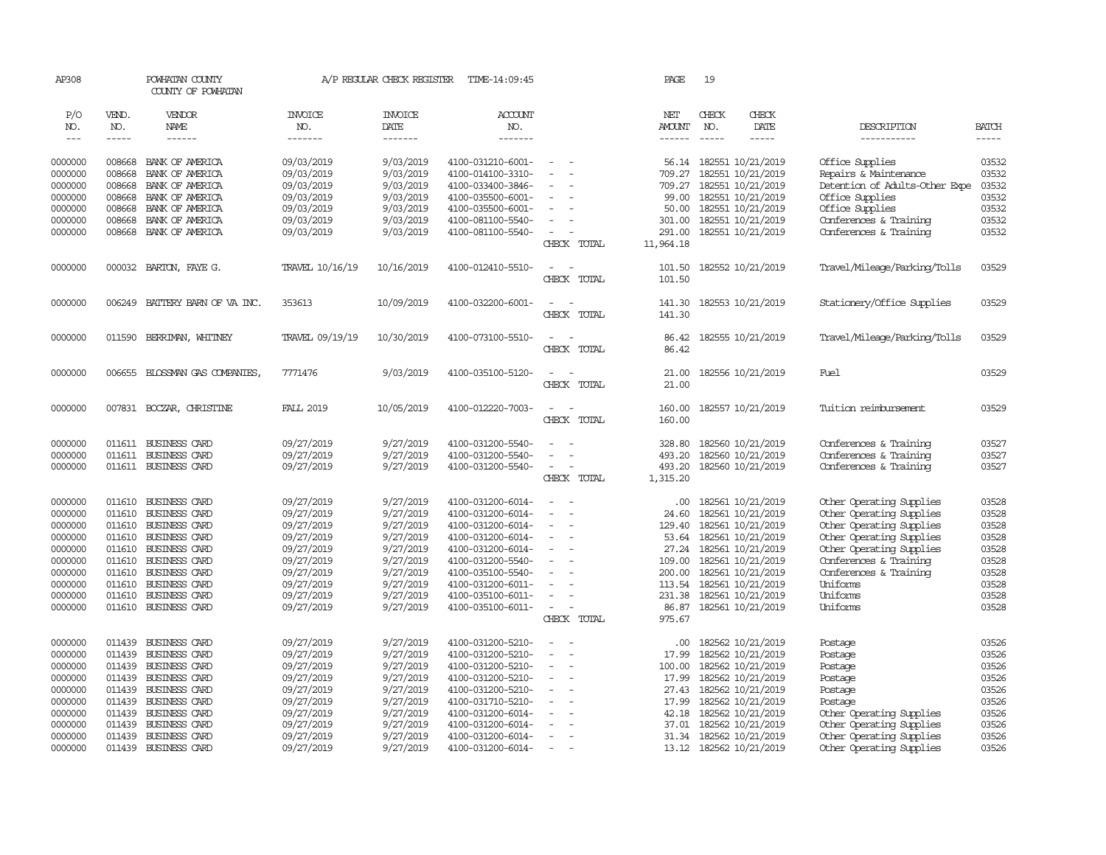| AP308              |                  | POWHATAN COUNTY<br>COUNTY OF POWHATAN |                          | A/P REGULAR CHECK REGISTER | TIME-14:09:45                          |                                    | PAGE            | 19           |                                        |                                                      |                |
|--------------------|------------------|---------------------------------------|--------------------------|----------------------------|----------------------------------------|------------------------------------|-----------------|--------------|----------------------------------------|------------------------------------------------------|----------------|
| P/O<br>NO.         | VEND.<br>NO.     | VENDOR<br>NAME                        | <b>INVOICE</b><br>NO.    | <b>INVOICE</b><br>DATE     | ACCOUNT<br>NO.                         |                                    | NET<br>AMOUNT   | CHECK<br>NO. | CHECK<br>DATE                          | DESCRIPTION                                          | <b>BATCH</b>   |
| $\frac{1}{2}$      | -----            | $- - - - - -$                         | -------                  | -------                    | $- - - - - - -$                        |                                    | $- - - - - -$   | $---$        | $- - - - -$                            | -----------                                          |                |
|                    |                  |                                       |                          |                            |                                        |                                    |                 |              |                                        |                                                      |                |
| 0000000            | 008668           | BANK OF AMERICA                       | 09/03/2019               | 9/03/2019                  | 4100-031210-6001-                      | $\sim$<br>$\sim$                   |                 |              | 56.14 182551 10/21/2019                | Office Supplies                                      | 03532          |
| 0000000            | 008668           | BANK OF AMERICA                       | 09/03/2019               | 9/03/2019                  | 4100-014100-3310-                      | $\overline{\phantom{a}}$           | 709.27          |              | 182551 10/21/2019                      | Repairs & Maintenance                                | 03532          |
| 0000000            | 008668           | BANK OF AMERICA                       | 09/03/2019               | 9/03/2019                  | 4100-033400-3846-                      |                                    | 709.27          |              | 182551 10/21/2019                      | Detention of Adults-Other Expe                       | 03532          |
| 0000000            | 008668           | BANK OF AMERICA                       | 09/03/2019               | 9/03/2019                  | 4100-035500-6001-                      | $\overline{\phantom{a}}$           | 99.00           |              | 182551 10/21/2019                      | Office Supplies                                      | 03532          |
| 0000000            | 008668           | BANK OF AMERICA                       | 09/03/2019               | 9/03/2019                  | 4100-035500-6001-                      |                                    | 50.00           |              | 182551 10/21/2019                      | Office Supplies                                      | 03532          |
| 0000000            | 008668           | BANK OF AMERICA                       | 09/03/2019               | 9/03/2019                  | 4100-081100-5540-                      | $\equiv$                           | 301.00          |              | 182551 10/21/2019                      | Conferences & Training                               | 03532          |
| 0000000            | 008668           | BANK OF AMERICA                       | 09/03/2019               | 9/03/2019                  | 4100-081100-5540-                      | $\overline{\phantom{a}}$           | 291.00          |              | 182551 10/21/2019                      | Conferences & Training                               | 03532          |
|                    |                  |                                       |                          |                            |                                        | CHECK TOTAL                        | 11,964.18       |              |                                        |                                                      |                |
| 0000000            |                  | 000032 BARTON, FAYE G.                | TRAVEL 10/16/19          | 10/16/2019                 | 4100-012410-5510-                      | $\sim$<br>$\sim$                   | 101.50          |              | 182552 10/21/2019                      | Travel/Mileage/Parking/Tolls                         | 03529          |
|                    |                  |                                       |                          |                            |                                        | CHECK TOTAL                        | 101.50          |              |                                        |                                                      |                |
|                    |                  |                                       |                          |                            |                                        |                                    |                 |              |                                        |                                                      |                |
| 0000000            | 006249           | BATTERY BARN OF VA INC.               | 353613                   | 10/09/2019                 | 4100-032200-6001-                      | $\sim$<br>$\overline{\phantom{a}}$ | 141.30          |              | 182553 10/21/2019                      | Stationery/Office Supplies                           | 03529          |
|                    |                  |                                       |                          |                            |                                        | CHECK TOTAL                        | 141.30          |              |                                        |                                                      |                |
|                    |                  |                                       |                          |                            |                                        |                                    |                 |              |                                        |                                                      |                |
| 0000000            | 011590           | BERRIMAN, WHITNEY                     | TRAVEL 09/19/19          | 10/30/2019                 | 4100-073100-5510-                      | $\sim$<br>$\sim$                   | 86.42           |              | 182555 10/21/2019                      | Travel/Mileage/Parking/Tolls                         | 03529          |
|                    |                  |                                       |                          |                            |                                        | CHECK TOTAL                        | 86.42           |              |                                        |                                                      |                |
| 0000000            | 006655           | BLOSSMAN GAS COMPANIES                | 7771476                  | 9/03/2019                  | 4100-035100-5120-                      | $\overline{\phantom{a}}$<br>$\sim$ | 21.00           |              | 182556 10/21/2019                      | Fuel                                                 | 03529          |
|                    |                  |                                       |                          |                            |                                        | CHECK TOTAL                        | 21.00           |              |                                        |                                                      |                |
|                    |                  |                                       |                          |                            |                                        |                                    |                 |              |                                        |                                                      |                |
| 0000000            |                  | 007831 BOCZAR, CHRISTINE              | <b>FALL 2019</b>         | 10/05/2019                 | 4100-012220-7003-                      | $\sim$                             | 160.00          |              | 182557 10/21/2019                      | Tuition reimbursement                                | 03529          |
|                    |                  |                                       |                          |                            |                                        | CHECK TOTAL                        | 160.00          |              |                                        |                                                      |                |
| 0000000            |                  | 011611 BUSINESS CARD                  | 09/27/2019               | 9/27/2019                  | 4100-031200-5540-                      | $\overline{\phantom{a}}$           | 328.80          |              | 182560 10/21/2019                      | Conferences & Training                               | 03527          |
| 0000000            |                  | 011611 BUSINESS CARD                  | 09/27/2019               | 9/27/2019                  | 4100-031200-5540-                      | $\equiv$                           | 493.20          |              | 182560 10/21/2019                      | Conferences & Training                               | 03527          |
| 0000000            |                  | 011611 BUSINESS CARD                  | 09/27/2019               | 9/27/2019                  | 4100-031200-5540-                      | $\sim$<br>$\sim$                   | 493.20          |              | 182560 10/21/2019                      | Conferences & Training                               | 03527          |
|                    |                  |                                       |                          |                            |                                        | CHECK TOTAL                        | 1,315.20        |              |                                        |                                                      |                |
|                    |                  |                                       |                          |                            |                                        |                                    |                 |              |                                        |                                                      |                |
| 0000000            |                  | 011610 BUSINESS CARD                  | 09/27/2019               | 9/27/2019                  | 4100-031200-6014-                      | $\overline{\phantom{a}}$           | $.00 \times$    |              | 182561 10/21/2019                      | Other Operating Supplies                             | 03528          |
| 0000000            | 011610           | BUSINESS CARD                         | 09/27/2019               | 9/27/2019                  | 4100-031200-6014-                      | $\overline{\phantom{a}}$<br>$\sim$ | 24.60           |              | 182561 10/21/2019                      | Other Operating Supplies                             | 03528          |
| 0000000            |                  | 011610 BUSINESS CARD                  | 09/27/2019               | 9/27/2019                  | 4100-031200-6014-                      | $\overline{a}$                     | 129.40          |              | 182561 10/21/2019                      | Other Operating Supplies                             | 03528          |
| 0000000            | 011610           | <b>BUSINESS CARD</b>                  | 09/27/2019               | 9/27/2019                  | 4100-031200-6014-                      | $\equiv$                           | 53.64           |              | 182561 10/21/2019                      | Other Operating Supplies                             | 03528          |
| 0000000<br>0000000 | 011610           | BUSINESS CARD<br>011610 BUSINESS CARD | 09/27/2019<br>09/27/2019 | 9/27/2019<br>9/27/2019     | 4100-031200-6014-<br>4100-031200-5540- | $\sim$<br>$\sim$                   | 27.24<br>109.00 |              | 182561 10/21/2019<br>182561 10/21/2019 | Other Operating Supplies                             | 03528<br>03528 |
| 0000000            | 011610           | BUSINESS CARD                         | 09/27/2019               | 9/27/2019                  | 4100-035100-5540-                      |                                    | 200.00          |              | 182561 10/21/2019                      | Conferences & Training<br>Conferences & Training     | 03528          |
| 0000000            | 011610           | BUSINESS CARD                         | 09/27/2019               | 9/27/2019                  | 4100-031200-6011-                      |                                    |                 |              | 113.54 182561 10/21/2019               | Uniforms                                             | 03528          |
| 0000000            | 011610           | BUSINESS CARD                         | 09/27/2019               | 9/27/2019                  | 4100-035100-6011-                      | $\sim$                             | 231.38          |              | 182561 10/21/2019                      | Uniforms                                             | 03528          |
| 0000000            |                  | 011610 BUSINESS CARD                  | 09/27/2019               | 9/27/2019                  | 4100-035100-6011-                      | $\sim$                             | 86.87           |              | 182561 10/21/2019                      | Uniforms                                             | 03528          |
|                    |                  |                                       |                          |                            |                                        | CHECK TOTAL                        | 975.67          |              |                                        |                                                      |                |
|                    |                  |                                       |                          |                            |                                        |                                    |                 |              |                                        |                                                      |                |
| 0000000            |                  | 011439 BUSINESS CARD                  | 09/27/2019               | 9/27/2019                  | 4100-031200-5210-                      | $\sim$<br>- 11                     | .00.            |              | 182562 10/21/2019                      | Postage                                              | 03526          |
| 0000000            | 011439           | BUSINESS CARD                         | 09/27/2019               | 9/27/2019                  | 4100-031200-5210-                      | $\sim$<br>$\sim$                   | 17.99           |              | 182562 10/21/2019                      | Postage                                              | 03526          |
| 0000000            | 011439           | BUSINESS CARD                         | 09/27/2019               | 9/27/2019                  | 4100-031200-5210-                      |                                    | 100.00          |              | 182562 10/21/2019                      | Postage                                              | 03526          |
| 0000000            |                  | 011439 BUSINESS CARD                  | 09/27/2019               | 9/27/2019                  | 4100-031200-5210-                      | $\overline{\phantom{a}}$           | 17.99           |              | 182562 10/21/2019                      | Postage                                              | 03526          |
| 0000000            | 011439           | BUSINESS CARD                         | 09/27/2019               | 9/27/2019                  | 4100-031200-5210-                      | $\sim$                             | 27.43           |              | 182562 10/21/2019                      | Postage                                              | 03526          |
| 0000000            | 011439           | BUSINESS CARD                         | 09/27/2019               | 9/27/2019                  | 4100-031710-5210-                      | $\sim$                             | 17.99           |              | 182562 10/21/2019                      | Postage                                              | 03526          |
| 0000000            | 011439           | BUSINESS CARD                         | 09/27/2019               | 9/27/2019                  | 4100-031200-6014-                      |                                    | 42.18           |              | 182562 10/21/2019                      | Other Operating Supplies                             | 03526          |
| 0000000<br>0000000 | 011439<br>011439 | BUSINESS CARD<br>BUSINESS CARD        | 09/27/2019<br>09/27/2019 | 9/27/2019<br>9/27/2019     | 4100-031200-6014-<br>4100-031200-6014- | $\overline{\phantom{a}}$           | 37.01<br>31.34  |              | 182562 10/21/2019<br>182562 10/21/2019 | Other Operating Supplies                             | 03526<br>03526 |
| 0000000            | 011439           | <b>BUSINESS CARD</b>                  | 09/27/2019               | 9/27/2019                  | 4100-031200-6014-                      |                                    |                 |              | 13.12 182562 10/21/2019                | Other Operating Supplies<br>Other Operating Supplies | 03526          |
|                    |                  |                                       |                          |                            |                                        |                                    |                 |              |                                        |                                                      |                |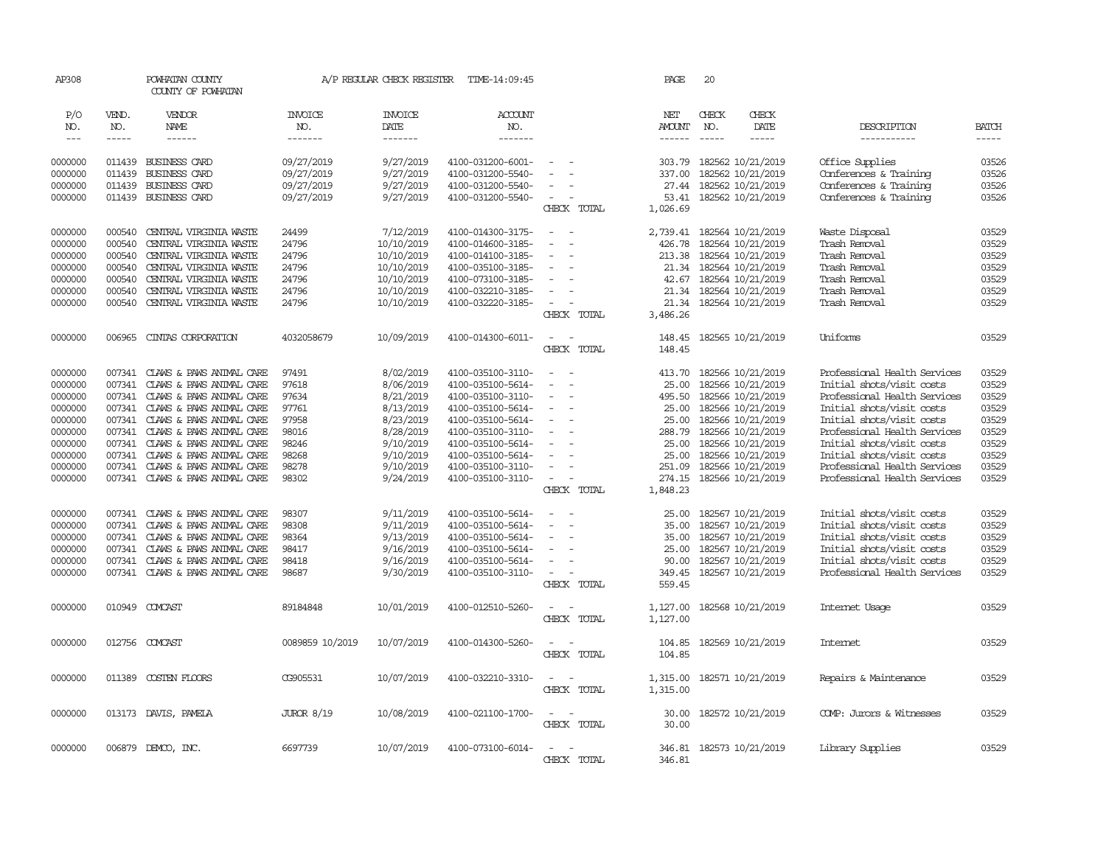| AP308      |              | POWHATAN COUNTY<br>COUNTY OF POWHATAN |                       | A/P REGULAR CHECK REGISTER | TIME-14:09:45     |                                    | PAGE                 | 20                                                                                                                                                                                                                                                                                                                                                                                                                                                                         |                          |                              |              |
|------------|--------------|---------------------------------------|-----------------------|----------------------------|-------------------|------------------------------------|----------------------|----------------------------------------------------------------------------------------------------------------------------------------------------------------------------------------------------------------------------------------------------------------------------------------------------------------------------------------------------------------------------------------------------------------------------------------------------------------------------|--------------------------|------------------------------|--------------|
| P/O<br>NO. | VEND.<br>NO. | VENDOR<br>NAME                        | <b>INVOICE</b><br>NO. | <b>INVOICE</b><br>DATE     | ACCOUNT<br>NO.    |                                    | NET<br><b>AMOUNT</b> | CHECK<br>NO.                                                                                                                                                                                                                                                                                                                                                                                                                                                               | CHECK<br>DATE            | DESCRIPTION                  | <b>BATCH</b> |
| $---$      | $- - - - -$  | ------                                | -------               | -------                    | -------           |                                    |                      | $\frac{1}{2} \left( \frac{1}{2} \right) \left( \frac{1}{2} \right) \left( \frac{1}{2} \right) \left( \frac{1}{2} \right) \left( \frac{1}{2} \right) \left( \frac{1}{2} \right) \left( \frac{1}{2} \right) \left( \frac{1}{2} \right) \left( \frac{1}{2} \right) \left( \frac{1}{2} \right) \left( \frac{1}{2} \right) \left( \frac{1}{2} \right) \left( \frac{1}{2} \right) \left( \frac{1}{2} \right) \left( \frac{1}{2} \right) \left( \frac{1}{2} \right) \left( \frac$ | $- - - - -$              | -----------                  | $- - - - -$  |
|            |              |                                       |                       |                            |                   |                                    |                      |                                                                                                                                                                                                                                                                                                                                                                                                                                                                            |                          |                              |              |
| 0000000    | 011439       | <b>BUSINESS CARD</b>                  | 09/27/2019            | 9/27/2019                  | 4100-031200-6001- | $\equiv$                           | 303.79               |                                                                                                                                                                                                                                                                                                                                                                                                                                                                            | 182562 10/21/2019        | Office Supplies              | 03526        |
| 0000000    | 011439       | <b>BUSINESS CARD</b>                  | 09/27/2019            | 9/27/2019                  | 4100-031200-5540- |                                    | 337.00               |                                                                                                                                                                                                                                                                                                                                                                                                                                                                            | 182562 10/21/2019        | Conferences & Training       | 03526        |
| 0000000    | 011439       | <b>BUSINESS CARD</b>                  | 09/27/2019            | 9/27/2019                  | 4100-031200-5540- |                                    | 27.44                |                                                                                                                                                                                                                                                                                                                                                                                                                                                                            | 182562 10/21/2019        | Conferences & Training       | 03526        |
| 0000000    |              | 011439 BUSINESS CARD                  | 09/27/2019            | 9/27/2019                  | 4100-031200-5540- | $\sim$                             | 53.41                |                                                                                                                                                                                                                                                                                                                                                                                                                                                                            | 182562 10/21/2019        | Conferences & Training       | 03526        |
|            |              |                                       |                       |                            |                   | CHECK TOTAL                        | 1,026.69             |                                                                                                                                                                                                                                                                                                                                                                                                                                                                            |                          |                              |              |
| 0000000    | 000540       | CENTRAL VIRGINIA WASTE                | 24499                 | 7/12/2019                  | 4100-014300-3175- | $\sim$<br>- -                      | 2,739.41             |                                                                                                                                                                                                                                                                                                                                                                                                                                                                            | 182564 10/21/2019        | Waste Disposal               | 03529        |
| 0000000    | 000540       | CENTRAL VIRGINIA WASTE                | 24796                 | 10/10/2019                 | 4100-014600-3185- | $\sim$<br>- 11                     | 426.78               |                                                                                                                                                                                                                                                                                                                                                                                                                                                                            | 182564 10/21/2019        | Trash Removal                | 03529        |
| 0000000    | 000540       | CENTRAL VIRGINIA WASTE                | 24796                 | 10/10/2019                 | 4100-014100-3185- | $\equiv$                           | 213.38               |                                                                                                                                                                                                                                                                                                                                                                                                                                                                            | 182564 10/21/2019        | Trash Removal                | 03529        |
| 0000000    | 000540       | CENTRAL VIRGINIA WASTE                | 24796                 | 10/10/2019                 | 4100-035100-3185- | $\equiv$                           |                      |                                                                                                                                                                                                                                                                                                                                                                                                                                                                            | 21.34 182564 10/21/2019  | Trash Removal                | 03529        |
| 0000000    | 000540       | CENTRAL VIRGINIA WASTE                | 24796                 | 10/10/2019                 | 4100-073100-3185- | $\equiv$                           | 42.67                |                                                                                                                                                                                                                                                                                                                                                                                                                                                                            | 182564 10/21/2019        | Trash Removal                | 03529        |
| 0000000    | 000540       | CENTRAL VIRGINIA WASTE                | 24796                 | 10/10/2019                 | 4100-032210-3185- | $\overline{\phantom{a}}$           | 21.34                |                                                                                                                                                                                                                                                                                                                                                                                                                                                                            | 182564 10/21/2019        | Trash Removal                | 03529        |
| 0000000    | 000540       | CENTRAL VIRGINIA WASTE                | 24796                 | 10/10/2019                 | 4100-032220-3185- | $\overline{\phantom{a}}$           | 21.34                |                                                                                                                                                                                                                                                                                                                                                                                                                                                                            | 182564 10/21/2019        | Trash Removal                | 03529        |
|            |              |                                       |                       |                            |                   | CHECK TOTAL                        | 3,486.26             |                                                                                                                                                                                                                                                                                                                                                                                                                                                                            |                          |                              |              |
| 0000000    | 006965       | CINTAS CORPORATION                    | 4032058679            | 10/09/2019                 | 4100-014300-6011- | $\overline{\phantom{a}}$           |                      |                                                                                                                                                                                                                                                                                                                                                                                                                                                                            | 182565 10/21/2019        | Uniforms                     | 03529        |
|            |              |                                       |                       |                            |                   | CHECK TOTAL                        | 148.45<br>148.45     |                                                                                                                                                                                                                                                                                                                                                                                                                                                                            |                          |                              |              |
|            |              |                                       |                       |                            |                   |                                    |                      |                                                                                                                                                                                                                                                                                                                                                                                                                                                                            |                          |                              |              |
| 0000000    | 007341       | CLAWS & PAWS ANIMAL CARE              | 97491                 | 8/02/2019                  | 4100-035100-3110- | $\equiv$                           | 413.70               |                                                                                                                                                                                                                                                                                                                                                                                                                                                                            | 182566 10/21/2019        | Professional Health Services | 03529        |
| 0000000    | 007341       | CLAWS & PAWS ANIMAL CARE              | 97618                 | 8/06/2019                  | 4100-035100-5614- | $\equiv$                           | 25.00                |                                                                                                                                                                                                                                                                                                                                                                                                                                                                            | 182566 10/21/2019        | Initial shots/visit costs    | 03529        |
| 0000000    | 007341       | CLAWS & PAWS ANIMAL CARE              | 97634                 | 8/21/2019                  | 4100-035100-3110- | $\sim$                             | 495.50               |                                                                                                                                                                                                                                                                                                                                                                                                                                                                            | 182566 10/21/2019        | Professional Health Services | 03529        |
| 0000000    | 007341       | CLAWS & PAWS ANIMAL CARE              | 97761                 | 8/13/2019                  | 4100-035100-5614- | $\equiv$                           | 25.00                |                                                                                                                                                                                                                                                                                                                                                                                                                                                                            | 182566 10/21/2019        | Initial shots/visit costs    | 03529        |
| 0000000    | 007341       | CLAWS & PAWS ANIMAL CARE              | 97958                 | 8/23/2019                  | 4100-035100-5614- | $\equiv$                           | 25.00                |                                                                                                                                                                                                                                                                                                                                                                                                                                                                            | 182566 10/21/2019        | Initial shots/visit costs    | 03529        |
| 0000000    | 007341       | CLAWS & PAWS ANIMAL CARE              | 98016                 | 8/28/2019                  | 4100-035100-3110- | $\equiv$                           | 288.79               |                                                                                                                                                                                                                                                                                                                                                                                                                                                                            | 182566 10/21/2019        | Professional Health Services | 03529        |
| 0000000    | 007341       | CLAWS & PAWS ANIMAL CARE              | 98246                 | 9/10/2019                  | 4100-035100-5614- |                                    | 25.00                |                                                                                                                                                                                                                                                                                                                                                                                                                                                                            | 182566 10/21/2019        | Initial shots/visit costs    | 03529        |
| 0000000    | 007341       | CLAWS & PAWS ANIMAL CARE              | 98268                 | 9/10/2019                  | 4100-035100-5614- | $\overline{\phantom{a}}$           | 25.00                |                                                                                                                                                                                                                                                                                                                                                                                                                                                                            | 182566 10/21/2019        | Initial shots/visit costs    | 03529        |
| 0000000    | 007341       | CLAWS & PAWS ANIMAL CARE              | 98278                 | 9/10/2019                  | 4100-035100-3110- | $\equiv$                           | 251.09               |                                                                                                                                                                                                                                                                                                                                                                                                                                                                            | 182566 10/21/2019        | Professional Health Services | 03529        |
| 0000000    | 007341       | CLAWS & PAWS ANIMAL CARE              | 98302                 | 9/24/2019                  | 4100-035100-3110- | $\sim$<br>$\sim$                   | 274.15               |                                                                                                                                                                                                                                                                                                                                                                                                                                                                            | 182566 10/21/2019        | Professional Health Services | 03529        |
|            |              |                                       |                       |                            |                   | CHECK TOTAL                        | 1,848.23             |                                                                                                                                                                                                                                                                                                                                                                                                                                                                            |                          |                              |              |
| 0000000    | 007341       | CLAWS & PAWS ANIMAL CARE              | 98307                 | 9/11/2019                  | 4100-035100-5614- | $\sim$                             | 25.00                |                                                                                                                                                                                                                                                                                                                                                                                                                                                                            | 182567 10/21/2019        | Initial shots/visit costs    | 03529        |
| 0000000    | 007341       | CLAWS & PAWS ANIMAL CARE              | 98308                 | 9/11/2019                  | 4100-035100-5614- |                                    | 35.00                |                                                                                                                                                                                                                                                                                                                                                                                                                                                                            | 182567 10/21/2019        | Initial shots/visit costs    | 03529        |
| 0000000    | 007341       | CLAWS & PAWS ANIMAL CARE              | 98364                 | 9/13/2019                  | 4100-035100-5614- | $\blacksquare$                     | 35.00                |                                                                                                                                                                                                                                                                                                                                                                                                                                                                            | 182567 10/21/2019        | Initial shots/visit costs    | 03529        |
| 0000000    | 007341       | CLAWS & PAWS ANIMAL CARE              | 98417                 | 9/16/2019                  | 4100-035100-5614- | $\overline{\phantom{a}}$           | 25.00                |                                                                                                                                                                                                                                                                                                                                                                                                                                                                            | 182567 10/21/2019        | Initial shots/visit costs    | 03529        |
| 0000000    | 007341       | CLAWS & PAWS ANIMAL CARE              | 98418                 | 9/16/2019                  | 4100-035100-5614- | $\equiv$                           | 90.00                |                                                                                                                                                                                                                                                                                                                                                                                                                                                                            | 182567 10/21/2019        | Initial shots/visit costs    | 03529        |
| 0000000    | 007341       | CLAWS & PAWS ANIMAL CARE              | 98687                 | 9/30/2019                  | 4100-035100-3110- | $\equiv$                           | 349.45               |                                                                                                                                                                                                                                                                                                                                                                                                                                                                            | 182567 10/21/2019        | Professional Health Services | 03529        |
|            |              |                                       |                       |                            |                   | CHECK TOTAL                        | 559.45               |                                                                                                                                                                                                                                                                                                                                                                                                                                                                            |                          |                              |              |
|            |              |                                       |                       |                            |                   |                                    |                      |                                                                                                                                                                                                                                                                                                                                                                                                                                                                            |                          |                              |              |
| 0000000    | 010949       | COMCAST                               | 89184848              | 10/01/2019                 | 4100-012510-5260- | $\overline{\phantom{a}}$           | 1,127.00             |                                                                                                                                                                                                                                                                                                                                                                                                                                                                            | 182568 10/21/2019        | Internet Usage               | 03529        |
|            |              |                                       |                       |                            |                   | CHECK TOTAL                        | 1,127.00             |                                                                                                                                                                                                                                                                                                                                                                                                                                                                            |                          |                              |              |
| 0000000    | 012756       | COMCAST                               | 0089859 10/2019       | 10/07/2019                 | 4100-014300-5260- | $\sim$                             | 104.85               |                                                                                                                                                                                                                                                                                                                                                                                                                                                                            | 182569 10/21/2019        | Internet                     | 03529        |
|            |              |                                       |                       |                            |                   | CHECK TOTAL                        | 104.85               |                                                                                                                                                                                                                                                                                                                                                                                                                                                                            |                          |                              |              |
| 0000000    | 011389       | COSTEN FLOORS                         | CG905531              | 10/07/2019                 | 4100-032210-3310- | $\sim$<br>$\sim$                   | 1,315.00             |                                                                                                                                                                                                                                                                                                                                                                                                                                                                            | 182571 10/21/2019        | Repairs & Maintenance        | 03529        |
|            |              |                                       |                       |                            |                   | CHECK TOTAL                        | 1,315.00             |                                                                                                                                                                                                                                                                                                                                                                                                                                                                            |                          |                              |              |
|            |              |                                       |                       |                            |                   |                                    |                      |                                                                                                                                                                                                                                                                                                                                                                                                                                                                            |                          |                              |              |
| 0000000    |              | 013173 DAVIS, PAMELA                  | <b>JUROR 8/19</b>     | 10/08/2019                 | 4100-021100-1700- | $\sim$<br>$\overline{\phantom{a}}$ | 30.00                |                                                                                                                                                                                                                                                                                                                                                                                                                                                                            | 182572 10/21/2019        | COMP: Jurors & Witnesses     | 03529        |
|            |              |                                       |                       |                            |                   | CHECK TOTAL                        | 30.00                |                                                                                                                                                                                                                                                                                                                                                                                                                                                                            |                          |                              |              |
| 0000000    |              | 006879 DEMCO, INC.                    | 6697739               | 10/07/2019                 | 4100-073100-6014- | $\sim$<br>$\sim$                   |                      |                                                                                                                                                                                                                                                                                                                                                                                                                                                                            | 346.81 182573 10/21/2019 | Library Supplies             | 03529        |
|            |              |                                       |                       |                            |                   | CHRCK TOTAL                        | 346.81               |                                                                                                                                                                                                                                                                                                                                                                                                                                                                            |                          |                              |              |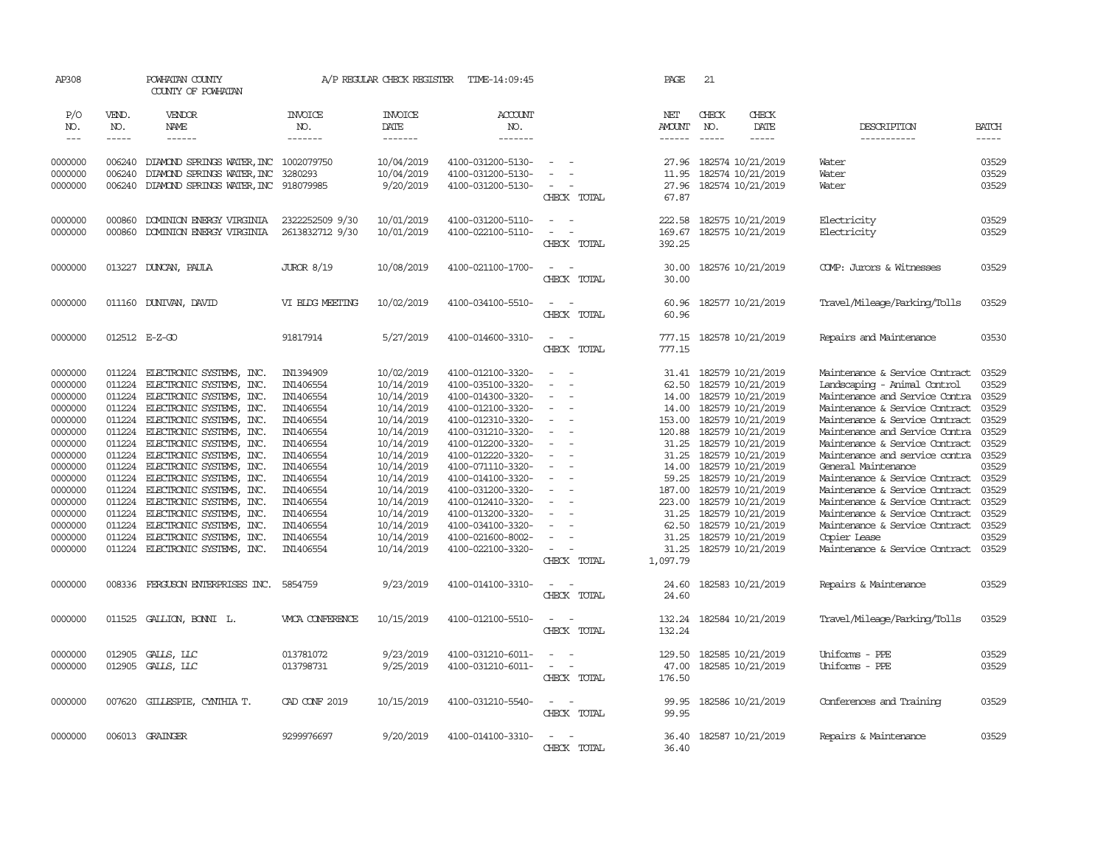| AP308      |              | POWHATAN COUNTY<br>COUNTY OF POWHATAN |                   | A/P REGULAR CHECK REGISTER | TIME-14:09:45         |                                      | PAGE                 | 21            |                   |                                |               |
|------------|--------------|---------------------------------------|-------------------|----------------------------|-----------------------|--------------------------------------|----------------------|---------------|-------------------|--------------------------------|---------------|
| P/O<br>NO. | VEND.<br>NO. | VENDOR<br>NAME                        | INVOICE<br>NO.    | INVOICE<br>DATE            | <b>ACCOUNT</b><br>NO. |                                      | NET<br><b>AMOUNT</b> | CHECK<br>NO.  | CHECK<br>DATE     | DESCRIPTION                    | <b>BATCH</b>  |
| $---$      | -----        | $- - - - - -$                         | -------           | -------                    | --------              |                                      | ------               | $\frac{1}{2}$ | $- - - - -$       | -----------                    | $\frac{1}{2}$ |
|            |              |                                       |                   |                            |                       |                                      |                      |               |                   |                                |               |
| 0000000    | 006240       | DIAMOND SPRINGS WATER, INC 1002079750 |                   | 10/04/2019                 | 4100-031200-5130-     | $\equiv$                             | 27.96                |               | 182574 10/21/2019 | Water                          | 03529         |
| 0000000    | 006240       | DIAMOND SPRINGS WATER, INC            | 3280293           | 10/04/2019                 | 4100-031200-5130-     |                                      | 11.95                |               | 182574 10/21/2019 | Water                          | 03529         |
| 0000000    | 006240       | DIAMOND SPRINGS WATER, INC 918079985  |                   | 9/20/2019                  | 4100-031200-5130-     |                                      | 27.96                |               | 182574 10/21/2019 | Water                          | 03529         |
|            |              |                                       |                   |                            |                       | CHECK TOTAL                          | 67.87                |               |                   |                                |               |
| 0000000    | 000860       | DOMINION ENERGY VIRGINIA              | 2322252509 9/30   | 10/01/2019                 | 4100-031200-5110-     | $\sim$<br>$\overline{\phantom{a}}$   | 222.58               |               | 182575 10/21/2019 | Electricity                    | 03529         |
| 0000000    | 000860       | DOMINION ENERGY VIRGINIA              | 2613832712 9/30   | 10/01/2019                 | 4100-022100-5110-     | $\sim$<br>$\sim$                     | 169.67               |               | 182575 10/21/2019 | Electricity                    | 03529         |
|            |              |                                       |                   |                            |                       | CHECK TOTAL                          | 392.25               |               |                   |                                |               |
|            |              |                                       |                   |                            |                       |                                      |                      |               |                   |                                |               |
| 0000000    | 013227       | DUNCAN, PAULA                         | <b>JUROR 8/19</b> | 10/08/2019                 | 4100-021100-1700-     | $\sim$ $  -$                         | 30.00                |               | 182576 10/21/2019 | COMP: Jurors & Witnesses       | 03529         |
|            |              |                                       |                   |                            |                       | CHECK TOTAL                          | 30.00                |               |                   |                                |               |
| 0000000    |              | 011160 DUNIVAN, DAVID                 | VI BLDG MEETING   | 10/02/2019                 | 4100-034100-5510-     | $\equiv$<br>$\overline{\phantom{a}}$ | 60.96                |               | 182577 10/21/2019 | Travel/Mileage/Parking/Tolls   | 03529         |
|            |              |                                       |                   |                            |                       | CHECK TOTAL                          | 60.96                |               |                   |                                |               |
|            |              |                                       |                   |                            |                       |                                      |                      |               |                   |                                |               |
| 0000000    |              | 012512 E-Z-GO                         | 91817914          | 5/27/2019                  | 4100-014600-3310-     | $\sim$<br>$\sim$                     | 777.15               |               | 182578 10/21/2019 | Repairs and Maintenance        | 03530         |
|            |              |                                       |                   |                            |                       | CHECK TOTAL                          | 777.15               |               |                   |                                |               |
| 0000000    | 011224       | ELECTRONIC SYSTEMS, INC.              | IN1394909         | 10/02/2019                 | 4100-012100-3320-     | $\overline{\phantom{a}}$<br>- -      | 31.41                |               | 182579 10/21/2019 | Maintenance & Service Contract | 03529         |
| 0000000    | 011224       | ELECTRONIC SYSTEMS, INC.              | IN1406554         | 10/14/2019                 | 4100-035100-3320-     | $\sim$                               | 62.50                |               | 182579 10/21/2019 | Landscaping - Animal Control   | 03529         |
| 0000000    | 011224       | ELECTRONIC SYSTEMS, INC.              | IN1406554         | 10/14/2019                 | 4100-014300-3320-     |                                      | 14.00                |               | 182579 10/21/2019 | Maintenance and Service Contra | 03529         |
| 0000000    | 011224       | ELECTRONIC SYSTEMS, INC.              | IN1406554         | 10/14/2019                 | 4100-012100-3320-     | $\equiv$<br>$\overline{\phantom{a}}$ | 14.00                |               | 182579 10/21/2019 | Maintenance & Service Contract | 03529         |
| 0000000    | 011224       | ELECTRONIC SYSTEMS, INC.              | IN1406554         | 10/14/2019                 | 4100-012310-3320-     | $\sim$                               | 153.00               |               | 182579 10/21/2019 | Maintenance & Service Contract | 03529         |
| 0000000    | 011224       | ELECTRONIC SYSTEMS, INC.              | IN1406554         | 10/14/2019                 | 4100-031210-3320-     | $\sim$                               | 120.88               |               | 182579 10/21/2019 | Maintenance and Service Contra | 03529         |
| 0000000    | 011224       | ELECTRONIC SYSTEMS, INC.              | IN1406554         | 10/14/2019                 | 4100-012200-3320-     | $\sim$                               | 31.25                |               | 182579 10/21/2019 | Maintenance & Service Contract | 03529         |
| 0000000    | 011224       | ELECTRONIC SYSTEMS, INC.              | IN1406554         | 10/14/2019                 | 4100-012220-3320-     | $\sim$<br>$\overline{\phantom{a}}$   | 31.25                |               | 182579 10/21/2019 | Maintenance and service contra | 03529         |
| 0000000    | 011224       | ELECTRONIC SYSTEMS, INC.              | IN1406554         | 10/14/2019                 | 4100-071110-3320-     | $\sim$                               | 14.00                |               | 182579 10/21/2019 | General Maintenance            | 03529         |
| 0000000    | 011224       | ELECTRONIC SYSTEMS, INC.              | IN1406554         | 10/14/2019                 | 4100-014100-3320-     |                                      | 59.25                |               | 182579 10/21/2019 | Maintenance & Service Contract | 03529         |
| 0000000    | 011224       | ELECTRONIC SYSTEMS, INC.              | IN1406554         | 10/14/2019                 | 4100-031200-3320-     | $\equiv$<br>$\sim$                   | 187.00               |               | 182579 10/21/2019 | Maintenance & Service Contract | 03529         |
| 0000000    |              | 011224 ELECTRONIC SYSTEMS, INC.       | IN1406554         | 10/14/2019                 | 4100-012410-3320-     |                                      | 223.00               |               | 182579 10/21/2019 | Maintenance & Service Contract | 03529         |
| 0000000    | 011224       | ELECTRONIC SYSTEMS, INC.              | IN1406554         | 10/14/2019                 | 4100-013200-3320-     |                                      | 31.25                |               | 182579 10/21/2019 | Maintenance & Service Contract | 03529         |
| 0000000    | 011224       | ELECTRONIC SYSTEMS, INC.              | IN1406554         | 10/14/2019                 | 4100-034100-3320-     |                                      | 62.50                |               | 182579 10/21/2019 | Maintenance & Service Contract | 03529         |
| 0000000    | 011224       | ELECTRONIC SYSTEMS, INC.              | IN1406554         | 10/14/2019                 | 4100-021600-8002-     | $\sim$                               | 31.25                |               | 182579 10/21/2019 | Copier Lease                   | 03529         |
| 0000000    | 011224       | ELECTRONIC SYSTEMS, INC.              | IN1406554         | 10/14/2019                 | 4100-022100-3320-     | $\equiv$                             | 31.25                |               | 182579 10/21/2019 | Maintenance & Service Contract | 03529         |
|            |              |                                       |                   |                            |                       | CHECK TOTAL                          | 1,097.79             |               |                   |                                |               |
| 0000000    |              | 008336 FERGUSON ENTERPRISES INC.      |                   | 9/23/2019                  | 4100-014100-3310-     | $\sim$<br>. —                        |                      |               | 182583 10/21/2019 |                                | 03529         |
|            |              |                                       | 5854759           |                            |                       | CHECK TOTAL                          | 24.60<br>24.60       |               |                   | Repairs & Maintenance          |               |
|            |              |                                       |                   |                            |                       |                                      |                      |               |                   |                                |               |
| 0000000    |              | 011525 GALLION, BONNI L.              | WICA CONFERENCE   | 10/15/2019                 | 4100-012100-5510-     | $\sim$ $ \sim$                       | 132.24               |               | 182584 10/21/2019 | Travel/Mileage/Parking/Tolls   | 03529         |
|            |              |                                       |                   |                            |                       | CHECK TOTAL                          | 132.24               |               |                   |                                |               |
| 0000000    |              | 012905 GALLS, LLC                     | 013781072         | 9/23/2019                  | 4100-031210-6011-     | $\equiv$<br>$\sim$                   | 129.50               |               | 182585 10/21/2019 | Uniforms - PPE                 | 03529         |
| 0000000    |              | 012905 GALLS, LLC                     | 013798731         | 9/25/2019                  | 4100-031210-6011-     | $\overline{\phantom{a}}$<br>$\sim$   | 47.00                |               | 182585 10/21/2019 | Uniforms - PPE                 | 03529         |
|            |              |                                       |                   |                            |                       | CHECK TOTAL                          | 176.50               |               |                   |                                |               |
|            |              |                                       |                   |                            |                       |                                      |                      |               |                   |                                |               |
| 0000000    |              | 007620 GILLESPIE, CYNTHIA T.          | CAD CONF 2019     | 10/15/2019                 | 4100-031210-5540-     | $\sim$ $ \sim$                       | 99.95                |               | 182586 10/21/2019 | Conferences and Training       | 03529         |
|            |              |                                       |                   |                            |                       | CHECK TOTAL                          | 99.95                |               |                   |                                |               |
| 0000000    |              | 006013 GRAINGER                       | 9299976697        | 9/20/2019                  | 4100-014100-3310-     | $\sim$ $  -$                         | 36.40                |               | 182587 10/21/2019 | Repairs & Maintenance          | 03529         |
|            |              |                                       |                   |                            |                       | CHECK TOTAL                          | 36.40                |               |                   |                                |               |
|            |              |                                       |                   |                            |                       |                                      |                      |               |                   |                                |               |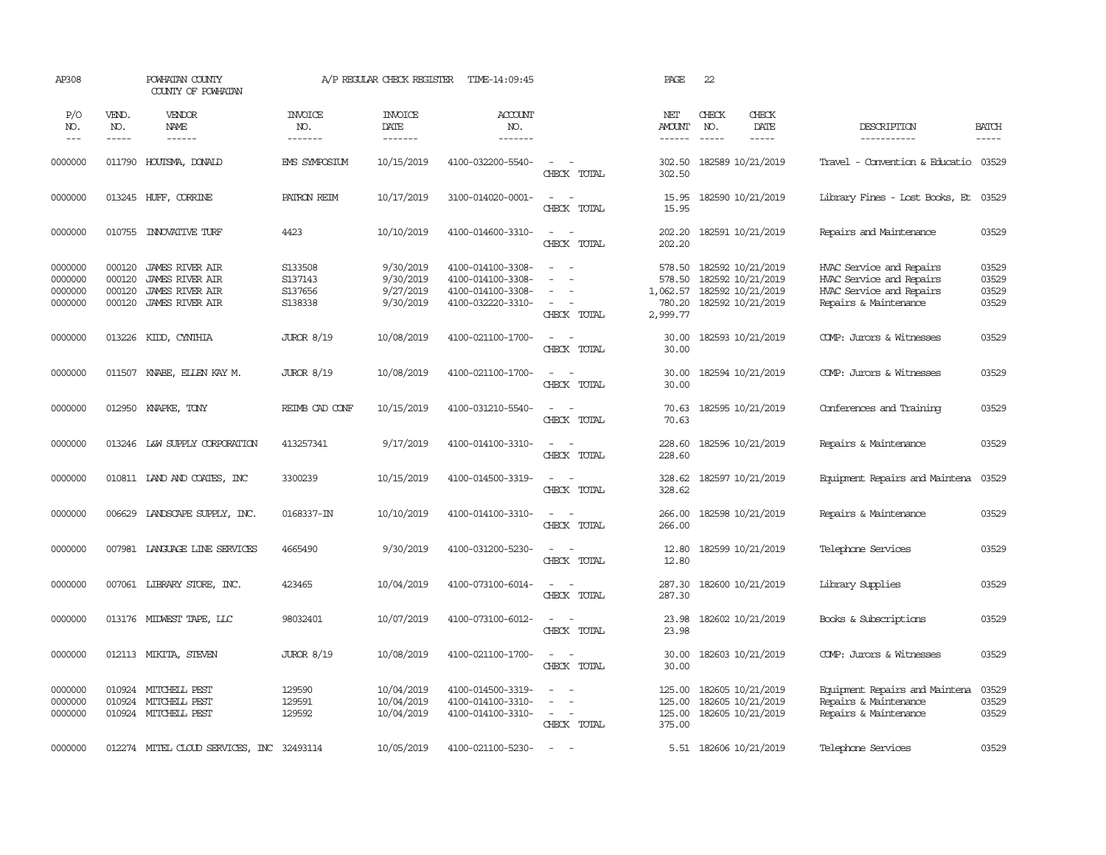| AP308                                    |                                      | POWHATAN COUNTY<br>COUNTY OF POWHATAN                                                         |                                          | A/P REGULAR CHECK REGISTER                       | TIME-14:09:45                                                                    |                                                                                                                             | PAGE                                               | 22                                                                               |                                                                                                           |                                  |
|------------------------------------------|--------------------------------------|-----------------------------------------------------------------------------------------------|------------------------------------------|--------------------------------------------------|----------------------------------------------------------------------------------|-----------------------------------------------------------------------------------------------------------------------------|----------------------------------------------------|----------------------------------------------------------------------------------|-----------------------------------------------------------------------------------------------------------|----------------------------------|
| P/O<br>NO.<br>$---$                      | VEND.<br>NO.<br>-----                | VENDOR<br>NAME<br>$- - - - - -$                                                               | <b>INVOICE</b><br>NO.<br>-------         | <b>INVOICE</b><br>DATE<br>-------                | <b>ACCOUNT</b><br>NO.<br>-------                                                 |                                                                                                                             | NET<br><b>AMOUNT</b><br>$- - - - - -$              | CHECK<br>CHECK<br>DATE<br>NO.<br>$\frac{1}{2}$<br>$- - - - -$                    | DESCRIPTION<br>-----------                                                                                | <b>BATCH</b><br>$- - - - -$      |
| 0000000                                  | 011790                               | HOUTSMA, DONALD                                                                               | EMS SYMPOSIUM                            | 10/15/2019                                       | 4100-032200-5540-                                                                | $\sim$<br>$\sim$<br>CHECK TOTAL                                                                                             | 302.50<br>302.50                                   | 182589 10/21/2019                                                                | Travel - Convention & Educatio                                                                            | 03529                            |
| 0000000                                  |                                      | 013245 HUFF, CORRINE                                                                          | PATRON REIM                              | 10/17/2019                                       | 3100-014020-0001-                                                                | $\sim$<br>$\sim$<br>CHECK TOTAL                                                                                             | 15.95<br>15.95                                     | 182590 10/21/2019                                                                | Library Fines - Lost Books, Et                                                                            | 03529                            |
| 0000000                                  | 010755                               | INVOVATIVE TURF                                                                               | 4423                                     | 10/10/2019                                       | 4100-014600-3310-                                                                | $\sim$<br>$\sim$<br>CHECK TOTAL                                                                                             | 202.20<br>202.20                                   | 182591 10/21/2019                                                                | Repairs and Maintenance                                                                                   | 03529                            |
| 0000000<br>0000000<br>0000000<br>0000000 | 000120<br>000120<br>000120<br>000120 | <b>JAMES RIVER AIR</b><br><b>JAMES RIVER AIR</b><br><b>JAMES RIVER AIR</b><br>JAMES RIVER AIR | S133508<br>S137143<br>S137656<br>S138338 | 9/30/2019<br>9/30/2019<br>9/27/2019<br>9/30/2019 | 4100-014100-3308-<br>4100-014100-3308-<br>4100-014100-3308-<br>4100-032220-3310- | $\sim$<br>$\equiv$<br>$\overline{\phantom{a}}$<br>$\equiv$<br>$\sim$<br>CHECK TOTAL                                         | 578.50<br>578.50<br>1,062.57<br>780.20<br>2,999.77 | 182592 10/21/2019<br>182592 10/21/2019<br>182592 10/21/2019<br>182592 10/21/2019 | HVAC Service and Repairs<br>HVAC Service and Repairs<br>HVAC Service and Repairs<br>Repairs & Maintenance | 03529<br>03529<br>03529<br>03529 |
| 0000000                                  | 013226                               | KIDD, CYNTHIA                                                                                 | <b>JUROR 8/19</b>                        | 10/08/2019                                       | 4100-021100-1700-                                                                | $\sim$<br>$\sim$<br>CHECK TOTAL                                                                                             | 30.00<br>30.00                                     | 182593 10/21/2019                                                                | COMP: Jurors & Witnesses                                                                                  | 03529                            |
| 0000000                                  | 011507                               | KNABE, ELLEN KAY M.                                                                           | <b>JUROR 8/19</b>                        | 10/08/2019                                       | 4100-021100-1700-                                                                | $\overline{\phantom{a}}$<br>CHECK TOTAL                                                                                     | 30.00<br>30.00                                     | 182594 10/21/2019                                                                | COMP: Jurors & Witnesses                                                                                  | 03529                            |
| 0000000                                  | 012950                               | KNAPKE, TONY                                                                                  | REIMB CAD CONF                           | 10/15/2019                                       | 4100-031210-5540-                                                                | $\sim$<br>$\sim$<br>CHECK TOTAL                                                                                             | 70.63<br>70.63                                     | 182595 10/21/2019                                                                | Conferences and Training                                                                                  | 03529                            |
| 0000000                                  | 013246                               | L&W SUPPLY CORPORATION                                                                        | 413257341                                | 9/17/2019                                        | 4100-014100-3310-                                                                | $\sim$<br>$\sim$<br>CHECK TOTAL                                                                                             | 228.60<br>228.60                                   | 182596 10/21/2019                                                                | Repairs & Maintenance                                                                                     | 03529                            |
| 0000000                                  |                                      | 010811 LAND AND COATES, INC                                                                   | 3300239                                  | 10/15/2019                                       | 4100-014500-3319-                                                                | $\sim$<br>$\sim$<br>CHECK TOTAL                                                                                             | 328.62<br>328.62                                   | 182597 10/21/2019                                                                | Equipment Repairs and Maintena                                                                            | 03529                            |
| 0000000                                  | 006629                               | LANDSCAPE SUPPLY, INC.                                                                        | 0168337-IN                               | 10/10/2019                                       | 4100-014100-3310-                                                                | $\sim$<br>$\sim$<br>CHECK TOTAL                                                                                             | 266.00<br>266.00                                   | 182598 10/21/2019                                                                | Repairs & Maintenance                                                                                     | 03529                            |
| 0000000                                  |                                      | 007981 LANGUAGE LINE SERVICES                                                                 | 4665490                                  | 9/30/2019                                        | 4100-031200-5230-                                                                | $\frac{1}{2} \left( \frac{1}{2} \right) \left( \frac{1}{2} \right) = \frac{1}{2} \left( \frac{1}{2} \right)$<br>CHECK TOTAL | 12.80<br>12.80                                     | 182599 10/21/2019                                                                | Telephone Services                                                                                        | 03529                            |
| 0000000                                  |                                      | 007061 LIBRARY STORE, INC.                                                                    | 423465                                   | 10/04/2019                                       | 4100-073100-6014-                                                                | $\sim$<br>$\sim$<br>CHECK TOTAL                                                                                             | 287.30<br>287.30                                   | 182600 10/21/2019                                                                | Library Supplies                                                                                          | 03529                            |
| 0000000                                  |                                      | 013176 MIDWEST TAPE, LLC                                                                      | 98032401                                 | 10/07/2019                                       | 4100-073100-6012-                                                                | $\sim$<br>CHECK TOTAL                                                                                                       | 23.98<br>23.98                                     | 182602 10/21/2019                                                                | Books & Subscriptions                                                                                     | 03529                            |
| 0000000                                  | 012113                               | MIKITA, SIEVEN                                                                                | <b>JUROR 8/19</b>                        | 10/08/2019                                       | 4100-021100-1700-                                                                | $\overline{\phantom{a}}$<br>CHECK TOTAL                                                                                     | 30.00<br>30.00                                     | 182603 10/21/2019                                                                | COMP: Jurors & Witnesses                                                                                  | 03529                            |
| 0000000<br>0000000<br>0000000            | 010924<br>010924                     | MITCHELL PEST<br>MITCHELL PEST<br>010924 MITCHELL PEST                                        | 129590<br>129591<br>129592               | 10/04/2019<br>10/04/2019<br>10/04/2019           | 4100-014500-3319-<br>4100-014100-3310-<br>4100-014100-3310-                      | $\equiv$<br>$\equiv$<br>$\sim$<br>CHECK TOTAL                                                                               | 125.00<br>125.00<br>375.00                         | 182605 10/21/2019<br>182605 10/21/2019<br>125.00 182605 10/21/2019               | Equipment Repairs and Maintena<br>Repairs & Maintenance<br>Repairs & Maintenance                          | 03529<br>03529<br>03529          |
| 0000000                                  |                                      | 012274 MITEL CLOUD SERVICES, INC 32493114                                                     |                                          | 10/05/2019                                       | 4100-021100-5230-                                                                | $\sim$                                                                                                                      |                                                    | 5.51 182606 10/21/2019                                                           | Telephone Services                                                                                        | 03529                            |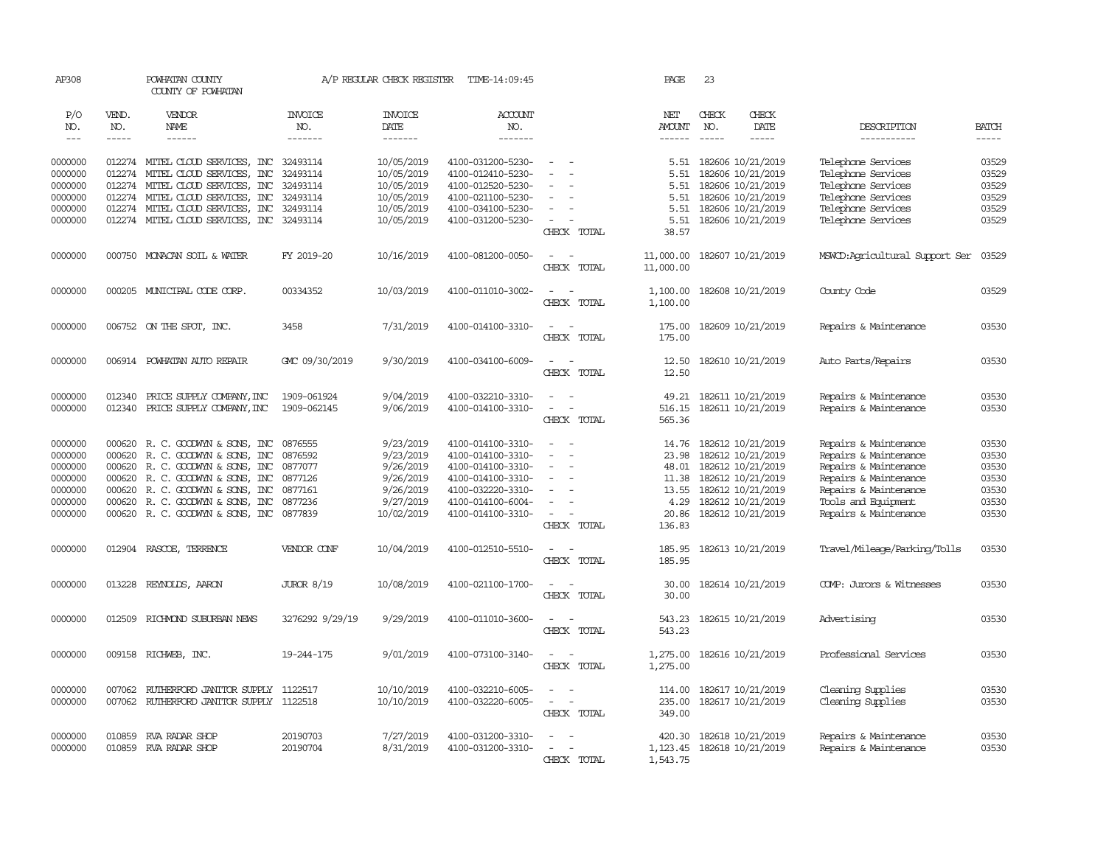| AP308                       |                             | POWHATAN COUNTY<br>COUNTY OF POWHATAN                                 |                                   | A/P REGULAR CHECK REGISTER         | TIME-14:09:45                          |                                                                    | PAGE                                  | 23                                                            |                                        |                      |
|-----------------------------|-----------------------------|-----------------------------------------------------------------------|-----------------------------------|------------------------------------|----------------------------------------|--------------------------------------------------------------------|---------------------------------------|---------------------------------------------------------------|----------------------------------------|----------------------|
| P/O<br>NO.<br>$\frac{1}{2}$ | VEND.<br>NO.<br>$- - - - -$ | VENDOR<br>NAME<br>$- - - - - -$                                       | INVOICE<br>NO.<br>$- - - - - - -$ | INVOICE<br>DATE<br>$- - - - - - -$ | <b>ACCOUNT</b><br>NO.<br>-------       |                                                                    | NET<br><b>AMOUNT</b><br>$- - - - - -$ | CHECK<br>CHECK<br>NO.<br>DATE<br>$\frac{1}{2}$<br>$- - - - -$ | DESCRIPTION<br>-----------             | BATCH<br>$- - - - -$ |
|                             |                             |                                                                       |                                   |                                    |                                        |                                                                    |                                       |                                                               |                                        |                      |
| 0000000                     |                             | 012274 MITEL CLOUD SERVICES, INC                                      | 32493114                          | 10/05/2019                         | 4100-031200-5230-                      |                                                                    | 5.51                                  | 182606 10/21/2019                                             | Telephone Services                     | 03529                |
| 0000000                     | 012274                      | MITEL CLOUD SERVICES, INC                                             | 32493114                          | 10/05/2019                         | 4100-012410-5230-                      | $\equiv$<br>$\overline{\phantom{a}}$                               | 5.51                                  | 182606 10/21/2019                                             | Telephone Services                     | 03529                |
| 0000000                     |                             | 012274 MITEL CLOUD SERVICES, INC                                      | 32493114                          | 10/05/2019                         | 4100-012520-5230-                      |                                                                    | 5.51                                  | 182606 10/21/2019                                             | Telephone Services                     | 03529                |
| 0000000                     |                             | 012274 MITEL CLOUD SERVICES, INC                                      | 32493114                          | 10/05/2019                         | 4100-021100-5230-                      |                                                                    | 5.51                                  | 182606 10/21/2019                                             | Telephone Services                     | 03529                |
| 0000000                     |                             | 012274 MITEL CLOUD SERVICES, INC                                      | 32493114                          | 10/05/2019                         | 4100-034100-5230-                      |                                                                    | 5.51                                  | 182606 10/21/2019                                             | Telephone Services                     | 03529                |
| 0000000                     |                             | 012274 MITEL CLOUD SERVICES, INC 32493114                             |                                   | 10/05/2019                         | 4100-031200-5230-                      | $\equiv$<br>CHECK TOTAL                                            | 5.51<br>38.57                         | 182606 10/21/2019                                             | Telephone Services                     | 03529                |
| 0000000                     |                             | 000750 MONACAN SOIL & WATER                                           | FY 2019-20                        | 10/16/2019                         | 4100-081200-0050-                      | $\sim$<br>$\sim$<br>CHECK TOTAL                                    | 11,000.00<br>11,000.00                | 182607 10/21/2019                                             | MSWCD: Agricultural Support Ser        | 03529                |
| 0000000                     |                             | 000205 MUNICIPAL CODE CORP.                                           | 00334352                          | 10/03/2019                         | 4100-011010-3002-                      | $\sim$<br>$\sim$<br>CHECK TOTAL                                    | 1,100.00<br>1,100.00                  | 182608 10/21/2019                                             | County Code                            | 03529                |
| 0000000                     |                             | 006752 ON THE SPOT, INC.                                              | 3458                              | 7/31/2019                          | 4100-014100-3310-                      | $\sim$<br>$\sim$                                                   | 175.00                                | 182609 10/21/2019                                             | Repairs & Maintenance                  | 03530                |
|                             |                             |                                                                       |                                   |                                    |                                        | CHECK TOTAL                                                        | 175.00                                |                                                               |                                        |                      |
| 0000000                     |                             | 006914 POWHATAN AUTO REPAIR                                           | GMC 09/30/2019                    | 9/30/2019                          | 4100-034100-6009-                      | $\sim$                                                             | 12.50                                 | 182610 10/21/2019                                             | Auto Parts/Repairs                     | 03530                |
|                             |                             |                                                                       |                                   |                                    |                                        | CHECK TOTAL                                                        | 12.50                                 |                                                               |                                        |                      |
| 0000000                     | 012340                      | PRICE SUPPLY COMPANY, INC                                             | 1909-061924                       | 9/04/2019                          | 4100-032210-3310-                      | $\equiv$                                                           | 49.21                                 | 182611 10/21/2019                                             | Repairs & Maintenance                  | 03530                |
| 0000000                     | 012340                      | PRICE SUPPLY COMPANY, INC                                             | 1909-062145                       | 9/06/2019                          | 4100-014100-3310-                      | $\sim$<br>CHECK TOTAL                                              | 516.15<br>565.36                      | 182611 10/21/2019                                             | Repairs & Maintenance                  | 03530                |
| 0000000                     |                             | 000620 R.C. GOODWYN & SONS, INC                                       | 0876555                           | 9/23/2019                          | 4100-014100-3310-                      | $\equiv$                                                           |                                       | 14.76 182612 10/21/2019                                       | Repairs & Maintenance                  | 03530                |
| 0000000                     | 000620                      | R. C. GOODWIN & SONS, INC                                             | 0876592                           | 9/23/2019                          | 4100-014100-3310-                      | $\sim$                                                             | 23.98                                 | 182612 10/21/2019                                             | Repairs & Maintenance                  | 03530                |
| 0000000                     |                             | 000620 R. C. GOODWYN & SONS, INC                                      | 0877077                           | 9/26/2019                          | 4100-014100-3310-                      | $\equiv$                                                           | 48.01                                 | 182612 10/21/2019                                             | Repairs & Maintenance                  | 03530                |
| 0000000                     |                             | 000620 R. C. GOODWYN & SONS, INC                                      | 0877126                           | 9/26/2019                          | 4100-014100-3310-                      |                                                                    | 11.38                                 | 182612 10/21/2019                                             | Repairs & Maintenance                  | 03530                |
| 0000000                     | 000620                      | R. C. GOODWYN & SONS, INC                                             | 0877161                           | 9/26/2019                          | 4100-032220-3310-                      | $\equiv$                                                           | 13.55                                 | 182612 10/21/2019                                             | Repairs & Maintenance                  | 03530                |
| 0000000                     |                             | 000620 R. C. GOODWIN & SONS, INC                                      | 0877236                           | 9/27/2019                          | 4100-014100-6004-                      | $\sim$                                                             | 4.29                                  | 182612 10/21/2019                                             | Tools and Equipment                    | 03530                |
| 0000000                     |                             | 000620 R. C. GOODWAN & SONS, INC 0877839                              |                                   | 10/02/2019                         | 4100-014100-3310-                      | $\sim$<br>$\sim$                                                   | 20.86                                 | 182612 10/21/2019                                             | Repairs & Maintenance                  | 03530                |
|                             |                             |                                                                       |                                   |                                    |                                        | CHECK TOTAL                                                        | 136.83                                |                                                               |                                        |                      |
| 0000000                     |                             | 012904 RASCOE, TERRENCE                                               | VENDOR CONF                       | 10/04/2019                         | 4100-012510-5510-                      | $\sim$<br>$\sim$<br>CHECK TOTAL                                    | 185.95<br>185.95                      | 182613 10/21/2019                                             | Travel/Mileage/Parking/Tolls           | 03530                |
| 0000000                     | 013228                      | REYNOLDS, AARON                                                       | <b>JUROR 8/19</b>                 | 10/08/2019                         | 4100-021100-1700-                      | $\sim$ $ \sim$                                                     | 30.00                                 | 182614 10/21/2019                                             | COMP: Jurors & Witnesses               | 03530                |
|                             |                             |                                                                       |                                   |                                    |                                        | CHECK TOTAL                                                        | 30.00                                 |                                                               |                                        |                      |
| 0000000                     | 012509                      | RICHMOND SUBURBAN NEWS                                                | 3276292 9/29/19                   | 9/29/2019                          | 4100-011010-3600-                      | $\sim$<br>$\sim$<br>CHECK TOTAL                                    | 543.23<br>543.23                      | 182615 10/21/2019                                             | Advertising                            | 03530                |
| 0000000                     |                             | 009158 RICHWEB, INC.                                                  | 19-244-175                        | 9/01/2019                          | 4100-073100-3140-                      | $\overline{\phantom{a}}$<br>$\sim$<br>CHECK TOTAL                  | 1,275.00<br>1,275.00                  | 182616 10/21/2019                                             | Professional Services                  | 03530                |
| 0000000<br>0000000          | 007062                      | RUTHERFORD JANITOR SUPPLY<br>007062 RUIHERFORD JANITOR SUPPLY 1122518 | 1122517                           | 10/10/2019<br>10/10/2019           | 4100-032210-6005-<br>4100-032220-6005- | $\overline{\phantom{a}}$<br>$\overline{\phantom{a}}$<br>$\sim$ $-$ | 114.00<br>235.00                      | 182617 10/21/2019<br>182617 10/21/2019                        | Cleaning Supplies<br>Cleaning Supplies | 03530<br>03530       |
|                             |                             |                                                                       |                                   |                                    |                                        | CHECK TOTAL                                                        | 349.00                                |                                                               |                                        |                      |
| 0000000                     | 010859                      | RVA RADAR SHOP                                                        | 20190703                          | 7/27/2019                          | 4100-031200-3310-                      |                                                                    | 420.30                                | 182618 10/21/2019                                             | Repairs & Maintenance                  | 03530                |
| 0000000                     |                             | 010859 RVA RADAR SHOP                                                 | 20190704                          | 8/31/2019                          | 4100-031200-3310-                      | CHECK TOTAL                                                        | 1,123.45<br>1,543.75                  | 182618 10/21/2019                                             | Repairs & Maintenance                  | 03530                |
|                             |                             |                                                                       |                                   |                                    |                                        |                                                                    |                                       |                                                               |                                        |                      |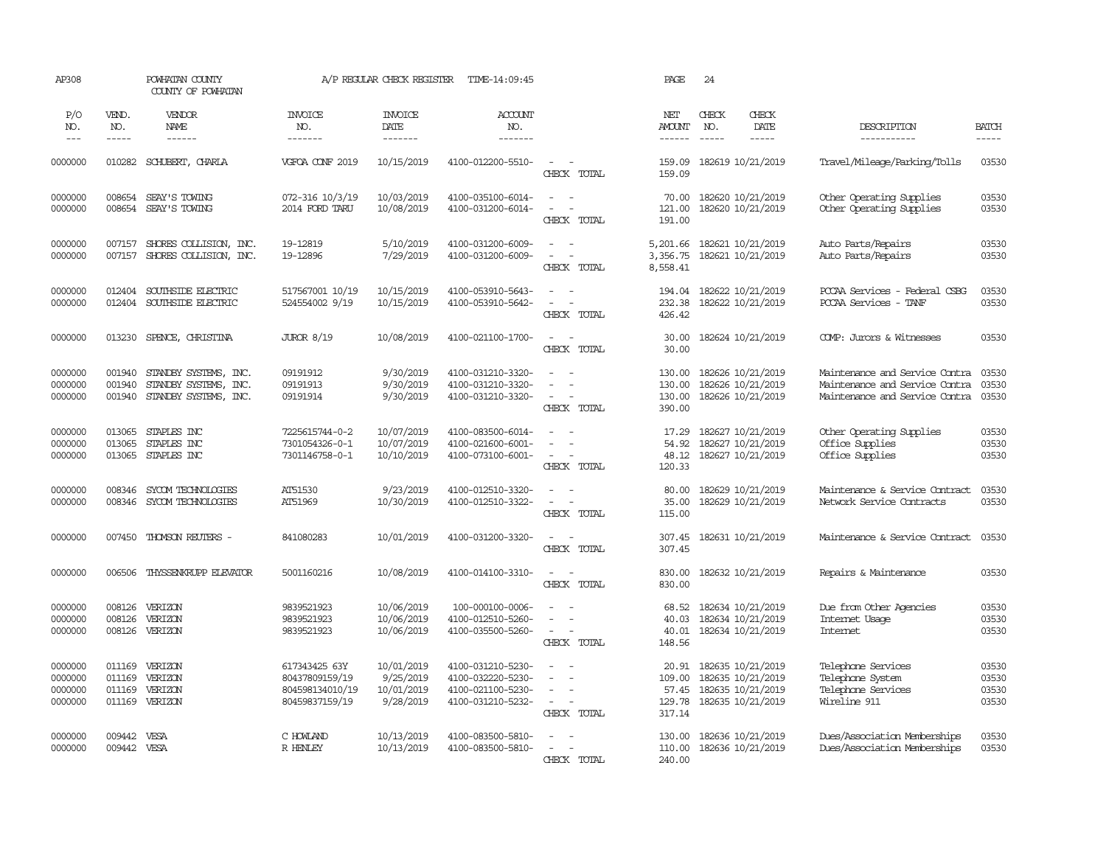| AP308                                    |                                      | POWHATAN COUNTY<br>COUNTY OF POWHATAN                                   |                                                                      | A/P REGULAR CHECK REGISTER                         | TIME-14:09:45                                                                    |                                                                                   | PAGE                                         | 24            |                                                                                  |                                                                                                    |                                  |
|------------------------------------------|--------------------------------------|-------------------------------------------------------------------------|----------------------------------------------------------------------|----------------------------------------------------|----------------------------------------------------------------------------------|-----------------------------------------------------------------------------------|----------------------------------------------|---------------|----------------------------------------------------------------------------------|----------------------------------------------------------------------------------------------------|----------------------------------|
| P/O<br>NO.                               | VEND.<br>NO.                         | VENDOR<br>NAME                                                          | <b>INVOICE</b><br>NO.                                                | <b>INVOICE</b><br>DATE                             | <b>ACCOUNT</b><br>NO.                                                            |                                                                                   | NET<br><b>AMOUNT</b>                         | CHECK<br>NO.  | CHECK<br>DATE                                                                    | DESCRIPTION                                                                                        | <b>BATCH</b>                     |
| $---$                                    | $- - - - -$                          | $- - - - - -$                                                           | -------                                                              | -------                                            | -------                                                                          |                                                                                   | $- - - - - -$                                | $\frac{1}{2}$ | -----                                                                            | -----------                                                                                        |                                  |
| 0000000                                  |                                      | 010282 SCHUBERT, CHARLA                                                 | VGFOA CONF 2019                                                      | 10/15/2019                                         | 4100-012200-5510-                                                                | $\sim$<br>$\sim$<br>CHECK TOTAL                                                   | 159.09<br>159.09                             |               | 182619 10/21/2019                                                                | Travel/Mileage/Parking/Tolls                                                                       | 03530                            |
| 0000000<br>0000000                       | 008654<br>008654                     | SEAY'S TOWING<br>SEAY'S TOWING                                          | 072-316 10/3/19<br>2014 FORD TARU                                    | 10/03/2019<br>10/08/2019                           | 4100-035100-6014-<br>4100-031200-6014-                                           | $\sim$<br>$\sim$<br>$\overline{\phantom{a}}$<br>CHECK TOTAL                       | 70.00<br>121.00<br>191.00                    |               | 182620 10/21/2019<br>182620 10/21/2019                                           | Other Operating Supplies<br>Other Operating Supplies                                               | 03530<br>03530                   |
| 0000000<br>0000000                       | 007157<br>007157                     | SHORES COLLISION, INC.<br>SHORES COLLISION, INC.                        | 19-12819<br>19-12896                                                 | 5/10/2019<br>7/29/2019                             | 4100-031200-6009-<br>4100-031200-6009-                                           | $\overline{\phantom{a}}$<br>$\sim$<br>CHECK TOTAL                                 | 5,201.66<br>3,356.75<br>8,558.41             |               | 182621 10/21/2019<br>182621 10/21/2019                                           | Auto Parts/Repairs<br>Auto Parts/Repairs                                                           | 03530<br>03530                   |
| 0000000<br>0000000                       | 012404<br>012404                     | SOUTHSIDE ELECTRIC<br>SOUTHSIDE ELECTRIC                                | 517567001 10/19<br>524554002 9/19                                    | 10/15/2019<br>10/15/2019                           | 4100-053910-5643-<br>4100-053910-5642-                                           | $\sim$ $\sim$<br>$\overline{\phantom{a}}$<br>CHECK TOTAL                          | 194.04<br>232.38<br>426.42                   |               | 182622 10/21/2019<br>182622 10/21/2019                                           | PCCAA Services - Federal CSBG<br>PCCAA Services - TANF                                             | 03530<br>03530                   |
| 0000000                                  | 013230                               | SPENCE, CHRISTINA                                                       | <b>JUROR 8/19</b>                                                    | 10/08/2019                                         | 4100-021100-1700-                                                                | $\sim$<br>$\sim$<br>CHECK TOTAL                                                   | 30.00<br>30.00                               |               | 182624 10/21/2019                                                                | COMP: Jurors & Witnesses                                                                           | 03530                            |
| 0000000<br>0000000<br>0000000            | 001940<br>001940<br>001940           | STANDBY SYSTEMS, INC.<br>STANDBY SYSTEMS, INC.<br>STANDBY SYSTEMS, INC. | 09191912<br>09191913<br>09191914                                     | 9/30/2019<br>9/30/2019<br>9/30/2019                | 4100-031210-3320-<br>4100-031210-3320-<br>4100-031210-3320-                      | $\sim$<br>$\blacksquare$<br>$\sim$<br>$\sim$<br>CHECK TOTAL                       | 130.00<br>130.00<br>130.00<br>390.00         |               | 182626 10/21/2019<br>182626 10/21/2019<br>182626 10/21/2019                      | Maintenance and Service Contra<br>Maintenance and Service Contra<br>Maintenance and Service Contra | 03530<br>03530<br>03530          |
| 0000000<br>0000000<br>0000000            | 013065<br>013065<br>013065           | STAPLES INC<br>STAPLES INC<br>STAPLES INC                               | 7225615744-0-2<br>7301054326-0-1<br>7301146758-0-1                   | 10/07/2019<br>10/07/2019<br>10/10/2019             | 4100-083500-6014-<br>4100-021600-6001-<br>4100-073100-6001-                      | $\sim$<br>$\equiv$<br>$\sim$<br>$\overline{\phantom{a}}$<br>CHECK TOTAL           | 17.29<br>54.92<br>48.12<br>120.33            |               | 182627 10/21/2019<br>182627 10/21/2019<br>182627 10/21/2019                      | Other Operating Supplies<br>Office Supplies<br>Office Supplies                                     | 03530<br>03530<br>03530          |
| 0000000<br>0000000                       | 008346<br>008346                     | SYCOM TECHNOLOGIES<br>SYCOM TECHNOLOGIES                                | AT51530<br>AT51969                                                   | 9/23/2019<br>10/30/2019                            | 4100-012510-3320-<br>4100-012510-3322-                                           | $\sim$<br>$\equiv$<br>$\sim$<br>CHECK TOTAL                                       | 80.00<br>35.00<br>115.00                     |               | 182629 10/21/2019<br>182629 10/21/2019                                           | Maintenance & Service Contract<br>Network Service Contracts                                        | 03530<br>03530                   |
| 0000000                                  | 007450                               | THOMSON REUTERS -                                                       | 841080283                                                            | 10/01/2019                                         | 4100-031200-3320-                                                                | $\sim$<br>$\sim$<br>CHECK TOTAL                                                   | 307.45<br>307.45                             |               | 182631 10/21/2019                                                                | Maintenance & Service Contract                                                                     | 03530                            |
| 0000000                                  | 006506                               | THYSSENKRUPP ELEVATOR                                                   | 5001160216                                                           | 10/08/2019                                         | 4100-014100-3310-                                                                | $\sim$<br>$\sim$<br>CHECK TOTAL                                                   | 830.00<br>830.00                             |               | 182632 10/21/2019                                                                | Repairs & Maintenance                                                                              | 03530                            |
| 0000000<br>0000000<br>0000000            | 008126<br>008126<br>008126           | VERIZON<br>VERIZON<br>VERIZON                                           | 9839521923<br>9839521923<br>9839521923                               | 10/06/2019<br>10/06/2019<br>10/06/2019             | 100-000100-0006-<br>4100-012510-5260-<br>4100-035500-5260-                       | $\equiv$<br>$\equiv$<br>$\sim$<br>CHECK TOTAL                                     | 68.52<br>40.03<br>40.01<br>148.56            |               | 182634 10/21/2019<br>182634 10/21/2019<br>182634 10/21/2019                      | Due from Other Agencies<br>Internet Usage<br>Internet                                              | 03530<br>03530<br>03530          |
| 0000000<br>0000000<br>0000000<br>0000000 | 011169<br>011169<br>011169<br>011169 | VERIZON<br>VERIZON<br>VERIZON<br>VERIZON                                | 617343425 63Y<br>80437809159/19<br>804598134010/19<br>80459837159/19 | 10/01/2019<br>9/25/2019<br>10/01/2019<br>9/28/2019 | 4100-031210-5230-<br>4100-032220-5230-<br>4100-021100-5230-<br>4100-031210-5232- | $\equiv$<br>$\sim$<br>$\sim$<br>$\sim$<br>$\overline{\phantom{a}}$<br>CHECK TOTAL | 20.91<br>109.00<br>57.45<br>129.78<br>317.14 |               | 182635 10/21/2019<br>182635 10/21/2019<br>182635 10/21/2019<br>182635 10/21/2019 | Telephone Services<br>Telephone System<br>Telephone Services<br>Wireline 911                       | 03530<br>03530<br>03530<br>03530 |
| 0000000<br>0000000                       | 009442<br>009442 VESA                | VESA                                                                    | C HOWLAND<br>R HENLEY                                                | 10/13/2019<br>10/13/2019                           | 4100-083500-5810-<br>4100-083500-5810-                                           | $\sim$<br>$\sim$<br>$\sim$<br>CHECK TOTAL                                         | 130.00<br>110.00<br>240.00                   |               | 182636 10/21/2019<br>182636 10/21/2019                                           | Dues/Association Memberships<br>Dues/Association Memberships                                       | 03530<br>03530                   |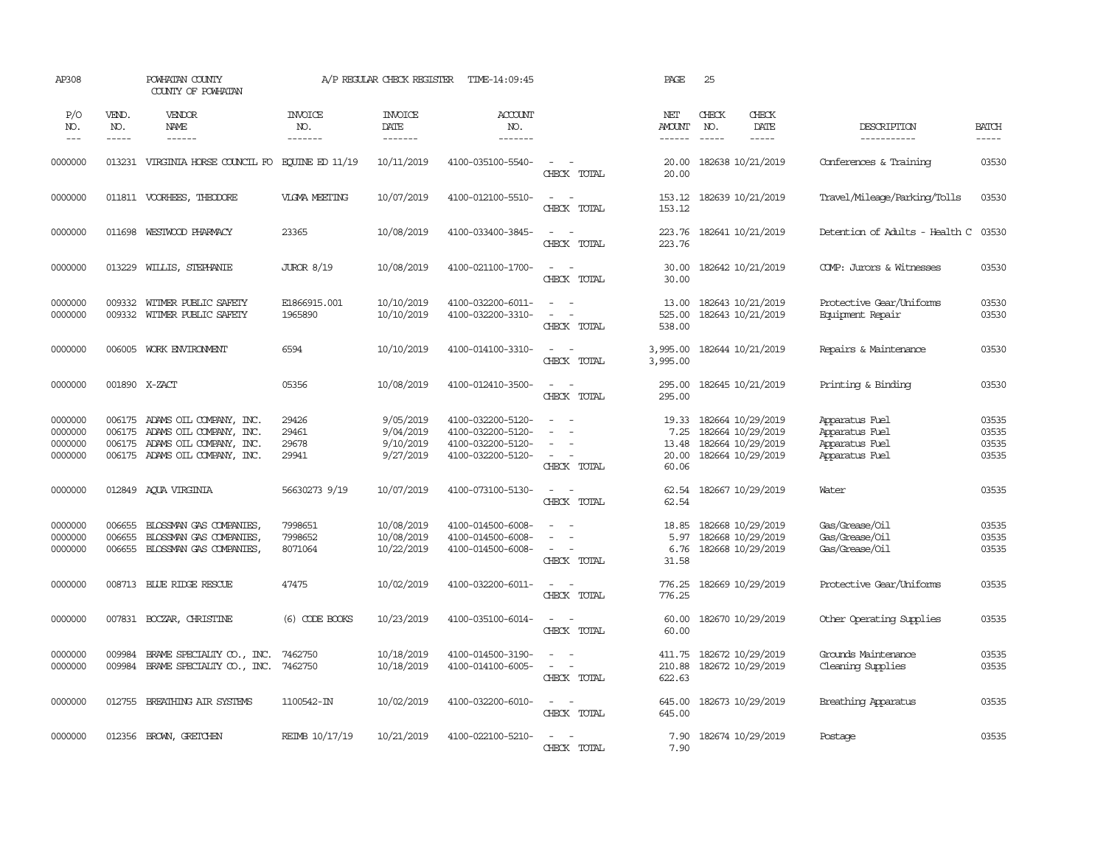| AP308                                    |                            | POWHATAN COUNTY<br>COUNTY OF POWHATAN                                                                                                |                                  | A/P REGULAR CHECK REGISTER                       | TIME-14:09:45                                                                    |                                                                                                             | PAGE                                     | 25                            |                                                                                  |                                                                      |                                  |
|------------------------------------------|----------------------------|--------------------------------------------------------------------------------------------------------------------------------------|----------------------------------|--------------------------------------------------|----------------------------------------------------------------------------------|-------------------------------------------------------------------------------------------------------------|------------------------------------------|-------------------------------|----------------------------------------------------------------------------------|----------------------------------------------------------------------|----------------------------------|
| P/O<br>NO.<br>$---$                      | VEND.<br>NO.<br>-----      | VENDOR<br>NAME<br>------                                                                                                             | <b>INVOICE</b><br>NO.<br>------- | <b>INVOICE</b><br>DATE<br>-------                | ACCOUNT<br>NO.<br>-------                                                        |                                                                                                             | NET<br><b>AMOUNT</b><br>$- - - - - -$    | CHECK<br>NO.<br>$\frac{1}{2}$ | CHECK<br>DATE<br>$- - - - -$                                                     | DESCRIPTION<br>-----------                                           | <b>BATCH</b><br>-----            |
|                                          |                            |                                                                                                                                      |                                  |                                                  |                                                                                  |                                                                                                             |                                          |                               |                                                                                  |                                                                      |                                  |
| 0000000                                  |                            | 013231 VIRGINIA HORSE COUNCIL FO EQUINE ED 11/19                                                                                     |                                  | 10/11/2019                                       | 4100-035100-5540-                                                                | $\sim$ $ \sim$<br>CHECK TOTAL                                                                               | 20.00<br>20.00                           |                               | 182638 10/21/2019                                                                | Conferences & Training                                               | 03530                            |
| 0000000                                  |                            | 011811 VOORHEES, THEODORE                                                                                                            | <b>VLGMA MEETING</b>             | 10/07/2019                                       | 4100-012100-5510-                                                                | $\sim$<br>$\sim$ $-$<br>CHECK TOTAL                                                                         | 153.12<br>153.12                         |                               | 182639 10/21/2019                                                                | Travel/Mileage/Parking/Tolls                                         | 03530                            |
| 0000000                                  | 011698                     | WESTWOOD PHARMACY                                                                                                                    | 23365                            | 10/08/2019                                       | 4100-033400-3845-                                                                | $\omega_{\rm{max}}$ and $\omega_{\rm{max}}$<br>CHECK TOTAL                                                  | 223.76<br>223.76                         |                               | 182641 10/21/2019                                                                | Detention of Adults - Health C                                       | 03530                            |
| 0000000                                  | 013229                     | WILLIS, STEPHANIE                                                                                                                    | <b>JUROR 8/19</b>                | 10/08/2019                                       | 4100-021100-1700-                                                                | $\sim$<br>$\sim$<br>CHECK TOTAL                                                                             | 30.00<br>30.00                           |                               | 182642 10/21/2019                                                                | COMP: Jurors & Witnesses                                             | 03530                            |
| 0000000<br>0000000                       | 009332<br>009332           | WITMER PUBLIC SAFETY<br>WITMER PUBLIC SAFETY                                                                                         | E1866915.001<br>1965890          | 10/10/2019<br>10/10/2019                         | 4100-032200-6011-<br>4100-032200-3310-                                           | $\equiv$<br>$\overline{\phantom{a}}$<br>$\equiv$<br>$\sim$<br>CHECK TOTAL                                   | 13.00<br>525.00<br>538.00                |                               | 182643 10/21/2019<br>182643 10/21/2019                                           | Protective Gear/Uniforms<br>Equipment Repair                         | 03530<br>03530                   |
| 0000000                                  | 006005                     | WORK ENVIRONMENT                                                                                                                     | 6594                             | 10/10/2019                                       | 4100-014100-3310-                                                                | $\sim$ $\sim$<br>CHECK TOTAL                                                                                | 3,995.00<br>3,995.00                     |                               | 182644 10/21/2019                                                                | Repairs & Maintenance                                                | 03530                            |
| 0000000                                  |                            | 001890 X-ZACT                                                                                                                        | 05356                            | 10/08/2019                                       | 4100-012410-3500-                                                                | $\overline{a}$<br>$\overline{\phantom{a}}$<br>CHECK TOTAL                                                   | 295.00<br>295.00                         |                               | 182645 10/21/2019                                                                | Printing & Binding                                                   | 03530                            |
| 0000000<br>0000000<br>0000000<br>0000000 |                            | 006175 ADAMS OIL COMPANY, INC.<br>006175 ADAMS OIL COMPANY, INC.<br>006175 ADAMS OIL COMPANY, INC.<br>006175 ADAMS OIL COMPANY, INC. | 29426<br>29461<br>29678<br>29941 | 9/05/2019<br>9/04/2019<br>9/10/2019<br>9/27/2019 | 4100-032200-5120-<br>4100-032200-5120-<br>4100-032200-5120-<br>4100-032200-5120- | $\sim$<br>- 14<br>$\equiv$<br>$\sim$<br>$\overline{\phantom{a}}$<br>CHECK TOTAL                             | 19.33<br>7.25<br>13.48<br>20.00<br>60.06 |                               | 182664 10/29/2019<br>182664 10/29/2019<br>182664 10/29/2019<br>182664 10/29/2019 | Apparatus Fuel<br>Apparatus Fuel<br>Apparatus Fuel<br>Apparatus Fuel | 03535<br>03535<br>03535<br>03535 |
| 0000000                                  |                            | 012849 AQUA VIRGINIA                                                                                                                 | 56630273 9/19                    | 10/07/2019                                       | 4100-073100-5130-                                                                | $\sim$<br>$\sim$ $-$<br>CHECK TOTAL                                                                         | 62.54                                    |                               | 62.54 182667 10/29/2019                                                          | Water                                                                | 03535                            |
| 0000000<br>0000000<br>0000000            | 006655<br>006655<br>006655 | BLOSSMAN GAS COMPANIES<br>BLOSSMAN GAS COMPANIES<br>BLOSSMAN GAS COMPANIES,                                                          | 7998651<br>7998652<br>8071064    | 10/08/2019<br>10/08/2019<br>10/22/2019           | 4100-014500-6008-<br>4100-014500-6008-<br>4100-014500-6008-                      | $\sim$<br>$\sim$<br>$\sim$<br>$\overline{\phantom{a}}$<br>$\sim$<br>$\overline{\phantom{a}}$<br>CHECK TOTAL | 18.85<br>5.97<br>6.76<br>31.58           |                               | 182668 10/29/2019<br>182668 10/29/2019<br>182668 10/29/2019                      | Gas/Grease/Oil<br>Gas/Grease/Oil<br>Gas/Grease/Oil                   | 03535<br>03535<br>03535          |
| 0000000                                  |                            | 008713 BLUE RIDGE RESCUE                                                                                                             | 47475                            | 10/02/2019                                       | 4100-032200-6011-                                                                | $\overline{\phantom{a}}$<br>$\sim$<br>CHECK TOTAL                                                           | 776.25<br>776.25                         |                               | 182669 10/29/2019                                                                | Protective Gear/Uniforms                                             | 03535                            |
| 0000000                                  |                            | 007831 BOCZAR, CHRISTINE                                                                                                             | $(6)$ CODE BOOKS                 | 10/23/2019                                       | 4100-035100-6014-                                                                | $\omega_{\rm{max}}$ and $\omega_{\rm{max}}$<br>CHECK TOTAL                                                  | 60.00<br>60.00                           |                               | 182670 10/29/2019                                                                | Other Operating Supplies                                             | 03535                            |
| 0000000<br>0000000                       | 009984<br>009984           | BRAME SPECIALITY CO., INC.<br>BRAME SPECIALITY CO., INC.                                                                             | 7462750<br>7462750               | 10/18/2019<br>10/18/2019                         | 4100-014500-3190-<br>4100-014100-6005-                                           | $\sim$<br>$\overline{\phantom{a}}$<br>$\sim$<br>$\sim$<br>CHECK TOTAL                                       | 411.75<br>210.88<br>622.63               |                               | 182672 10/29/2019<br>182672 10/29/2019                                           | Grounds Maintenance<br>Cleaning Supplies                             | 03535<br>03535                   |
| 0000000                                  |                            | 012755 BREATHING AIR SYSTEMS                                                                                                         | 1100542-IN                       | 10/02/2019                                       | 4100-032200-6010-                                                                | $\sim$ $ -$<br>CHECK TOTAL                                                                                  | 645.00<br>645.00                         |                               | 182673 10/29/2019                                                                | Breathing Apparatus                                                  | 03535                            |
| 0000000                                  | 012356                     | BROWN, GRETCHEN                                                                                                                      | REIMB 10/17/19                   | 10/21/2019                                       | 4100-022100-5210-                                                                | $\sim$ 100 $\sim$<br>CHECK TOTAL                                                                            | 7.90<br>7.90                             |                               | 182674 10/29/2019                                                                | Postage                                                              | 03535                            |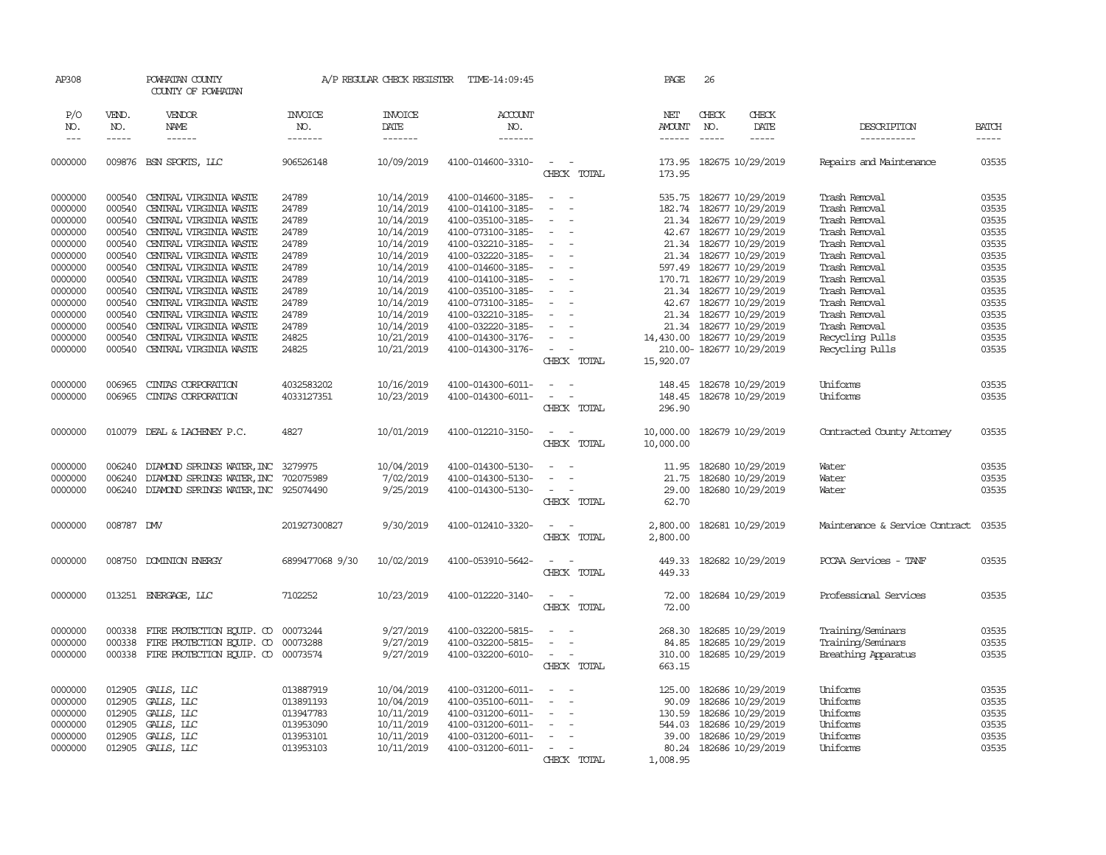| AP308              |                    | POWHATAN COUNTY<br>COUNTY OF POWHATAN            |                        | A/P REGULAR CHECK REGISTER | TIME-14:09:45                          |                                                                                                              | PAGE                        | 26                   |                                                    |                                |                        |
|--------------------|--------------------|--------------------------------------------------|------------------------|----------------------------|----------------------------------------|--------------------------------------------------------------------------------------------------------------|-----------------------------|----------------------|----------------------------------------------------|--------------------------------|------------------------|
| P/O                | VEND.              | <b>VENDOR</b>                                    | <b>INVOICE</b>         | <b>INVOICE</b>             | ACCOUNT                                |                                                                                                              | NET                         | CHECK                | <b>CHECK</b>                                       |                                |                        |
| NO.<br>$---$       | NO.<br>$- - - - -$ | NAME                                             | NO.                    | DATE                       | NO.                                    |                                                                                                              | AMOUNT                      | NO.<br>$\frac{1}{2}$ | DATE                                               | DESCRIPTION                    | <b>BATCH</b>           |
|                    |                    |                                                  | -------                | -------                    | -------                                |                                                                                                              | $- - - - - -$               |                      | -----                                              | -----------                    | $\cdots \cdots \cdots$ |
| 0000000            |                    | 009876 BSN SPORTS, LLC                           | 906526148              | 10/09/2019                 | 4100-014600-3310-                      | $\frac{1}{2} \left( \frac{1}{2} \right) \left( \frac{1}{2} \right) = \frac{1}{2} \left( \frac{1}{2} \right)$ |                             |                      | 173.95 182675 10/29/2019                           | Repairs and Maintenance        | 03535                  |
|                    |                    |                                                  |                        |                            |                                        | CHECK TOTAL                                                                                                  | 173.95                      |                      |                                                    |                                |                        |
|                    |                    |                                                  |                        |                            |                                        |                                                                                                              |                             |                      |                                                    |                                |                        |
| 0000000            | 000540             | CENTRAL VIRGINIA WASTE                           | 24789                  | 10/14/2019                 | 4100-014600-3185-                      | $\sim$<br>$\sim$                                                                                             | 535.75                      |                      | 182677 10/29/2019                                  | Trash Removal                  | 03535                  |
| 0000000            | 000540             | CENTRAL VIRGINIA WASTE                           | 24789                  | 10/14/2019                 | 4100-014100-3185-                      | $\sim$<br>$\overline{\phantom{a}}$                                                                           | 182.74                      |                      | 182677 10/29/2019                                  | Trash Removal                  | 03535                  |
| 0000000            | 000540             | CENTRAL VIRGINIA WASTE                           | 24789                  | 10/14/2019                 | 4100-035100-3185-                      | $\sim$                                                                                                       | 21.34                       |                      | 182677 10/29/2019                                  | Trash Removal                  | 03535                  |
| 0000000            | 000540             | CENTRAL VIRGINIA WASTE                           | 24789                  | 10/14/2019                 | 4100-073100-3185-                      |                                                                                                              | 42.67                       |                      | 182677 10/29/2019                                  | Trash Removal                  | 03535                  |
| 0000000            | 000540             | CENTRAL VIRGINIA WASTE                           | 24789                  | 10/14/2019                 | 4100-032210-3185-                      |                                                                                                              |                             |                      | 21.34 182677 10/29/2019                            | Trash Removal                  | 03535                  |
| 0000000            | 000540             | CENTRAL VIRGINIA WASTE                           | 24789                  | 10/14/2019                 | 4100-032220-3185-                      |                                                                                                              |                             |                      | 21.34 182677 10/29/2019                            | Trash Removal                  | 03535                  |
| 0000000            | 000540             | CENTRAL VIRGINIA WASTE                           | 24789                  | 10/14/2019                 | 4100-014600-3185-                      |                                                                                                              | 597.49                      |                      | 182677 10/29/2019                                  | Trash Removal                  | 03535                  |
| 0000000            | 000540             | CENTRAL VIRGINIA WASTE                           | 24789                  | 10/14/2019                 | 4100-014100-3185-                      |                                                                                                              |                             |                      | 170.71 182677 10/29/2019                           | Trash Removal                  | 03535                  |
| 0000000            | 000540             | CENTRAL VIRGINIA WASTE                           | 24789                  | 10/14/2019                 | 4100-035100-3185-                      | $\overline{\phantom{a}}$                                                                                     |                             |                      | 21.34 182677 10/29/2019                            | Trash Removal                  | 03535                  |
| 0000000            | 000540             | CENTRAL VIRGINIA WASTE                           | 24789                  | 10/14/2019                 | 4100-073100-3185-                      |                                                                                                              |                             |                      | 42.67 182677 10/29/2019                            | Trash Removal                  | 03535                  |
| 0000000<br>0000000 | 000540<br>000540   | CENTRAL VIRGINIA WASTE<br>CENTRAL VIRGINIA WASTE | 24789<br>24789         | 10/14/2019<br>10/14/2019   | 4100-032210-3185-<br>4100-032220-3185- |                                                                                                              |                             |                      | 21.34 182677 10/29/2019<br>21.34 182677 10/29/2019 | Trash Removal<br>Trash Removal | 03535<br>03535         |
| 0000000            | 000540             | CENTRAL VIRGINIA WASTE                           | 24825                  | 10/21/2019                 | 4100-014300-3176-                      |                                                                                                              | 14,430.00 182677 10/29/2019 |                      |                                                    | Recycling Pulls                | 03535                  |
| 0000000            | 000540             | CENTRAL VIRGINIA WASTE                           | 24825                  | 10/21/2019                 | 4100-014300-3176-                      | $\overline{\phantom{a}}$                                                                                     |                             |                      | 210.00-182677 10/29/2019                           | Recycling Pulls                | 03535                  |
|                    |                    |                                                  |                        |                            |                                        | CHECK TOTAL                                                                                                  | 15,920.07                   |                      |                                                    |                                |                        |
|                    |                    |                                                  |                        |                            |                                        |                                                                                                              |                             |                      |                                                    |                                |                        |
| 0000000            | 006965             | CINIAS CORPORATION                               | 4032583202             | 10/16/2019                 | 4100-014300-6011-                      | $\sim$ $ \sim$                                                                                               |                             |                      | 148.45 182678 10/29/2019                           | Uniforms                       | 03535                  |
| 0000000            | 006965             | CINIAS CORPORATION                               | 4033127351             | 10/23/2019                 | 4100-014300-6011-                      |                                                                                                              | 148.45                      |                      | 182678 10/29/2019                                  | Uniforms                       | 03535                  |
|                    |                    |                                                  |                        |                            |                                        | CHECK TOTAL                                                                                                  | 296.90                      |                      |                                                    |                                |                        |
|                    |                    |                                                  |                        |                            |                                        |                                                                                                              |                             |                      |                                                    |                                |                        |
| 0000000            |                    | 010079 DEAL & LACHENEY P.C.                      | 4827                   | 10/01/2019                 | 4100-012210-3150-                      | $\overline{\phantom{a}}$                                                                                     | 10,000.00                   |                      | 182679 10/29/2019                                  | Contracted County Attorney     | 03535                  |
|                    |                    |                                                  |                        |                            |                                        | CHECK TOTAL                                                                                                  | 10,000.00                   |                      |                                                    |                                |                        |
|                    |                    |                                                  |                        |                            |                                        |                                                                                                              |                             |                      |                                                    |                                |                        |
| 0000000            | 006240             | DIAMOND SPRINGS WATER, INC 3279975               |                        | 10/04/2019                 | 4100-014300-5130-                      |                                                                                                              | 11.95                       |                      | 182680 10/29/2019                                  | Water                          | 03535                  |
| 0000000            | 006240             | DIAMOND SPRINGS WATER, INC                       | 702075989              | 7/02/2019                  | 4100-014300-5130-                      | $\sim$                                                                                                       | 21.75                       |                      | 182680 10/29/2019                                  | Water                          | 03535                  |
| 0000000            | 006240             | DIAMOND SPRINGS WATER, INC 925074490             |                        | 9/25/2019                  | 4100-014300-5130-                      | $\sim$                                                                                                       | 29.00                       |                      | 182680 10/29/2019                                  | Water                          | 03535                  |
|                    |                    |                                                  |                        |                            |                                        | CHECK TOTAL                                                                                                  | 62.70                       |                      |                                                    |                                |                        |
| 0000000            | 008787             | <b>DMV</b>                                       | 201927300827           | 9/30/2019                  | 4100-012410-3320-                      | $\sim$                                                                                                       | 2,800.00                    |                      | 182681 10/29/2019                                  | Maintenance & Service Contract | 03535                  |
|                    |                    |                                                  |                        |                            |                                        | CHECK TOTAL                                                                                                  | 2,800.00                    |                      |                                                    |                                |                        |
|                    |                    |                                                  |                        |                            |                                        |                                                                                                              |                             |                      |                                                    |                                |                        |
| 0000000            |                    | 008750 DOMINION ENERGY                           | 6899477068 9/30        | 10/02/2019                 | 4100-053910-5642-                      | $\sim$                                                                                                       | 449.33                      |                      | 182682 10/29/2019                                  | PCCAA Services - TANF          | 03535                  |
|                    |                    |                                                  |                        |                            |                                        | CHECK TOTAL                                                                                                  | 449.33                      |                      |                                                    |                                |                        |
|                    |                    |                                                  |                        |                            |                                        |                                                                                                              |                             |                      |                                                    |                                |                        |
| 0000000            |                    | 013251 ENERGAGE, LLC                             | 7102252                | 10/23/2019                 | 4100-012220-3140-                      | $\overline{\phantom{a}}$                                                                                     | 72.00                       |                      | 182684 10/29/2019                                  | Professional Services          | 03535                  |
|                    |                    |                                                  |                        |                            |                                        | CHECK TOTAL                                                                                                  | 72.00                       |                      |                                                    |                                |                        |
|                    |                    |                                                  |                        |                            |                                        |                                                                                                              |                             |                      |                                                    |                                |                        |
| 0000000            | 000338             | FIRE PROTECTION EQUIP. CO                        | 00073244               | 9/27/2019                  | 4100-032200-5815-                      |                                                                                                              | 268.30                      |                      | 182685 10/29/2019                                  | Training/Seminars              | 03535                  |
| 0000000            | 000338             | FIRE PROTECTION EQUIP. CO                        | 00073288               | 9/27/2019                  | 4100-032200-5815-                      | $\sim$                                                                                                       | 84.85                       |                      | 182685 10/29/2019                                  | Training/Seminars              | 03535                  |
| 0000000            | 000338             | FIRE PROTECTION EQUIP. CO 00073574               |                        | 9/27/2019                  | 4100-032200-6010-                      | $\overline{\phantom{a}}$<br>$\overline{\phantom{a}}$                                                         | 310.00                      |                      | 182685 10/29/2019                                  | Breathing Apparatus            | 03535                  |
|                    |                    |                                                  |                        |                            |                                        | CHECK TOTAL                                                                                                  | 663.15                      |                      |                                                    |                                |                        |
|                    |                    |                                                  |                        |                            |                                        |                                                                                                              |                             |                      |                                                    |                                |                        |
| 0000000            | 012905             | GALLS, LLC                                       | 013887919              | 10/04/2019                 | 4100-031200-6011-                      | $\sim$                                                                                                       | 125.00                      |                      | 182686 10/29/2019                                  | Uniforms                       | 03535                  |
| 0000000            | 012905             | GALLS, LLC                                       | 013891193              | 10/04/2019                 | 4100-035100-6011-                      |                                                                                                              | 90.09                       |                      | 182686 10/29/2019                                  | Uniforms                       | 03535                  |
| 0000000            | 012905<br>012905   | GALLS, LLC<br>GALLS, LLC                         | 013947783              | 10/11/2019                 | 4100-031200-6011-                      |                                                                                                              | 130.59<br>544.03            |                      | 182686 10/29/2019                                  | Uniforms<br>Uniforms           | 03535<br>03535         |
| 0000000<br>0000000 | 012905             | GALLS, LLC                                       | 013953090<br>013953101 | 10/11/2019<br>10/11/2019   | 4100-031200-6011-<br>4100-031200-6011- | $\overline{\phantom{a}}$                                                                                     | 39.00                       |                      | 182686 10/29/2019<br>182686 10/29/2019             | Uniforms                       | 03535                  |
| 0000000            | 012905             | GALLS, LLC                                       | 013953103              | 10/11/2019                 | 4100-031200-6011-                      | $\overline{\phantom{a}}$                                                                                     |                             |                      | 80.24 182686 10/29/2019                            | Uniforms                       | 03535                  |
|                    |                    |                                                  |                        |                            |                                        | CHECK TOTAL                                                                                                  | 1,008.95                    |                      |                                                    |                                |                        |
|                    |                    |                                                  |                        |                            |                                        |                                                                                                              |                             |                      |                                                    |                                |                        |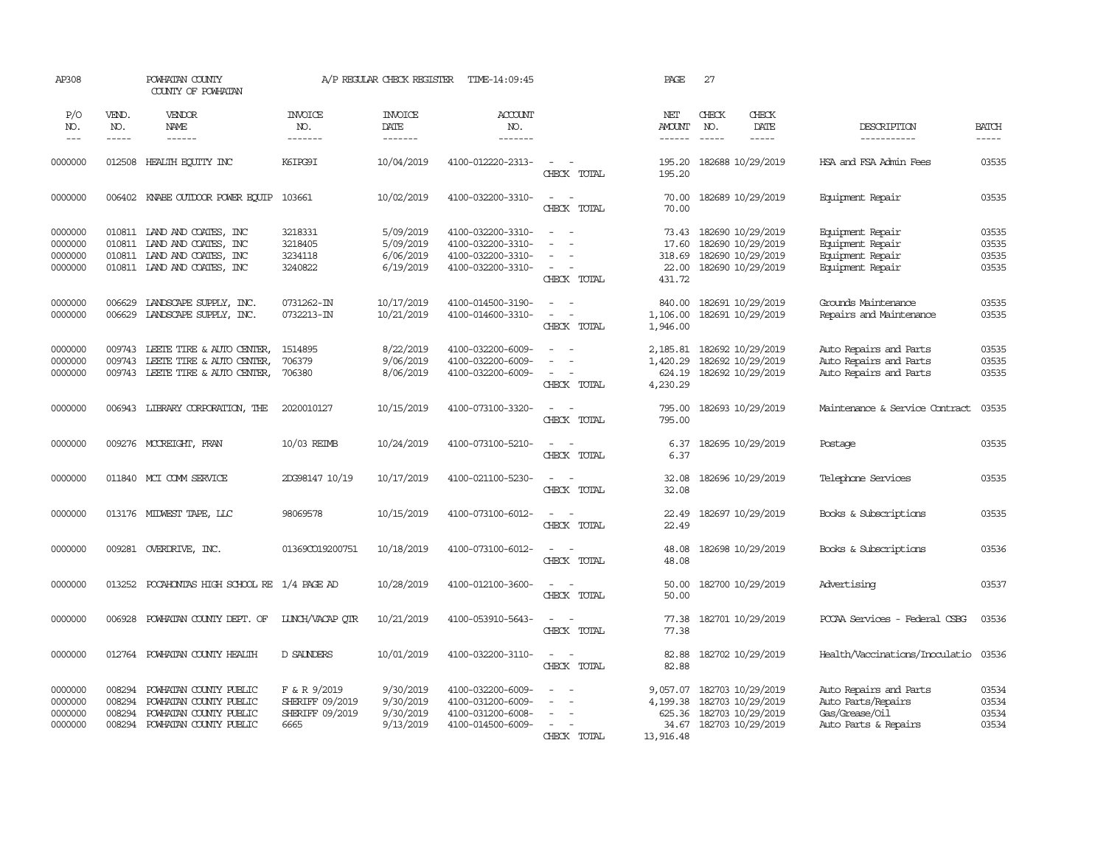| AP308                                    |                                      | POWHATAN COUNTY<br>COUNTY OF POWHATAN                                                                                    |                                                            | A/P REGULAR CHECK REGISTER                       | TIME-14:09:45                                                                    |                                               | PAGE                                        | 27                                                                                               |                                                                                        |                                  |
|------------------------------------------|--------------------------------------|--------------------------------------------------------------------------------------------------------------------------|------------------------------------------------------------|--------------------------------------------------|----------------------------------------------------------------------------------|-----------------------------------------------|---------------------------------------------|--------------------------------------------------------------------------------------------------|----------------------------------------------------------------------------------------|----------------------------------|
| P/O<br>NO.<br>$  -$                      | VEND.<br>NO.<br>$\frac{1}{2}$        | VENDOR<br>NAME                                                                                                           | <b>INVOICE</b><br>NO.<br>-------                           | <b>INVOICE</b><br>DATE<br>--------               | <b>ACCOUNT</b><br>NO.<br>$- - - - - - -$                                         |                                               | NET<br><b>AMOUNT</b><br>$- - - - - -$       | CHECK<br>CHECK<br>NO.<br>$\frac{1}{2}$<br>$\frac{1}{2}$                                          | DATE<br>DESCRIPTION<br>-----------                                                     | <b>BATCH</b><br>$\frac{1}{2}$    |
| 0000000                                  | 012508                               | HEALTH EQUITY INC                                                                                                        | K6TPG9T                                                    | 10/04/2019                                       | 4100-012220-2313-                                                                | CHECK TOTAL                                   | 195.20<br>195.20                            | 182688 10/29/2019                                                                                | HSA and FSA Admin Fees                                                                 | 03535                            |
| 0000000                                  | 006402                               | KNABE OUTDOOR POWER EQUIP                                                                                                | 103661                                                     | 10/02/2019                                       | 4100-032200-3310-                                                                | $\sim$<br>$\sim$<br>CHECK TOTAL               | 70.00<br>70.00                              | 182689 10/29/2019                                                                                | Equipment Repair                                                                       | 03535                            |
| 0000000<br>0000000<br>0000000<br>0000000 |                                      | 010811 LAND AND COATES, INC<br>010811 LAND AND COATES, INC<br>010811 LAND AND COATES, INC<br>010811 LAND AND COATES, INC | 3218331<br>3218405<br>3234118<br>3240822                   | 5/09/2019<br>5/09/2019<br>6/06/2019<br>6/19/2019 | 4100-032200-3310-<br>4100-032200-3310-<br>4100-032200-3310-<br>4100-032200-3310- | $\sim$<br>$\sim$<br>$\sim$<br>CHECK TOTAL     | 73.43<br>17.60<br>318.69<br>22.00<br>431.72 | 182690 10/29/2019<br>182690 10/29/2019<br>182690 10/29/2019<br>182690 10/29/2019                 | Equipment Repair<br>Equipment Repair<br>Equipment Repair<br>Equipment Repair           | 03535<br>03535<br>03535<br>03535 |
| 0000000<br>0000000                       | 006629<br>006629                     | LANDSCAPE SUPPLY, INC.<br>LANDSCAPE SUPPLY, INC.                                                                         | 0731262-IN<br>0732213-IN                                   | 10/17/2019<br>10/21/2019                         | 4100-014500-3190-<br>4100-014600-3310-                                           | $\sim$<br>$\sim$<br>$\sim$ $-$<br>CHECK TOTAL | 840.00<br>1,106.00<br>1,946.00              | 182691 10/29/2019<br>182691 10/29/2019                                                           | Grounds Maintenance<br>Repairs and Maintenance                                         | 03535<br>03535                   |
| 0000000<br>0000000<br>0000000            | 009743<br>009743                     | LEETE TIRE & AUTO CENTER,<br>LEETE TIRE & AUTO CENTER,<br>009743 LEETE TIRE & AUTO CENTER,                               | 1514895<br>706379<br>706380                                | 8/22/2019<br>9/06/2019<br>8/06/2019              | 4100-032200-6009-<br>4100-032200-6009-<br>4100-032200-6009-                      | $\sim$<br>CHECK TOTAL                         | 2,185.81<br>1,420.29<br>624.19<br>4,230.29  | 182692 10/29/2019<br>182692 10/29/2019<br>182692 10/29/2019                                      | Auto Repairs and Parts<br>Auto Repairs and Parts<br>Auto Repairs and Parts             | 03535<br>03535<br>03535          |
| 0000000                                  |                                      | 006943 LIBRARY CORPORATION, THE                                                                                          | 2020010127                                                 | 10/15/2019                                       | 4100-073100-3320-                                                                | $\sim$ 10 $\sim$ 10 $\sim$<br>CHECK TOTAL     | 795.00<br>795.00                            | 182693 10/29/2019                                                                                | Maintenance & Service Contract                                                         | 03535                            |
| 0000000                                  |                                      | 009276 MCCREIGHT, FRAN                                                                                                   | 10/03 REIMB                                                | 10/24/2019                                       | 4100-073100-5210-                                                                | $\sim$<br>$\sim$<br>CHECK TOTAL               | 6.37                                        | 6.37 182695 10/29/2019                                                                           | Postage                                                                                | 03535                            |
| 0000000                                  |                                      | 011840 MCI COMM SERVICE                                                                                                  | 2DG98147 10/19                                             | 10/17/2019                                       | 4100-021100-5230-                                                                | $\sim$<br>$\sim$<br>CHECK TOTAL               | 32.08<br>32.08                              | 182696 10/29/2019                                                                                | Telephone Services                                                                     | 03535                            |
| 0000000                                  |                                      | 013176 MIDWEST TAPE, LLC                                                                                                 | 98069578                                                   | 10/15/2019                                       | 4100-073100-6012-                                                                | $\sim$ $ \sim$<br>CHECK TOTAL                 | 22.49<br>22.49                              | 182697 10/29/2019                                                                                | Books & Subscriptions                                                                  | 03535                            |
| 0000000                                  |                                      | 009281 OVERDRIVE, INC.                                                                                                   | 01369CO19200751                                            | 10/18/2019                                       | 4100-073100-6012-                                                                | $\sim$ $\sim$<br>CHECK TOTAL                  | 48.08<br>48.08                              | 182698 10/29/2019                                                                                | Books & Subscriptions                                                                  | 03536                            |
| 0000000                                  |                                      | 013252 POCAHONTAS HIGH SCHOOL RE 1/4 PAGE AD                                                                             |                                                            | 10/28/2019                                       | 4100-012100-3600-                                                                | $\sim$ $\sim$<br>CHECK TOTAL                  | 50.00<br>50.00                              | 182700 10/29/2019                                                                                | Advertising                                                                            | 03537                            |
| 0000000                                  | 006928                               | POWHATAN COUNTY DEPT. OF                                                                                                 | LUNCH/VACAP OTR                                            | 10/21/2019                                       | 4100-053910-5643-                                                                | $\sim$ $\sim$<br>CHECK TOTAL                  | 77.38<br>77.38                              | 182701 10/29/2019                                                                                | PCCAA Services - Federal CSBG                                                          | 03536                            |
| 0000000                                  |                                      | 012764 POWHATAN COUNTY HEALTH                                                                                            | D SAUNDERS                                                 | 10/01/2019                                       | 4100-032200-3110-                                                                | $\overline{a}$<br>$\sim$<br>CHECK TOTAL       | 82.88<br>82.88                              | 182702 10/29/2019                                                                                | Health/Vaccinations/Inoculatio                                                         | 03536                            |
| 0000000<br>0000000<br>0000000<br>0000000 | 008294<br>008294<br>008294<br>008294 | POWHATAN COUNTY PUBLIC<br>POWHATAN COUNTY PUBLIC<br>POWHATAN COUNTY PUBLIC<br>POWHATAN COUNTY PUBLIC                     | F & R 9/2019<br>SHERIFF 09/2019<br>SHERIFF 09/2019<br>6665 | 9/30/2019<br>9/30/2019<br>9/30/2019<br>9/13/2019 | 4100-032200-6009-<br>4100-031200-6009-<br>4100-031200-6008-<br>4100-014500-6009- | $\sim$<br>$\sim$<br>CHECK TOTAL               | 9,057.07<br>625.36<br>13,916.48             | 182703 10/29/2019<br>4, 199.38 182703 10/29/2019<br>182703 10/29/2019<br>34.67 182703 10/29/2019 | Auto Repairs and Parts<br>Auto Parts/Repairs<br>Gas/Grease/Oil<br>Auto Parts & Repairs | 03534<br>03534<br>03534<br>03534 |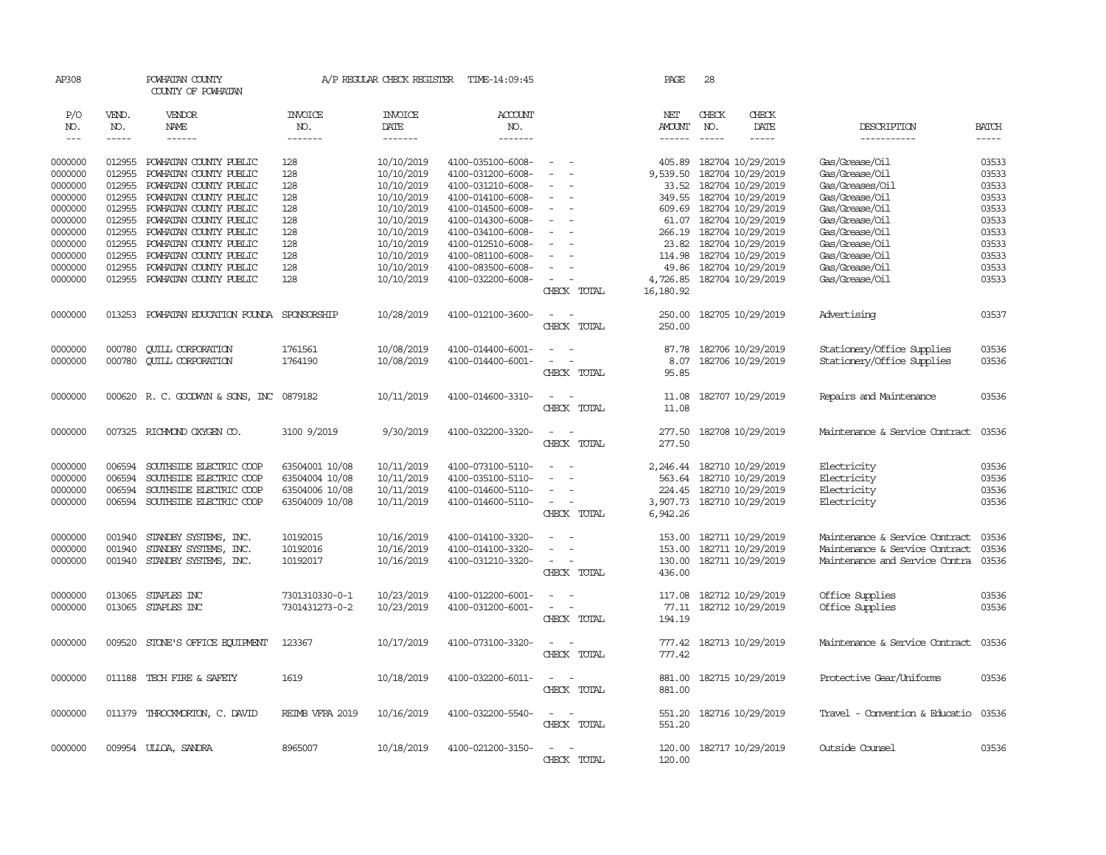| AP308                |              | POWHATAN COUNTY<br>COUNTY OF POWHATAN        |                 | A/P REGULAR CHECK REGISTER | TIME-14:09:45     |                                             | PAGE                    | 28    |                            |                                |                             |
|----------------------|--------------|----------------------------------------------|-----------------|----------------------------|-------------------|---------------------------------------------|-------------------------|-------|----------------------------|--------------------------------|-----------------------------|
| P/O                  | VEND.        | VENDOR                                       | <b>INVOICE</b>  | <b>INVOICE</b>             | <b>ACCOUNT</b>    |                                             | NET                     | CHECK | CHECK                      |                                |                             |
| NO.<br>$\frac{1}{2}$ | NO.<br>----- | NAME<br>------                               | NO.<br>-------  | DATE<br>-------            | NO.<br>-------    |                                             | AMOUNT<br>$- - - - - -$ | NO.   | DATE<br>$- - - - -$        | DESCRIPTION<br>-----------     | <b>BATCH</b><br>$- - - - -$ |
|                      |              |                                              |                 |                            |                   |                                             |                         |       |                            |                                |                             |
| 0000000              | 012955       | POWHATAN COUNTY PUBLIC                       | 128             | 10/10/2019                 | 4100-035100-6008- | $\sim$                                      | 405.89                  |       | 182704 10/29/2019          | Gas/Grease/Oil                 | 03533                       |
| 0000000              | 012955       | POWHATAN COUNTY PUBLIC                       | 128             | 10/10/2019                 | 4100-031200-6008- | $\equiv$                                    | 9,539.50                |       | 182704 10/29/2019          | Gas/Grease/Oil                 | 03533                       |
| 0000000              | 012955       | POWHATAN COUNTY PUBLIC                       | 128             | 10/10/2019                 | 4100-031210-6008- |                                             |                         |       | 33.52 182704 10/29/2019    | Gas/Greases/Oil                | 03533                       |
| 0000000              | 012955       | POWHATAN COUNTY PUBLIC                       | 128             | 10/10/2019                 | 4100-014100-6008- |                                             |                         |       | 349.55 182704 10/29/2019   | Gas/Grease/Oil                 | 03533                       |
| 0000000              | 012955       | POWHATAN COUNTY PUBLIC                       | 128             | 10/10/2019                 | 4100-014500-6008- | $\overline{\phantom{a}}$                    |                         |       | 609.69 182704 10/29/2019   | Gas/Grease/Oil                 | 03533                       |
| 0000000              | 012955       | POWHATAN COUNTY PUBLIC                       | 128             | 10/10/2019                 | 4100-014300-6008- | $\sim$                                      | 61.07                   |       | 182704 10/29/2019          | Gas/Grease/Oil                 | 03533                       |
| 0000000              | 012955       | POWHATAN COUNTY PUBLIC                       | 128             | 10/10/2019                 | 4100-034100-6008- |                                             |                         |       | 266.19 182704 10/29/2019   | Gas/Grease/Oil                 | 03533                       |
| 0000000              | 012955       | POWHATAN COUNTY PUBLIC                       | 128             | 10/10/2019                 | 4100-012510-6008- |                                             |                         |       | 23.82 182704 10/29/2019    | Gas/Grease/Oil                 | 03533                       |
| 0000000              | 012955       | POWHATAN COUNTY PUBLIC                       | 128             | 10/10/2019                 | 4100-081100-6008- | $\overline{\phantom{a}}$                    |                         |       | 114.98 182704 10/29/2019   | Gas/Grease/Oil                 | 03533                       |
| 0000000              | 012955       | POWHATAN COUNTY PUBLIC                       | 128             | 10/10/2019                 | 4100-083500-6008- |                                             | 49.86                   |       | 182704 10/29/2019          | Gas/Grease/Oil                 | 03533                       |
| 0000000              | 012955       | POWHATAN COUNTY PUBLIC                       | 128             | 10/10/2019                 | 4100-032200-6008- |                                             |                         |       | 4,726.85 182704 10/29/2019 | Gas/Grease/Oil                 | 03533                       |
|                      |              |                                              |                 |                            |                   | CHECK TOTAL                                 | 16,180.92               |       |                            |                                |                             |
| 0000000              |              | 013253 POWHATAN EDUCATION FOUNDA SPONSORSHIP |                 | 10/28/2019                 | 4100-012100-3600- | $\sim$<br>$\sim$                            | 250.00                  |       | 182705 10/29/2019          | Advertising                    | 03537                       |
|                      |              |                                              |                 |                            |                   | CHECK TOTAL                                 | 250.00                  |       |                            |                                |                             |
|                      |              |                                              |                 |                            |                   |                                             |                         |       |                            |                                |                             |
| 0000000              | 000780       | <b>CUILL CORPORATION</b>                     | 1761561         | 10/08/2019                 | 4100-014400-6001- | $\overline{\phantom{a}}$<br>$\sim$          | 87.78                   |       | 182706 10/29/2019          | Stationery/Office Supplies     | 03536                       |
| 0000000              | 000780       | <b>CUILL CORPORATION</b>                     | 1764190         | 10/08/2019                 | 4100-014400-6001- | $\overline{\phantom{a}}$<br>$\sim$          | 8.07                    |       | 182706 10/29/2019          | Stationery/Office Supplies     | 03536                       |
|                      |              |                                              |                 |                            |                   | CHECK TOTAL                                 | 95.85                   |       |                            |                                |                             |
| 0000000              |              | 000620 R.C. GOODWYN & SONS, INC 0879182      |                 | 10/11/2019                 | 4100-014600-3310- | $\sim$<br>$\sim$                            | 11.08                   |       | 182707 10/29/2019          | Repairs and Maintenance        | 03536                       |
|                      |              |                                              |                 |                            |                   | CHECK TOTAL                                 | 11.08                   |       |                            |                                |                             |
|                      |              |                                              |                 |                            |                   |                                             |                         |       |                            |                                |                             |
| 0000000              |              | 007325 RICHMOND OXYGEN CO.                   | 3100 9/2019     | 9/30/2019                  | 4100-032200-3320- | $\sim$<br>$\sim$                            | 277.50                  |       | 182708 10/29/2019          | Maintenance & Service Contract | 03536                       |
|                      |              |                                              |                 |                            |                   | CHECK TOTAL                                 | 277.50                  |       |                            |                                |                             |
| 0000000              | 006594       | SOUTHSIDE ELECTRIC COOP                      | 63504001 10/08  | 10/11/2019                 | 4100-073100-5110- | $\sim$<br>$\sim$                            |                         |       | 2,246.44 182710 10/29/2019 | Electricity                    | 03536                       |
| 0000000              | 006594       | SOUTHSIDE ELECTRIC COOP                      | 63504004 10/08  | 10/11/2019                 | 4100-035100-5110- | $\sim$                                      |                         |       | 563.64 182710 10/29/2019   | Electricity                    | 03536                       |
| 0000000              | 006594       | SOUTHSIDE ELECTRIC COOP                      | 63504006 10/08  | 10/11/2019                 | 4100-014600-5110- |                                             |                         |       | 224.45 182710 10/29/2019   | Electricity                    | 03536                       |
| 0000000              | 006594       | SOUTHSIDE ELECTRIC COOP                      | 63504009 10/08  | 10/11/2019                 | 4100-014600-5110- | $\overline{\phantom{a}}$                    |                         |       | 3,907.73 182710 10/29/2019 | Electricity                    | 03536                       |
|                      |              |                                              |                 |                            |                   | CHECK TOTAL                                 | 6,942.26                |       |                            |                                |                             |
| 0000000              | 001940       | STANDBY SYSTEMS, INC.                        | 10192015        | 10/16/2019                 | 4100-014100-3320- |                                             | 153.00                  |       | 182711 10/29/2019          | Maintenance & Service Contract | 03536                       |
| 0000000              | 001940       | STANDBY SYSTEMS, INC.                        | 10192016        | 10/16/2019                 | 4100-014100-3320- | $\sim$<br>$\sim$                            |                         |       | 153.00 182711 10/29/2019   | Maintenance & Service Contract | 03536                       |
| 0000000              | 001940       | STANDBY SYSTEMS, INC.                        | 10192017        | 10/16/2019                 | 4100-031210-3320- | $\sim$                                      | 130.00                  |       | 182711 10/29/2019          | Maintenance and Service Contra | 03536                       |
|                      |              |                                              |                 |                            |                   | CHECK TOTAL                                 | 436.00                  |       |                            |                                |                             |
|                      |              |                                              |                 |                            |                   |                                             |                         |       |                            |                                |                             |
| 0000000              | 013065       | STAPLES INC                                  | 7301310330-0-1  | 10/23/2019                 | 4100-012200-6001- | $\overline{\phantom{a}}$<br>$\sim$          | 117.08                  |       | 182712 10/29/2019          | Office Supplies                | 03536                       |
| 0000000              | 013065       | STAPLES INC                                  | 7301431273-0-2  | 10/23/2019                 | 4100-031200-6001- | $\overline{\phantom{a}}$<br>$\sim$          | 77.11                   |       | 182712 10/29/2019          | Office Supplies                | 03536                       |
|                      |              |                                              |                 |                            |                   | CHECK TOTAL                                 | 194.19                  |       |                            |                                |                             |
| 0000000              | 009520       | STONE'S OFFICE EQUIPMENT                     | 123367          | 10/17/2019                 | 4100-073100-3320- | $\overline{\phantom{a}}$<br>$\sim$          | 777.42                  |       | 182713 10/29/2019          | Maintenance & Service Contract | 03536                       |
|                      |              |                                              |                 |                            |                   | CHECK TOTAL                                 | 777.42                  |       |                            |                                |                             |
|                      |              |                                              |                 |                            |                   |                                             |                         |       |                            |                                |                             |
| 0000000              |              | 011188 TECH FIRE & SAFETY                    | 1619            | 10/18/2019                 | 4100-032200-6011- | $\omega_{\rm{max}}$ and $\omega_{\rm{max}}$ |                         |       | 881.00 182715 10/29/2019   | Protective Gear/Uniforms       | 03536                       |
|                      |              |                                              |                 |                            |                   | CHECK TOTAL                                 | 881.00                  |       |                            |                                |                             |
| 0000000              |              | 011379 THROCKMORTON, C. DAVID                | REIMB VFPA 2019 | 10/16/2019                 | 4100-032200-5540- | $\sim$<br>$\sim$                            | 551.20                  |       | 182716 10/29/2019          | Travel - Convention & Educatio | 03536                       |
|                      |              |                                              |                 |                            |                   | CHECK TOTAL                                 | 551.20                  |       |                            |                                |                             |
|                      |              |                                              |                 |                            |                   |                                             |                         |       |                            |                                |                             |
| 0000000              |              | 009954 ULLOA, SANDRA                         | 8965007         | 10/18/2019                 | 4100-021200-3150- | $\sim$<br>$\sim$                            | 120.00                  |       | 182717 10/29/2019          | Outside Counsel                | 03536                       |
|                      |              |                                              |                 |                            |                   | CHECK TOTAL                                 | 120.00                  |       |                            |                                |                             |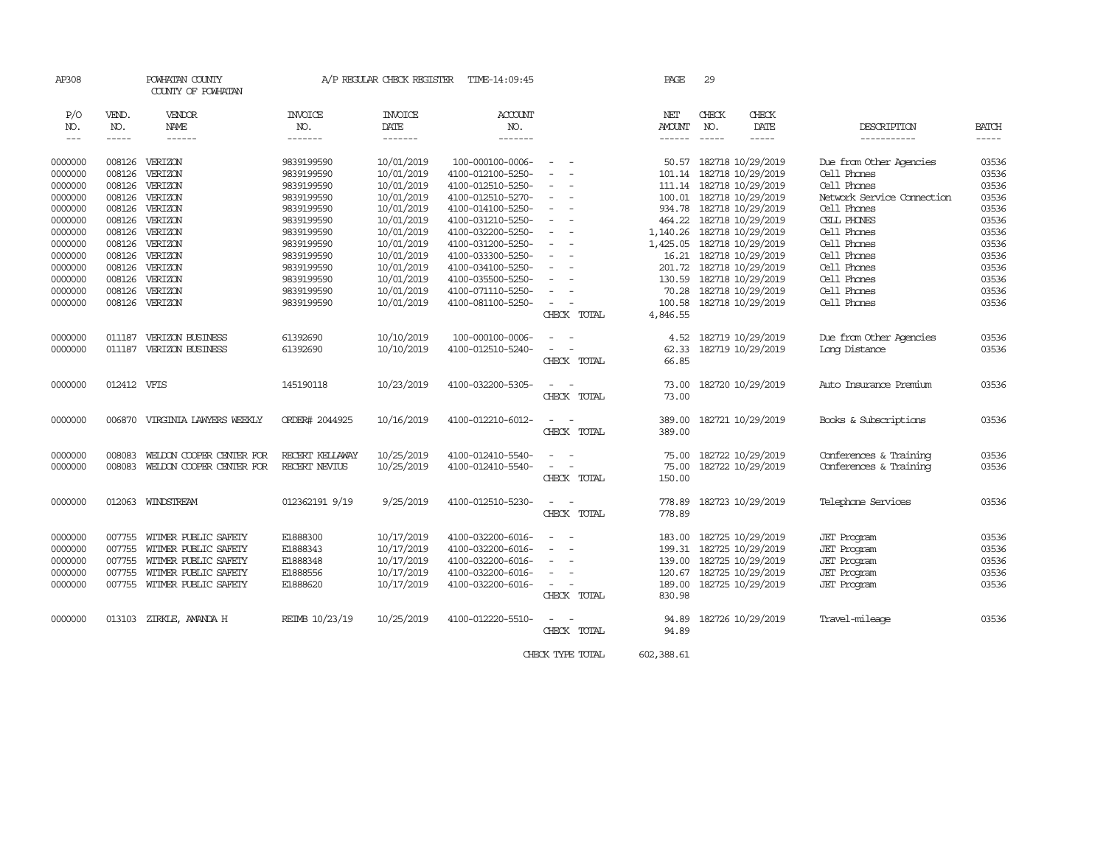| AP308                                                                                                                            |                                                                                                                      | POWHATAN COUNTY<br>COUNTY OF POWHATAN                                                                                            |                                                                                                                                                                      | A/P REGULAR CHECK REGISTER                                                                                                                                           | TIME-14:09:45                                                                                                                                                                                                                                           |                                                                                                                                                                                                                                                                            | PAGE                                                                                                        | 29           |                                                                                                                                                                                                                                                                 |                                                                                                                                                                                                             |                                                                                                          |
|----------------------------------------------------------------------------------------------------------------------------------|----------------------------------------------------------------------------------------------------------------------|----------------------------------------------------------------------------------------------------------------------------------|----------------------------------------------------------------------------------------------------------------------------------------------------------------------|----------------------------------------------------------------------------------------------------------------------------------------------------------------------|---------------------------------------------------------------------------------------------------------------------------------------------------------------------------------------------------------------------------------------------------------|----------------------------------------------------------------------------------------------------------------------------------------------------------------------------------------------------------------------------------------------------------------------------|-------------------------------------------------------------------------------------------------------------|--------------|-----------------------------------------------------------------------------------------------------------------------------------------------------------------------------------------------------------------------------------------------------------------|-------------------------------------------------------------------------------------------------------------------------------------------------------------------------------------------------------------|----------------------------------------------------------------------------------------------------------|
| P/O<br>NO.<br>$- - -$                                                                                                            | VEND.<br>NO.                                                                                                         | <b>VENDOR</b><br>NAME<br>------                                                                                                  | <b>INVOICE</b><br>NO.<br>--------                                                                                                                                    | <b>INVOICE</b><br>DATE<br>-------                                                                                                                                    | ACCOUNT<br>NO.<br>-------                                                                                                                                                                                                                               |                                                                                                                                                                                                                                                                            | NET<br><b>AMOUNT</b><br>$- - - - - -$                                                                       | CHECK<br>NO. | CHECK<br>DATE<br>-----                                                                                                                                                                                                                                          | DESCRIPTION<br>-----------                                                                                                                                                                                  | <b>BATCH</b>                                                                                             |
| 0000000<br>0000000<br>0000000<br>0000000<br>0000000<br>0000000<br>0000000<br>0000000<br>0000000<br>0000000<br>0000000<br>0000000 | 008126<br>008126<br>008126<br>008126<br>008126<br>008126<br>008126<br>008126<br>008126<br>008126<br>008126<br>008126 | VERIZON<br>VERIZON<br>VERIZON<br>VERIZON<br>VERIZON<br>VERIZON<br>VERIZON<br>VERIZON<br>VERIZON<br>VERIZON<br>VERIZON<br>VERIZON | 9839199590<br>9839199590<br>9839199590<br>9839199590<br>9839199590<br>9839199590<br>9839199590<br>9839199590<br>9839199590<br>9839199590<br>9839199590<br>9839199590 | 10/01/2019<br>10/01/2019<br>10/01/2019<br>10/01/2019<br>10/01/2019<br>10/01/2019<br>10/01/2019<br>10/01/2019<br>10/01/2019<br>10/01/2019<br>10/01/2019<br>10/01/2019 | 100-000100-0006-<br>4100-012100-5250-<br>4100-012510-5250-<br>4100-012510-5270-<br>4100-014100-5250-<br>4100-031210-5250-<br>4100-032200-5250-<br>4100-031200-5250-<br>4100-033300-5250-<br>4100-034100-5250-<br>4100-035500-5250-<br>4100-071110-5250- | $\overline{\phantom{a}}$<br>$\overline{\phantom{a}}$<br>$\sim$<br>$\overline{\phantom{a}}$<br>$\sim$<br>$\sim$<br>$\overline{\phantom{a}}$<br>$\sim$<br>$\sim$<br>$\sim$<br>$\sim$<br>$\sim$<br>$\sim$<br>$\overline{\phantom{a}}$<br>$\equiv$<br>$\sim$<br>$\blacksquare$ | 50.57<br>101.14<br>100.01<br>934.78<br>464.22<br>1,140.26<br>1,425.05<br>16.21<br>201.72<br>130.59<br>70.28 |              | 182718 10/29/2019<br>182718 10/29/2019<br>111.14 182718 10/29/2019<br>182718 10/29/2019<br>182718 10/29/2019<br>182718 10/29/2019<br>182718 10/29/2019<br>182718 10/29/2019<br>182718 10/29/2019<br>182718 10/29/2019<br>182718 10/29/2019<br>182718 10/29/2019 | Due from Other Agencies<br>Cell Phones<br>Cell Phones<br>Network Service Connection<br>Cell Phones<br>CELL PHONES<br>Cell Phones<br>Cell Phones<br>Cell Phones<br>Cell Phones<br>Cell Phones<br>Cell Phones | 03536<br>03536<br>03536<br>03536<br>03536<br>03536<br>03536<br>03536<br>03536<br>03536<br>03536<br>03536 |
| 0000000                                                                                                                          | 008126                                                                                                               | VERIZON                                                                                                                          | 9839199590                                                                                                                                                           | 10/01/2019                                                                                                                                                           | 4100-081100-5250-                                                                                                                                                                                                                                       | $\overline{\phantom{a}}$<br>CHECK TOTAL                                                                                                                                                                                                                                    | 100.58<br>4,846.55                                                                                          |              | 182718 10/29/2019                                                                                                                                                                                                                                               | Cell Phones                                                                                                                                                                                                 | 03536                                                                                                    |
| 0000000<br>0000000                                                                                                               | 011187<br>011187                                                                                                     | VERIZON BUSINESS<br>VERIZON BUSINESS                                                                                             | 61392690<br>61392690                                                                                                                                                 | 10/10/2019<br>10/10/2019                                                                                                                                             | 100-000100-0006-<br>4100-012510-5240-                                                                                                                                                                                                                   | $\sim$<br>$\overline{\phantom{a}}$<br>$\overline{\phantom{a}}$<br>- -<br>CHECK TOTAL                                                                                                                                                                                       | 4.52<br>62.33<br>66.85                                                                                      |              | 182719 10/29/2019<br>182719 10/29/2019                                                                                                                                                                                                                          | Due from Other Agencies<br>Long Distance                                                                                                                                                                    | 03536<br>03536                                                                                           |
| 0000000                                                                                                                          | 012412 VFIS                                                                                                          |                                                                                                                                  | 145190118                                                                                                                                                            | 10/23/2019                                                                                                                                                           | 4100-032200-5305-                                                                                                                                                                                                                                       | $\sim$<br>$\sim$<br>CHECK TOTAL                                                                                                                                                                                                                                            | 73.00<br>73.00                                                                                              |              | 182720 10/29/2019                                                                                                                                                                                                                                               | Auto Insurance Premium                                                                                                                                                                                      | 03536                                                                                                    |
| 0000000                                                                                                                          | 006870                                                                                                               | VIRGINIA LAWYERS WEEKLY                                                                                                          | ORDER# 2044925                                                                                                                                                       | 10/16/2019                                                                                                                                                           | 4100-012210-6012-                                                                                                                                                                                                                                       | $\sim$<br>$\sim$<br>CHECK TOTAL                                                                                                                                                                                                                                            | 389.00<br>389.00                                                                                            |              | 182721 10/29/2019                                                                                                                                                                                                                                               | Books & Subscriptions                                                                                                                                                                                       | 03536                                                                                                    |
| 0000000<br>0000000                                                                                                               | 008083<br>008083                                                                                                     | WEIDON COOPER CENTER FOR<br>WELDON COOPER CENTER FOR                                                                             | RECERT KELLAWAY<br>RECERT NEVIUS                                                                                                                                     | 10/25/2019<br>10/25/2019                                                                                                                                             | 4100-012410-5540-<br>4100-012410-5540-                                                                                                                                                                                                                  | $\overline{\phantom{a}}$<br>$\equiv$<br>CHECK TOTAL                                                                                                                                                                                                                        | 75.00<br>75.00<br>150.00                                                                                    |              | 182722 10/29/2019<br>182722 10/29/2019                                                                                                                                                                                                                          | Conferences & Training<br>Conferences & Training                                                                                                                                                            | 03536<br>03536                                                                                           |
| 0000000                                                                                                                          |                                                                                                                      | 012063 WINDSTREAM                                                                                                                | 012362191 9/19                                                                                                                                                       | 9/25/2019                                                                                                                                                            | 4100-012510-5230-                                                                                                                                                                                                                                       | $\sim$<br>CHECK TOTAL                                                                                                                                                                                                                                                      | 778.89<br>778.89                                                                                            |              | 182723 10/29/2019                                                                                                                                                                                                                                               | Telephone Services                                                                                                                                                                                          | 03536                                                                                                    |
| 0000000<br>0000000<br>0000000<br>0000000<br>0000000                                                                              | 007755<br>007755<br>007755<br>007755<br>007755                                                                       | WITMER PUBLIC SAFETY<br>WITMER PUBLIC SAFETY<br>WITMER PUBLIC SAFETY<br>WITMER PUBLIC SAFETY<br>WITMER PUBLIC SAFETY             | E1888300<br>E1888343<br>E1888348<br>E1888556<br>E1888620                                                                                                             | 10/17/2019<br>10/17/2019<br>10/17/2019<br>10/17/2019<br>10/17/2019                                                                                                   | 4100-032200-6016-<br>4100-032200-6016-<br>4100-032200-6016-<br>4100-032200-6016-<br>4100-032200-6016-                                                                                                                                                   | $\sim$<br>$\equiv$<br>$\blacksquare$<br>$\sim$<br>$\overline{\phantom{a}}$<br>$\sim$<br>$\blacksquare$<br>$\sim$<br>$\sim$<br>CHECK TOTAL                                                                                                                                  | 183.00<br>199.31<br>139.00<br>120.67<br>189.00<br>830.98                                                    |              | 182725 10/29/2019<br>182725 10/29/2019<br>182725 10/29/2019<br>182725 10/29/2019<br>182725 10/29/2019                                                                                                                                                           | <b>JET</b> Program<br><b>JET</b> Program<br><b>JET</b> Program<br><b>JET</b> Program<br><b>JET</b> Program                                                                                                  | 03536<br>03536<br>03536<br>03536<br>03536                                                                |
| 0000000                                                                                                                          | 013103                                                                                                               | ZIRKLE, AMANDA H                                                                                                                 | REIMB 10/23/19                                                                                                                                                       | 10/25/2019                                                                                                                                                           | 4100-012220-5510-                                                                                                                                                                                                                                       | CHECK TOTAL                                                                                                                                                                                                                                                                | 94.89<br>94.89                                                                                              |              | 182726 10/29/2019                                                                                                                                                                                                                                               | Travel-mileage                                                                                                                                                                                              | 03536                                                                                                    |

CHECK TYPE TOTAL 602,388.61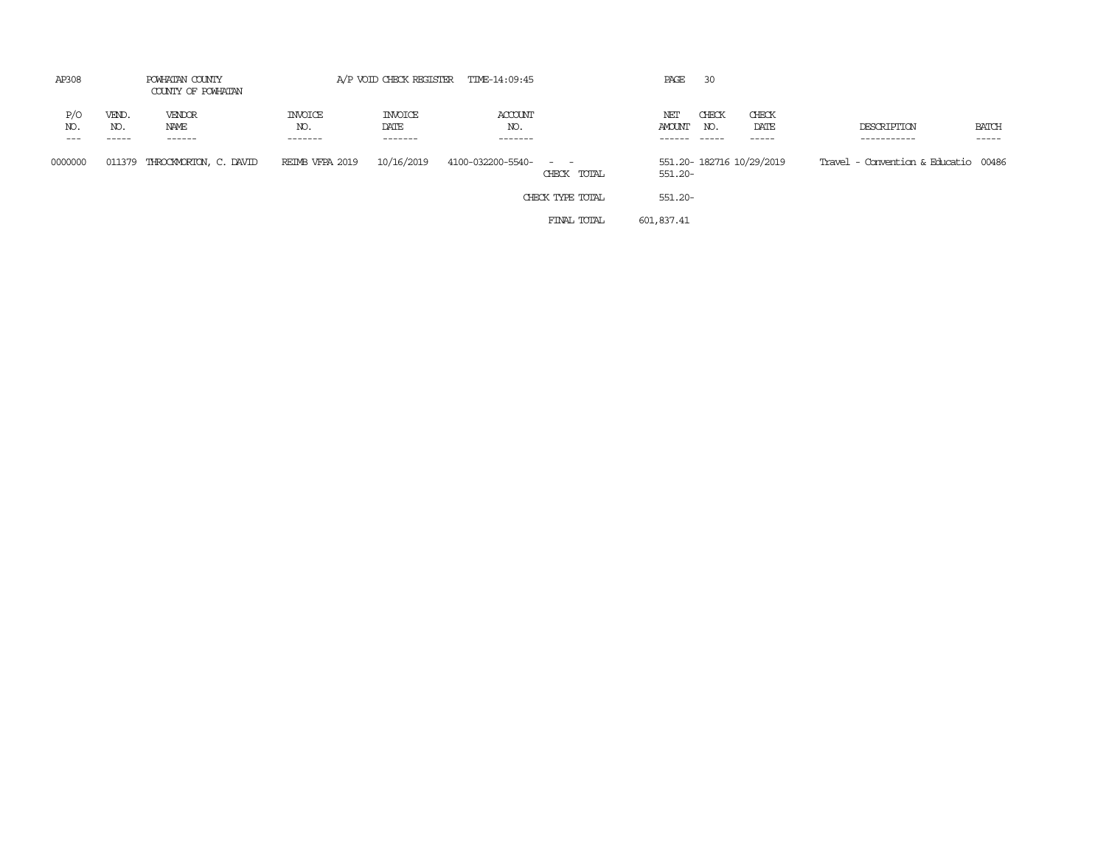| AP308                 | POWHATAN COUNTY<br>COUNTY OF POWHATAN | A/P VOID CHECK REGISTER TIME-14:09:45 |                                  |                                   |                           | PAGE<br>-30                                                                                                                              |                      |                             |                          |                                      |                       |
|-----------------------|---------------------------------------|---------------------------------------|----------------------------------|-----------------------------------|---------------------------|------------------------------------------------------------------------------------------------------------------------------------------|----------------------|-----------------------------|--------------------------|--------------------------------------|-----------------------|
| P/O<br>NO.<br>$- - -$ | VEND.<br>NO.<br>. <u>.</u>            | VENDOR<br>NAME<br>------              | <b>INVOICE</b><br>NO.<br>------- | <b>INVOICE</b><br>DATE<br>------- | ACCOUNT<br>NO.<br>------- |                                                                                                                                          | NET<br><b>AMOUNT</b> | CHECK<br>NO.<br>$- - - - -$ | CHECK<br>DATE<br>-----   | DESCRIPTION<br>-----------           | <b>BATCH</b><br>----- |
| 0000000               | 011379                                | THROCKMORTON, C. DAVID                | REIMB VFPA 2019                  | 10/16/2019                        | 4100-032200-5540-         | $\frac{1}{2} \left( \frac{1}{2} \right) \left( \frac{1}{2} \right) \left( \frac{1}{2} \right) \left( \frac{1}{2} \right)$<br>CHECK TOTAL | 551.20-              |                             | 551.20-182716 10/29/2019 | Travel - Convention & Educatio 00486 |                       |
|                       |                                       |                                       |                                  |                                   |                           | CHECK TYPE TOTAL                                                                                                                         | 551.20-              |                             |                          |                                      |                       |
|                       |                                       |                                       |                                  |                                   |                           | FINAL TOTAL                                                                                                                              | 601,837.41           |                             |                          |                                      |                       |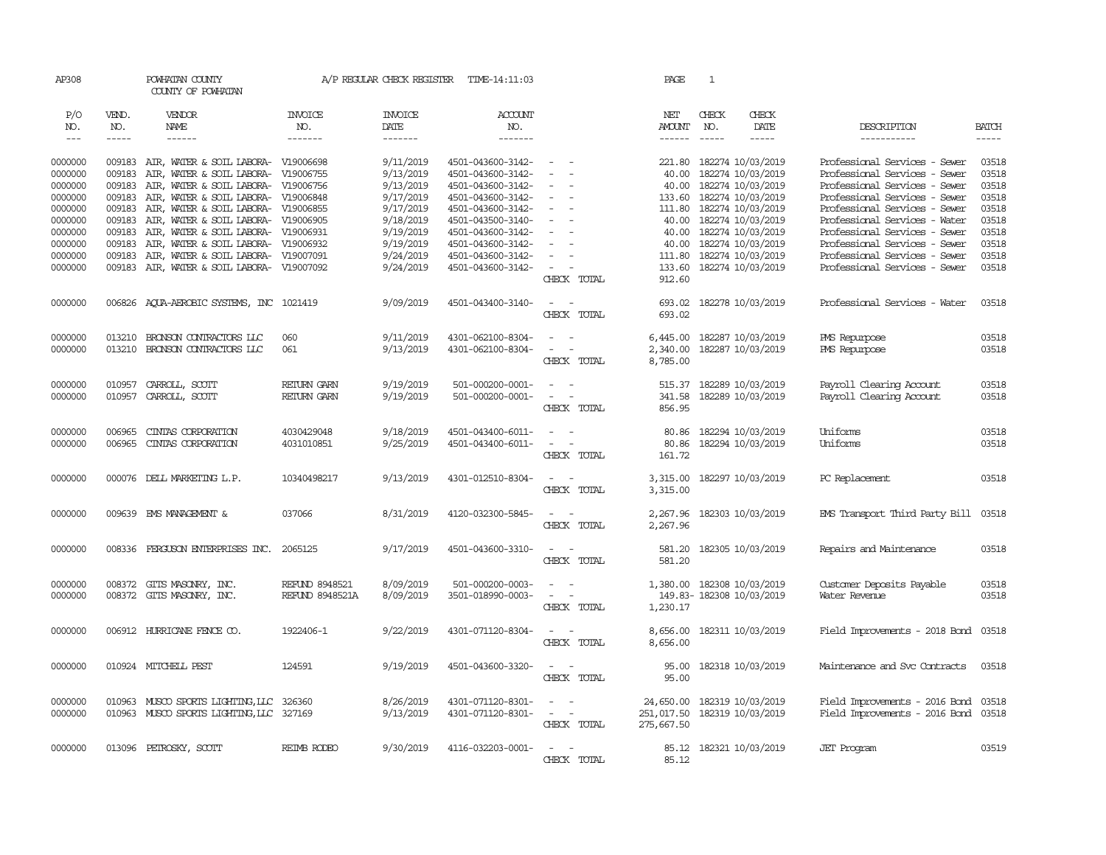| AP308              |                  | POWHATAN COUNTY<br>COUNTY OF POWHATAN                                      |                        | A/P REGULAR CHECK REGISTER | TIME-14:11:03                          |                                                                                                              | PAGE                 | 1                                             |               |                                                                |                |
|--------------------|------------------|----------------------------------------------------------------------------|------------------------|----------------------------|----------------------------------------|--------------------------------------------------------------------------------------------------------------|----------------------|-----------------------------------------------|---------------|----------------------------------------------------------------|----------------|
| P/O<br>NO.         | VEND.<br>NO.     | VENDOR<br>NAME                                                             | <b>INVOICE</b><br>NO.  | <b>INVOICE</b><br>DATE     | ACCOUNT<br>NO.                         |                                                                                                              | NET<br><b>AMOUNT</b> | CHECK<br>NO.                                  | CHECK<br>DATE | DESCRIPTION                                                    | <b>BATCH</b>   |
| $\frac{1}{2}$      | -----            | $- - - - - -$                                                              | -------                | -------                    | -------                                |                                                                                                              | $- - - - - -$        | $- - - - -$                                   | $- - - - -$   | -----------                                                    | $- - - - -$    |
|                    |                  |                                                                            |                        |                            |                                        | $\sim$ $\sim$                                                                                                |                      |                                               |               |                                                                |                |
| 0000000            |                  | 009183 AIR, WATER & SOIL LABORA- V19006698                                 |                        | 9/11/2019                  | 4501-043600-3142-                      | $\sim$<br>$\sim$                                                                                             |                      | 221.80 182274 10/03/2019<br>182274 10/03/2019 |               | Professional Services - Sewer<br>Professional Services - Sewer | 03518<br>03518 |
| 0000000            | 009183           | AIR, WATER & SOIL LABORA- V19006755                                        |                        | 9/13/2019                  | 4501-043600-3142-                      | $\sim$                                                                                                       | 40.00                |                                               |               | Professional Services - Sewer                                  | 03518          |
| 0000000<br>0000000 | 009183<br>009183 | AIR, WATER & SOIL LABORA- V19006756<br>AIR, WATER & SOIL LABORA- V19006848 |                        | 9/13/2019<br>9/17/2019     | 4501-043600-3142-<br>4501-043600-3142- | $\sim$                                                                                                       | 40.00                | 182274 10/03/2019<br>133.60 182274 10/03/2019 |               | Professional Services - Sewer                                  | 03518          |
| 0000000            | 009183           | AIR, WATER & SOIL LABORA- V19006855                                        |                        | 9/17/2019                  | 4501-043600-3142-                      | $\overline{\phantom{a}}$<br>$\overline{\phantom{a}}$                                                         |                      | 111.80 182274 10/03/2019                      |               | Professional Services - Sewer                                  | 03518          |
| 0000000            | 009183           | AIR, WATER & SOIL LABORA- V19006905                                        |                        | 9/18/2019                  | 4501-043500-3140-                      | $\overline{\phantom{a}}$                                                                                     | 40.00                | 182274 10/03/2019                             |               | Professional Services - Water                                  | 03518          |
| 0000000            | 009183           | AIR, WATER & SOIL LABORA- V19006931                                        |                        | 9/19/2019                  | 4501-043600-3142-                      | $\sim$                                                                                                       | 40.00                | 182274 10/03/2019                             |               | Professional Services - Sewer                                  | 03518          |
| 0000000            | 009183           | AIR, WATER & SOIL LABORA- V19006932                                        |                        | 9/19/2019                  | 4501-043600-3142-                      |                                                                                                              | 40.00                | 182274 10/03/2019                             |               | Professional Services - Sewer                                  | 03518          |
| 0000000            | 009183           | AIR, WATER & SOIL LABORA- V19007091                                        |                        | 9/24/2019                  | 4501-043600-3142-                      |                                                                                                              | 111.80               | 182274 10/03/2019                             |               | Professional Services - Sewer                                  | 03518          |
| 0000000            | 009183           | AIR, WATER & SOIL LABORA- V19007092                                        |                        | 9/24/2019                  | 4501-043600-3142-                      | $\sim$<br>$\overline{\phantom{a}}$                                                                           | 133.60               | 182274 10/03/2019                             |               | Professional Services - Sewer                                  | 03518          |
|                    |                  |                                                                            |                        |                            |                                        | CHECK TOTAL                                                                                                  | 912.60               |                                               |               |                                                                |                |
| 0000000            | 006826           | AQUA-AEROBIC SYSTEMS, INC 1021419                                          |                        | 9/09/2019                  | 4501-043400-3140-                      | $\sim$<br>$\sim$                                                                                             | 693.02               | 182278 10/03/2019                             |               | Professional Services - Water                                  | 03518          |
|                    |                  |                                                                            |                        |                            |                                        | CHECK TOTAL                                                                                                  | 693.02               |                                               |               |                                                                |                |
| 0000000            | 013210           | BRONSON CONTRACTORS LLC                                                    | 060                    | 9/11/2019                  | 4301-062100-8304-                      | $\frac{1}{2} \left( \frac{1}{2} \right) \left( \frac{1}{2} \right) = \frac{1}{2} \left( \frac{1}{2} \right)$ | 6,445.00             | 182287 10/03/2019                             |               | PMS Repurpose                                                  | 03518          |
| 0000000            | 013210           | BRONSON CONTRACTORS LLC                                                    | 061                    | 9/13/2019                  | 4301-062100-8304-                      | $\sim$<br>$\sim$                                                                                             | 2,340.00             | 182287 10/03/2019                             |               | PMS Repurpose                                                  | 03518          |
|                    |                  |                                                                            |                        |                            |                                        | CHECK TOTAL                                                                                                  | 8,785.00             |                                               |               |                                                                |                |
| 0000000            |                  | 010957 CARROLL, SCOTT                                                      | <b>RETURN GARN</b>     | 9/19/2019                  | 501-000200-0001-                       | $\sim$ $ \sim$                                                                                               |                      | 515.37 182289 10/03/2019                      |               | Payroll Clearing Account                                       | 03518          |
| 0000000            | 010957           | CARROLL, SCOTT                                                             | RETURN GARN            | 9/19/2019                  | 501-000200-0001-                       | $\omega_{\rm{max}}$ and $\omega_{\rm{max}}$                                                                  | 341.58               | 182289 10/03/2019                             |               | Payroll Clearing Account                                       | 03518          |
|                    |                  |                                                                            |                        |                            |                                        | CHECK TOTAL                                                                                                  | 856.95               |                                               |               |                                                                |                |
| 0000000            | 006965           | CINIAS CORPORATION                                                         | 4030429048             | 9/18/2019                  | 4501-043400-6011-                      | $\sim$                                                                                                       | 80.86                | 182294 10/03/2019                             |               | Uniforms                                                       | 03518          |
| 0000000            | 006965           | CINIAS CORPORATION                                                         | 4031010851             | 9/25/2019                  | 4501-043400-6011-                      | $\omega_{\rm{max}}$                                                                                          | 80.86                | 182294 10/03/2019                             |               | Uniforms                                                       | 03518          |
|                    |                  |                                                                            |                        |                            |                                        | CHECK TOTAL                                                                                                  | 161.72               |                                               |               |                                                                |                |
| 0000000            |                  | 000076 DELL MARKETING L.P.                                                 | 10340498217            | 9/13/2019                  | 4301-012510-8304-                      | $\overline{\phantom{a}}$<br>$\sim$                                                                           | 3,315.00             | 182297 10/03/2019                             |               | PC Replacement                                                 | 03518          |
|                    |                  |                                                                            |                        |                            |                                        | CHECK TOTAL                                                                                                  | 3,315.00             |                                               |               |                                                                |                |
| 0000000            |                  | 009639 EMS MANAGEMENT &                                                    | 037066                 | 8/31/2019                  | 4120-032300-5845-                      | $\sim$<br>$\sim$                                                                                             | 2,267.96             | 182303 10/03/2019                             |               | EMS Transport Third Party Bill                                 | 03518          |
|                    |                  |                                                                            |                        |                            |                                        | CHECK TOTAL                                                                                                  | 2,267.96             |                                               |               |                                                                |                |
|                    |                  |                                                                            |                        |                            |                                        |                                                                                                              |                      |                                               |               |                                                                |                |
| 0000000            |                  | 008336 FERGUSON ENTERPRISES INC. 2065125                                   |                        | 9/17/2019                  | 4501-043600-3310-                      | $\sim$ 100 $\sim$                                                                                            |                      | 581.20 182305 10/03/2019                      |               | Repairs and Maintenance                                        | 03518          |
|                    |                  |                                                                            |                        |                            |                                        | CHECK TOTAL                                                                                                  | 581.20               |                                               |               |                                                                |                |
| 0000000            |                  | 008372 GITS MASONRY, INC.                                                  | <b>REFUND 8948521</b>  | 8/09/2019                  | 501-000200-0003-                       | $\sim$<br>$\sim$                                                                                             |                      | 1,380.00 182308 10/03/2019                    |               | Customer Deposits Payable                                      | 03518          |
| 0000000            |                  | 008372 GITS MASONRY, INC.                                                  | <b>REFUND 8948521A</b> | 8/09/2019                  | 3501-018990-0003-                      | $\overline{\phantom{a}}$<br>$\sim$                                                                           |                      | 149.83-182308 10/03/2019                      |               | Water Revenue                                                  | 03518          |
|                    |                  |                                                                            |                        |                            |                                        | CHECK TOTAL                                                                                                  | 1,230.17             |                                               |               |                                                                |                |
| 0000000            |                  | 006912 HURRICANE FENCE CO.                                                 | 1922406-1              | 9/22/2019                  | 4301-071120-8304-                      | $\sim$ $ \sim$                                                                                               | 8,656.00             | 182311 10/03/2019                             |               | Field Improvements - 2018 Bond 03518                           |                |
|                    |                  |                                                                            |                        |                            |                                        | CHECK TOTAL                                                                                                  | 8,656.00             |                                               |               |                                                                |                |
| 0000000            |                  | 010924 MITCHELL PEST                                                       | 124591                 | 9/19/2019                  | 4501-043600-3320-                      | $\sim$ 100 $\sim$                                                                                            | 95.00                | 182318 10/03/2019                             |               | Maintenance and Svc Contracts                                  | 03518          |
|                    |                  |                                                                            |                        |                            |                                        | CHECK TOTAL                                                                                                  | 95.00                |                                               |               |                                                                |                |
| 0000000            |                  | 010963 MUSCO SPORTS LIGHTING, LLC 326360                                   |                        | 8/26/2019                  | 4301-071120-8301-                      | $\sim$<br>$\sim$                                                                                             | 24,650.00            | 182319 10/03/2019                             |               | Field Improvements - 2016 Bond                                 | 03518          |
| 0000000            |                  | 010963 MUSCO SPORTS LIGHTING, LLC 327169                                   |                        | 9/13/2019                  | 4301-071120-8301-                      | $\sim$ $ -$                                                                                                  | 251,017.50           | 182319 10/03/2019                             |               | Field Improvements - 2016 Bond 03518                           |                |
|                    |                  |                                                                            |                        |                            |                                        | CHECK TOTAL                                                                                                  | 275,667.50           |                                               |               |                                                                |                |
| 0000000            |                  | 013096 PETROSKY, SCOTT                                                     | REIMB RODEO            | 9/30/2019                  | 4116-032203-0001-                      | $\overline{a}$<br>$\sim$                                                                                     |                      | 85.12 182321 10/03/2019                       |               | <b>JET</b> Program                                             | 03519          |
|                    |                  |                                                                            |                        |                            |                                        | CHECK TOTAL                                                                                                  | 85.12                |                                               |               |                                                                |                |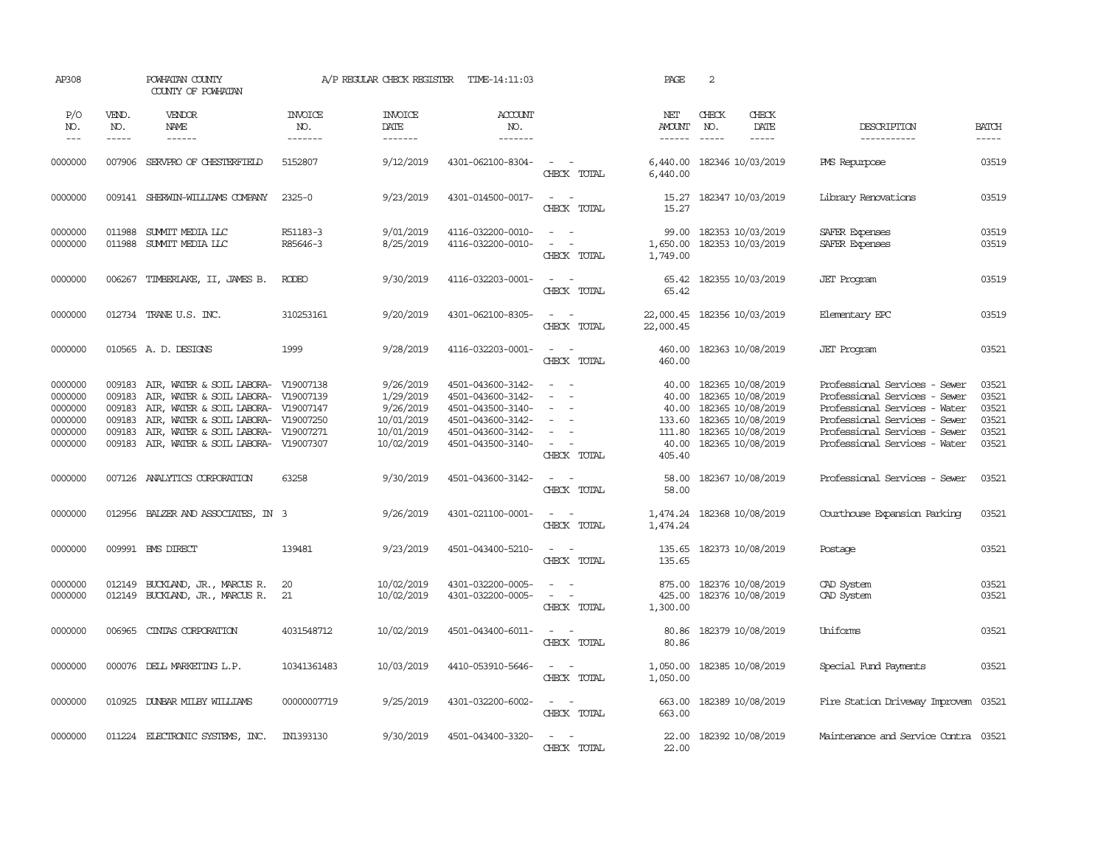| AP308                                                          |                                                          | POWHATAN COUNTY<br>COUNTY OF POWHATAN                                                                                                                                                                                                  |                                  | A/P REGULAR CHECK REGISTER                                                    | TIME-14:11:03                                                                                                              |                                                                                                                                                           | PAGE                                                 | 2                                                                                                                                 |                                                                                                                                                                                                    |                                                    |
|----------------------------------------------------------------|----------------------------------------------------------|----------------------------------------------------------------------------------------------------------------------------------------------------------------------------------------------------------------------------------------|----------------------------------|-------------------------------------------------------------------------------|----------------------------------------------------------------------------------------------------------------------------|-----------------------------------------------------------------------------------------------------------------------------------------------------------|------------------------------------------------------|-----------------------------------------------------------------------------------------------------------------------------------|----------------------------------------------------------------------------------------------------------------------------------------------------------------------------------------------------|----------------------------------------------------|
| P/O<br>NO.<br>$---$                                            | VEND.<br>NO.<br>$- - - - -$                              | VENDOR<br><b>NAME</b><br>$- - - - - -$                                                                                                                                                                                                 | <b>INVOICE</b><br>NO.<br>------- | <b>INVOICE</b><br>DATE<br>-------                                             | ACCOUNT<br>NO.<br>-------                                                                                                  |                                                                                                                                                           | NET<br><b>AMOUNT</b><br>$- - - - - -$                | CHECK<br>CHECK<br>NO.<br>DATE<br>$- - - - -$<br>-----                                                                             | DESCRIPTION<br>-----------                                                                                                                                                                         | <b>BATCH</b><br>$- - - - -$                        |
| 0000000                                                        |                                                          | 007906 SERVPRO OF CHESTERFIELD                                                                                                                                                                                                         | 5152807                          | 9/12/2019                                                                     | 4301-062100-8304-                                                                                                          | $\sim$ $\sim$<br>CHECK TOTAL                                                                                                                              | 6,440.00                                             | 6,440.00 182346 10/03/2019                                                                                                        | <b>PMS</b> Repurpose                                                                                                                                                                               | 03519                                              |
| 0000000                                                        |                                                          | 009141 SHERWIN-WILLIAMS COMPANY                                                                                                                                                                                                        | $2325 - 0$                       | 9/23/2019                                                                     | 4301-014500-0017-                                                                                                          | $\sim$ $\sim$<br>CHECK TOTAL                                                                                                                              | 15.27<br>15.27                                       | 182347 10/03/2019                                                                                                                 | Library Renovations                                                                                                                                                                                | 03519                                              |
| 0000000<br>0000000                                             | 011988<br>011988                                         | SUMMIT MEDIA LLC<br>SUMMIT MEDIA LLC                                                                                                                                                                                                   | R51183-3<br>R85646-3             | 9/01/2019<br>8/25/2019                                                        | 4116-032200-0010-<br>4116-032200-0010-                                                                                     | $\sim$<br>$\sim$<br>CHECK TOTAL                                                                                                                           | 99.00<br>1,650.00<br>1,749.00                        | 182353 10/03/2019<br>182353 10/03/2019                                                                                            | SAFER Expenses<br>SAFER Expenses                                                                                                                                                                   | 03519<br>03519                                     |
| 0000000                                                        | 006267                                                   | TIMBERLAKE, II, JAMES B.                                                                                                                                                                                                               | <b>RODEO</b>                     | 9/30/2019                                                                     | 4116-032203-0001-                                                                                                          | $\sim$ $\sim$<br>CHECK TOTAL                                                                                                                              | 65.42<br>65.42                                       | 182355 10/03/2019                                                                                                                 | <b>JET</b> Program                                                                                                                                                                                 | 03519                                              |
| 0000000                                                        |                                                          | 012734 TRANE U.S. INC.                                                                                                                                                                                                                 | 310253161                        | 9/20/2019                                                                     | 4301-062100-8305-                                                                                                          | $ -$<br>CHECK TOTAL                                                                                                                                       | 22,000.45<br>22,000.45                               | 182356 10/03/2019                                                                                                                 | Elementary EPC                                                                                                                                                                                     | 03519                                              |
| 0000000                                                        |                                                          | 010565 A.D. DESIGNS                                                                                                                                                                                                                    | 1999                             | 9/28/2019                                                                     | 4116-032203-0001-                                                                                                          | $\equiv$<br>$\sim$<br>CHECK TOTAL                                                                                                                         | 460.00<br>460.00                                     | 182363 10/08/2019                                                                                                                 | <b>JET</b> Program                                                                                                                                                                                 | 03521                                              |
| 0000000<br>0000000<br>0000000<br>0000000<br>0000000<br>0000000 | 009183<br>009183<br>009183<br>009183<br>009183<br>009183 | AIR, WATER & SOIL LABORA- V19007138<br>AIR, WATER & SOIL LABORA- V19007139<br>AIR, WATER & SOIL LABORA- V19007147<br>AIR, WATER & SOIL LABORA- V19007250<br>AIR, WATER & SOIL LABORA- V19007271<br>AIR, WATER & SOIL LABORA- V19007307 |                                  | 9/26/2019<br>1/29/2019<br>9/26/2019<br>10/01/2019<br>10/01/2019<br>10/02/2019 | 4501-043600-3142-<br>4501-043600-3142-<br>4501-043500-3140-<br>4501-043600-3142-<br>4501-043600-3142-<br>4501-043500-3140- | $\frac{1}{2} \left( \frac{1}{2} \right) \left( \frac{1}{2} \right) = \frac{1}{2} \left( \frac{1}{2} \right)$<br>$\sim$<br>$\sim$<br>$\sim$<br>CHECK TOTAL | 40.00<br>40.00<br>40.00<br>111.80<br>40.00<br>405.40 | 182365 10/08/2019<br>182365 10/08/2019<br>182365 10/08/2019<br>133.60 182365 10/08/2019<br>182365 10/08/2019<br>182365 10/08/2019 | Professional Services - Sewer<br>Professional Services - Sewer<br>Professional Services - Water<br>Professional Services - Sewer<br>Professional Services - Sewer<br>Professional Services - Water | 03521<br>03521<br>03521<br>03521<br>03521<br>03521 |
| 0000000                                                        | 007126                                                   | ANALYTICS CORPORATION                                                                                                                                                                                                                  | 63258                            | 9/30/2019                                                                     | 4501-043600-3142-                                                                                                          | $\overline{\phantom{a}}$<br>CHECK TOTAL                                                                                                                   | 58.00<br>58.00                                       | 182367 10/08/2019                                                                                                                 | Professional Services - Sewer                                                                                                                                                                      | 03521                                              |
| 0000000                                                        |                                                          | 012956 BALZER AND ASSOCIATES, IN 3                                                                                                                                                                                                     |                                  | 9/26/2019                                                                     | 4301-021100-0001-                                                                                                          | $\sim$<br>$\sim$<br>CHECK TOTAL                                                                                                                           | 1,474.24<br>1,474.24                                 | 182368 10/08/2019                                                                                                                 | Courthouse Expansion Parking                                                                                                                                                                       | 03521                                              |
| 0000000                                                        |                                                          | 009991 BMS DIRECT                                                                                                                                                                                                                      | 139481                           | 9/23/2019                                                                     | 4501-043400-5210-                                                                                                          | $\omega_{\rm{max}}$ and $\omega_{\rm{max}}$<br>CHECK TOTAL                                                                                                | 135.65                                               | 135.65 182373 10/08/2019                                                                                                          | Postage                                                                                                                                                                                            | 03521                                              |
| 0000000<br>0000000                                             |                                                          | 012149 BUCKLAND, JR., MARCUS R.<br>012149 BUCKLAND, JR., MARCUS R.                                                                                                                                                                     | 20<br>21                         | 10/02/2019<br>10/02/2019                                                      | 4301-032200-0005-<br>4301-032200-0005-                                                                                     | $\sim$ $\sim$<br>$\sim$<br>$\overline{\phantom{a}}$<br>$\sim$<br>CHECK TOTAL                                                                              | 425.00<br>1,300.00                                   | 875.00 182376 10/08/2019<br>182376 10/08/2019                                                                                     | CAD System<br>CAD System                                                                                                                                                                           | 03521<br>03521                                     |
| 0000000                                                        | 006965                                                   | CINIAS CORPORATION                                                                                                                                                                                                                     | 4031548712                       | 10/02/2019                                                                    | 4501-043400-6011-                                                                                                          | $\omega_{\rm{max}}$ and $\omega_{\rm{max}}$<br>CHECK TOTAL                                                                                                | 80.86<br>80.86                                       | 182379 10/08/2019                                                                                                                 | Uniforms                                                                                                                                                                                           | 03521                                              |
| 0000000                                                        |                                                          | 000076 DELL MARKETING L.P.                                                                                                                                                                                                             | 10341361483                      | 10/03/2019                                                                    | 4410-053910-5646-                                                                                                          | $\omega_{\rm{max}}$ and $\omega_{\rm{max}}$<br>CHECK TOTAL                                                                                                | 1,050.00<br>1,050.00                                 | 182385 10/08/2019                                                                                                                 | Special Fund Payments                                                                                                                                                                              | 03521                                              |
| 0000000                                                        | 010925                                                   | DUNBAR MILBY WILLIAMS                                                                                                                                                                                                                  | 00000007719                      | 9/25/2019                                                                     | 4301-032200-6002-                                                                                                          | $\sim$ $ \sim$<br>CHECK TOTAL                                                                                                                             | 663.00<br>663,00                                     | 182389 10/08/2019                                                                                                                 | Fire Station Driveway Improvem                                                                                                                                                                     | 03521                                              |
| 0000000                                                        | 011224                                                   | ELECTRONIC SYSTEMS, INC.                                                                                                                                                                                                               | IN1393130                        | 9/30/2019                                                                     | 4501-043400-3320-                                                                                                          | CHECK TOTAL                                                                                                                                               | 22.00<br>22.00                                       | 182392 10/08/2019                                                                                                                 | Maintenance and Service Contra 03521                                                                                                                                                               |                                                    |
|                                                                |                                                          |                                                                                                                                                                                                                                        |                                  |                                                                               |                                                                                                                            |                                                                                                                                                           |                                                      |                                                                                                                                   |                                                                                                                                                                                                    |                                                    |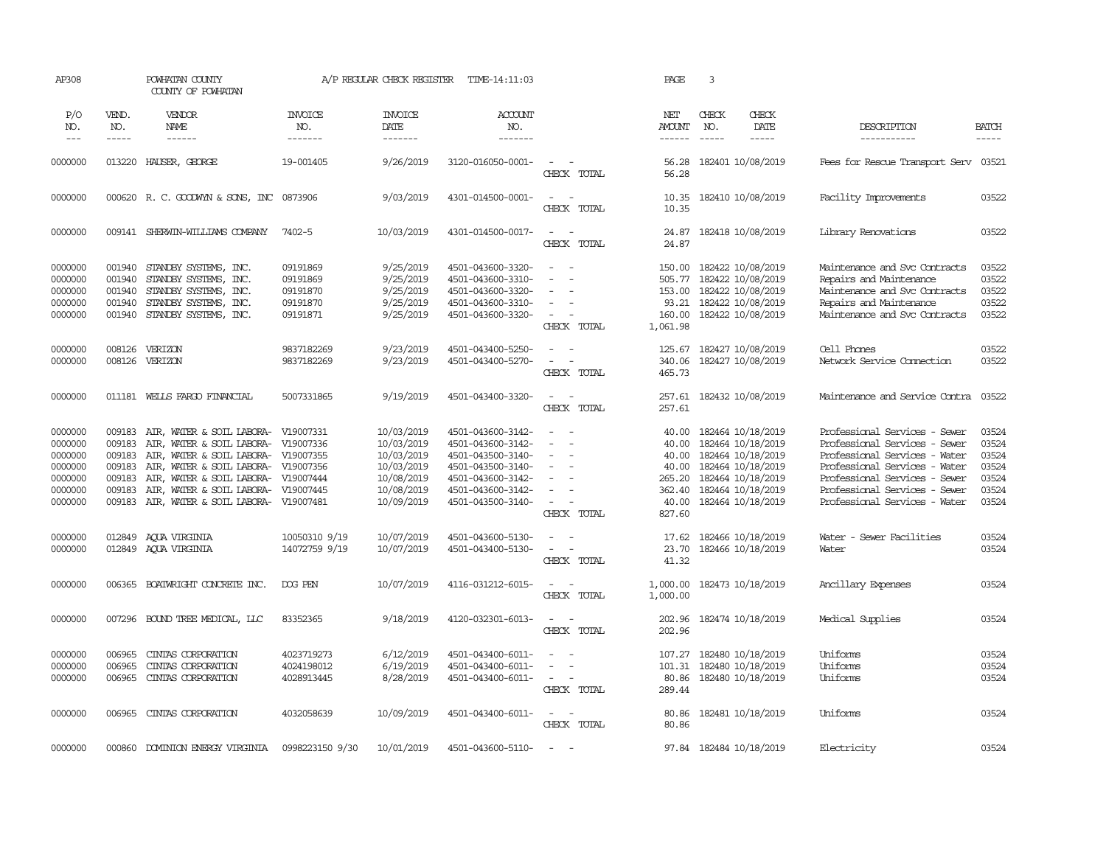| AP308                                                                     |                                                          | POWHATAN COUNTY<br>COUNTY OF POWHATAN                                                                                                                                                                                                                                                |                                                          | A/P REGULAR CHECK REGISTER                                                                     | TIME-14:11:03                                                                                                                                   |                                                                                                                                                             | PAGE                                                                    | 3                                                                                                                                               |                                                                                                                                                                                                                                     |                                                             |
|---------------------------------------------------------------------------|----------------------------------------------------------|--------------------------------------------------------------------------------------------------------------------------------------------------------------------------------------------------------------------------------------------------------------------------------------|----------------------------------------------------------|------------------------------------------------------------------------------------------------|-------------------------------------------------------------------------------------------------------------------------------------------------|-------------------------------------------------------------------------------------------------------------------------------------------------------------|-------------------------------------------------------------------------|-------------------------------------------------------------------------------------------------------------------------------------------------|-------------------------------------------------------------------------------------------------------------------------------------------------------------------------------------------------------------------------------------|-------------------------------------------------------------|
| P/O<br>NO.<br>$---$                                                       | VEND.<br>NO.<br>-----                                    | VENDOR<br>NAME                                                                                                                                                                                                                                                                       | <b>INVOICE</b><br>NO.<br>-------                         | <b>INVOICE</b><br>DATE<br>-------                                                              | <b>ACCOUNT</b><br>NO.<br>-------                                                                                                                |                                                                                                                                                             | NET<br><b>AMOUNT</b>                                                    | CHECK<br>CHECK<br>DATE<br>NO.<br>-----<br>$\frac{1}{2}$                                                                                         | DESCRIPTION<br>-----------                                                                                                                                                                                                          | <b>BATCH</b><br>$- - - - -$                                 |
| 0000000                                                                   | 013220                                                   | HAUSER, GEORGE                                                                                                                                                                                                                                                                       | 19-001405                                                | 9/26/2019                                                                                      | 3120-016050-0001-                                                                                                                               | $\sim$<br>$\sim$<br>CHECK TOTAL                                                                                                                             | 56.28<br>56.28                                                          | 182401 10/08/2019                                                                                                                               | Fees for Rescue Transport Serv                                                                                                                                                                                                      | 03521                                                       |
| 0000000                                                                   |                                                          | 000620 R. C. GOODWYN & SONS, INC 0873906                                                                                                                                                                                                                                             |                                                          | 9/03/2019                                                                                      | 4301-014500-0001-                                                                                                                               | $\sim$<br>$\sim$<br>CHECK TOTAL                                                                                                                             | 10.35<br>10.35                                                          | 182410 10/08/2019                                                                                                                               | Facility Improvements                                                                                                                                                                                                               | 03522                                                       |
| 0000000                                                                   |                                                          | 009141 SHERWIN-WILLIAMS COMPANY                                                                                                                                                                                                                                                      | 7402-5                                                   | 10/03/2019                                                                                     | 4301-014500-0017-                                                                                                                               | $\sim$<br>$\sim$<br>CHECK TOTAL                                                                                                                             | 24.87                                                                   | 24.87 182418 10/08/2019                                                                                                                         | Library Renovations                                                                                                                                                                                                                 | 03522                                                       |
| 0000000<br>0000000<br>0000000<br>0000000<br>0000000                       | 001940<br>001940<br>001940<br>001940<br>001940           | STANDBY SYSTEMS, INC.<br>STANDBY SYSTEMS, INC.<br>STANDBY SYSTEMS, INC.<br>STANDBY SYSTEMS, INC.<br>STANDBY SYSTEMS, INC.                                                                                                                                                            | 09191869<br>09191869<br>09191870<br>09191870<br>09191871 | 9/25/2019<br>9/25/2019<br>9/25/2019<br>9/25/2019<br>9/25/2019                                  | 4501-043600-3320-<br>4501-043600-3310-<br>4501-043600-3320-<br>4501-043600-3310-<br>4501-043600-3320-                                           | $\sim$<br>$\sim$<br>$\equiv$<br>$\sim$<br>$\sim$<br>CHECK TOTAL                                                                                             | 505.77<br>153.00<br>160.00<br>1,061.98                                  | 150.00 182422 10/08/2019<br>182422 10/08/2019<br>182422 10/08/2019<br>93.21 182422 10/08/2019<br>182422 10/08/2019                              | Maintenance and Svc Contracts<br>Repairs and Maintenance<br>Maintenance and Svc Contracts<br>Repairs and Maintenance<br>Maintenance and Svc Contracts                                                                               | 03522<br>03522<br>03522<br>03522<br>03522                   |
| 0000000<br>0000000                                                        | 008126<br>008126                                         | VERIZON<br>VERIZON                                                                                                                                                                                                                                                                   | 9837182269<br>9837182269                                 | 9/23/2019<br>9/23/2019                                                                         | 4501-043400-5250-<br>4501-043400-5270-                                                                                                          | $\equiv$<br>- 11<br>$\overline{\phantom{a}}$<br>CHECK TOTAL                                                                                                 | 125.67<br>340.06<br>465.73                                              | 182427 10/08/2019<br>182427 10/08/2019                                                                                                          | Cell Phones<br>Network Service Connection                                                                                                                                                                                           | 03522<br>03522                                              |
| 0000000                                                                   |                                                          | 011181 WELLS FARGO FINANCIAL                                                                                                                                                                                                                                                         | 5007331865                                               | 9/19/2019                                                                                      | 4501-043400-3320-                                                                                                                               | $\sim$<br>$\sim$<br>CHECK TOTAL                                                                                                                             | 257.61                                                                  | 257.61 182432 10/08/2019                                                                                                                        | Maintenance and Service Contra                                                                                                                                                                                                      | 03522                                                       |
| 0000000<br>0000000<br>0000000<br>0000000<br>0000000<br>0000000<br>0000000 | 009183<br>009183<br>009183<br>009183<br>009183<br>009183 | AIR, WATER & SOIL LABORA- V19007331<br>AIR, WATER & SOIL LABORA- V19007336<br>AIR, WATER & SOIL LABORA- V19007355<br>AIR, WATER & SOIL LABORA- V19007356<br>AIR, WATER & SOIL LABORA- V19007444<br>AIR, WATER & SOIL LABORA- V19007445<br>009183 AIR, WATER & SOIL LABORA- V19007481 |                                                          | 10/03/2019<br>10/03/2019<br>10/03/2019<br>10/03/2019<br>10/08/2019<br>10/08/2019<br>10/09/2019 | 4501-043600-3142-<br>4501-043600-3142-<br>4501-043500-3140-<br>4501-043500-3140-<br>4501-043600-3142-<br>4501-043600-3142-<br>4501-043500-3140- | $\overline{\phantom{a}}$<br>$\sim$<br>$\blacksquare$<br>$\sim$<br>$\sim$<br>$\sim$<br>$\sim$<br>$\overline{\phantom{a}}$<br>$\sim$<br>$\sim$<br>CHECK TOTAL | 40.00<br>40.00<br>40.00<br>40.00<br>265.20<br>362.40<br>40.00<br>827.60 | 182464 10/18/2019<br>182464 10/18/2019<br>182464 10/18/2019<br>182464 10/18/2019<br>182464 10/18/2019<br>182464 10/18/2019<br>182464 10/18/2019 | Professional Services - Sewer<br>Professional Services - Sewer<br>Professional Services - Water<br>Professional Services - Water<br>Professional Services - Sewer<br>Professional Services - Sewer<br>Professional Services - Water | 03524<br>03524<br>03524<br>03524<br>03524<br>03524<br>03524 |
| 0000000<br>0000000                                                        | 012849<br>012849                                         | AOUA VIRGINIA<br>AQUA VIRGINIA                                                                                                                                                                                                                                                       | 10050310 9/19<br>14072759 9/19                           | 10/07/2019<br>10/07/2019                                                                       | 4501-043600-5130-<br>4501-043400-5130-                                                                                                          | $\sim$<br>$\sim$<br>CHECK TOTAL                                                                                                                             | 17.62<br>23.70<br>41.32                                                 | 182466 10/18/2019<br>182466 10/18/2019                                                                                                          | Water - Sewer Facilities<br>Water                                                                                                                                                                                                   | 03524<br>03524                                              |
| 0000000                                                                   | 006365                                                   | BOATWRIGHT CONCRETE INC.                                                                                                                                                                                                                                                             | DOG PEN                                                  | 10/07/2019                                                                                     | 4116-031212-6015-                                                                                                                               | $\equiv$<br>$\sim$<br>CHECK TOTAL                                                                                                                           | 1,000.00<br>1,000.00                                                    | 182473 10/18/2019                                                                                                                               | Ancillary Expenses                                                                                                                                                                                                                  | 03524                                                       |
| 0000000                                                                   | 007296                                                   | BOUND TREE MEDICAL, LLC                                                                                                                                                                                                                                                              | 83352365                                                 | 9/18/2019                                                                                      | 4120-032301-6013-                                                                                                                               | $\overline{\phantom{a}}$<br>$\sim$<br>CHECK TOTAL                                                                                                           | 202.96<br>202.96                                                        | 182474 10/18/2019                                                                                                                               | Medical Supplies                                                                                                                                                                                                                    | 03524                                                       |
| 0000000<br>0000000<br>0000000                                             | 006965<br>006965<br>006965                               | CINIAS CORPORATION<br>CINIAS CORPORATION<br>CINIAS CORPORATION                                                                                                                                                                                                                       | 4023719273<br>4024198012<br>4028913445                   | 6/12/2019<br>6/19/2019<br>8/28/2019                                                            | 4501-043400-6011-<br>4501-043400-6011-<br>4501-043400-6011-                                                                                     | $\equiv$<br>$\sim$<br>$\overline{\phantom{a}}$<br>CHECK TOTAL                                                                                               | 107.27<br>101.31<br>80.86<br>289.44                                     | 182480 10/18/2019<br>182480 10/18/2019<br>182480 10/18/2019                                                                                     | Uniforms<br>Uniforms<br>Uniforms                                                                                                                                                                                                    | 03524<br>03524<br>03524                                     |
| 0000000                                                                   | 006965                                                   | CINIAS CORPORATION                                                                                                                                                                                                                                                                   | 4032058639                                               | 10/09/2019                                                                                     | 4501-043400-6011-                                                                                                                               | $\sim$<br>$\sim$<br>CHECK TOTAL                                                                                                                             | 80.86<br>80.86                                                          | 182481 10/18/2019                                                                                                                               | Uniforms                                                                                                                                                                                                                            | 03524                                                       |
| 0000000                                                                   | 000860                                                   | DOMINION ENERGY VIRGINIA                                                                                                                                                                                                                                                             | 0998223150 9/30                                          | 10/01/2019                                                                                     | 4501-043600-5110-                                                                                                                               | $\sim$                                                                                                                                                      |                                                                         | 97.84 182484 10/18/2019                                                                                                                         | Electricity                                                                                                                                                                                                                         | 03524                                                       |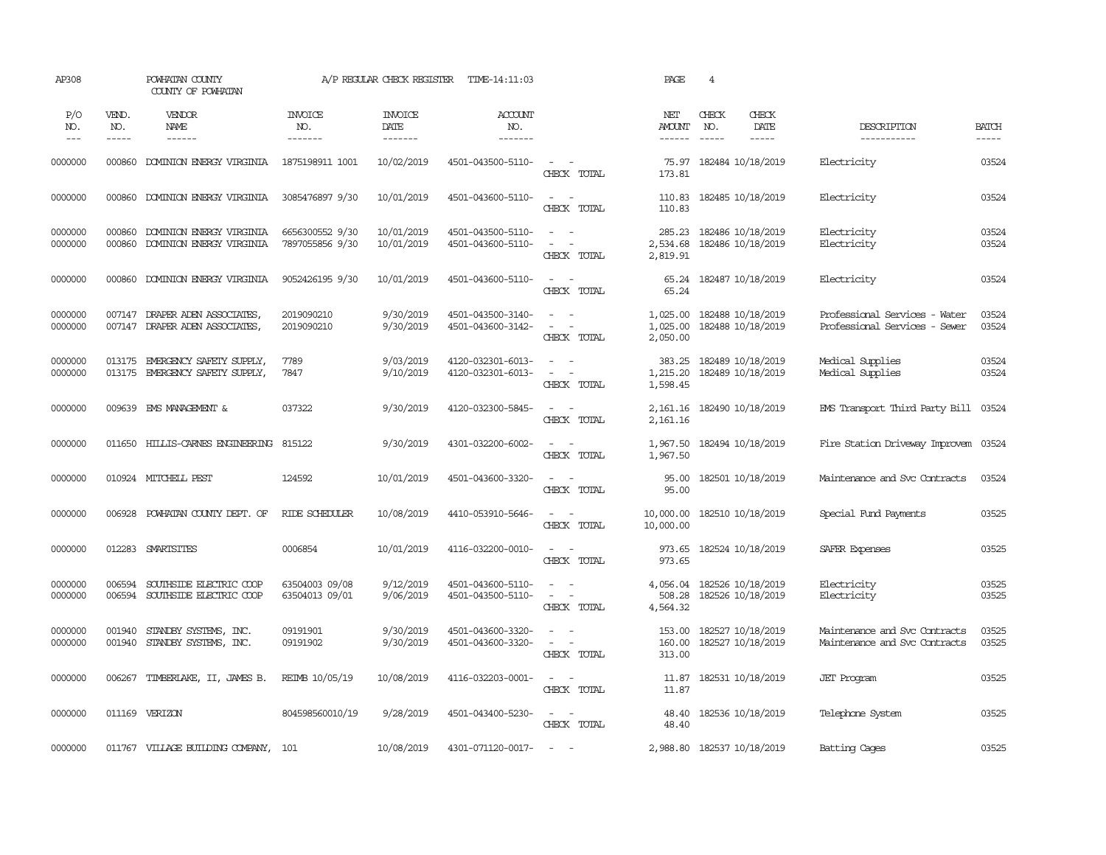| AP308               |                             | POWHATAN COUNTY<br>COUNTY OF POWHATAN                              |                                    | A/P REGULAR CHECK REGISTER        | TIME-14:11:03                          |                                                                                                                                                 | PAGE                                  | $\overline{4}$                         |                              |                                                                |                       |
|---------------------|-----------------------------|--------------------------------------------------------------------|------------------------------------|-----------------------------------|----------------------------------------|-------------------------------------------------------------------------------------------------------------------------------------------------|---------------------------------------|----------------------------------------|------------------------------|----------------------------------------------------------------|-----------------------|
| P/O<br>NO.<br>$---$ | VEND.<br>NO.<br>$- - - - -$ | VENDOR<br>NAME<br>------                                           | <b>INVOICE</b><br>NO.<br>-------   | <b>INVOICE</b><br>DATE<br>------- | <b>ACCOUNT</b><br>NO.<br>-------       |                                                                                                                                                 | NET<br><b>AMOUNT</b><br>$- - - - - -$ | CHECK<br>NO.                           | CHECK<br>DATE<br>$- - - - -$ | DESCRIPTION<br>-----------                                     | <b>BATCH</b><br>----- |
| 0000000             | 000860                      | DOMINION ENERGY VIRGINIA                                           | 1875198911 1001                    | 10/02/2019                        | 4501-043500-5110-                      | $\sim$<br>$\sim$<br>CHECK TOTAL                                                                                                                 | 75.97<br>173.81                       | 182484 10/18/2019                      |                              | Electricity                                                    | 03524                 |
| 0000000             | 000860                      | DOMINION ENERGY VIRGINIA                                           | 3085476897 9/30                    | 10/01/2019                        | 4501-043600-5110-                      | $\sim$<br>$\sim$ $-$<br>CHECK TOTAL                                                                                                             | 110.83<br>110.83                      | 182485 10/18/2019                      |                              | Electricity                                                    | 03524                 |
| 0000000<br>0000000  | 000860<br>000860            | DOMINION ENERGY VIRGINIA<br>DOMINION ENERGY VIRGINIA               | 6656300552 9/30<br>7897055856 9/30 | 10/01/2019<br>10/01/2019          | 4501-043500-5110-<br>4501-043600-5110- | $\sim$ $\sim$<br>$\overline{\phantom{a}}$<br>$\sim$<br>CHECK TOTAL                                                                              | 285.23<br>2,534.68<br>2,819.91        | 182486 10/18/2019<br>182486 10/18/2019 |                              | Electricity<br>Electricity                                     | 03524<br>03524        |
| 0000000             | 000860                      | DOMINION ENERGY VIRGINIA                                           | 9052426195 9/30                    | 10/01/2019                        | 4501-043600-5110-                      | $\sim$<br>$\sim$<br>CHECK TOTAL                                                                                                                 | 65.24<br>65.24                        | 182487 10/18/2019                      |                              | Electricity                                                    | 03524                 |
| 0000000<br>0000000  | 007147                      | 007147 DRAPER ADEN ASSOCIATES<br>DRAPER ADEN ASSOCIATES,           | 2019090210<br>2019090210           | 9/30/2019<br>9/30/2019            | 4501-043500-3140-<br>4501-043600-3142- | $\frac{1}{2} \left( \frac{1}{2} \right) \left( \frac{1}{2} \right) = \frac{1}{2} \left( \frac{1}{2} \right)$<br>$\sim$<br>$\sim$<br>CHECK TOTAL | 1,025.00<br>1,025.00<br>2,050.00      | 182488 10/18/2019<br>182488 10/18/2019 |                              | Professional Services - Water<br>Professional Services - Sewer | 03524<br>03524        |
| 0000000<br>0000000  |                             | 013175 EMERGENCY SAFETY SUPPLY,<br>013175 EMERGENCY SAFETY SUPPLY, | 7789<br>7847                       | 9/03/2019<br>9/10/2019            | 4120-032301-6013-<br>4120-032301-6013- | $\sim$ $ \sim$<br>$\omega_{\rm{max}}$ and $\omega_{\rm{max}}$<br>CHECK TOTAL                                                                    | 383.25<br>1,215.20<br>1,598.45        | 182489 10/18/2019<br>182489 10/18/2019 |                              | Medical Supplies<br>Medical Supplies                           | 03524<br>03524        |
| 0000000             | 009639                      | EMS MANAGEMENT &                                                   | 037322                             | 9/30/2019                         | 4120-032300-5845-                      | $\sim$ $ \sim$<br>CHECK TOTAL                                                                                                                   | 2,161.16<br>2,161.16                  | 182490 10/18/2019                      |                              | EMS Transport Third Party Bill                                 | 03524                 |
| 0000000             |                             | 011650 HILLIS-CARNES ENGINEERING 815122                            |                                    | 9/30/2019                         | 4301-032200-6002-                      | $\sim$<br>$\sim$<br>CHECK TOTAL                                                                                                                 | 1,967.50<br>1,967.50                  | 182494 10/18/2019                      |                              | Fire Station Driveway Improvem                                 | 03524                 |
| 0000000             |                             | 010924 MITCHELL PEST                                               | 124592                             | 10/01/2019                        | 4501-043600-3320-                      | $\sim$ $ \sim$<br>CHECK TOTAL                                                                                                                   | 95.00<br>95.00                        | 182501 10/18/2019                      |                              | Maintenance and Svc Contracts                                  | 03524                 |
| 0000000             | 006928                      | POWHATAN COUNTY DEPT. OF                                           | RIDE SCHEDULER                     | 10/08/2019                        | 4410-053910-5646-                      | $\sim$ $ \sim$<br>CHECK TOTAL                                                                                                                   | 10,000.00<br>10,000.00                | 182510 10/18/2019                      |                              | Special Fund Payments                                          | 03525                 |
| 0000000             |                             | 012283 SMARTSITES                                                  | 0006854                            | 10/01/2019                        | 4116-032200-0010-                      | $\sim$ $ -$<br>CHECK TOTAL                                                                                                                      | 973.65<br>973.65                      | 182524 10/18/2019                      |                              | SAFER Expenses                                                 | 03525                 |
| 0000000<br>0000000  | 006594<br>006594            | SOUTHSIDE ELECTRIC COOP<br>SOUTHSIDE ELECTRIC COOP                 | 63504003 09/08<br>63504013 09/01   | 9/12/2019<br>9/06/2019            | 4501-043600-5110-<br>4501-043500-5110- | $\overline{\phantom{a}}$<br>$\sim$ $ -$<br>CHECK TOTAL                                                                                          | 4,056.04<br>508.28<br>4,564.32        | 182526 10/18/2019<br>182526 10/18/2019 |                              | Electricity<br>Electricity                                     | 03525<br>03525        |
| 0000000<br>0000000  | 001940<br>001940            | STANDBY SYSTEMS, INC.<br>STANDBY SYSTEMS, INC.                     | 09191901<br>09191902               | 9/30/2019<br>9/30/2019            | 4501-043600-3320-<br>4501-043600-3320- | $\sim$<br>$\sim$<br>$\sim$<br>$\sim$<br>CHECK TOTAL                                                                                             | 153.00<br>160.00<br>313.00            | 182527 10/18/2019<br>182527 10/18/2019 |                              | Maintenance and Svc Contracts<br>Maintenance and Svc Contracts | 03525<br>03525        |
| 0000000             |                             | 006267 TIMBERLAKE, II, JAMES B.                                    | REIMB 10/05/19                     | 10/08/2019                        | 4116-032203-0001-                      | $\sim$ $ \sim$<br>CHECK TOTAL                                                                                                                   | 11.87<br>11.87                        | 182531 10/18/2019                      |                              | <b>JET</b> Program                                             | 03525                 |
| 0000000             |                             | 011169 VERIZON                                                     | 804598560010/19                    | 9/28/2019                         | 4501-043400-5230-                      | $\sim$ $ -$<br>CHECK TOTAL                                                                                                                      | 48.40<br>48.40                        | 182536 10/18/2019                      |                              | Telephone System                                               | 03525                 |
| 0000000             |                             | 011767 VILLAGE BUILDING COMPANY, 101                               |                                    | 10/08/2019                        | 4301-071120-0017-                      | $\sim$ $\sim$                                                                                                                                   |                                       | 2,988.80 182537 10/18/2019             |                              | Batting Cages                                                  | 03525                 |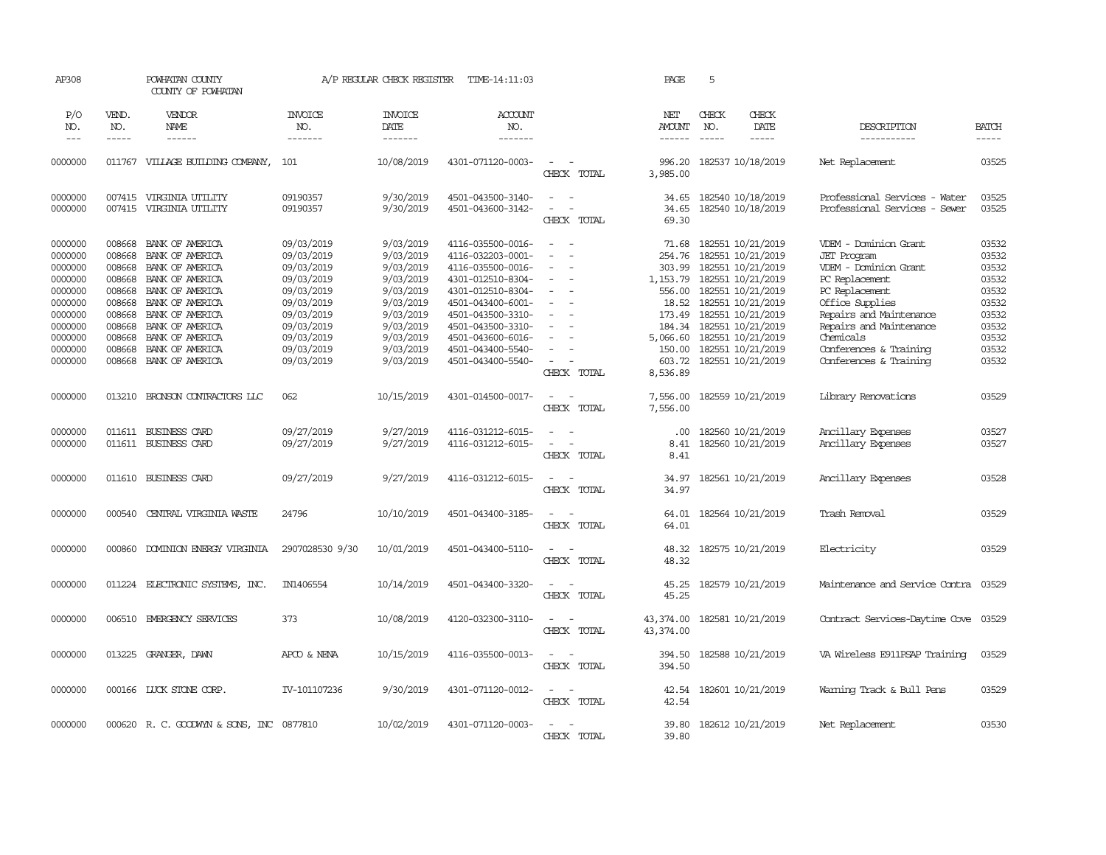| AP308                                               |                                                | POWHATAN COUNTY<br>COUNTY OF POWHATAN                                                                                                                                                                                                                                                                                                                                                                                                                                                        |                                                                    | A/P REGULAR CHECK REGISTER                                    | TIME-14:11:03                                                                                         |                                                                    | PAGE                                  | 5                                                                                                                           |                                                                                                              |                                           |
|-----------------------------------------------------|------------------------------------------------|----------------------------------------------------------------------------------------------------------------------------------------------------------------------------------------------------------------------------------------------------------------------------------------------------------------------------------------------------------------------------------------------------------------------------------------------------------------------------------------------|--------------------------------------------------------------------|---------------------------------------------------------------|-------------------------------------------------------------------------------------------------------|--------------------------------------------------------------------|---------------------------------------|-----------------------------------------------------------------------------------------------------------------------------|--------------------------------------------------------------------------------------------------------------|-------------------------------------------|
| P/O<br>NO.<br>$  -$                                 | VEND.<br>NO.<br>$\frac{1}{2}$                  | VENDOR<br>NAME<br>$\frac{1}{2} \left( \frac{1}{2} \right) \left( \frac{1}{2} \right) \left( \frac{1}{2} \right) \left( \frac{1}{2} \right) \left( \frac{1}{2} \right) \left( \frac{1}{2} \right) \left( \frac{1}{2} \right) \left( \frac{1}{2} \right) \left( \frac{1}{2} \right) \left( \frac{1}{2} \right) \left( \frac{1}{2} \right) \left( \frac{1}{2} \right) \left( \frac{1}{2} \right) \left( \frac{1}{2} \right) \left( \frac{1}{2} \right) \left( \frac{1}{2} \right) \left( \frac$ | <b>INVOICE</b><br>NO.<br>-------                                   | <b>INVOICE</b><br>DATE<br>-------                             | ACCOUNT<br>NO.<br>--------                                                                            |                                                                    | NET<br><b>AMOUNT</b><br>$- - - - - -$ | CHECK<br>CHECK<br>NO.<br>DATE<br>$\frac{1}{2}$<br>$\frac{1}{2}$                                                             | DESCRIPTION<br>-----------                                                                                   | <b>BATCH</b><br>-----                     |
| 0000000                                             |                                                | 011767 VILLAGE BUILDING COMPANY,                                                                                                                                                                                                                                                                                                                                                                                                                                                             | 101                                                                | 10/08/2019                                                    | 4301-071120-0003-                                                                                     | CHECK TOTAL                                                        | 996.20<br>3,985.00                    | 182537 10/18/2019                                                                                                           | Net Replacement                                                                                              | 03525                                     |
| 0000000<br>0000000                                  |                                                | 007415 VIRGINIA UTILITY<br>007415 VIRGINIA UTILITY                                                                                                                                                                                                                                                                                                                                                                                                                                           | 09190357<br>09190357                                               | 9/30/2019<br>9/30/2019                                        | 4501-043500-3140-<br>4501-043600-3142-                                                                | $\sim$ $ -$<br>$\sim$<br>$\sim$<br>CHECK TOTAL                     | 34.65<br>34.65<br>69.30               | 182540 10/18/2019<br>182540 10/18/2019                                                                                      | Professional Services - Water<br>Professional Services - Sewer                                               | 03525<br>03525                            |
| 0000000<br>0000000<br>0000000<br>0000000<br>0000000 | 008668<br>008668<br>008668<br>008668<br>008668 | BANK OF AMERICA<br>BANK OF AMERICA<br>BANK OF AMERICA<br>BANK OF AMERICA<br>BANK OF AMERICA                                                                                                                                                                                                                                                                                                                                                                                                  | 09/03/2019<br>09/03/2019<br>09/03/2019<br>09/03/2019<br>09/03/2019 | 9/03/2019<br>9/03/2019<br>9/03/2019<br>9/03/2019<br>9/03/2019 | 4116-035500-0016-<br>4116-032203-0001-<br>4116-035500-0016-<br>4301-012510-8304-<br>4301-012510-8304- | $\sim$<br>$\equiv$<br>$\sim$<br>$\overline{\phantom{a}}$<br>$\sim$ | 254.76<br>303.99<br>556.00            | 71.68 182551 10/21/2019<br>182551 10/21/2019<br>182551 10/21/2019<br>1, 153.79  182551  10/21/2019<br>182551 10/21/2019     | VDEM - Dominion Grant<br><b>JET</b> Program<br>VDEM - Dominion Grant<br>PC Replacement<br>PC Replacement     | 03532<br>03532<br>03532<br>03532<br>03532 |
| 0000000<br>0000000<br>0000000<br>0000000<br>0000000 | 008668<br>008668<br>008668<br>008668<br>008668 | BANK OF AMERICA<br>BANK OF AMERICA<br>BANK OF AMERICA<br>BANK OF AMERICA<br>BANK OF AMERICA                                                                                                                                                                                                                                                                                                                                                                                                  | 09/03/2019<br>09/03/2019<br>09/03/2019<br>09/03/2019<br>09/03/2019 | 9/03/2019<br>9/03/2019<br>9/03/2019<br>9/03/2019<br>9/03/2019 | 4501-043400-6001-<br>4501-043500-3310-<br>4501-043500-3310-<br>4501-043600-6016-<br>4501-043400-5540- | $\sim$<br>$\sim$<br>$\sim$<br>$\overline{\phantom{a}}$<br>$\equiv$ | 173.49<br>150.00                      | 18.52 182551 10/21/2019<br>182551 10/21/2019<br>184.34 182551 10/21/2019<br>5,066.60 182551 10/21/2019<br>182551 10/21/2019 | Office Supplies<br>Repairs and Maintenance<br>Repairs and Maintenance<br>Chemicals<br>Conferences & Training | 03532<br>03532<br>03532<br>03532<br>03532 |
| 0000000<br>0000000                                  | 008668                                         | BANK OF AMERICA<br>013210 BRONSON CONTRACTORS LLC                                                                                                                                                                                                                                                                                                                                                                                                                                            | 09/03/2019<br>062                                                  | 9/03/2019<br>10/15/2019                                       | 4501-043400-5540-<br>4301-014500-0017-                                                                | $\sim$<br>$\sim$<br>CHECK TOTAL<br>$ -$                            | 603.72<br>8,536.89<br>7,556.00        | 182551 10/21/2019<br>182559 10/21/2019                                                                                      | Conferences & Training<br>Library Renovations                                                                | 03532<br>03529                            |
| 0000000<br>0000000                                  |                                                | 011611 BUSINESS CARD<br>011611 BUSINESS CARD                                                                                                                                                                                                                                                                                                                                                                                                                                                 | 09/27/2019<br>09/27/2019                                           | 9/27/2019<br>9/27/2019                                        | 4116-031212-6015-<br>4116-031212-6015-                                                                | CHECK TOTAL<br>$\sim$<br>$\sim$ $ \sim$<br>CHECK TOTAL             | 7,556.00<br>.00.<br>8.41<br>8.41      | 182560 10/21/2019<br>182560 10/21/2019                                                                                      | Ancillary Expenses<br>Ancillary Expenses                                                                     | 03527<br>03527                            |
| 0000000                                             |                                                | 011610 BUSINESS CARD                                                                                                                                                                                                                                                                                                                                                                                                                                                                         | 09/27/2019                                                         | 9/27/2019                                                     | 4116-031212-6015-                                                                                     | $\sim$ $\sim$<br>CHECK TOTAL                                       | 34.97<br>34.97                        | 182561 10/21/2019                                                                                                           | Ancillary Expenses                                                                                           | 03528                                     |
| 0000000                                             | 000540                                         | CENTRAL VIRGINIA WASTE                                                                                                                                                                                                                                                                                                                                                                                                                                                                       | 24796                                                              | 10/10/2019                                                    | 4501-043400-3185-                                                                                     | $\sim$ $\sim$<br>CHECK TOTAL                                       | 64.01<br>64.01                        | 182564 10/21/2019                                                                                                           | Trash Removal                                                                                                | 03529                                     |
| 0000000                                             | 000860                                         | DOMINION ENERGY VIRGINIA                                                                                                                                                                                                                                                                                                                                                                                                                                                                     | 2907028530 9/30                                                    | 10/01/2019                                                    | 4501-043400-5110-                                                                                     | $\sim$<br>$\sim$<br>CHECK TOTAL                                    | 48.32<br>48.32                        | 182575 10/21/2019                                                                                                           | Electricity                                                                                                  | 03529                                     |
| 0000000                                             | 011224                                         | ELECTRONIC SYSTEMS, INC.                                                                                                                                                                                                                                                                                                                                                                                                                                                                     | IN1406554                                                          | 10/14/2019                                                    | 4501-043400-3320-                                                                                     | $\sim$<br>$\sim$<br>CHECK TOTAL                                    | 45.25<br>45.25                        | 182579 10/21/2019                                                                                                           | Maintenance and Service Contra                                                                               | 03529                                     |
| 0000000                                             | 006510                                         | EMERGENCY SERVICES                                                                                                                                                                                                                                                                                                                                                                                                                                                                           | 373                                                                | 10/08/2019                                                    | 4120-032300-3110-                                                                                     | $\sim$ $ \sim$<br>CHECK TOTAL                                      | 43,374.00<br>43,374.00                | 182581 10/21/2019                                                                                                           | Contract Services-Daytime Cove 03529                                                                         |                                           |
| 0000000                                             |                                                | 013225 GRANGER, DAWN                                                                                                                                                                                                                                                                                                                                                                                                                                                                         | APCO & NENA                                                        | 10/15/2019                                                    | 4116-035500-0013-                                                                                     | $\sim$<br>$\sim$<br>CHECK TOTAL                                    | 394.50<br>394.50                      | 182588 10/21/2019                                                                                                           | VA Wireless E911PSAP Training                                                                                | 03529                                     |
| 0000000                                             |                                                | 000166 LUCK STONE CORP.                                                                                                                                                                                                                                                                                                                                                                                                                                                                      | IV-101107236                                                       | 9/30/2019                                                     | 4301-071120-0012-                                                                                     | $\sim$ $ \sim$<br>CHECK TOTAL                                      | 42.54<br>42.54                        | 182601 10/21/2019                                                                                                           | Warning Track & Bull Pens                                                                                    | 03529                                     |
| 0000000                                             |                                                | 000620 R. C. GOODWYN & SONS, INC 0877810                                                                                                                                                                                                                                                                                                                                                                                                                                                     |                                                                    | 10/02/2019                                                    | 4301-071120-0003-                                                                                     | $\omega_{\rm{max}}$ and $\omega_{\rm{max}}$<br>CHECK TOTAL         | 39.80<br>39.80                        | 182612 10/21/2019                                                                                                           | Net Replacement                                                                                              | 03530                                     |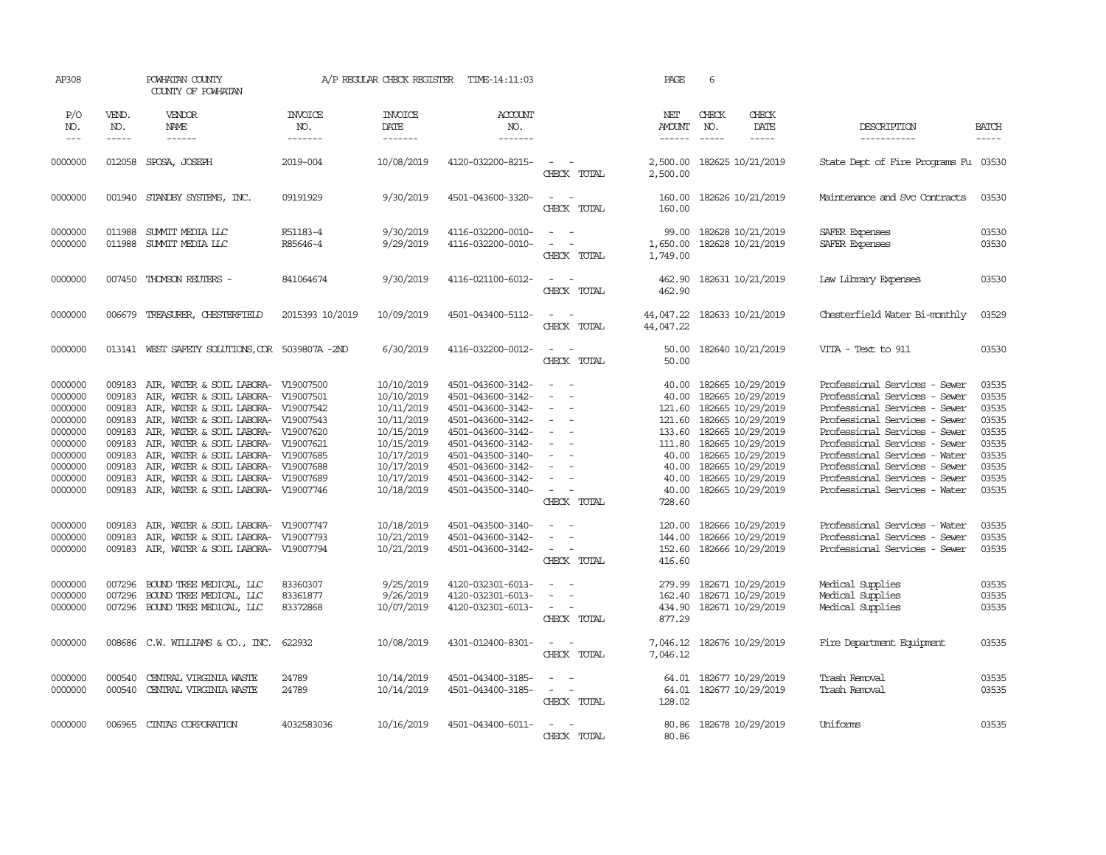| AP308                                                                                                                                                                        |                                                                                                                                          | POWHATAN COUNTY<br>COUNTY OF POWHATAN                                                                                                                                                                                                                                                                                                                                                                                                                                                                                                                                                                                  |                                  | A/P REGULAR CHECK REGISTER                                                                                                                                                                                                 | TIME-14:11:03                                                                                                                                                                                                                                                                                                                                |                                                                                                                                                                                                                                                                                                                                                                     | PAGE                                                                                                           | 6                                                                                                                                                                                                                                                                                                                                                                                      |                                |                                                                                                                                                                                                                                                                                                                                                                                                                                                                                                       |                                                                                                                                              |
|------------------------------------------------------------------------------------------------------------------------------------------------------------------------------|------------------------------------------------------------------------------------------------------------------------------------------|------------------------------------------------------------------------------------------------------------------------------------------------------------------------------------------------------------------------------------------------------------------------------------------------------------------------------------------------------------------------------------------------------------------------------------------------------------------------------------------------------------------------------------------------------------------------------------------------------------------------|----------------------------------|----------------------------------------------------------------------------------------------------------------------------------------------------------------------------------------------------------------------------|----------------------------------------------------------------------------------------------------------------------------------------------------------------------------------------------------------------------------------------------------------------------------------------------------------------------------------------------|---------------------------------------------------------------------------------------------------------------------------------------------------------------------------------------------------------------------------------------------------------------------------------------------------------------------------------------------------------------------|----------------------------------------------------------------------------------------------------------------|----------------------------------------------------------------------------------------------------------------------------------------------------------------------------------------------------------------------------------------------------------------------------------------------------------------------------------------------------------------------------------------|--------------------------------|-------------------------------------------------------------------------------------------------------------------------------------------------------------------------------------------------------------------------------------------------------------------------------------------------------------------------------------------------------------------------------------------------------------------------------------------------------------------------------------------------------|----------------------------------------------------------------------------------------------------------------------------------------------|
| P/O<br>NO.<br>$---$                                                                                                                                                          | VEND.<br>NO.<br>$\frac{1}{2}$                                                                                                            | <b>VENDOR</b><br>NAME<br>$- - - - - -$                                                                                                                                                                                                                                                                                                                                                                                                                                                                                                                                                                                 | <b>INVOICE</b><br>NO.<br>------- | <b>INVOICE</b><br>DATE<br>--------                                                                                                                                                                                         | ACCOUNT<br>NO.<br>--------                                                                                                                                                                                                                                                                                                                   |                                                                                                                                                                                                                                                                                                                                                                     | NET<br><b>AMOUNT</b><br>$- - - - - -$                                                                          | CHECK<br>NO.<br>$\frac{1}{2}$                                                                                                                                                                                                                                                                                                                                                          | CHECK<br>DATE<br>$\frac{1}{2}$ | DESCRIPTION<br>-----------                                                                                                                                                                                                                                                                                                                                                                                                                                                                            | <b>BATCH</b><br>$\frac{1}{2}$                                                                                                                |
| 0000000                                                                                                                                                                      |                                                                                                                                          | 012058 SPOSA, JOSEPH                                                                                                                                                                                                                                                                                                                                                                                                                                                                                                                                                                                                   | 2019-004                         | 10/08/2019                                                                                                                                                                                                                 | 4120-032200-8215-                                                                                                                                                                                                                                                                                                                            | $\sim$ $-$<br>$\sim$<br>CHECK TOTAL                                                                                                                                                                                                                                                                                                                                 | 2,500.00<br>2,500.00                                                                                           | 182625 10/21/2019                                                                                                                                                                                                                                                                                                                                                                      |                                | State Dept of Fire Programs Fu 03530                                                                                                                                                                                                                                                                                                                                                                                                                                                                  |                                                                                                                                              |
| 0000000                                                                                                                                                                      |                                                                                                                                          | 001940 STANDBY SYSTEMS, INC.                                                                                                                                                                                                                                                                                                                                                                                                                                                                                                                                                                                           | 09191929                         | 9/30/2019                                                                                                                                                                                                                  | 4501-043600-3320-                                                                                                                                                                                                                                                                                                                            | $\sim$<br>$\sim$<br>CHECK TOTAL                                                                                                                                                                                                                                                                                                                                     | 160.00<br>160.00                                                                                               | 182626 10/21/2019                                                                                                                                                                                                                                                                                                                                                                      |                                | Maintenance and Svc Contracts                                                                                                                                                                                                                                                                                                                                                                                                                                                                         | 03530                                                                                                                                        |
| 0000000<br>0000000                                                                                                                                                           | 011988<br>011988                                                                                                                         | SUMIT MEDIA LLC<br>SUMIT MEDIA LLC                                                                                                                                                                                                                                                                                                                                                                                                                                                                                                                                                                                     | R51183-4<br>R85646-4             | 9/30/2019<br>9/29/2019                                                                                                                                                                                                     | 4116-032200-0010-<br>4116-032200-0010-                                                                                                                                                                                                                                                                                                       | $\sim$<br>$\sim$<br>$\sim$<br>- -<br>CHECK TOTAL                                                                                                                                                                                                                                                                                                                    | 99.00<br>1,650.00<br>1,749.00                                                                                  | 182628 10/21/2019<br>182628 10/21/2019                                                                                                                                                                                                                                                                                                                                                 |                                | SAFER Expenses<br>SAFER Expenses                                                                                                                                                                                                                                                                                                                                                                                                                                                                      | 03530<br>03530                                                                                                                               |
| 0000000                                                                                                                                                                      |                                                                                                                                          | 007450 THOMSON REUTERS -                                                                                                                                                                                                                                                                                                                                                                                                                                                                                                                                                                                               | 841064674                        | 9/30/2019                                                                                                                                                                                                                  | 4116-021100-6012-                                                                                                                                                                                                                                                                                                                            | $\sim$ $\sim$<br>CHECK TOTAL                                                                                                                                                                                                                                                                                                                                        | 462.90<br>462.90                                                                                               | 182631 10/21/2019                                                                                                                                                                                                                                                                                                                                                                      |                                | Law Library Expenses                                                                                                                                                                                                                                                                                                                                                                                                                                                                                  | 03530                                                                                                                                        |
| 0000000                                                                                                                                                                      | 006679                                                                                                                                   | TREASURER, CHESTERFIELD                                                                                                                                                                                                                                                                                                                                                                                                                                                                                                                                                                                                | 2015393 10/2019                  | 10/09/2019                                                                                                                                                                                                                 | 4501-043400-5112-                                                                                                                                                                                                                                                                                                                            | $\sim$ $ -$<br>CHECK TOTAL                                                                                                                                                                                                                                                                                                                                          | 44,047.22                                                                                                      | 44,047.22 182633 10/21/2019                                                                                                                                                                                                                                                                                                                                                            |                                | Chesterfield Water Bi-monthly                                                                                                                                                                                                                                                                                                                                                                                                                                                                         | 03529                                                                                                                                        |
| 0000000                                                                                                                                                                      |                                                                                                                                          | 013141 WEST SAFETY SOLUTIONS, COR 5039807A -2ND                                                                                                                                                                                                                                                                                                                                                                                                                                                                                                                                                                        |                                  | 6/30/2019                                                                                                                                                                                                                  | 4116-032200-0012-                                                                                                                                                                                                                                                                                                                            | $\sim$ $ \sim$<br>CHECK TOTAL                                                                                                                                                                                                                                                                                                                                       | 50.00<br>50.00                                                                                                 | 182640 10/21/2019                                                                                                                                                                                                                                                                                                                                                                      |                                | VITA - Text to 911                                                                                                                                                                                                                                                                                                                                                                                                                                                                                    | 03530                                                                                                                                        |
| 0000000<br>0000000<br>0000000<br>0000000<br>0000000<br>0000000<br>0000000<br>0000000<br>0000000<br>0000000<br>0000000<br>0000000<br>0000000<br>0000000<br>0000000<br>0000000 | 009183<br>009183<br>009183<br>009183<br>009183<br>009183<br>009183<br>009183<br>009183<br>009183<br>009183<br>007296<br>007296<br>007296 | AIR, WATER & SOIL LABORA- V19007500<br>AIR, WATER & SOIL LABORA- V19007501<br>AIR, WATER & SOIL LABORA- V19007542<br>AIR, WATER & SOIL LABORA- V19007543<br>AIR, WATER & SOIL LABORA- V19007620<br>AIR, WATER & SOIL LABORA- V19007621<br>AIR, WATER & SOIL LABORA- V19007685<br>AIR, WATER & SOIL LABORA- V19007688<br>AIR, WATER & SOIL LABORA- V19007689<br>009183 AIR, WATER & SOIL LABORA- V19007746<br>AIR, WATER & SOIL LABORA- V19007747<br>AIR, WATER & SOIL LABORA- V19007793<br>009183 AIR, WATER & SOIL LABORA- V19007794<br>BOUND TREE MEDICAL, LLC<br>BOUND TREE MEDICAL, LLC<br>BOUND TREE MEDICAL, LLC | 83360307<br>83361877<br>83372868 | 10/10/2019<br>10/10/2019<br>10/11/2019<br>10/11/2019<br>10/15/2019<br>10/15/2019<br>10/17/2019<br>10/17/2019<br>10/17/2019<br>10/18/2019<br>10/18/2019<br>10/21/2019<br>10/21/2019<br>9/25/2019<br>9/26/2019<br>10/07/2019 | 4501-043600-3142-<br>4501-043600-3142-<br>4501-043600-3142-<br>4501-043600-3142-<br>4501-043600-3142-<br>4501-043600-3142-<br>4501-043500-3140-<br>4501-043600-3142-<br>4501-043600-3142-<br>4501-043500-3140-<br>4501-043500-3140-<br>4501-043600-3142-<br>4501-043600-3142-<br>4120-032301-6013-<br>4120-032301-6013-<br>4120-032301-6013- | $\sim$<br>- -<br>$\sim$<br>$\sim$<br>$\sim$<br>$\equiv$<br>$\sim$<br>$\sim$<br>$\overline{\phantom{a}}$<br>$\sim$<br>$\sim$<br>$\overline{\phantom{a}}$<br>$\sim$<br>$\sim$<br>CHECK TOTAL<br>$\sim$<br>- 1<br>$\sim$<br>$\sim$<br>$\overline{\phantom{a}}$<br>CHECK TOTAL<br>$\sim$<br>$\equiv$<br>$\sim$<br>$\sim$<br>$\omega_{\rm{max}}$ and $\omega_{\rm{max}}$ | 40.00<br>40.00<br>40.00<br>40.00<br>40.00<br>40.00<br>728.60<br>120.00<br>144.00<br>416.60<br>279.99<br>162.40 | 182665 10/29/2019<br>182665 10/29/2019<br>121.60 182665 10/29/2019<br>121.60 182665 10/29/2019<br>133.60 182665 10/29/2019<br>111.80 182665 10/29/2019<br>182665 10/29/2019<br>182665 10/29/2019<br>182665 10/29/2019<br>182665 10/29/2019<br>182666 10/29/2019<br>182666 10/29/2019<br>152.60 182666 10/29/2019<br>182671 10/29/2019<br>182671 10/29/2019<br>434.90 182671 10/29/2019 |                                | Professional Services - Sewer<br>Professional Services - Sewer<br>Professional Services - Sewer<br>Professional Services - Sewer<br>Professional Services - Sewer<br>Professional Services - Sewer<br>Professional Services - Water<br>Professional Services - Sewer<br>Professional Services - Sewer<br>Professional Services - Water<br>Professional Services - Water<br>Professional Services - Sewer<br>Professional Services - Sewer<br>Medical Supplies<br>Medical Supplies<br>Medical Supplies | 03535<br>03535<br>03535<br>03535<br>03535<br>03535<br>03535<br>03535<br>03535<br>03535<br>03535<br>03535<br>03535<br>03535<br>03535<br>03535 |
| 0000000                                                                                                                                                                      |                                                                                                                                          | 008686 C.W. WILLIAMS & CO., INC.                                                                                                                                                                                                                                                                                                                                                                                                                                                                                                                                                                                       | 622932                           | 10/08/2019                                                                                                                                                                                                                 | 4301-012400-8301-                                                                                                                                                                                                                                                                                                                            | CHECK TOTAL<br>$\overline{\phantom{a}}$<br>$\sim$                                                                                                                                                                                                                                                                                                                   | 877.29                                                                                                         | 7,046.12 182676 10/29/2019                                                                                                                                                                                                                                                                                                                                                             |                                | Fire Department Equipment                                                                                                                                                                                                                                                                                                                                                                                                                                                                             | 03535                                                                                                                                        |
| 0000000<br>0000000                                                                                                                                                           | 000540<br>000540                                                                                                                         | CENTRAL VIRGINIA WASTE<br>CENTRAL VIRGINIA WASTE                                                                                                                                                                                                                                                                                                                                                                                                                                                                                                                                                                       | 24789<br>24789                   | 10/14/2019<br>10/14/2019                                                                                                                                                                                                   | 4501-043400-3185-<br>4501-043400-3185-                                                                                                                                                                                                                                                                                                       | CHECK TOTAL<br>$\sim$<br>$\sim$<br>$\sim$ $ \sim$<br>CHECK TOTAL                                                                                                                                                                                                                                                                                                    | 7,046.12<br>64.01<br>128.02                                                                                    | 182677 10/29/2019<br>64.01 182677 10/29/2019                                                                                                                                                                                                                                                                                                                                           |                                | Trash Removal<br>Trash Removal                                                                                                                                                                                                                                                                                                                                                                                                                                                                        | 03535<br>03535                                                                                                                               |
| 0000000                                                                                                                                                                      |                                                                                                                                          | 006965 CINTAS CORPORATION                                                                                                                                                                                                                                                                                                                                                                                                                                                                                                                                                                                              | 4032583036                       | 10/16/2019                                                                                                                                                                                                                 | 4501-043400-6011-                                                                                                                                                                                                                                                                                                                            | $\sim$<br>$\sim$<br>CHECK TOTAL                                                                                                                                                                                                                                                                                                                                     | 80.86<br>80.86                                                                                                 | 182678 10/29/2019                                                                                                                                                                                                                                                                                                                                                                      |                                | Uniforms                                                                                                                                                                                                                                                                                                                                                                                                                                                                                              | 03535                                                                                                                                        |